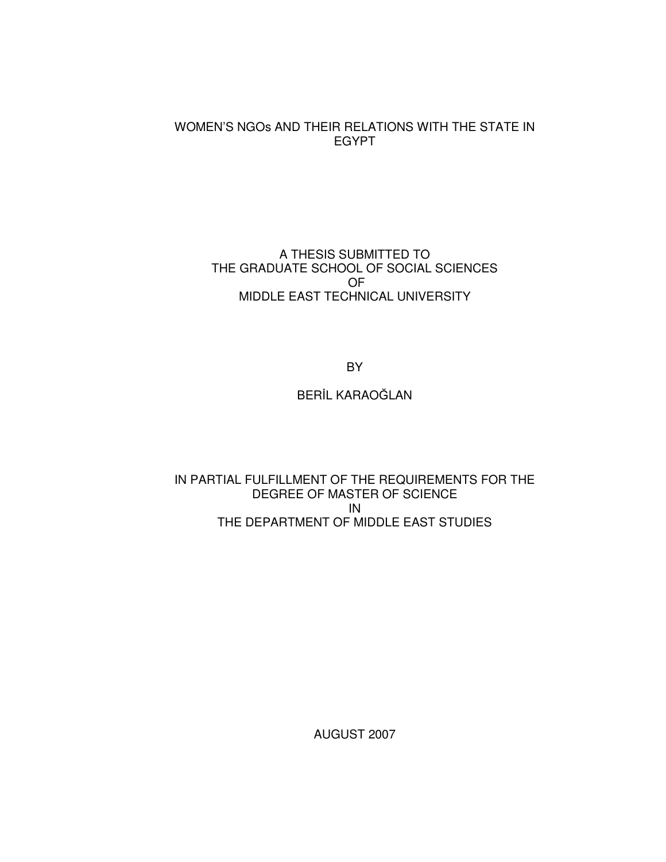## WOMEN'S NGOs AND THEIR RELATIONS WITH THE STATE IN EGYPT

## A THESIS SUBMITTED TO THE GRADUATE SCHOOL OF SOCIAL SCIENCES OF MIDDLE EAST TECHNICAL UNIVERSITY

BY

BERİL KARAOĞLAN

IN PARTIAL FULFILLMENT OF THE REQUIREMENTS FOR THE DEGREE OF MASTER OF SCIENCE IN THE DEPARTMENT OF MIDDLE EAST STUDIES

AUGUST 2007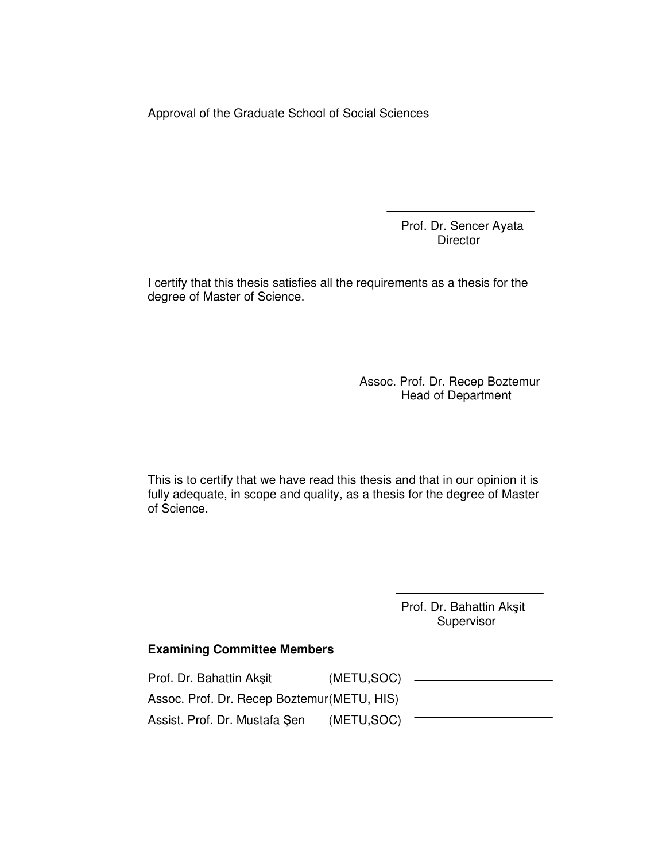Approval of the Graduate School of Social Sciences

Prof. Dr. Sencer Ayata **Director** 

I certify that this thesis satisfies all the requirements as a thesis for the degree of Master of Science.

> Assoc. Prof. Dr. Recep Boztemur Head of Department

This is to certify that we have read this thesis and that in our opinion it is fully adequate, in scope and quality, as a thesis for the degree of Master of Science.

> Prof. Dr. Bahattin Akşit Supervisor

## **Examining Committee Members**

| Prof. Dr. Bahattin Akşit                    | (METU, SOC) |  |
|---------------------------------------------|-------------|--|
| Assoc. Prof. Dr. Recep Boztemur (METU, HIS) |             |  |
| Assist. Prof. Dr. Mustafa Şen               | (METU, SOC) |  |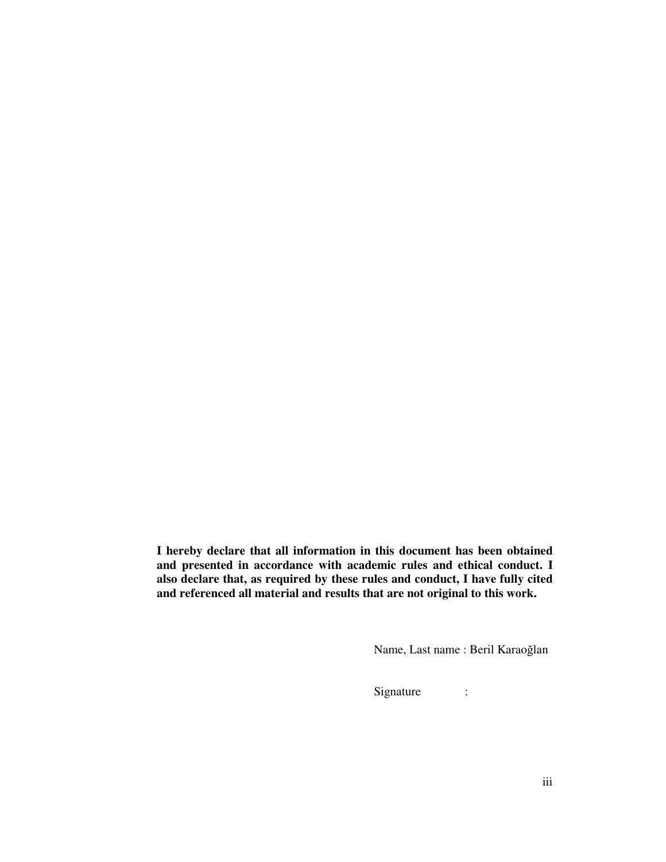**I hereby declare that all information in this document has been obtained and presented in accordance with academic rules and ethical conduct. I also declare that, as required by these rules and conduct, I have fully cited and referenced all material and results that are not original to this work.** 

Name, Last name : Beril Karaoğlan

Signature :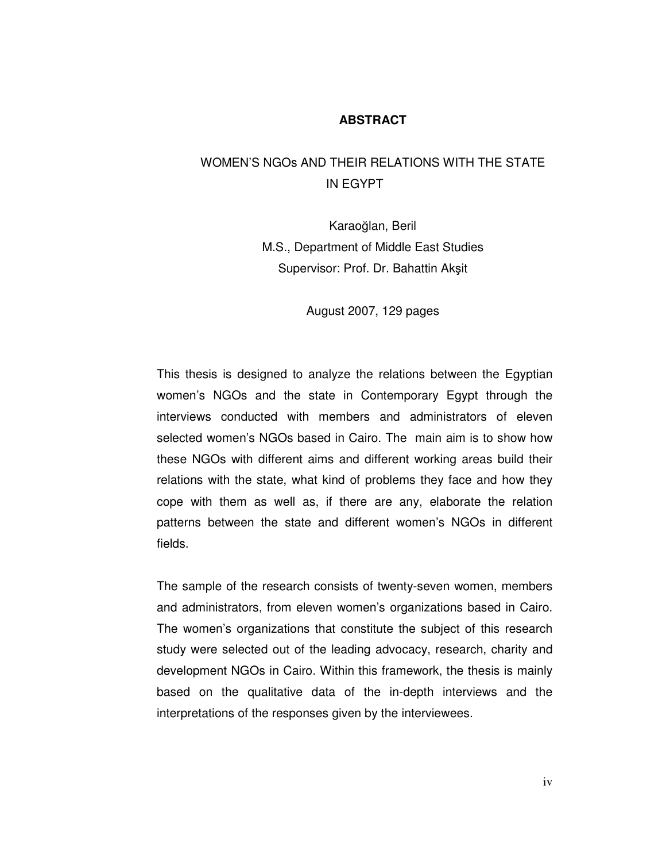### **ABSTRACT**

# WOMEN'S NGOs AND THEIR RELATIONS WITH THE STATE IN EGYPT

Karaoğlan, Beril M.S., Department of Middle East Studies Supervisor: Prof. Dr. Bahattin Akşit

August 2007, 129 pages

This thesis is designed to analyze the relations between the Egyptian women's NGOs and the state in Contemporary Egypt through the interviews conducted with members and administrators of eleven selected women's NGOs based in Cairo. The main aim is to show how these NGOs with different aims and different working areas build their relations with the state, what kind of problems they face and how they cope with them as well as, if there are any, elaborate the relation patterns between the state and different women's NGOs in different fields.

The sample of the research consists of twenty-seven women, members and administrators, from eleven women's organizations based in Cairo. The women's organizations that constitute the subject of this research study were selected out of the leading advocacy, research, charity and development NGOs in Cairo. Within this framework, the thesis is mainly based on the qualitative data of the in-depth interviews and the interpretations of the responses given by the interviewees.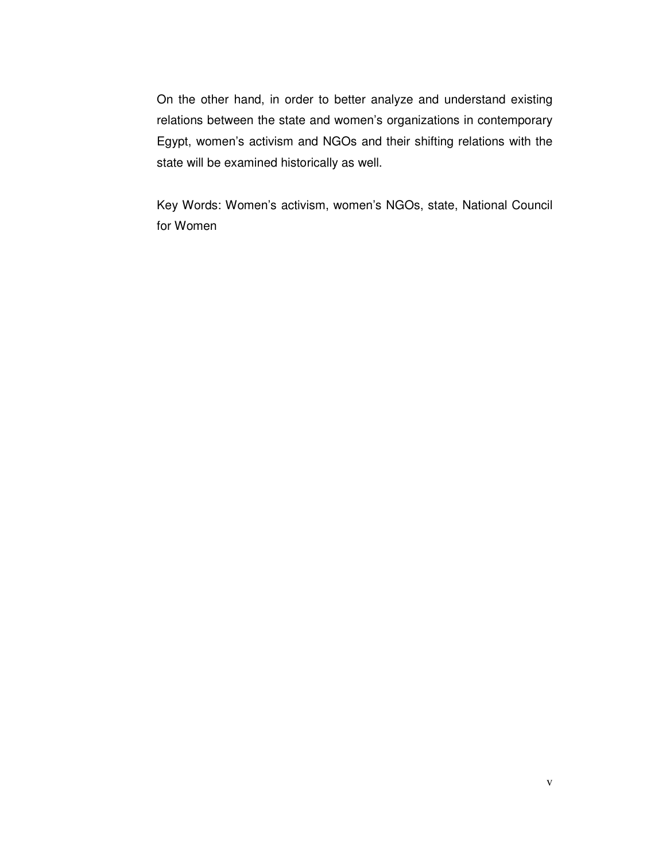On the other hand, in order to better analyze and understand existing relations between the state and women's organizations in contemporary Egypt, women's activism and NGOs and their shifting relations with the state will be examined historically as well.

Key Words: Women's activism, women's NGOs, state, National Council for Women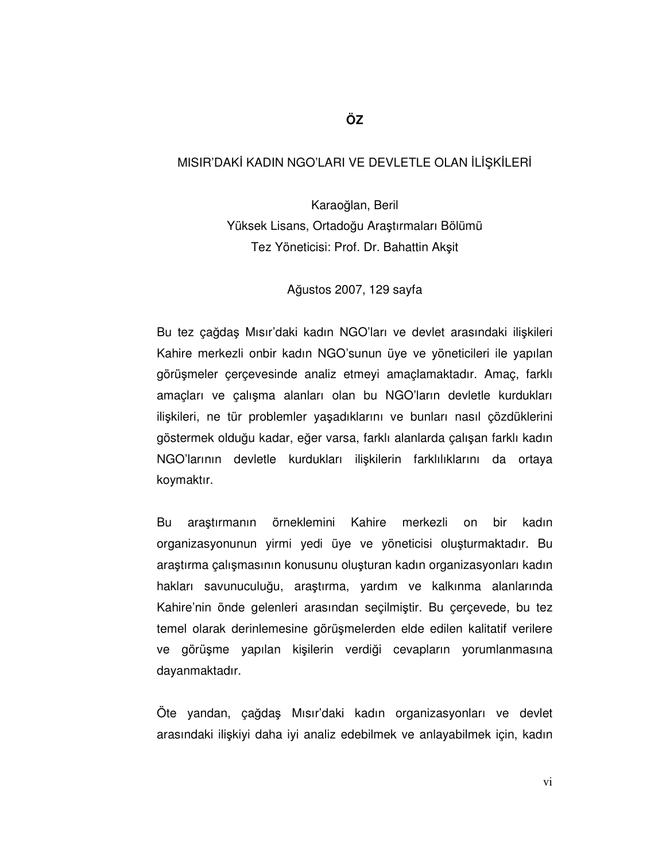## MISIR'DAKİ KADIN NGO'LARI VE DEVLETLE OLAN İLİŞKİLERİ

Karaoğlan, Beril Yüksek Lisans, Ortadoğu Araştırmaları Bölümü Tez Yöneticisi: Prof. Dr. Bahattin Akşit

Ağustos 2007, 129 sayfa

Bu tez çağdaş Mısır'daki kadın NGO'ları ve devlet arasındaki ilişkileri Kahire merkezli onbir kadın NGO'sunun üye ve yöneticileri ile yapılan görüşmeler çerçevesinde analiz etmeyi amaçlamaktadır. Amaç, farklı amaçları ve çalışma alanları olan bu NGO'ların devletle kurdukları ilişkileri, ne tür problemler yaşadıklarını ve bunları nasıl çözdüklerini göstermek olduğu kadar, eğer varsa, farklı alanlarda çalışan farklı kadın NGO'larının devletle kurdukları ilişkilerin farklılıklarını da ortaya koymaktır.

Bu araştırmanın örneklemini Kahire merkezli on bir kadın organizasyonunun yirmi yedi üye ve yöneticisi oluşturmaktadır. Bu araştırma çalışmasının konusunu oluşturan kadın organizasyonları kadın hakları savunuculuğu, araştırma, yardım ve kalkınma alanlarında Kahire'nin önde gelenleri arasından seçilmiştir. Bu çerçevede, bu tez temel olarak derinlemesine görüşmelerden elde edilen kalitatif verilere ve görüşme yapılan kişilerin verdiği cevapların yorumlanmasına dayanmaktadır.

Öte yandan, çağdaş Mısır'daki kadın organizasyonları ve devlet arasındaki ilişkiyi daha iyi analiz edebilmek ve anlayabilmek için, kadın

**ÖZ**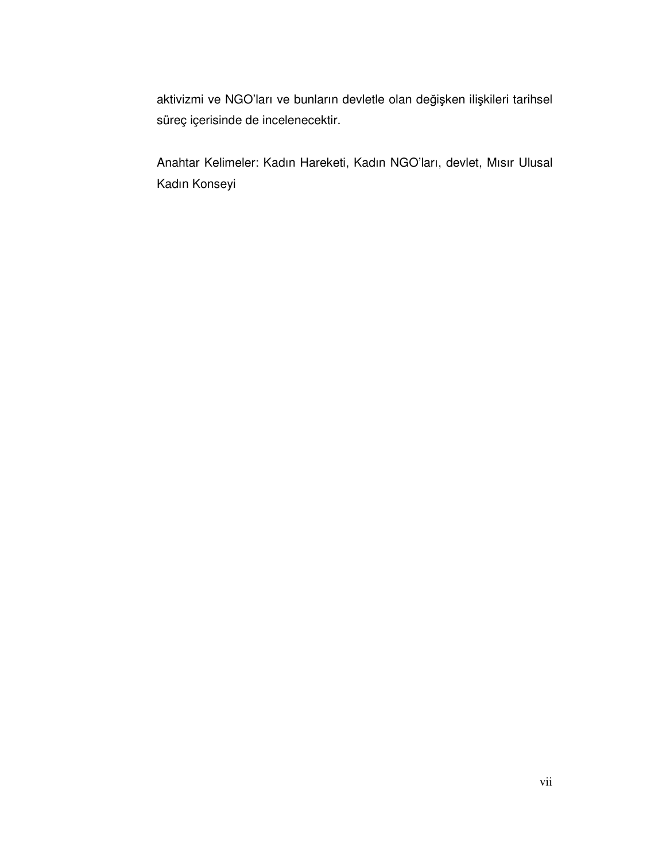aktivizmi ve NGO'ları ve bunların devletle olan değişken ilişkileri tarihsel süreç içerisinde de incelenecektir.

Anahtar Kelimeler: Kadın Hareketi, Kadın NGO'ları, devlet, Mısır Ulusal Kadın Konseyi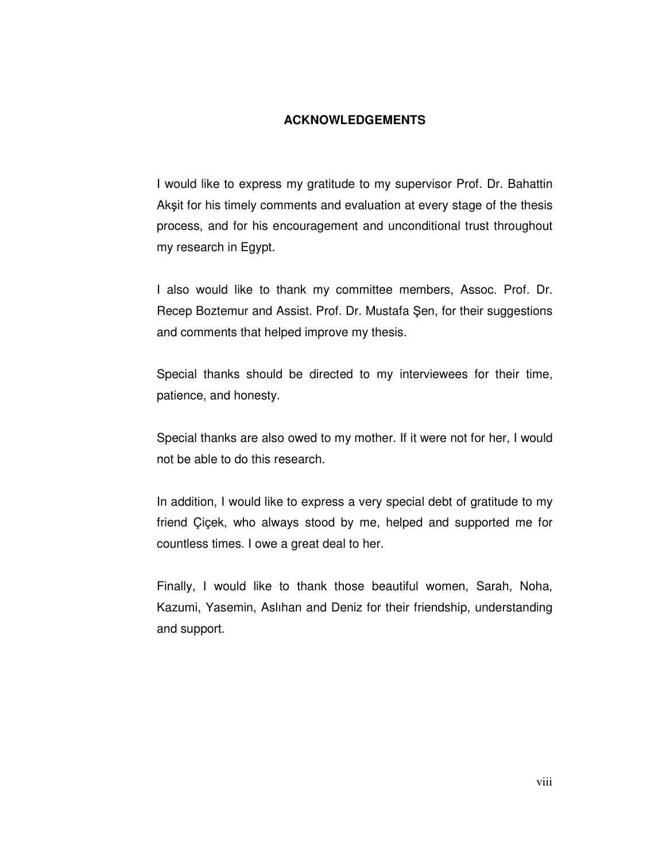## **ACKNOWLEDGEMENTS**

I would like to express my gratitude to my supervisor Prof. Dr. Bahattin Akşit for his timely comments and evaluation at every stage of the thesis process, and for his encouragement and unconditional trust throughout my research in Egypt.

I also would like to thank my committee members, Assoc. Prof. Dr. Recep Boztemur and Assist. Prof. Dr. Mustafa Şen, for their suggestions and comments that helped improve my thesis.

Special thanks should be directed to my interviewees for their time, patience, and honesty.

Special thanks are also owed to my mother. If it were not for her, I would not be able to do this research.

In addition, I would like to express a very special debt of gratitude to my friend Çiçek, who always stood by me, helped and supported me for countless times. I owe a great deal to her.

Finally, I would like to thank those beautiful women, Sarah, Noha, Kazumi, Yasemin, Aslıhan and Deniz for their friendship, understanding and support.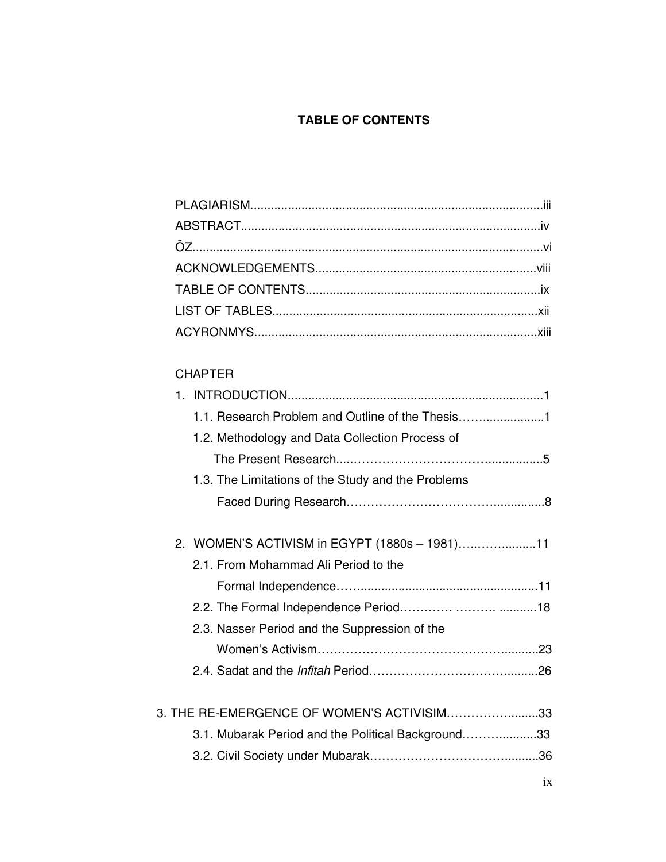# **TABLE OF CONTENTS**

# CHAPTER

|  | 1.1. Research Problem and Outline of the Thesis    |
|--|----------------------------------------------------|
|  | 1.2. Methodology and Data Collection Process of    |
|  |                                                    |
|  | 1.3. The Limitations of the Study and the Problems |
|  |                                                    |
|  |                                                    |
|  | 2. WOMEN'S ACTIVISM in EGYPT (1880s - 1981)11      |
|  | 2.1. From Mohammad Ali Period to the               |
|  |                                                    |
|  |                                                    |
|  | 2.3. Nasser Period and the Suppression of the      |
|  |                                                    |
|  |                                                    |
|  |                                                    |
|  | 3. THE RE-EMERGENCE OF WOMEN'S ACTIVISIM33         |
|  | 3.1. Mubarak Period and the Political Background33 |
|  |                                                    |
|  |                                                    |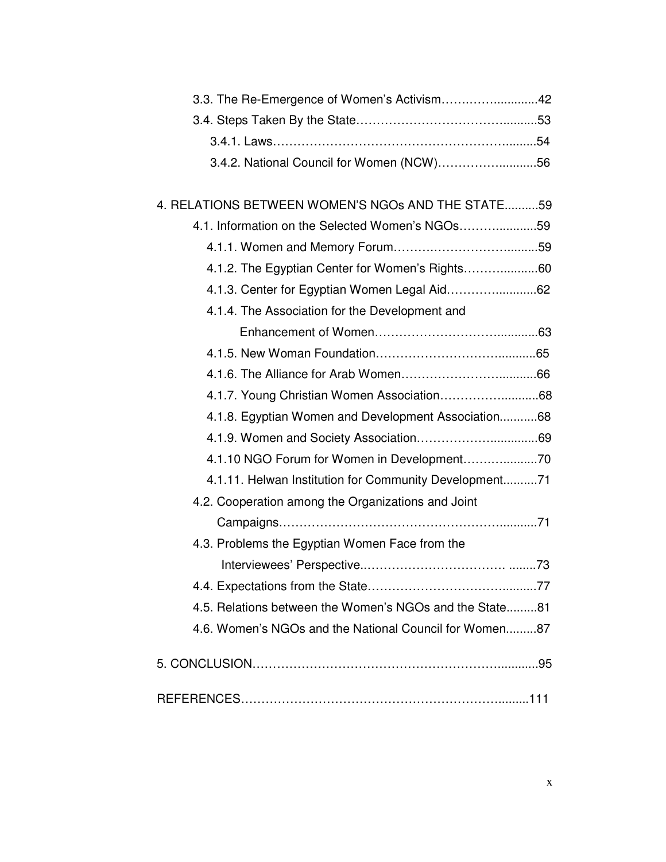| 3.4.2. National Council for Women (NCW)56               |
|---------------------------------------------------------|
|                                                         |
| 4. RELATIONS BETWEEN WOMEN'S NGOS AND THE STATE59       |
| 4.1. Information on the Selected Women's NGOs59         |
|                                                         |
| 4.1.2. The Egyptian Center for Women's Rights60         |
| 4.1.3. Center for Egyptian Women Legal Aid62            |
| 4.1.4. The Association for the Development and          |
|                                                         |
|                                                         |
|                                                         |
|                                                         |
| 4.1.8. Egyptian Women and Development Association68     |
|                                                         |
|                                                         |
| 4.1.11. Helwan Institution for Community Development71  |
| 4.2. Cooperation among the Organizations and Joint      |
|                                                         |
| 4.3. Problems the Egyptian Women Face from the          |
|                                                         |
|                                                         |
| 4.5. Relations between the Women's NGOs and the State81 |
| 4.6. Women's NGOs and the National Council for Women87  |
|                                                         |
|                                                         |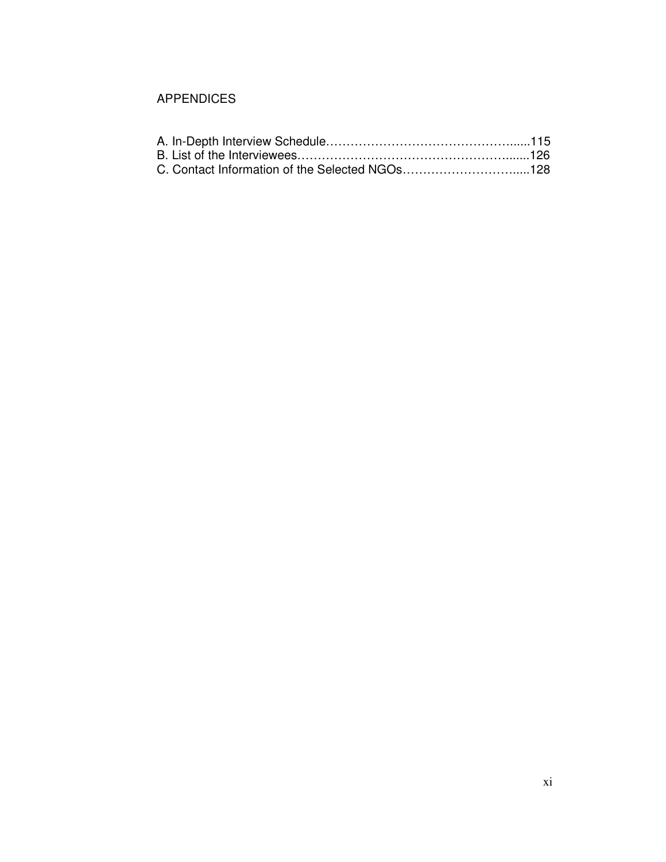## APPENDICES

| C. Contact Information of the Selected NGOs128 |  |
|------------------------------------------------|--|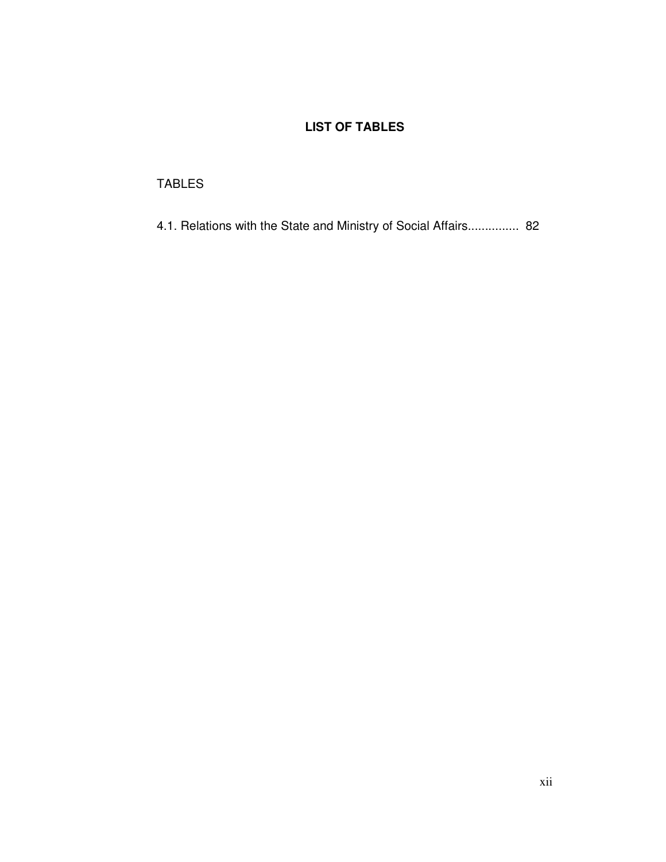# **LIST OF TABLES**

## TABLES

4.1. Relations with the State and Ministry of Social Affairs............... 82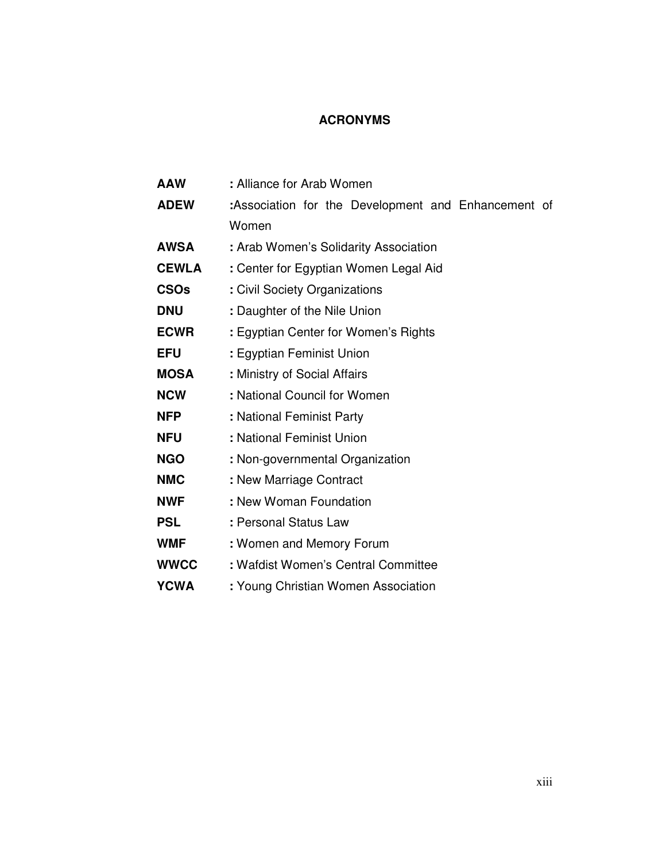## **ACRONYMS**

| <b>AAW</b>   | : Alliance for Arab Women                           |
|--------------|-----------------------------------------------------|
| <b>ADEW</b>  | :Association for the Development and Enhancement of |
|              | Women                                               |
| <b>AWSA</b>  | : Arab Women's Solidarity Association               |
| <b>CEWLA</b> | : Center for Egyptian Women Legal Aid               |
| <b>CSOs</b>  | : Civil Society Organizations                       |
| <b>DNU</b>   | : Daughter of the Nile Union                        |
| <b>ECWR</b>  | : Egyptian Center for Women's Rights                |
| <b>EFU</b>   | : Egyptian Feminist Union                           |
| <b>MOSA</b>  | : Ministry of Social Affairs                        |
| <b>NCW</b>   | : National Council for Women                        |
| <b>NFP</b>   | : National Feminist Party                           |
| <b>NFU</b>   | : National Feminist Union                           |
| <b>NGO</b>   | : Non-governmental Organization                     |
| <b>NMC</b>   | : New Marriage Contract                             |
| <b>NWF</b>   | : New Woman Foundation                              |
| <b>PSL</b>   | : Personal Status Law                               |
| <b>WMF</b>   | : Women and Memory Forum                            |
| <b>WWCC</b>  | : Wafdist Women's Central Committee                 |
| <b>YCWA</b>  | : Young Christian Women Association                 |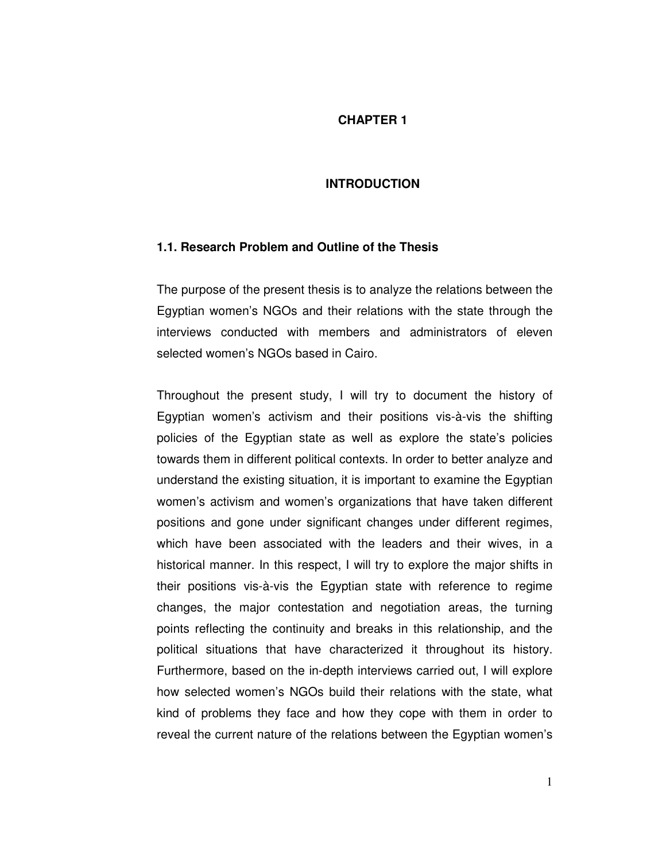## **CHAPTER 1**

### **INTRODUCTION**

### **1.1. Research Problem and Outline of the Thesis**

The purpose of the present thesis is to analyze the relations between the Egyptian women's NGOs and their relations with the state through the interviews conducted with members and administrators of eleven selected women's NGOs based in Cairo.

Throughout the present study, I will try to document the history of Egyptian women's activism and their positions vis-à-vis the shifting policies of the Egyptian state as well as explore the state's policies towards them in different political contexts. In order to better analyze and understand the existing situation, it is important to examine the Egyptian women's activism and women's organizations that have taken different positions and gone under significant changes under different regimes, which have been associated with the leaders and their wives, in a historical manner. In this respect, I will try to explore the major shifts in their positions vis-à-vis the Egyptian state with reference to regime changes, the major contestation and negotiation areas, the turning points reflecting the continuity and breaks in this relationship, and the political situations that have characterized it throughout its history. Furthermore, based on the in-depth interviews carried out, I will explore how selected women's NGOs build their relations with the state, what kind of problems they face and how they cope with them in order to reveal the current nature of the relations between the Egyptian women's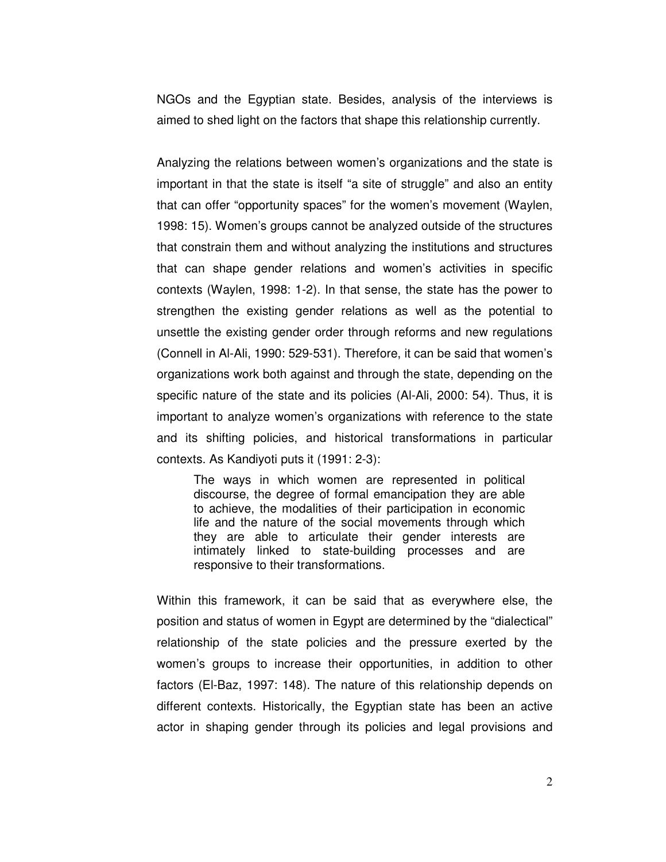NGOs and the Egyptian state. Besides, analysis of the interviews is aimed to shed light on the factors that shape this relationship currently.

Analyzing the relations between women's organizations and the state is important in that the state is itself "a site of struggle" and also an entity that can offer "opportunity spaces" for the women's movement (Waylen, 1998: 15). Women's groups cannot be analyzed outside of the structures that constrain them and without analyzing the institutions and structures that can shape gender relations and women's activities in specific contexts (Waylen, 1998: 1-2). In that sense, the state has the power to strengthen the existing gender relations as well as the potential to unsettle the existing gender order through reforms and new regulations (Connell in Al-Ali, 1990: 529-531). Therefore, it can be said that women's organizations work both against and through the state, depending on the specific nature of the state and its policies (Al-Ali, 2000: 54). Thus, it is important to analyze women's organizations with reference to the state and its shifting policies, and historical transformations in particular contexts. As Kandiyoti puts it (1991: 2-3):

The ways in which women are represented in political discourse, the degree of formal emancipation they are able to achieve, the modalities of their participation in economic life and the nature of the social movements through which they are able to articulate their gender interests are intimately linked to state-building processes and are responsive to their transformations.

Within this framework, it can be said that as everywhere else, the position and status of women in Egypt are determined by the "dialectical" relationship of the state policies and the pressure exerted by the women's groups to increase their opportunities, in addition to other factors (El-Baz, 1997: 148). The nature of this relationship depends on different contexts. Historically, the Egyptian state has been an active actor in shaping gender through its policies and legal provisions and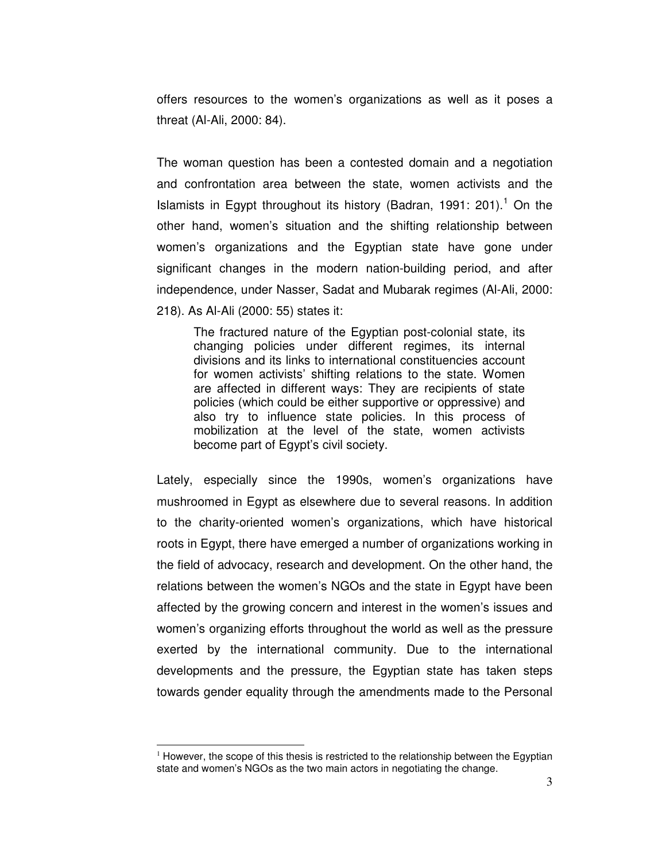offers resources to the women's organizations as well as it poses a threat (Al-Ali, 2000: 84).

The woman question has been a contested domain and a negotiation and confrontation area between the state, women activists and the Islamists in Egypt throughout its history (Badran, 1991: 201).<sup>1</sup> On the other hand, women's situation and the shifting relationship between women's organizations and the Egyptian state have gone under significant changes in the modern nation-building period, and after independence, under Nasser, Sadat and Mubarak regimes (Al-Ali, 2000: 218). As Al-Ali (2000: 55) states it:

The fractured nature of the Egyptian post-colonial state, its changing policies under different regimes, its internal divisions and its links to international constituencies account for women activists' shifting relations to the state. Women are affected in different ways: They are recipients of state policies (which could be either supportive or oppressive) and also try to influence state policies. In this process of mobilization at the level of the state, women activists become part of Egypt's civil society.

Lately, especially since the 1990s, women's organizations have mushroomed in Egypt as elsewhere due to several reasons. In addition to the charity-oriented women's organizations, which have historical roots in Egypt, there have emerged a number of organizations working in the field of advocacy, research and development. On the other hand, the relations between the women's NGOs and the state in Egypt have been affected by the growing concern and interest in the women's issues and women's organizing efforts throughout the world as well as the pressure exerted by the international community. Due to the international developments and the pressure, the Egyptian state has taken steps towards gender equality through the amendments made to the Personal

 $<sup>1</sup>$  However, the scope of this thesis is restricted to the relationship between the Egyptian</sup> state and women's NGOs as the two main actors in negotiating the change.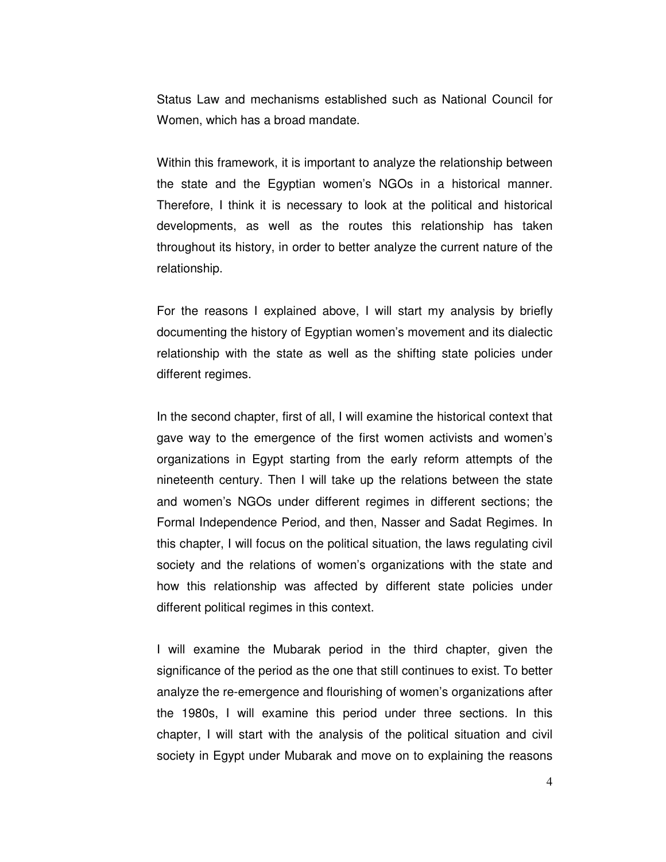Status Law and mechanisms established such as National Council for Women, which has a broad mandate.

Within this framework, it is important to analyze the relationship between the state and the Egyptian women's NGOs in a historical manner. Therefore, I think it is necessary to look at the political and historical developments, as well as the routes this relationship has taken throughout its history, in order to better analyze the current nature of the relationship.

For the reasons I explained above, I will start my analysis by briefly documenting the history of Egyptian women's movement and its dialectic relationship with the state as well as the shifting state policies under different regimes.

In the second chapter, first of all, I will examine the historical context that gave way to the emergence of the first women activists and women's organizations in Egypt starting from the early reform attempts of the nineteenth century. Then I will take up the relations between the state and women's NGOs under different regimes in different sections; the Formal Independence Period, and then, Nasser and Sadat Regimes. In this chapter, I will focus on the political situation, the laws regulating civil society and the relations of women's organizations with the state and how this relationship was affected by different state policies under different political regimes in this context.

I will examine the Mubarak period in the third chapter, given the significance of the period as the one that still continues to exist. To better analyze the re-emergence and flourishing of women's organizations after the 1980s, I will examine this period under three sections. In this chapter, I will start with the analysis of the political situation and civil society in Egypt under Mubarak and move on to explaining the reasons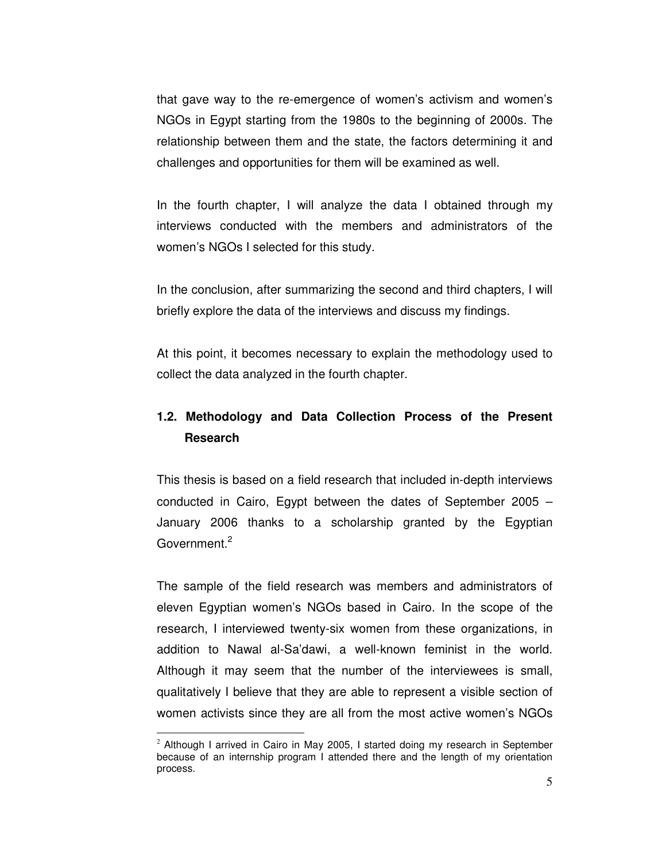that gave way to the re-emergence of women's activism and women's NGOs in Egypt starting from the 1980s to the beginning of 2000s. The relationship between them and the state, the factors determining it and challenges and opportunities for them will be examined as well.

In the fourth chapter, I will analyze the data I obtained through my interviews conducted with the members and administrators of the women's NGOs I selected for this study.

In the conclusion, after summarizing the second and third chapters, I will briefly explore the data of the interviews and discuss my findings.

At this point, it becomes necessary to explain the methodology used to collect the data analyzed in the fourth chapter.

# **1.2. Methodology and Data Collection Process of the Present Research**

This thesis is based on a field research that included in-depth interviews conducted in Cairo, Egypt between the dates of September 2005 – January 2006 thanks to a scholarship granted by the Egyptian Government.<sup>2</sup>

The sample of the field research was members and administrators of eleven Egyptian women's NGOs based in Cairo. In the scope of the research, I interviewed twenty-six women from these organizations, in addition to Nawal al-Sa'dawi, a well-known feminist in the world. Although it may seem that the number of the interviewees is small, qualitatively I believe that they are able to represent a visible section of women activists since they are all from the most active women's NGOs

 $2$  Although I arrived in Cairo in May 2005, I started doing my research in September because of an internship program I attended there and the length of my orientation process.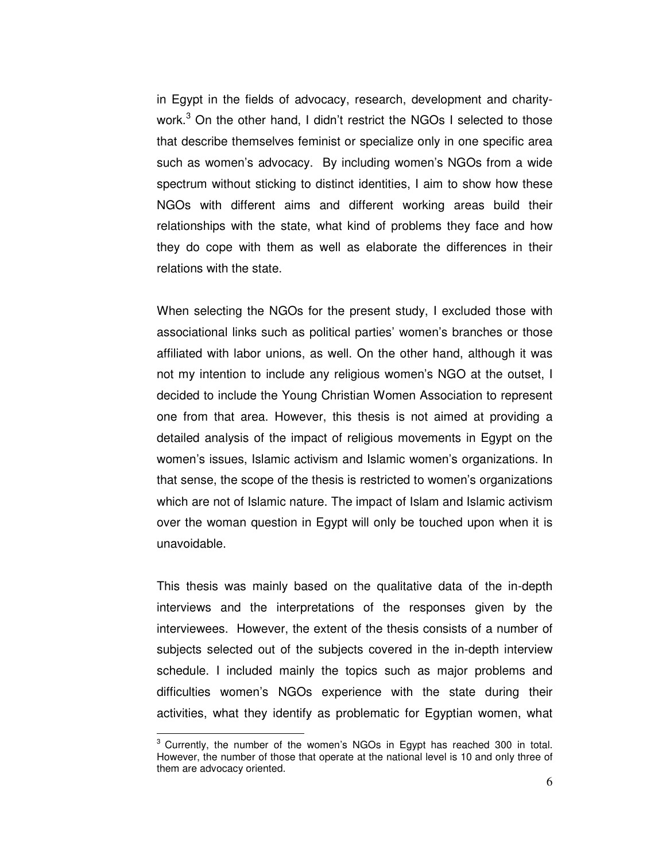in Egypt in the fields of advocacy, research, development and charitywork.<sup>3</sup> On the other hand, I didn't restrict the NGOs I selected to those that describe themselves feminist or specialize only in one specific area such as women's advocacy. By including women's NGOs from a wide spectrum without sticking to distinct identities, I aim to show how these NGOs with different aims and different working areas build their relationships with the state, what kind of problems they face and how they do cope with them as well as elaborate the differences in their relations with the state.

When selecting the NGOs for the present study, I excluded those with associational links such as political parties' women's branches or those affiliated with labor unions, as well. On the other hand, although it was not my intention to include any religious women's NGO at the outset, I decided to include the Young Christian Women Association to represent one from that area. However, this thesis is not aimed at providing a detailed analysis of the impact of religious movements in Egypt on the women's issues, Islamic activism and Islamic women's organizations. In that sense, the scope of the thesis is restricted to women's organizations which are not of Islamic nature. The impact of Islam and Islamic activism over the woman question in Egypt will only be touched upon when it is unavoidable.

This thesis was mainly based on the qualitative data of the in-depth interviews and the interpretations of the responses given by the interviewees. However, the extent of the thesis consists of a number of subjects selected out of the subjects covered in the in-depth interview schedule. I included mainly the topics such as major problems and difficulties women's NGOs experience with the state during their activities, what they identify as problematic for Egyptian women, what

<sup>&</sup>lt;sup>3</sup> Currently, the number of the women's NGOs in Egypt has reached 300 in total. However, the number of those that operate at the national level is 10 and only three of them are advocacy oriented.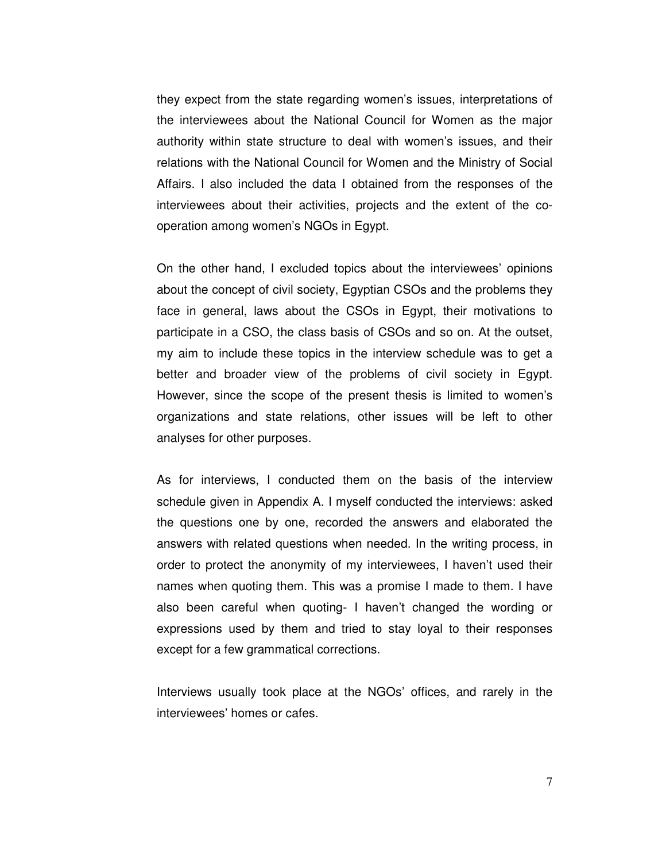they expect from the state regarding women's issues, interpretations of the interviewees about the National Council for Women as the major authority within state structure to deal with women's issues, and their relations with the National Council for Women and the Ministry of Social Affairs. I also included the data I obtained from the responses of the interviewees about their activities, projects and the extent of the cooperation among women's NGOs in Egypt.

On the other hand, I excluded topics about the interviewees' opinions about the concept of civil society, Egyptian CSOs and the problems they face in general, laws about the CSOs in Egypt, their motivations to participate in a CSO, the class basis of CSOs and so on. At the outset, my aim to include these topics in the interview schedule was to get a better and broader view of the problems of civil society in Egypt. However, since the scope of the present thesis is limited to women's organizations and state relations, other issues will be left to other analyses for other purposes.

As for interviews, I conducted them on the basis of the interview schedule given in Appendix A. I myself conducted the interviews: asked the questions one by one, recorded the answers and elaborated the answers with related questions when needed. In the writing process, in order to protect the anonymity of my interviewees, I haven't used their names when quoting them. This was a promise I made to them. I have also been careful when quoting- I haven't changed the wording or expressions used by them and tried to stay loyal to their responses except for a few grammatical corrections.

Interviews usually took place at the NGOs' offices, and rarely in the interviewees' homes or cafes.

7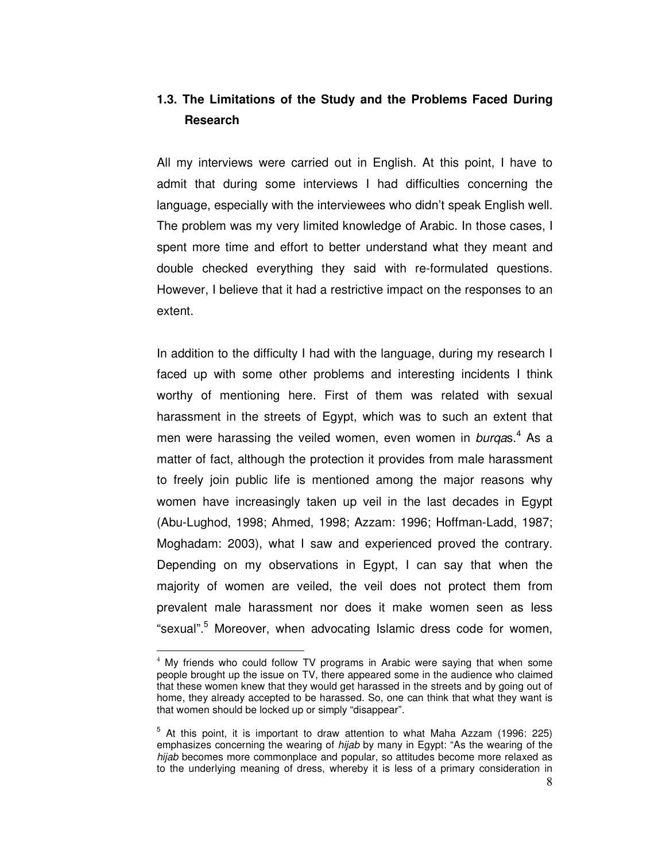# **1.3. The Limitations of the Study and the Problems Faced During Research**

All my interviews were carried out in English. At this point, I have to admit that during some interviews I had difficulties concerning the language, especially with the interviewees who didn't speak English well. The problem was my very limited knowledge of Arabic. In those cases, I spent more time and effort to better understand what they meant and double checked everything they said with re-formulated questions. However, I believe that it had a restrictive impact on the responses to an extent.

In addition to the difficulty I had with the language, during my research I faced up with some other problems and interesting incidents I think worthy of mentioning here. First of them was related with sexual harassment in the streets of Egypt, which was to such an extent that men were harassing the veiled women, even women in burqas.<sup>4</sup> As a matter of fact, although the protection it provides from male harassment to freely join public life is mentioned among the major reasons why women have increasingly taken up veil in the last decades in Egypt (Abu-Lughod, 1998; Ahmed, 1998; Azzam: 1996; Hoffman-Ladd, 1987; Moghadam: 2003), what I saw and experienced proved the contrary. Depending on my observations in Egypt, I can say that when the majority of women are veiled, the veil does not protect them from prevalent male harassment nor does it make women seen as less "sexual".<sup>5</sup> Moreover, when advocating Islamic dress code for women,

<sup>&</sup>lt;sup>4</sup> My friends who could follow TV programs in Arabic were saying that when some people brought up the issue on TV, there appeared some in the audience who claimed that these women knew that they would get harassed in the streets and by going out of home, they already accepted to be harassed. So, one can think that what they want is that women should be locked up or simply "disappear".

 $5$  At this point, it is important to draw attention to what Maha Azzam (1996: 225) emphasizes concerning the wearing of hijab by many in Egypt: "As the wearing of the hijab becomes more commonplace and popular, so attitudes become more relaxed as to the underlying meaning of dress, whereby it is less of a primary consideration in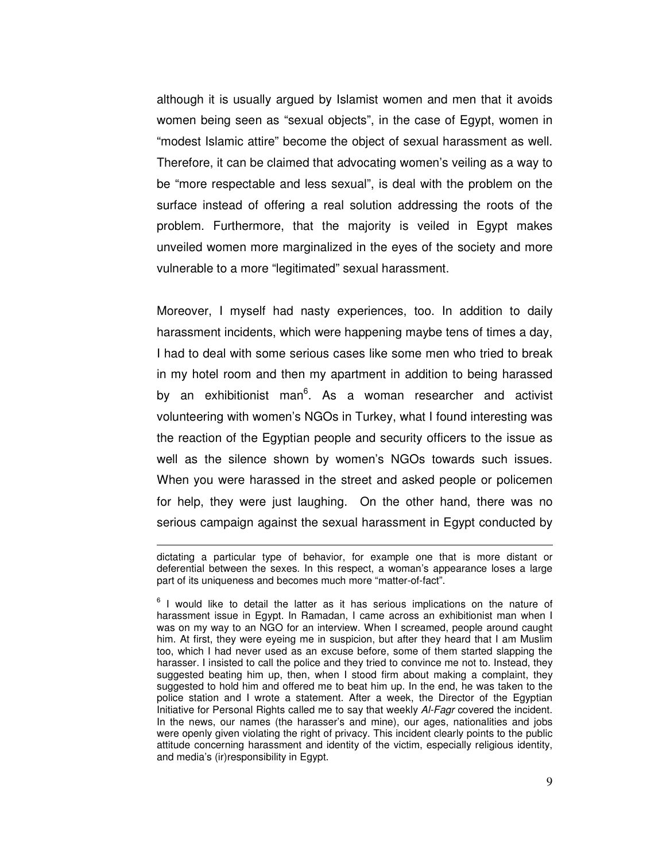although it is usually argued by Islamist women and men that it avoids women being seen as "sexual objects", in the case of Egypt, women in "modest Islamic attire" become the object of sexual harassment as well. Therefore, it can be claimed that advocating women's veiling as a way to be "more respectable and less sexual", is deal with the problem on the surface instead of offering a real solution addressing the roots of the problem. Furthermore, that the majority is veiled in Egypt makes unveiled women more marginalized in the eyes of the society and more vulnerable to a more "legitimated" sexual harassment.

Moreover, I myself had nasty experiences, too. In addition to daily harassment incidents, which were happening maybe tens of times a day, I had to deal with some serious cases like some men who tried to break in my hotel room and then my apartment in addition to being harassed by an exhibitionist man<sup>6</sup>. As a woman researcher and activist volunteering with women's NGOs in Turkey, what I found interesting was the reaction of the Egyptian people and security officers to the issue as well as the silence shown by women's NGOs towards such issues. When you were harassed in the street and asked people or policemen for help, they were just laughing. On the other hand, there was no serious campaign against the sexual harassment in Egypt conducted by

dictating a particular type of behavior, for example one that is more distant or deferential between the sexes. In this respect, a woman's appearance loses a large part of its uniqueness and becomes much more "matter-of-fact".

 $6$  I would like to detail the latter as it has serious implications on the nature of harassment issue in Egypt. In Ramadan, I came across an exhibitionist man when I was on my way to an NGO for an interview. When I screamed, people around caught him. At first, they were eyeing me in suspicion, but after they heard that I am Muslim too, which I had never used as an excuse before, some of them started slapping the harasser. I insisted to call the police and they tried to convince me not to. Instead, they suggested beating him up, then, when I stood firm about making a complaint, they suggested to hold him and offered me to beat him up. In the end, he was taken to the police station and I wrote a statement. After a week, the Director of the Egyptian Initiative for Personal Rights called me to say that weekly Al-Fagr covered the incident. In the news, our names (the harasser's and mine), our ages, nationalities and jobs were openly given violating the right of privacy. This incident clearly points to the public attitude concerning harassment and identity of the victim, especially religious identity, and media's (ir)responsibility in Egypt.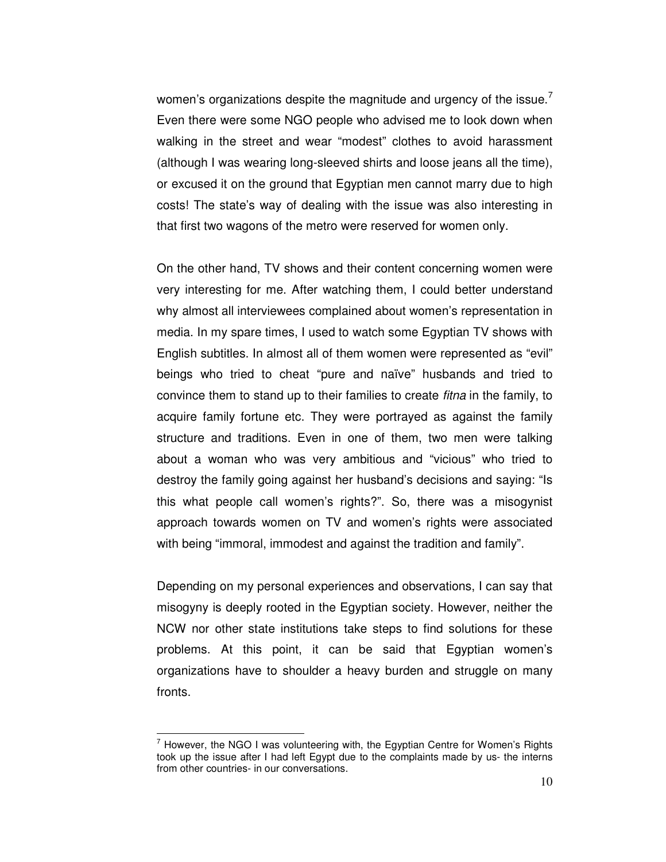women's organizations despite the magnitude and urgency of the issue. Even there were some NGO people who advised me to look down when walking in the street and wear "modest" clothes to avoid harassment (although I was wearing long-sleeved shirts and loose jeans all the time), or excused it on the ground that Egyptian men cannot marry due to high costs! The state's way of dealing with the issue was also interesting in that first two wagons of the metro were reserved for women only.

On the other hand, TV shows and their content concerning women were very interesting for me. After watching them, I could better understand why almost all interviewees complained about women's representation in media. In my spare times, I used to watch some Egyptian TV shows with English subtitles. In almost all of them women were represented as "evil" beings who tried to cheat "pure and naïve" husbands and tried to convince them to stand up to their families to create fitna in the family, to acquire family fortune etc. They were portrayed as against the family structure and traditions. Even in one of them, two men were talking about a woman who was very ambitious and "vicious" who tried to destroy the family going against her husband's decisions and saying: "Is this what people call women's rights?". So, there was a misogynist approach towards women on TV and women's rights were associated with being "immoral, immodest and against the tradition and family".

Depending on my personal experiences and observations, I can say that misogyny is deeply rooted in the Egyptian society. However, neither the NCW nor other state institutions take steps to find solutions for these problems. At this point, it can be said that Egyptian women's organizations have to shoulder a heavy burden and struggle on many fronts.

 $7$  However, the NGO I was volunteering with, the Egyptian Centre for Women's Rights took up the issue after I had left Egypt due to the complaints made by us- the interns from other countries- in our conversations.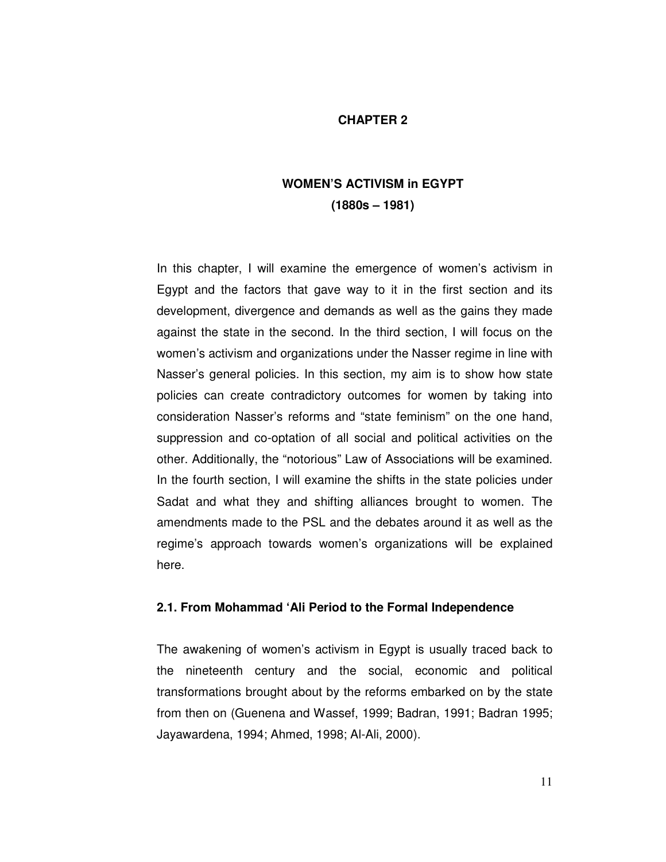## **CHAPTER 2**

# **WOMEN'S ACTIVISM in EGYPT (1880s – 1981)**

In this chapter, I will examine the emergence of women's activism in Egypt and the factors that gave way to it in the first section and its development, divergence and demands as well as the gains they made against the state in the second. In the third section, I will focus on the women's activism and organizations under the Nasser regime in line with Nasser's general policies. In this section, my aim is to show how state policies can create contradictory outcomes for women by taking into consideration Nasser's reforms and "state feminism" on the one hand, suppression and co-optation of all social and political activities on the other. Additionally, the "notorious" Law of Associations will be examined. In the fourth section, I will examine the shifts in the state policies under Sadat and what they and shifting alliances brought to women. The amendments made to the PSL and the debates around it as well as the regime's approach towards women's organizations will be explained here.

### **2.1. From Mohammad 'Ali Period to the Formal Independence**

The awakening of women's activism in Egypt is usually traced back to the nineteenth century and the social, economic and political transformations brought about by the reforms embarked on by the state from then on (Guenena and Wassef, 1999; Badran, 1991; Badran 1995; Jayawardena, 1994; Ahmed, 1998; Al-Ali, 2000).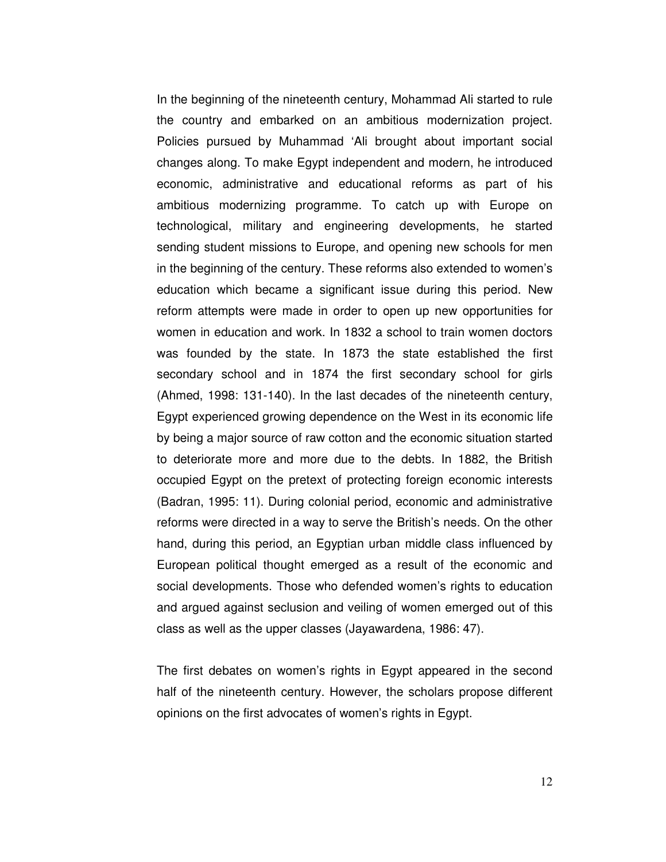In the beginning of the nineteenth century, Mohammad Ali started to rule the country and embarked on an ambitious modernization project. Policies pursued by Muhammad 'Ali brought about important social changes along. To make Egypt independent and modern, he introduced economic, administrative and educational reforms as part of his ambitious modernizing programme. To catch up with Europe on technological, military and engineering developments, he started sending student missions to Europe, and opening new schools for men in the beginning of the century. These reforms also extended to women's education which became a significant issue during this period. New reform attempts were made in order to open up new opportunities for women in education and work. In 1832 a school to train women doctors was founded by the state. In 1873 the state established the first secondary school and in 1874 the first secondary school for girls (Ahmed, 1998: 131-140). In the last decades of the nineteenth century, Egypt experienced growing dependence on the West in its economic life by being a major source of raw cotton and the economic situation started to deteriorate more and more due to the debts. In 1882, the British occupied Egypt on the pretext of protecting foreign economic interests (Badran, 1995: 11). During colonial period, economic and administrative reforms were directed in a way to serve the British's needs. On the other hand, during this period, an Egyptian urban middle class influenced by European political thought emerged as a result of the economic and social developments. Those who defended women's rights to education and argued against seclusion and veiling of women emerged out of this class as well as the upper classes (Jayawardena, 1986: 47).

The first debates on women's rights in Egypt appeared in the second half of the nineteenth century. However, the scholars propose different opinions on the first advocates of women's rights in Egypt.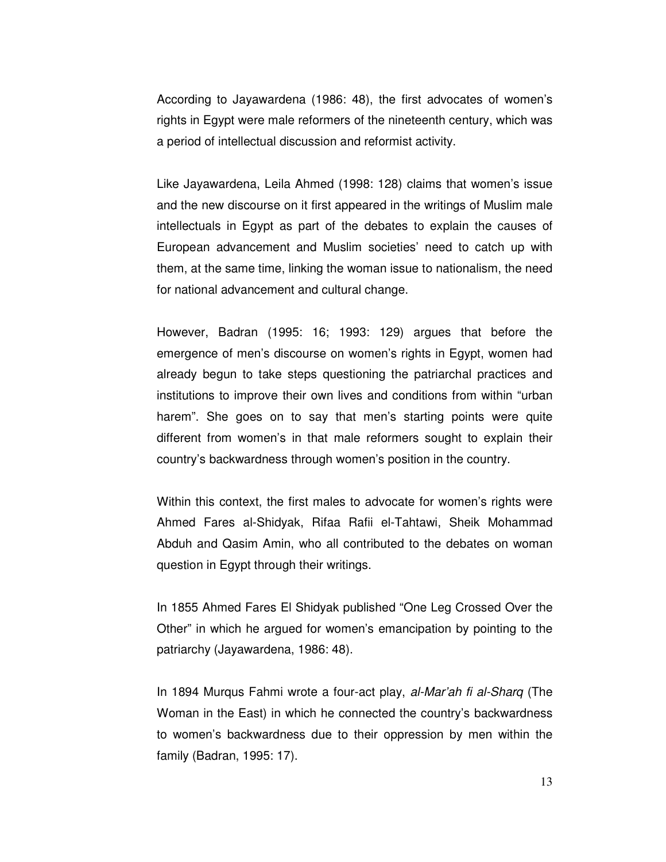According to Jayawardena (1986: 48), the first advocates of women's rights in Egypt were male reformers of the nineteenth century, which was a period of intellectual discussion and reformist activity.

Like Jayawardena, Leila Ahmed (1998: 128) claims that women's issue and the new discourse on it first appeared in the writings of Muslim male intellectuals in Egypt as part of the debates to explain the causes of European advancement and Muslim societies' need to catch up with them, at the same time, linking the woman issue to nationalism, the need for national advancement and cultural change.

However, Badran (1995: 16; 1993: 129) argues that before the emergence of men's discourse on women's rights in Egypt, women had already begun to take steps questioning the patriarchal practices and institutions to improve their own lives and conditions from within "urban harem". She goes on to say that men's starting points were quite different from women's in that male reformers sought to explain their country's backwardness through women's position in the country.

Within this context, the first males to advocate for women's rights were Ahmed Fares al-Shidyak, Rifaa Rafii el-Tahtawi, Sheik Mohammad Abduh and Qasim Amin, who all contributed to the debates on woman question in Egypt through their writings.

In 1855 Ahmed Fares El Shidyak published "One Leg Crossed Over the Other" in which he argued for women's emancipation by pointing to the patriarchy (Jayawardena, 1986: 48).

In 1894 Murqus Fahmi wrote a four-act play, al-Mar'ah fi al-Sharq (The Woman in the East) in which he connected the country's backwardness to women's backwardness due to their oppression by men within the family (Badran, 1995: 17).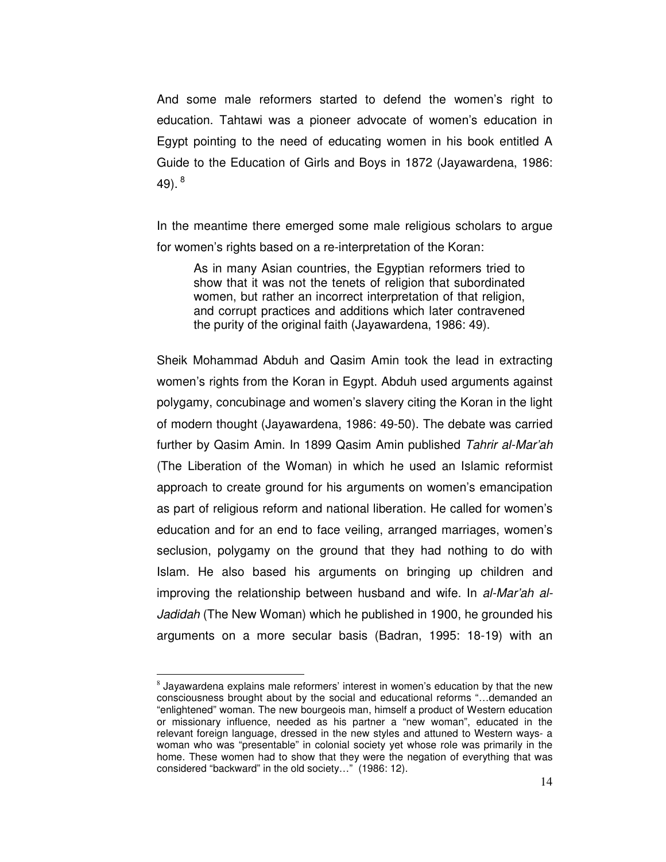And some male reformers started to defend the women's right to education. Tahtawi was a pioneer advocate of women's education in Egypt pointing to the need of educating women in his book entitled A Guide to the Education of Girls and Boys in 1872 (Jayawardena, 1986: 49). $8$ 

In the meantime there emerged some male religious scholars to argue for women's rights based on a re-interpretation of the Koran:

As in many Asian countries, the Egyptian reformers tried to show that it was not the tenets of religion that subordinated women, but rather an incorrect interpretation of that religion, and corrupt practices and additions which later contravened the purity of the original faith (Jayawardena, 1986: 49).

Sheik Mohammad Abduh and Qasim Amin took the lead in extracting women's rights from the Koran in Egypt. Abduh used arguments against polygamy, concubinage and women's slavery citing the Koran in the light of modern thought (Jayawardena, 1986: 49-50). The debate was carried further by Qasim Amin. In 1899 Qasim Amin published Tahrir al-Mar'ah (The Liberation of the Woman) in which he used an Islamic reformist approach to create ground for his arguments on women's emancipation as part of religious reform and national liberation. He called for women's education and for an end to face veiling, arranged marriages, women's seclusion, polygamy on the ground that they had nothing to do with Islam. He also based his arguments on bringing up children and improving the relationship between husband and wife. In al-Mar'ah al-Jadidah (The New Woman) which he published in 1900, he grounded his arguments on a more secular basis (Badran, 1995: 18-19) with an

 $^8$  Jayawardena explains male reformers' interest in women's education by that the new consciousness brought about by the social and educational reforms "…demanded an "enlightened" woman. The new bourgeois man, himself a product of Western education or missionary influence, needed as his partner a "new woman", educated in the relevant foreign language, dressed in the new styles and attuned to Western ways- a woman who was "presentable" in colonial society yet whose role was primarily in the home. These women had to show that they were the negation of everything that was considered "backward" in the old society…" (1986: 12).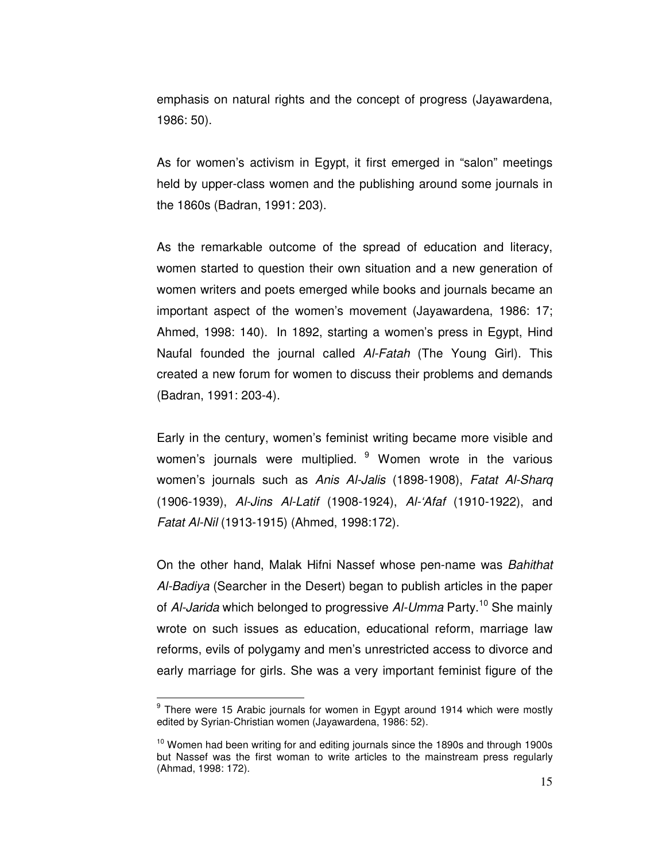emphasis on natural rights and the concept of progress (Jayawardena, 1986: 50).

As for women's activism in Egypt, it first emerged in "salon" meetings held by upper-class women and the publishing around some journals in the 1860s (Badran, 1991: 203).

As the remarkable outcome of the spread of education and literacy, women started to question their own situation and a new generation of women writers and poets emerged while books and journals became an important aspect of the women's movement (Jayawardena, 1986: 17; Ahmed, 1998: 140). In 1892, starting a women's press in Egypt, Hind Naufal founded the journal called Al-Fatah (The Young Girl). This created a new forum for women to discuss their problems and demands (Badran, 1991: 203-4).

Early in the century, women's feminist writing became more visible and women's journals were multiplied.  $9$  Women wrote in the various women's journals such as Anis Al-Jalis (1898-1908), Fatat Al-Sharq (1906-1939), Al-Jins Al-Latif (1908-1924), Al-'Afaf (1910-1922), and Fatat Al-Nil (1913-1915) (Ahmed, 1998:172).

On the other hand, Malak Hifni Nassef whose pen-name was Bahithat Al-Badiya (Searcher in the Desert) began to publish articles in the paper of Al-Jarida which belonged to progressive Al-Umma Party.<sup>10</sup> She mainly wrote on such issues as education, educational reform, marriage law reforms, evils of polygamy and men's unrestricted access to divorce and early marriage for girls. She was a very important feminist figure of the

<sup>&</sup>lt;sup>9</sup> There were 15 Arabic journals for women in Egypt around 1914 which were mostly edited by Syrian-Christian women (Jayawardena, 1986: 52).

 $10$  Women had been writing for and editing journals since the 1890s and through 1900s but Nassef was the first woman to write articles to the mainstream press regularly (Ahmad, 1998: 172).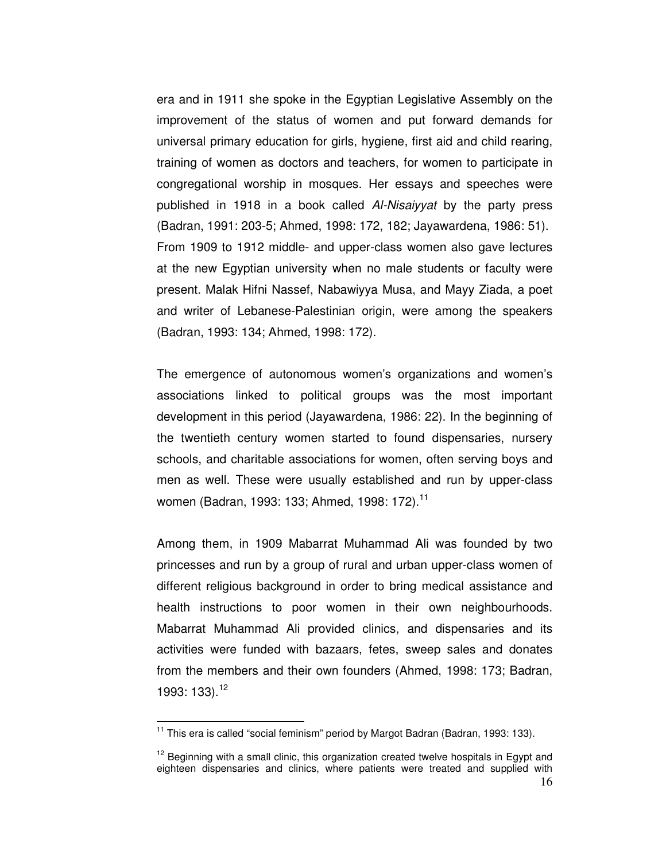era and in 1911 she spoke in the Egyptian Legislative Assembly on the improvement of the status of women and put forward demands for universal primary education for girls, hygiene, first aid and child rearing, training of women as doctors and teachers, for women to participate in congregational worship in mosques. Her essays and speeches were published in 1918 in a book called Al-Nisaiyyat by the party press (Badran, 1991: 203-5; Ahmed, 1998: 172, 182; Jayawardena, 1986: 51). From 1909 to 1912 middle- and upper-class women also gave lectures at the new Egyptian university when no male students or faculty were present. Malak Hifni Nassef, Nabawiyya Musa, and Mayy Ziada, a poet and writer of Lebanese-Palestinian origin, were among the speakers (Badran, 1993: 134; Ahmed, 1998: 172).

The emergence of autonomous women's organizations and women's associations linked to political groups was the most important development in this period (Jayawardena, 1986: 22). In the beginning of the twentieth century women started to found dispensaries, nursery schools, and charitable associations for women, often serving boys and men as well. These were usually established and run by upper-class women (Badran, 1993: 133; Ahmed, 1998: 172).<sup>11</sup>

Among them, in 1909 Mabarrat Muhammad Ali was founded by two princesses and run by a group of rural and urban upper-class women of different religious background in order to bring medical assistance and health instructions to poor women in their own neighbourhoods. Mabarrat Muhammad Ali provided clinics, and dispensaries and its activities were funded with bazaars, fetes, sweep sales and donates from the members and their own founders (Ahmed, 1998: 173; Badran, 1993: 133).<sup>12</sup>

 $11$  This era is called "social feminism" period by Margot Badran (Badran, 1993: 133).

<sup>16</sup>  $12$  Beginning with a small clinic, this organization created twelve hospitals in Egypt and eighteen dispensaries and clinics, where patients were treated and supplied with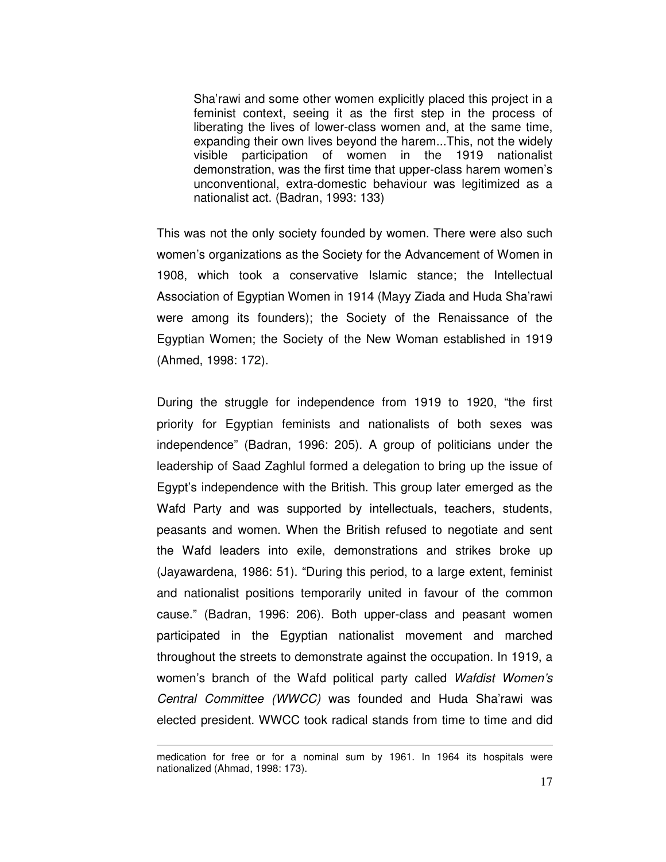Sha'rawi and some other women explicitly placed this project in a feminist context, seeing it as the first step in the process of liberating the lives of lower-class women and, at the same time, expanding their own lives beyond the harem...This, not the widely visible participation of women in the 1919 nationalist demonstration, was the first time that upper-class harem women's unconventional, extra-domestic behaviour was legitimized as a nationalist act. (Badran, 1993: 133)

This was not the only society founded by women. There were also such women's organizations as the Society for the Advancement of Women in 1908, which took a conservative Islamic stance; the Intellectual Association of Egyptian Women in 1914 (Mayy Ziada and Huda Sha'rawi were among its founders); the Society of the Renaissance of the Egyptian Women; the Society of the New Woman established in 1919 (Ahmed, 1998: 172).

During the struggle for independence from 1919 to 1920, "the first priority for Egyptian feminists and nationalists of both sexes was independence" (Badran, 1996: 205). A group of politicians under the leadership of Saad Zaghlul formed a delegation to bring up the issue of Egypt's independence with the British. This group later emerged as the Wafd Party and was supported by intellectuals, teachers, students, peasants and women. When the British refused to negotiate and sent the Wafd leaders into exile, demonstrations and strikes broke up (Jayawardena, 1986: 51). "During this period, to a large extent, feminist and nationalist positions temporarily united in favour of the common cause." (Badran, 1996: 206). Both upper-class and peasant women participated in the Egyptian nationalist movement and marched throughout the streets to demonstrate against the occupation. In 1919, a women's branch of the Wafd political party called Wafdist Women's Central Committee (WWCC) was founded and Huda Sha'rawi was elected president. WWCC took radical stands from time to time and did

L

medication for free or for a nominal sum by 1961. In 1964 its hospitals were nationalized (Ahmad, 1998: 173).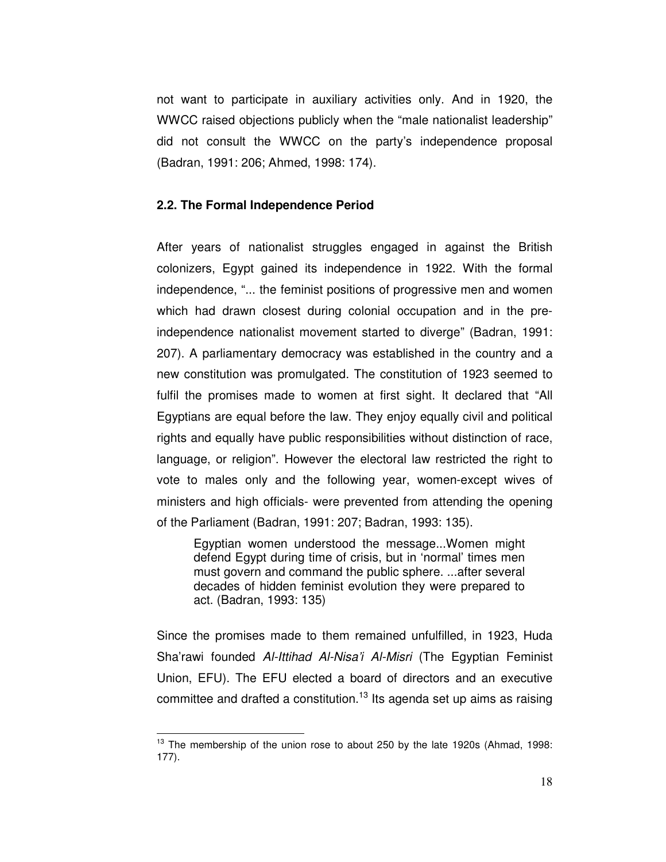not want to participate in auxiliary activities only. And in 1920, the WWCC raised objections publicly when the "male nationalist leadership" did not consult the WWCC on the party's independence proposal (Badran, 1991: 206; Ahmed, 1998: 174).

### **2.2. The Formal Independence Period**

After years of nationalist struggles engaged in against the British colonizers, Egypt gained its independence in 1922. With the formal independence, "... the feminist positions of progressive men and women which had drawn closest during colonial occupation and in the preindependence nationalist movement started to diverge" (Badran, 1991: 207). A parliamentary democracy was established in the country and a new constitution was promulgated. The constitution of 1923 seemed to fulfil the promises made to women at first sight. It declared that "All Egyptians are equal before the law. They enjoy equally civil and political rights and equally have public responsibilities without distinction of race, language, or religion". However the electoral law restricted the right to vote to males only and the following year, women-except wives of ministers and high officials- were prevented from attending the opening of the Parliament (Badran, 1991: 207; Badran, 1993: 135).

Egyptian women understood the message...Women might defend Egypt during time of crisis, but in 'normal' times men must govern and command the public sphere. ...after several decades of hidden feminist evolution they were prepared to act. (Badran, 1993: 135)

Since the promises made to them remained unfulfilled, in 1923, Huda Sha'rawi founded Al-Ittihad Al-Nisa'i Al-Misri (The Egyptian Feminist Union, EFU). The EFU elected a board of directors and an executive committee and drafted a constitution.<sup>13</sup> Its agenda set up aims as raising

 $13$  The membership of the union rose to about 250 by the late 1920s (Ahmad, 1998: 177).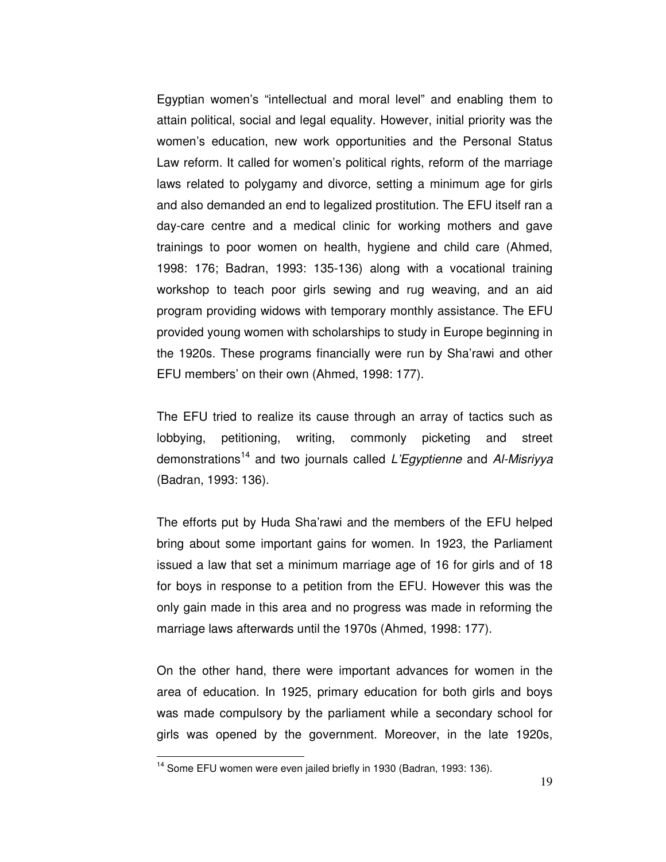Egyptian women's "intellectual and moral level" and enabling them to attain political, social and legal equality. However, initial priority was the women's education, new work opportunities and the Personal Status Law reform. It called for women's political rights, reform of the marriage laws related to polygamy and divorce, setting a minimum age for girls and also demanded an end to legalized prostitution. The EFU itself ran a day-care centre and a medical clinic for working mothers and gave trainings to poor women on health, hygiene and child care (Ahmed, 1998: 176; Badran, 1993: 135-136) along with a vocational training workshop to teach poor girls sewing and rug weaving, and an aid program providing widows with temporary monthly assistance. The EFU provided young women with scholarships to study in Europe beginning in the 1920s. These programs financially were run by Sha'rawi and other EFU members' on their own (Ahmed, 1998: 177).

The EFU tried to realize its cause through an array of tactics such as lobbying, petitioning, writing, commonly picketing and street demonstrations<sup>14</sup> and two journals called L'Egyptienne and Al-Misriyya (Badran, 1993: 136).

The efforts put by Huda Sha'rawi and the members of the EFU helped bring about some important gains for women. In 1923, the Parliament issued a law that set a minimum marriage age of 16 for girls and of 18 for boys in response to a petition from the EFU. However this was the only gain made in this area and no progress was made in reforming the marriage laws afterwards until the 1970s (Ahmed, 1998: 177).

On the other hand, there were important advances for women in the area of education. In 1925, primary education for both girls and boys was made compulsory by the parliament while a secondary school for girls was opened by the government. Moreover, in the late 1920s,

<sup>&</sup>lt;sup>14</sup> Some EFU women were even jailed briefly in 1930 (Badran, 1993: 136).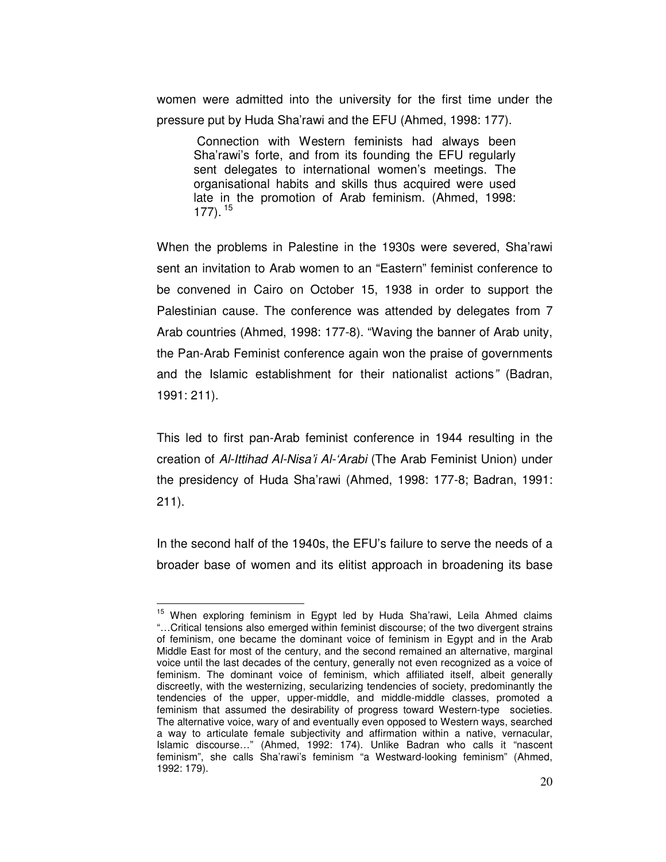women were admitted into the university for the first time under the pressure put by Huda Sha'rawi and the EFU (Ahmed, 1998: 177).

 Connection with Western feminists had always been Sha'rawi's forte, and from its founding the EFU regularly sent delegates to international women's meetings. The organisational habits and skills thus acquired were used late in the promotion of Arab feminism. (Ahmed, 1998:  $177$ ).<sup>15</sup>

When the problems in Palestine in the 1930s were severed, Sha'rawi sent an invitation to Arab women to an "Eastern" feminist conference to be convened in Cairo on October 15, 1938 in order to support the Palestinian cause. The conference was attended by delegates from 7 Arab countries (Ahmed, 1998: 177-8). "Waving the banner of Arab unity, the Pan-Arab Feminist conference again won the praise of governments and the Islamic establishment for their nationalist actions" (Badran, 1991: 211).

This led to first pan-Arab feminist conference in 1944 resulting in the creation of Al-Ittihad Al-Nisa'i Al-'Arabi (The Arab Feminist Union) under the presidency of Huda Sha'rawi (Ahmed, 1998: 177-8; Badran, 1991: 211).

In the second half of the 1940s, the EFU's failure to serve the needs of a broader base of women and its elitist approach in broadening its base

<sup>&</sup>lt;sup>15</sup> When exploring feminism in Egypt led by Huda Sha'rawi, Leila Ahmed claims "…Critical tensions also emerged within feminist discourse; of the two divergent strains of feminism, one became the dominant voice of feminism in Egypt and in the Arab Middle East for most of the century, and the second remained an alternative, marginal voice until the last decades of the century, generally not even recognized as a voice of feminism. The dominant voice of feminism, which affiliated itself, albeit generally discreetly, with the westernizing, secularizing tendencies of society, predominantly the tendencies of the upper, upper-middle, and middle-middle classes, promoted a feminism that assumed the desirability of progress toward Western-type societies. The alternative voice, wary of and eventually even opposed to Western ways, searched a way to articulate female subjectivity and affirmation within a native, vernacular, Islamic discourse…" (Ahmed, 1992: 174). Unlike Badran who calls it "nascent feminism", she calls Sha'rawi's feminism "a Westward-looking feminism" (Ahmed, 1992: 179).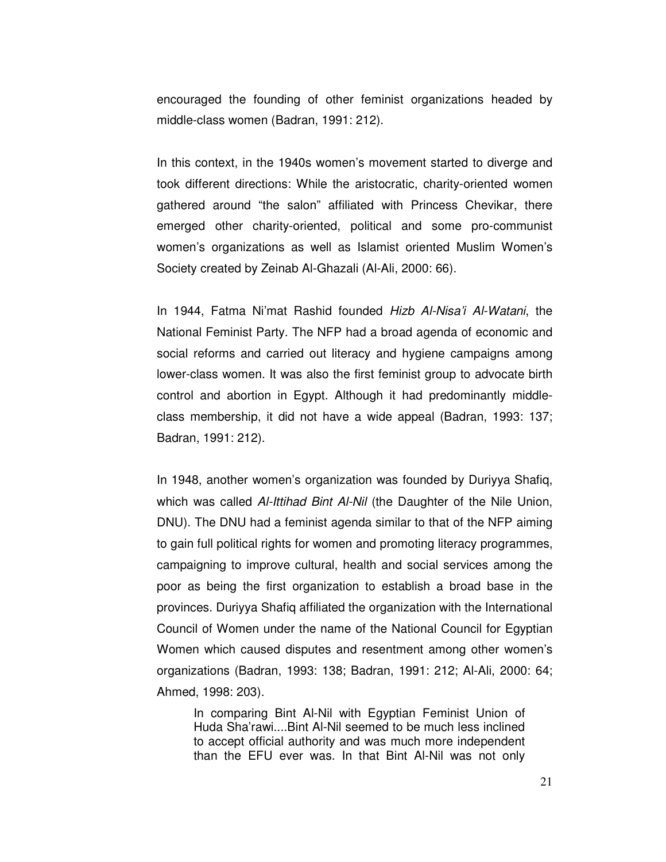encouraged the founding of other feminist organizations headed by middle-class women (Badran, 1991: 212).

In this context, in the 1940s women's movement started to diverge and took different directions: While the aristocratic, charity-oriented women gathered around "the salon" affiliated with Princess Chevikar, there emerged other charity-oriented, political and some pro-communist women's organizations as well as Islamist oriented Muslim Women's Society created by Zeinab Al-Ghazali (Al-Ali, 2000: 66).

In 1944, Fatma Ni'mat Rashid founded Hizb Al-Nisa'i Al-Watani, the National Feminist Party. The NFP had a broad agenda of economic and social reforms and carried out literacy and hygiene campaigns among lower-class women. It was also the first feminist group to advocate birth control and abortion in Egypt. Although it had predominantly middleclass membership, it did not have a wide appeal (Badran, 1993: 137; Badran, 1991: 212).

In 1948, another women's organization was founded by Duriyya Shafiq, which was called Al-Ittihad Bint Al-Nil (the Daughter of the Nile Union, DNU). The DNU had a feminist agenda similar to that of the NFP aiming to gain full political rights for women and promoting literacy programmes, campaigning to improve cultural, health and social services among the poor as being the first organization to establish a broad base in the provinces. Duriyya Shafiq affiliated the organization with the International Council of Women under the name of the National Council for Egyptian Women which caused disputes and resentment among other women's organizations (Badran, 1993: 138; Badran, 1991: 212; Al-Ali, 2000: 64; Ahmed, 1998: 203).

In comparing Bint Al-Nil with Egyptian Feminist Union of Huda Sha'rawi....Bint Al-Nil seemed to be much less inclined to accept official authority and was much more independent than the EFU ever was. In that Bint Al-Nil was not only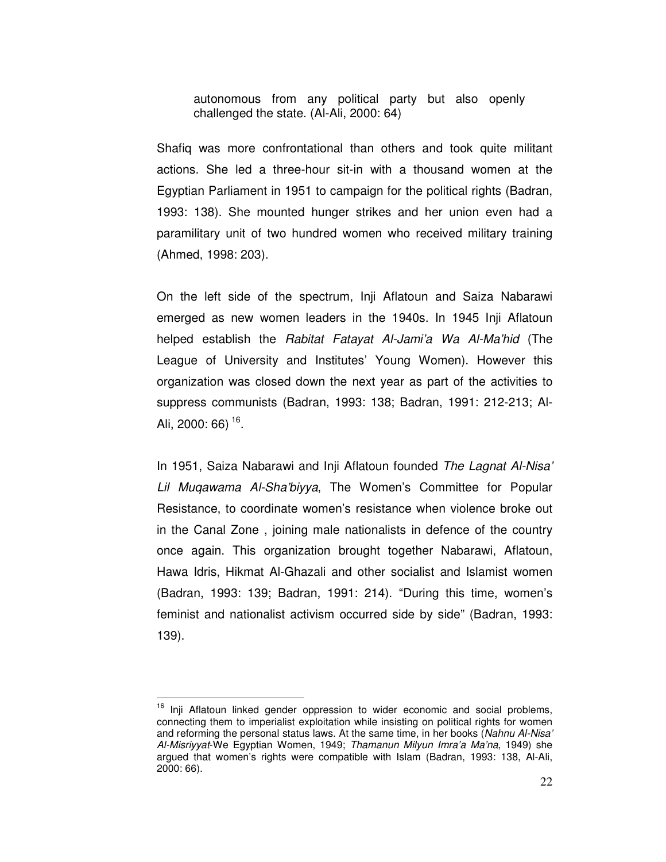autonomous from any political party but also openly challenged the state. (Al-Ali, 2000: 64)

Shafiq was more confrontational than others and took quite militant actions. She led a three-hour sit-in with a thousand women at the Egyptian Parliament in 1951 to campaign for the political rights (Badran, 1993: 138). She mounted hunger strikes and her union even had a paramilitary unit of two hundred women who received military training (Ahmed, 1998: 203).

On the left side of the spectrum, Inji Aflatoun and Saiza Nabarawi emerged as new women leaders in the 1940s. In 1945 Inji Aflatoun helped establish the Rabitat Fatayat Al-Jami'a Wa Al-Ma'hid (The League of University and Institutes' Young Women). However this organization was closed down the next year as part of the activities to suppress communists (Badran, 1993: 138; Badran, 1991: 212-213; Al-Ali, 2000: 66) <sup>16</sup>.

In 1951, Saiza Nabarawi and Inji Aflatoun founded The Lagnat Al-Nisa' Lil Muqawama Al-Sha'biyya, The Women's Committee for Popular Resistance, to coordinate women's resistance when violence broke out in the Canal Zone , joining male nationalists in defence of the country once again. This organization brought together Nabarawi, Aflatoun, Hawa Idris, Hikmat Al-Ghazali and other socialist and Islamist women (Badran, 1993: 139; Badran, 1991: 214). "During this time, women's feminist and nationalist activism occurred side by side" (Badran, 1993: 139).

<sup>&</sup>lt;sup>16</sup> Inji Aflatoun linked gender oppression to wider economic and social problems, connecting them to imperialist exploitation while insisting on political rights for women and reforming the personal status laws. At the same time, in her books (Nahnu Al-Nisa' Al-Misriyyat-We Egyptian Women, 1949; Thamanun Milyun Imra'a Ma'na, 1949) she argued that women's rights were compatible with Islam (Badran, 1993: 138, Al-Ali, 2000: 66).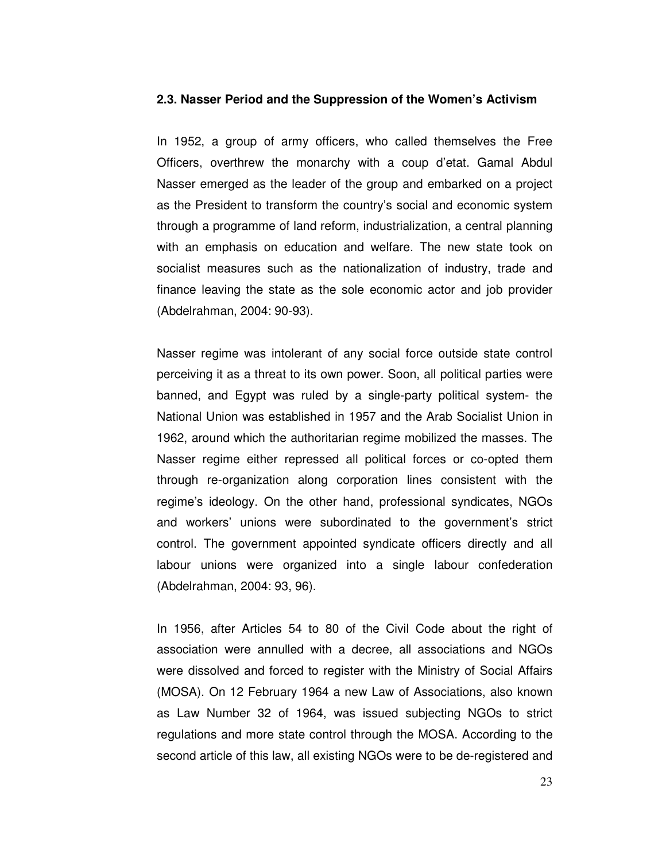#### **2.3. Nasser Period and the Suppression of the Women's Activism**

In 1952, a group of army officers, who called themselves the Free Officers, overthrew the monarchy with a coup d'etat. Gamal Abdul Nasser emerged as the leader of the group and embarked on a project as the President to transform the country's social and economic system through a programme of land reform, industrialization, a central planning with an emphasis on education and welfare. The new state took on socialist measures such as the nationalization of industry, trade and finance leaving the state as the sole economic actor and job provider (Abdelrahman, 2004: 90-93).

Nasser regime was intolerant of any social force outside state control perceiving it as a threat to its own power. Soon, all political parties were banned, and Egypt was ruled by a single-party political system- the National Union was established in 1957 and the Arab Socialist Union in 1962, around which the authoritarian regime mobilized the masses. The Nasser regime either repressed all political forces or co-opted them through re-organization along corporation lines consistent with the regime's ideology. On the other hand, professional syndicates, NGOs and workers' unions were subordinated to the government's strict control. The government appointed syndicate officers directly and all labour unions were organized into a single labour confederation (Abdelrahman, 2004: 93, 96).

In 1956, after Articles 54 to 80 of the Civil Code about the right of association were annulled with a decree, all associations and NGOs were dissolved and forced to register with the Ministry of Social Affairs (MOSA). On 12 February 1964 a new Law of Associations, also known as Law Number 32 of 1964, was issued subjecting NGOs to strict regulations and more state control through the MOSA. According to the second article of this law, all existing NGOs were to be de-registered and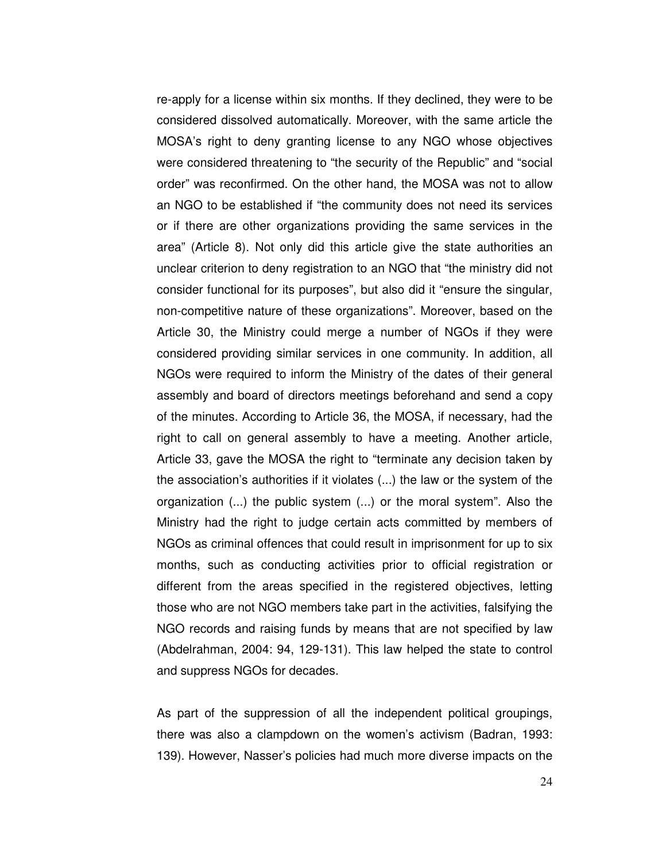re-apply for a license within six months. If they declined, they were to be considered dissolved automatically. Moreover, with the same article the MOSA's right to deny granting license to any NGO whose objectives were considered threatening to "the security of the Republic" and "social order" was reconfirmed. On the other hand, the MOSA was not to allow an NGO to be established if "the community does not need its services or if there are other organizations providing the same services in the area" (Article 8). Not only did this article give the state authorities an unclear criterion to deny registration to an NGO that "the ministry did not consider functional for its purposes", but also did it "ensure the singular, non-competitive nature of these organizations". Moreover, based on the Article 30, the Ministry could merge a number of NGOs if they were considered providing similar services in one community. In addition, all NGOs were required to inform the Ministry of the dates of their general assembly and board of directors meetings beforehand and send a copy of the minutes. According to Article 36, the MOSA, if necessary, had the right to call on general assembly to have a meeting. Another article, Article 33, gave the MOSA the right to "terminate any decision taken by the association's authorities if it violates (...) the law or the system of the organization (...) the public system (...) or the moral system". Also the Ministry had the right to judge certain acts committed by members of NGOs as criminal offences that could result in imprisonment for up to six months, such as conducting activities prior to official registration or different from the areas specified in the registered objectives, letting those who are not NGO members take part in the activities, falsifying the NGO records and raising funds by means that are not specified by law (Abdelrahman, 2004: 94, 129-131). This law helped the state to control and suppress NGOs for decades.

As part of the suppression of all the independent political groupings, there was also a clampdown on the women's activism (Badran, 1993: 139). However, Nasser's policies had much more diverse impacts on the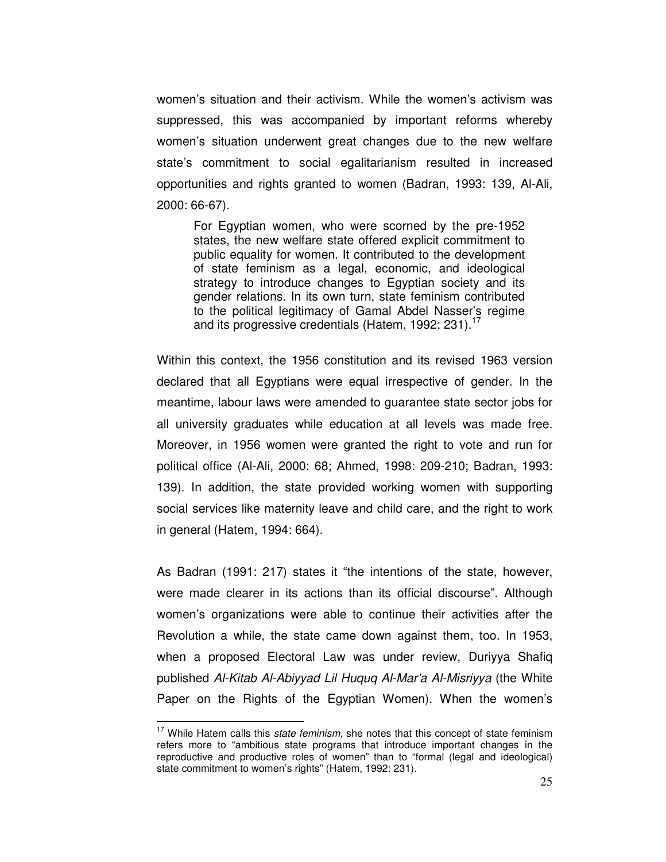women's situation and their activism. While the women's activism was suppressed, this was accompanied by important reforms whereby women's situation underwent great changes due to the new welfare state's commitment to social egalitarianism resulted in increased opportunities and rights granted to women (Badran, 1993: 139, Al-Ali, 2000: 66-67).

For Egyptian women, who were scorned by the pre-1952 states, the new welfare state offered explicit commitment to public equality for women. It contributed to the development of state feminism as a legal, economic, and ideological strategy to introduce changes to Egyptian society and its gender relations. In its own turn, state feminism contributed to the political legitimacy of Gamal Abdel Nasser's regime and its progressive credentials (Hatem, 1992: 231).<sup>17</sup>

Within this context, the 1956 constitution and its revised 1963 version declared that all Egyptians were equal irrespective of gender. In the meantime, labour laws were amended to guarantee state sector jobs for all university graduates while education at all levels was made free. Moreover, in 1956 women were granted the right to vote and run for political office (Al-Ali, 2000: 68; Ahmed, 1998: 209-210; Badran, 1993: 139). In addition, the state provided working women with supporting social services like maternity leave and child care, and the right to work in general (Hatem, 1994: 664).

As Badran (1991: 217) states it "the intentions of the state, however, were made clearer in its actions than its official discourse". Although women's organizations were able to continue their activities after the Revolution a while, the state came down against them, too. In 1953, when a proposed Electoral Law was under review, Duriyya Shafiq published Al-Kitab Al-Abiyyad Lil Huquq Al-Mar'a Al-Misriyya (the White Paper on the Rights of the Egyptian Women). When the women's

 $17$  While Hatem calls this state feminism, she notes that this concept of state feminism refers more to "ambitious state programs that introduce important changes in the reproductive and productive roles of women" than to "formal (legal and ideological) state commitment to women's rights" (Hatem, 1992: 231).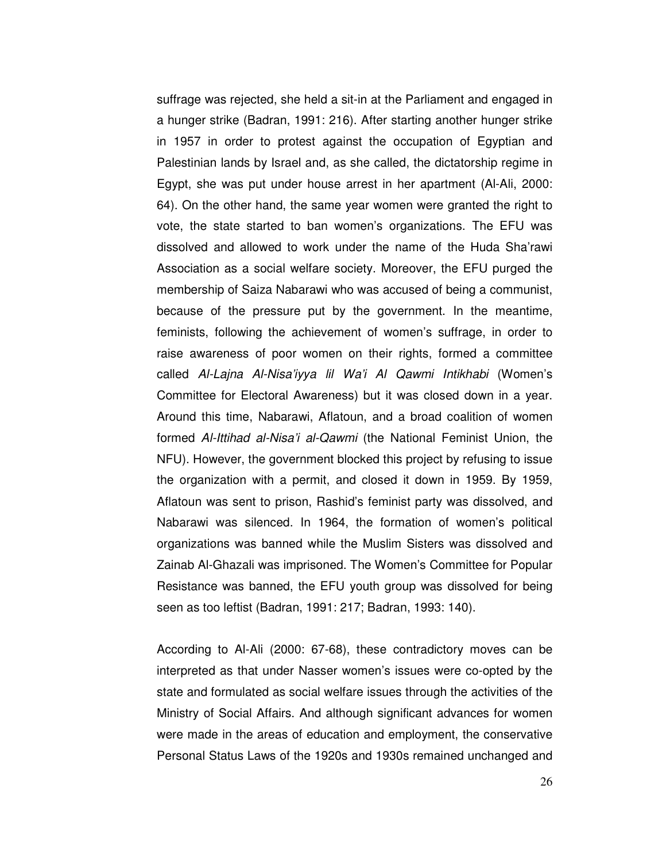suffrage was rejected, she held a sit-in at the Parliament and engaged in a hunger strike (Badran, 1991: 216). After starting another hunger strike in 1957 in order to protest against the occupation of Egyptian and Palestinian lands by Israel and, as she called, the dictatorship regime in Egypt, she was put under house arrest in her apartment (Al-Ali, 2000: 64). On the other hand, the same year women were granted the right to vote, the state started to ban women's organizations. The EFU was dissolved and allowed to work under the name of the Huda Sha'rawi Association as a social welfare society. Moreover, the EFU purged the membership of Saiza Nabarawi who was accused of being a communist, because of the pressure put by the government. In the meantime, feminists, following the achievement of women's suffrage, in order to raise awareness of poor women on their rights, formed a committee called Al-Lajna Al-Nisa'iyya lil Wa'i Al Qawmi Intikhabi (Women's Committee for Electoral Awareness) but it was closed down in a year. Around this time, Nabarawi, Aflatoun, and a broad coalition of women formed Al-Ittihad al-Nisa'i al-Qawmi (the National Feminist Union, the NFU). However, the government blocked this project by refusing to issue the organization with a permit, and closed it down in 1959. By 1959, Aflatoun was sent to prison, Rashid's feminist party was dissolved, and Nabarawi was silenced. In 1964, the formation of women's political organizations was banned while the Muslim Sisters was dissolved and Zainab Al-Ghazali was imprisoned. The Women's Committee for Popular Resistance was banned, the EFU youth group was dissolved for being seen as too leftist (Badran, 1991: 217; Badran, 1993: 140).

According to Al-Ali (2000: 67-68), these contradictory moves can be interpreted as that under Nasser women's issues were co-opted by the state and formulated as social welfare issues through the activities of the Ministry of Social Affairs. And although significant advances for women were made in the areas of education and employment, the conservative Personal Status Laws of the 1920s and 1930s remained unchanged and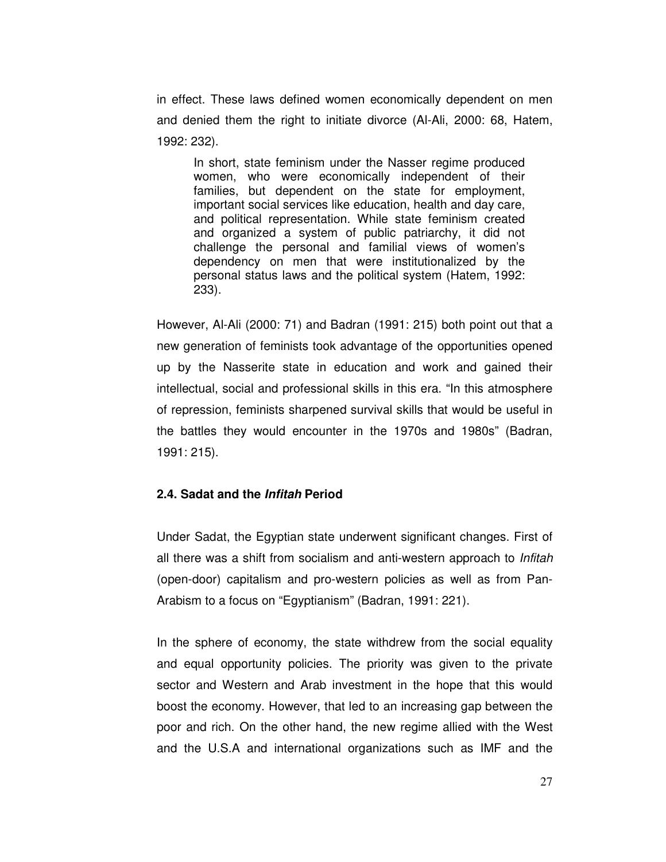in effect. These laws defined women economically dependent on men and denied them the right to initiate divorce (Al-Ali, 2000: 68, Hatem, 1992: 232).

In short, state feminism under the Nasser regime produced women, who were economically independent of their families, but dependent on the state for employment, important social services like education, health and day care, and political representation. While state feminism created and organized a system of public patriarchy, it did not challenge the personal and familial views of women's dependency on men that were institutionalized by the personal status laws and the political system (Hatem, 1992: 233).

However, Al-Ali (2000: 71) and Badran (1991: 215) both point out that a new generation of feminists took advantage of the opportunities opened up by the Nasserite state in education and work and gained their intellectual, social and professional skills in this era. "In this atmosphere of repression, feminists sharpened survival skills that would be useful in the battles they would encounter in the 1970s and 1980s" (Badran, 1991: 215).

# **2.4. Sadat and the Infitah Period**

Under Sadat, the Egyptian state underwent significant changes. First of all there was a shift from socialism and anti-western approach to Infitah (open-door) capitalism and pro-western policies as well as from Pan-Arabism to a focus on "Egyptianism" (Badran, 1991: 221).

In the sphere of economy, the state withdrew from the social equality and equal opportunity policies. The priority was given to the private sector and Western and Arab investment in the hope that this would boost the economy. However, that led to an increasing gap between the poor and rich. On the other hand, the new regime allied with the West and the U.S.A and international organizations such as IMF and the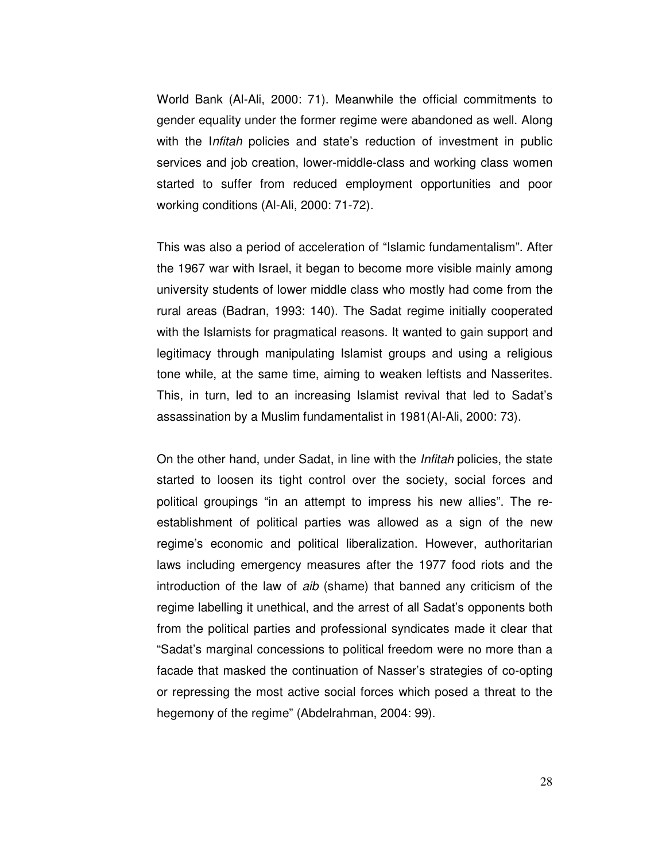World Bank (Al-Ali, 2000: 71). Meanwhile the official commitments to gender equality under the former regime were abandoned as well. Along with the *Infitah* policies and state's reduction of investment in public services and job creation, lower-middle-class and working class women started to suffer from reduced employment opportunities and poor working conditions (Al-Ali, 2000: 71-72).

This was also a period of acceleration of "Islamic fundamentalism". After the 1967 war with Israel, it began to become more visible mainly among university students of lower middle class who mostly had come from the rural areas (Badran, 1993: 140). The Sadat regime initially cooperated with the Islamists for pragmatical reasons. It wanted to gain support and legitimacy through manipulating Islamist groups and using a religious tone while, at the same time, aiming to weaken leftists and Nasserites. This, in turn, led to an increasing Islamist revival that led to Sadat's assassination by a Muslim fundamentalist in 1981(Al-Ali, 2000: 73).

On the other hand, under Sadat, in line with the Infitah policies, the state started to loosen its tight control over the society, social forces and political groupings "in an attempt to impress his new allies". The reestablishment of political parties was allowed as a sign of the new regime's economic and political liberalization. However, authoritarian laws including emergency measures after the 1977 food riots and the introduction of the law of aib (shame) that banned any criticism of the regime labelling it unethical, and the arrest of all Sadat's opponents both from the political parties and professional syndicates made it clear that "Sadat's marginal concessions to political freedom were no more than a facade that masked the continuation of Nasser's strategies of co-opting or repressing the most active social forces which posed a threat to the hegemony of the regime" (Abdelrahman, 2004: 99).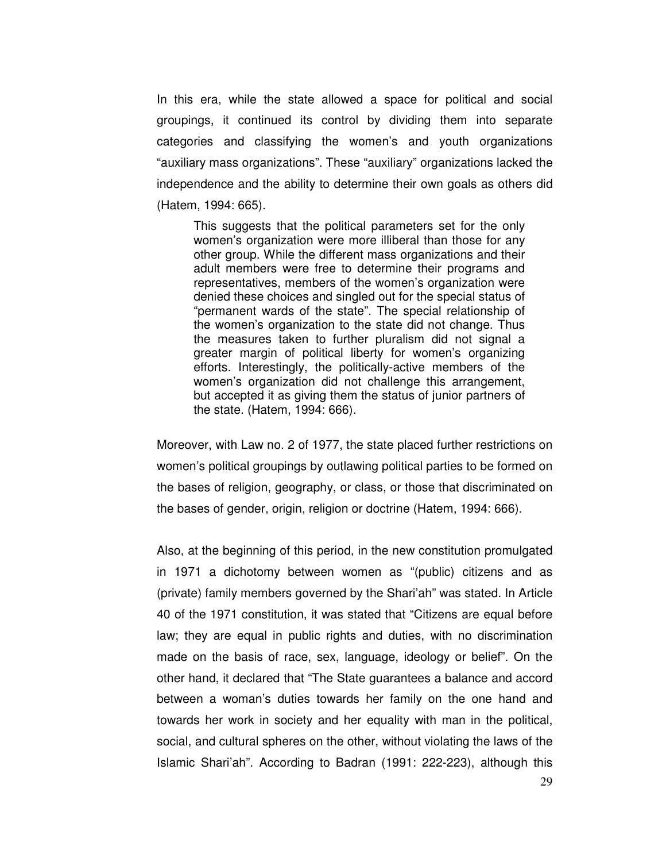In this era, while the state allowed a space for political and social groupings, it continued its control by dividing them into separate categories and classifying the women's and youth organizations "auxiliary mass organizations". These "auxiliary" organizations lacked the independence and the ability to determine their own goals as others did (Hatem, 1994: 665).

This suggests that the political parameters set for the only women's organization were more illiberal than those for any other group. While the different mass organizations and their adult members were free to determine their programs and representatives, members of the women's organization were denied these choices and singled out for the special status of "permanent wards of the state". The special relationship of the women's organization to the state did not change. Thus the measures taken to further pluralism did not signal a greater margin of political liberty for women's organizing efforts. Interestingly, the politically-active members of the women's organization did not challenge this arrangement, but accepted it as giving them the status of junior partners of the state. (Hatem, 1994: 666).

Moreover, with Law no. 2 of 1977, the state placed further restrictions on women's political groupings by outlawing political parties to be formed on the bases of religion, geography, or class, or those that discriminated on the bases of gender, origin, religion or doctrine (Hatem, 1994: 666).

Also, at the beginning of this period, in the new constitution promulgated in 1971 a dichotomy between women as "(public) citizens and as (private) family members governed by the Shari'ah" was stated. In Article 40 of the 1971 constitution, it was stated that "Citizens are equal before law; they are equal in public rights and duties, with no discrimination made on the basis of race, sex, language, ideology or belief". On the other hand, it declared that "The State guarantees a balance and accord between a woman's duties towards her family on the one hand and towards her work in society and her equality with man in the political, social, and cultural spheres on the other, without violating the laws of the Islamic Shari'ah". According to Badran (1991: 222-223), although this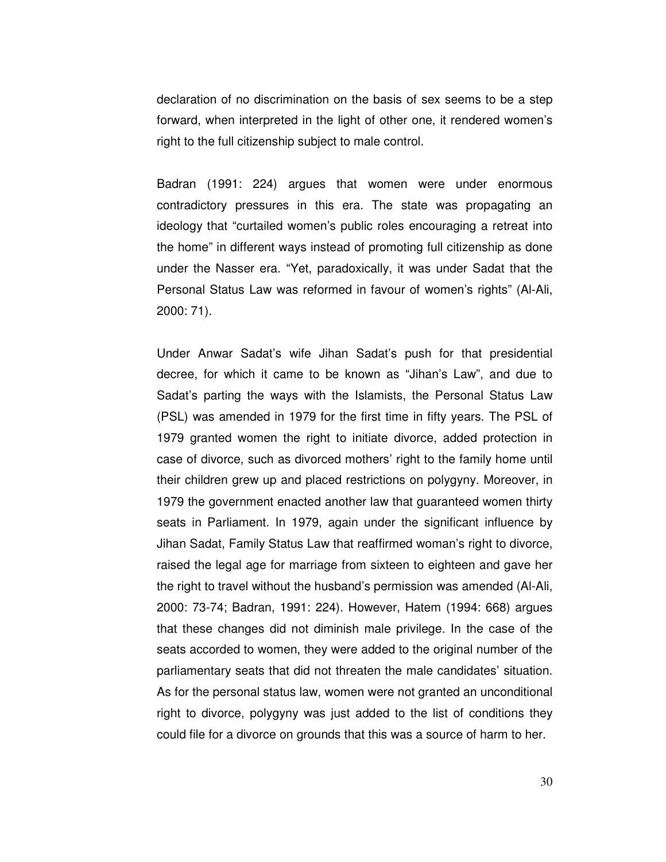declaration of no discrimination on the basis of sex seems to be a step forward, when interpreted in the light of other one, it rendered women's right to the full citizenship subject to male control.

Badran (1991: 224) argues that women were under enormous contradictory pressures in this era. The state was propagating an ideology that "curtailed women's public roles encouraging a retreat into the home" in different ways instead of promoting full citizenship as done under the Nasser era. "Yet, paradoxically, it was under Sadat that the Personal Status Law was reformed in favour of women's rights" (Al-Ali, 2000: 71).

Under Anwar Sadat's wife Jihan Sadat's push for that presidential decree, for which it came to be known as "Jihan's Law", and due to Sadat's parting the ways with the Islamists, the Personal Status Law (PSL) was amended in 1979 for the first time in fifty years. The PSL of 1979 granted women the right to initiate divorce, added protection in case of divorce, such as divorced mothers' right to the family home until their children grew up and placed restrictions on polygyny. Moreover, in 1979 the government enacted another law that guaranteed women thirty seats in Parliament. In 1979, again under the significant influence by Jihan Sadat, Family Status Law that reaffirmed woman's right to divorce, raised the legal age for marriage from sixteen to eighteen and gave her the right to travel without the husband's permission was amended (Al-Ali, 2000: 73-74; Badran, 1991: 224). However, Hatem (1994: 668) argues that these changes did not diminish male privilege. In the case of the seats accorded to women, they were added to the original number of the parliamentary seats that did not threaten the male candidates' situation. As for the personal status law, women were not granted an unconditional right to divorce, polygyny was just added to the list of conditions they could file for a divorce on grounds that this was a source of harm to her.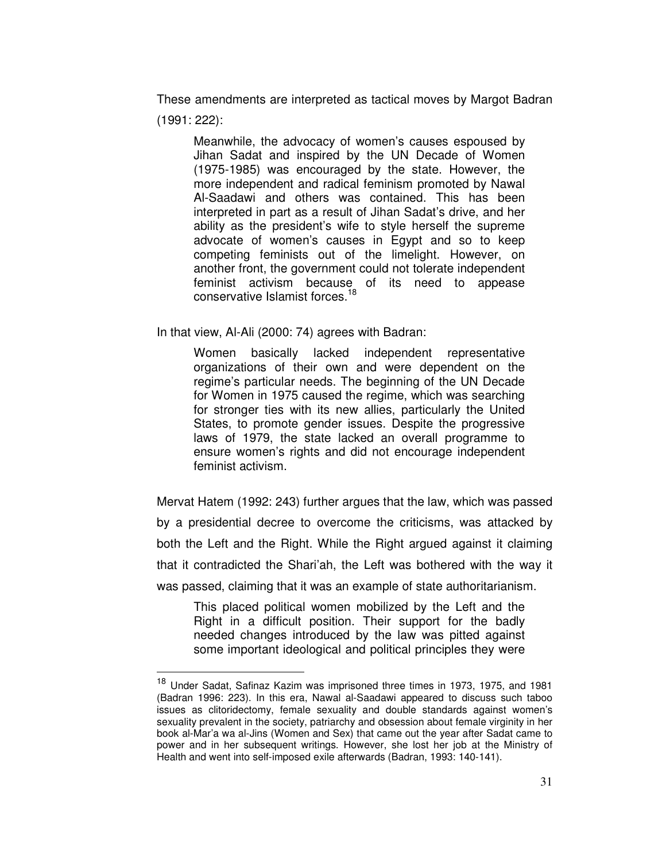These amendments are interpreted as tactical moves by Margot Badran (1991: 222):

Meanwhile, the advocacy of women's causes espoused by Jihan Sadat and inspired by the UN Decade of Women (1975-1985) was encouraged by the state. However, the more independent and radical feminism promoted by Nawal Al-Saadawi and others was contained. This has been interpreted in part as a result of Jihan Sadat's drive, and her ability as the president's wife to style herself the supreme advocate of women's causes in Egypt and so to keep competing feminists out of the limelight. However, on another front, the government could not tolerate independent feminist activism because of its need to appease conservative Islamist forces.<sup>18</sup>

In that view, Al-Ali (2000: 74) agrees with Badran:

 $\overline{a}$ 

Women basically lacked independent representative organizations of their own and were dependent on the regime's particular needs. The beginning of the UN Decade for Women in 1975 caused the regime, which was searching for stronger ties with its new allies, particularly the United States, to promote gender issues. Despite the progressive laws of 1979, the state lacked an overall programme to ensure women's rights and did not encourage independent feminist activism.

Mervat Hatem (1992: 243) further argues that the law, which was passed by a presidential decree to overcome the criticisms, was attacked by both the Left and the Right. While the Right argued against it claiming that it contradicted the Shari'ah, the Left was bothered with the way it was passed, claiming that it was an example of state authoritarianism.

This placed political women mobilized by the Left and the Right in a difficult position. Their support for the badly needed changes introduced by the law was pitted against some important ideological and political principles they were

<sup>18</sup> Under Sadat, Safinaz Kazim was imprisoned three times in 1973, 1975, and 1981 (Badran 1996: 223). In this era, Nawal al-Saadawi appeared to discuss such taboo issues as clitoridectomy, female sexuality and double standards against women's sexuality prevalent in the society, patriarchy and obsession about female virginity in her book al-Mar'a wa al-Jins (Women and Sex) that came out the year after Sadat came to power and in her subsequent writings. However, she lost her job at the Ministry of Health and went into self-imposed exile afterwards (Badran, 1993: 140-141).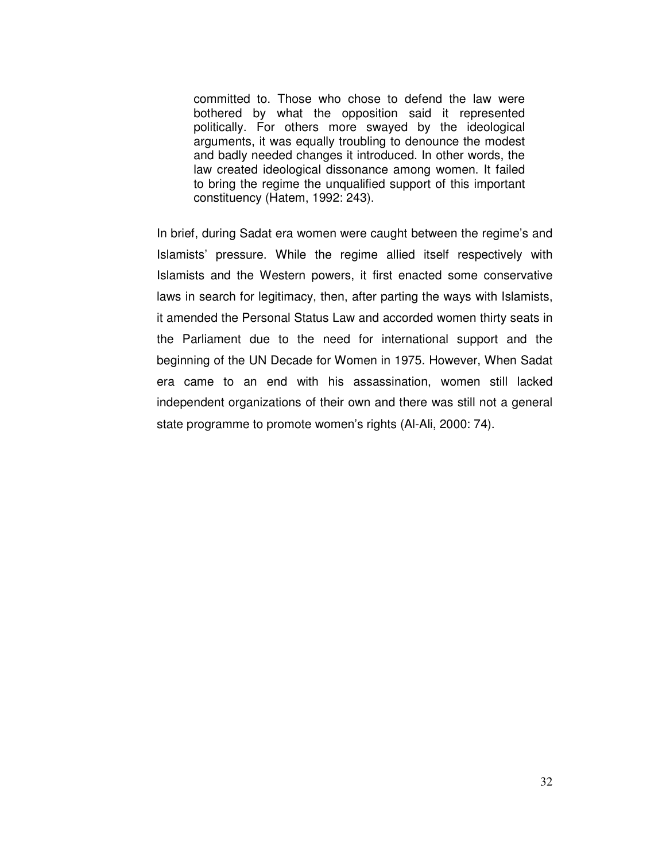committed to. Those who chose to defend the law were bothered by what the opposition said it represented politically. For others more swayed by the ideological arguments, it was equally troubling to denounce the modest and badly needed changes it introduced. In other words, the law created ideological dissonance among women. It failed to bring the regime the unqualified support of this important constituency (Hatem, 1992: 243).

In brief, during Sadat era women were caught between the regime's and Islamists' pressure. While the regime allied itself respectively with Islamists and the Western powers, it first enacted some conservative laws in search for legitimacy, then, after parting the ways with Islamists, it amended the Personal Status Law and accorded women thirty seats in the Parliament due to the need for international support and the beginning of the UN Decade for Women in 1975. However, When Sadat era came to an end with his assassination, women still lacked independent organizations of their own and there was still not a general state programme to promote women's rights (Al-Ali, 2000: 74).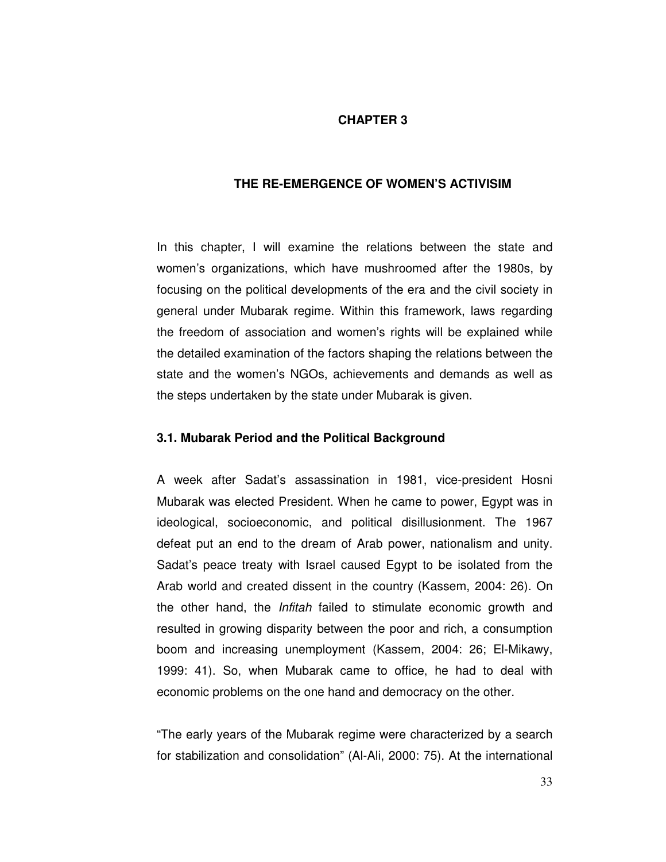# **CHAPTER 3**

#### **THE RE-EMERGENCE OF WOMEN'S ACTIVISIM**

In this chapter, I will examine the relations between the state and women's organizations, which have mushroomed after the 1980s, by focusing on the political developments of the era and the civil society in general under Mubarak regime. Within this framework, laws regarding the freedom of association and women's rights will be explained while the detailed examination of the factors shaping the relations between the state and the women's NGOs, achievements and demands as well as the steps undertaken by the state under Mubarak is given.

### **3.1. Mubarak Period and the Political Background**

A week after Sadat's assassination in 1981, vice-president Hosni Mubarak was elected President. When he came to power, Egypt was in ideological, socioeconomic, and political disillusionment. The 1967 defeat put an end to the dream of Arab power, nationalism and unity. Sadat's peace treaty with Israel caused Egypt to be isolated from the Arab world and created dissent in the country (Kassem, 2004: 26). On the other hand, the Infitah failed to stimulate economic growth and resulted in growing disparity between the poor and rich, a consumption boom and increasing unemployment (Kassem, 2004: 26; El-Mikawy, 1999: 41). So, when Mubarak came to office, he had to deal with economic problems on the one hand and democracy on the other.

"The early years of the Mubarak regime were characterized by a search for stabilization and consolidation" (Al-Ali, 2000: 75). At the international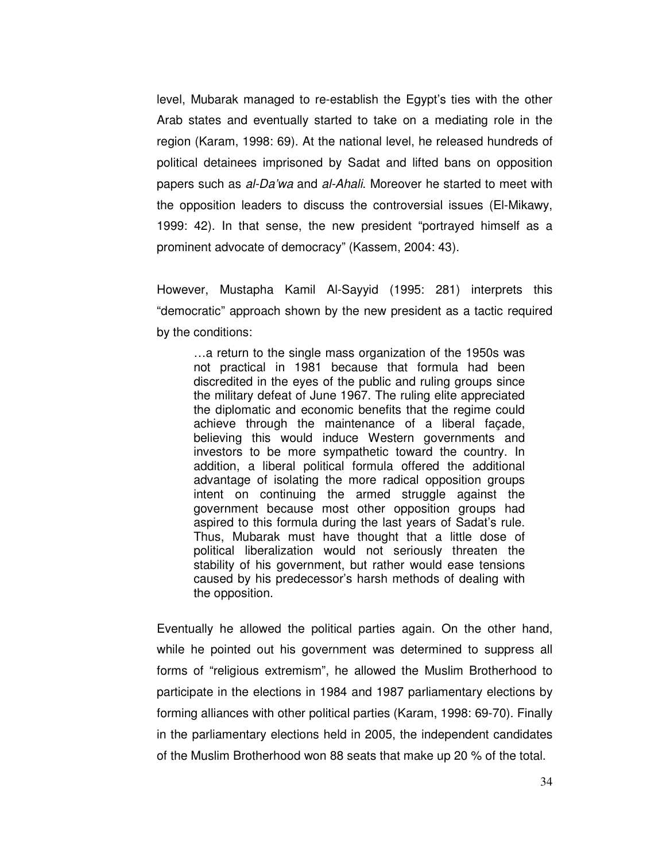level, Mubarak managed to re-establish the Egypt's ties with the other Arab states and eventually started to take on a mediating role in the region (Karam, 1998: 69). At the national level, he released hundreds of political detainees imprisoned by Sadat and lifted bans on opposition papers such as al-Da'wa and al-Ahali. Moreover he started to meet with the opposition leaders to discuss the controversial issues (El-Mikawy, 1999: 42). In that sense, the new president "portrayed himself as a prominent advocate of democracy" (Kassem, 2004: 43).

However, Mustapha Kamil Al-Sayyid (1995: 281) interprets this "democratic" approach shown by the new president as a tactic required by the conditions:

…a return to the single mass organization of the 1950s was not practical in 1981 because that formula had been discredited in the eyes of the public and ruling groups since the military defeat of June 1967. The ruling elite appreciated the diplomatic and economic benefits that the regime could achieve through the maintenance of a liberal façade, believing this would induce Western governments and investors to be more sympathetic toward the country. In addition, a liberal political formula offered the additional advantage of isolating the more radical opposition groups intent on continuing the armed struggle against the government because most other opposition groups had aspired to this formula during the last years of Sadat's rule. Thus, Mubarak must have thought that a little dose of political liberalization would not seriously threaten the stability of his government, but rather would ease tensions caused by his predecessor's harsh methods of dealing with the opposition.

Eventually he allowed the political parties again. On the other hand, while he pointed out his government was determined to suppress all forms of "religious extremism", he allowed the Muslim Brotherhood to participate in the elections in 1984 and 1987 parliamentary elections by forming alliances with other political parties (Karam, 1998: 69-70). Finally in the parliamentary elections held in 2005, the independent candidates of the Muslim Brotherhood won 88 seats that make up 20 % of the total.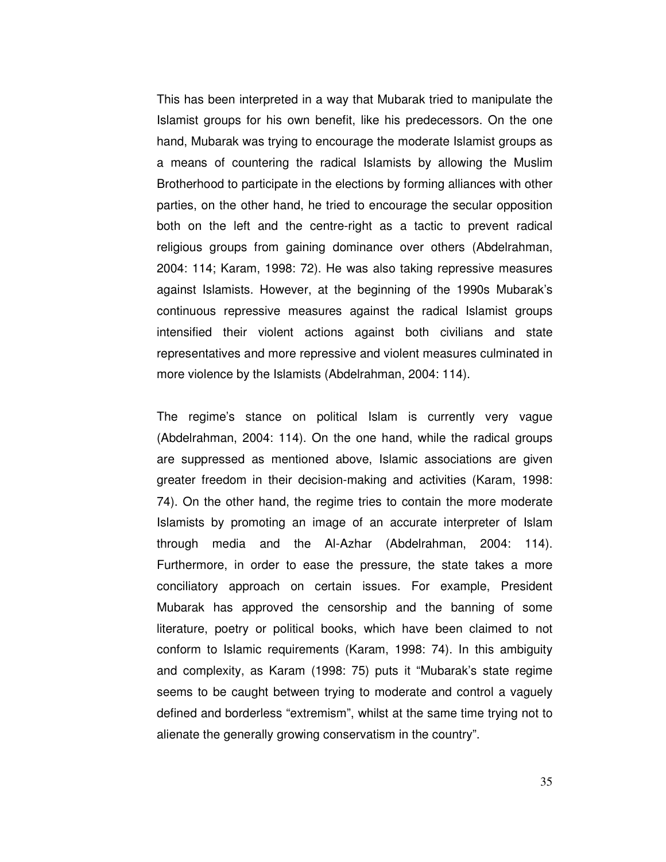This has been interpreted in a way that Mubarak tried to manipulate the Islamist groups for his own benefit, like his predecessors. On the one hand, Mubarak was trying to encourage the moderate Islamist groups as a means of countering the radical Islamists by allowing the Muslim Brotherhood to participate in the elections by forming alliances with other parties, on the other hand, he tried to encourage the secular opposition both on the left and the centre-right as a tactic to prevent radical religious groups from gaining dominance over others (Abdelrahman, 2004: 114; Karam, 1998: 72). He was also taking repressive measures against Islamists. However, at the beginning of the 1990s Mubarak's continuous repressive measures against the radical Islamist groups intensified their violent actions against both civilians and state representatives and more repressive and violent measures culminated in more violence by the Islamists (Abdelrahman, 2004: 114).

The regime's stance on political Islam is currently very vague (Abdelrahman, 2004: 114). On the one hand, while the radical groups are suppressed as mentioned above, Islamic associations are given greater freedom in their decision-making and activities (Karam, 1998: 74). On the other hand, the regime tries to contain the more moderate Islamists by promoting an image of an accurate interpreter of Islam through media and the Al-Azhar (Abdelrahman, 2004: 114). Furthermore, in order to ease the pressure, the state takes a more conciliatory approach on certain issues. For example, President Mubarak has approved the censorship and the banning of some literature, poetry or political books, which have been claimed to not conform to Islamic requirements (Karam, 1998: 74). In this ambiguity and complexity, as Karam (1998: 75) puts it "Mubarak's state regime seems to be caught between trying to moderate and control a vaguely defined and borderless "extremism", whilst at the same time trying not to alienate the generally growing conservatism in the country".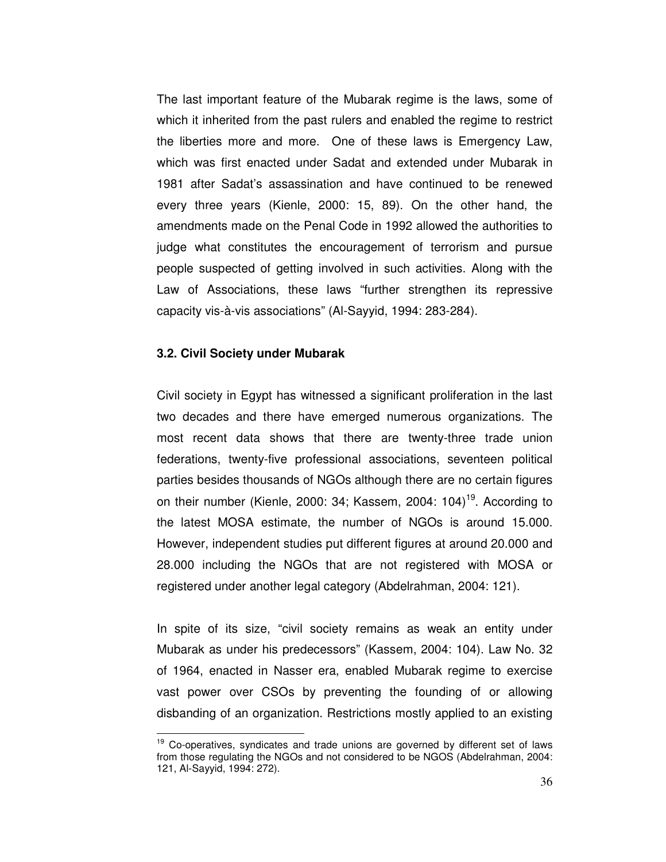The last important feature of the Mubarak regime is the laws, some of which it inherited from the past rulers and enabled the regime to restrict the liberties more and more. One of these laws is Emergency Law, which was first enacted under Sadat and extended under Mubarak in 1981 after Sadat's assassination and have continued to be renewed every three years (Kienle, 2000: 15, 89). On the other hand, the amendments made on the Penal Code in 1992 allowed the authorities to judge what constitutes the encouragement of terrorism and pursue people suspected of getting involved in such activities. Along with the Law of Associations, these laws "further strengthen its repressive capacity vis-à-vis associations" (Al-Sayyid, 1994: 283-284).

# **3.2. Civil Society under Mubarak**

 $\overline{a}$ 

Civil society in Egypt has witnessed a significant proliferation in the last two decades and there have emerged numerous organizations. The most recent data shows that there are twenty-three trade union federations, twenty-five professional associations, seventeen political parties besides thousands of NGOs although there are no certain figures on their number (Kienle, 2000: 34; Kassem, 2004: 104)<sup>19</sup>. According to the latest MOSA estimate, the number of NGOs is around 15.000. However, independent studies put different figures at around 20.000 and 28.000 including the NGOs that are not registered with MOSA or registered under another legal category (Abdelrahman, 2004: 121).

In spite of its size, "civil society remains as weak an entity under Mubarak as under his predecessors" (Kassem, 2004: 104). Law No. 32 of 1964, enacted in Nasser era, enabled Mubarak regime to exercise vast power over CSOs by preventing the founding of or allowing disbanding of an organization. Restrictions mostly applied to an existing

<sup>&</sup>lt;sup>19</sup> Co-operatives, syndicates and trade unions are governed by different set of laws from those regulating the NGOs and not considered to be NGOS (Abdelrahman, 2004: 121, Al-Sayyid, 1994: 272).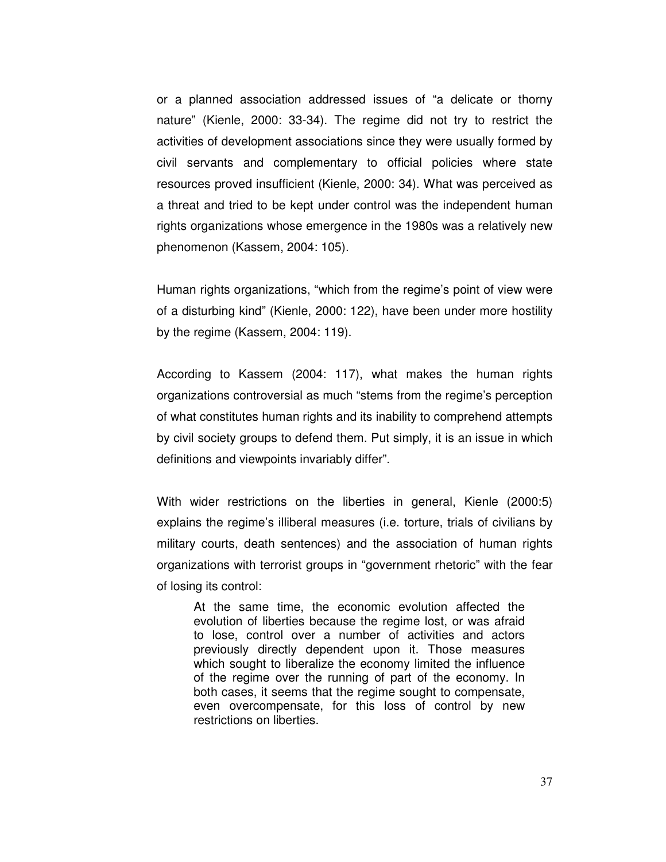or a planned association addressed issues of "a delicate or thorny nature" (Kienle, 2000: 33-34). The regime did not try to restrict the activities of development associations since they were usually formed by civil servants and complementary to official policies where state resources proved insufficient (Kienle, 2000: 34). What was perceived as a threat and tried to be kept under control was the independent human rights organizations whose emergence in the 1980s was a relatively new phenomenon (Kassem, 2004: 105).

Human rights organizations, "which from the regime's point of view were of a disturbing kind" (Kienle, 2000: 122), have been under more hostility by the regime (Kassem, 2004: 119).

According to Kassem (2004: 117), what makes the human rights organizations controversial as much "stems from the regime's perception of what constitutes human rights and its inability to comprehend attempts by civil society groups to defend them. Put simply, it is an issue in which definitions and viewpoints invariably differ".

With wider restrictions on the liberties in general, Kienle (2000:5) explains the regime's illiberal measures (i.e. torture, trials of civilians by military courts, death sentences) and the association of human rights organizations with terrorist groups in "government rhetoric" with the fear of losing its control:

At the same time, the economic evolution affected the evolution of liberties because the regime lost, or was afraid to lose, control over a number of activities and actors previously directly dependent upon it. Those measures which sought to liberalize the economy limited the influence of the regime over the running of part of the economy. In both cases, it seems that the regime sought to compensate, even overcompensate, for this loss of control by new restrictions on liberties.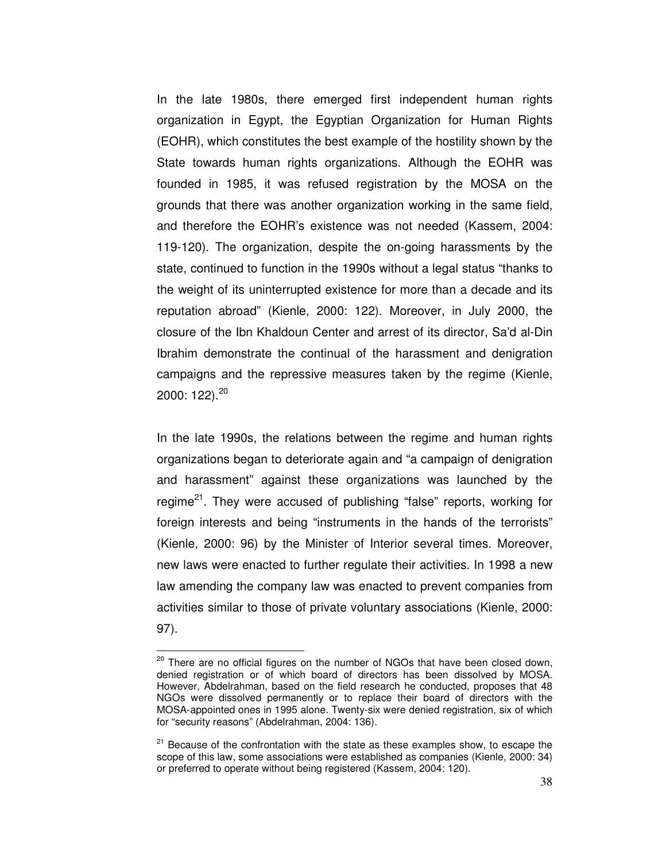In the late 1980s, there emerged first independent human rights organization in Egypt, the Egyptian Organization for Human Rights (EOHR), which constitutes the best example of the hostility shown by the State towards human rights organizations. Although the EOHR was founded in 1985, it was refused registration by the MOSA on the grounds that there was another organization working in the same field, and therefore the EOHR's existence was not needed (Kassem, 2004: 119-120). The organization, despite the on-going harassments by the state, continued to function in the 1990s without a legal status "thanks to the weight of its uninterrupted existence for more than a decade and its reputation abroad" (Kienle, 2000: 122). Moreover, in July 2000, the closure of the Ibn Khaldoun Center and arrest of its director, Sa'd al-Din Ibrahim demonstrate the continual of the harassment and denigration campaigns and the repressive measures taken by the regime (Kienle, 2000: 122).<sup>20</sup>

In the late 1990s, the relations between the regime and human rights organizations began to deteriorate again and "a campaign of denigration and harassment" against these organizations was launched by the regime<sup>21</sup>. They were accused of publishing "false" reports, working for foreign interests and being "instruments in the hands of the terrorists" (Kienle, 2000: 96) by the Minister of Interior several times. Moreover, new laws were enacted to further regulate their activities. In 1998 a new law amending the company law was enacted to prevent companies from activities similar to those of private voluntary associations (Kienle, 2000: 97).

 $20$  There are no official figures on the number of NGOs that have been closed down, denied registration or of which board of directors has been dissolved by MOSA. However, Abdelrahman, based on the field research he conducted, proposes that 48 NGOs were dissolved permanently or to replace their board of directors with the MOSA-appointed ones in 1995 alone. Twenty-six were denied registration, six of which for "security reasons" (Abdelrahman, 2004: 136).

 $21$  Because of the confrontation with the state as these examples show, to escape the scope of this law, some associations were established as companies (Kienle, 2000: 34) or preferred to operate without being registered (Kassem, 2004: 120).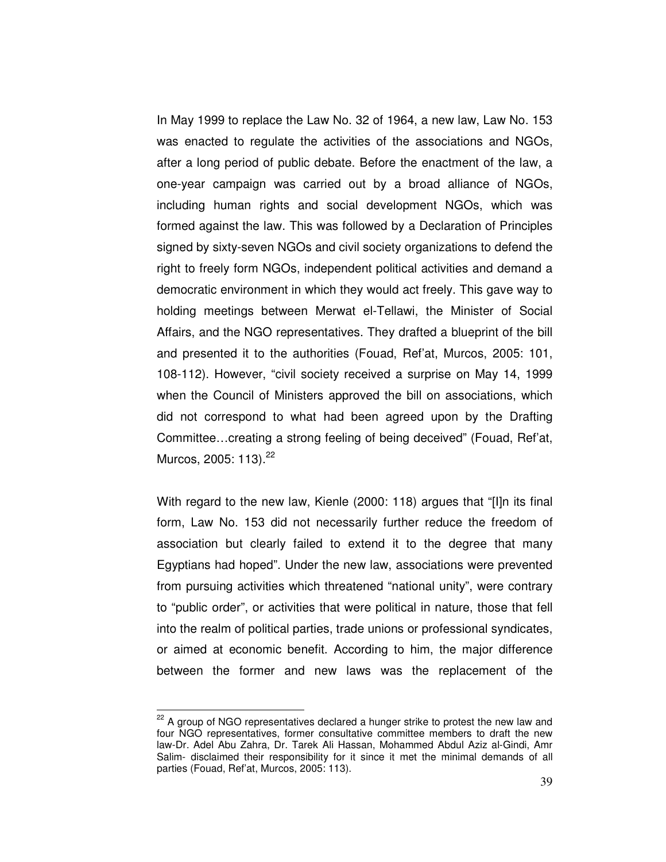In May 1999 to replace the Law No. 32 of 1964, a new law, Law No. 153 was enacted to regulate the activities of the associations and NGOs, after a long period of public debate. Before the enactment of the law, a one-year campaign was carried out by a broad alliance of NGOs, including human rights and social development NGOs, which was formed against the law. This was followed by a Declaration of Principles signed by sixty-seven NGOs and civil society organizations to defend the right to freely form NGOs, independent political activities and demand a democratic environment in which they would act freely. This gave way to holding meetings between Merwat el-Tellawi, the Minister of Social Affairs, and the NGO representatives. They drafted a blueprint of the bill and presented it to the authorities (Fouad, Ref'at, Murcos, 2005: 101, 108-112). However, "civil society received a surprise on May 14, 1999 when the Council of Ministers approved the bill on associations, which did not correspond to what had been agreed upon by the Drafting Committee…creating a strong feeling of being deceived" (Fouad, Ref'at, Murcos, 2005: 113).<sup>22</sup>

With regard to the new law, Kienle (2000: 118) argues that "[I]n its final form, Law No. 153 did not necessarily further reduce the freedom of association but clearly failed to extend it to the degree that many Egyptians had hoped". Under the new law, associations were prevented from pursuing activities which threatened "national unity", were contrary to "public order", or activities that were political in nature, those that fell into the realm of political parties, trade unions or professional syndicates, or aimed at economic benefit. According to him, the major difference between the former and new laws was the replacement of the

 $22$  A group of NGO representatives declared a hunger strike to protest the new law and four NGO representatives, former consultative committee members to draft the new law-Dr. Adel Abu Zahra, Dr. Tarek Ali Hassan, Mohammed Abdul Aziz al-Gindi, Amr Salim- disclaimed their responsibility for it since it met the minimal demands of all parties (Fouad, Ref'at, Murcos, 2005: 113).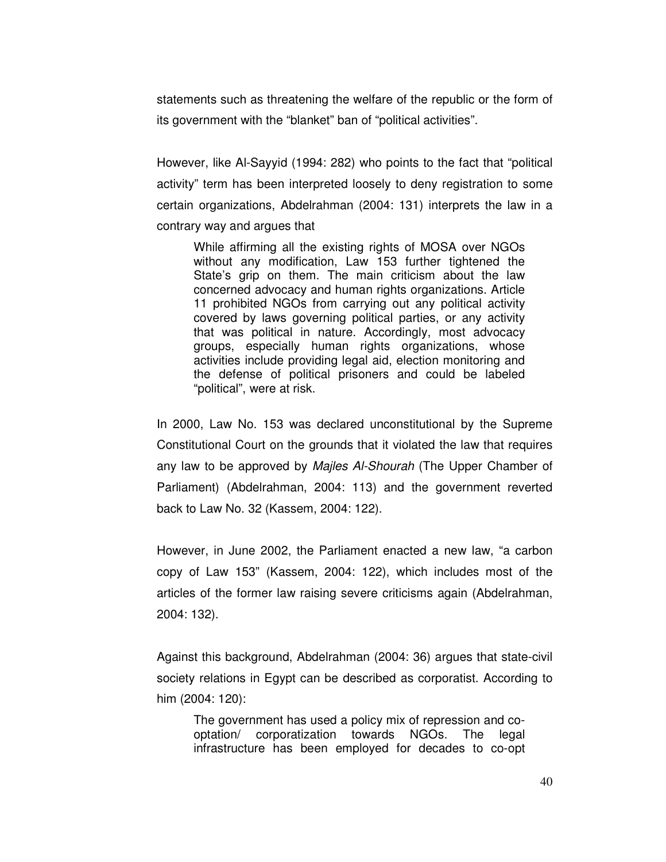statements such as threatening the welfare of the republic or the form of its government with the "blanket" ban of "political activities".

However, like Al-Sayyid (1994: 282) who points to the fact that "political activity" term has been interpreted loosely to deny registration to some certain organizations, Abdelrahman (2004: 131) interprets the law in a contrary way and argues that

While affirming all the existing rights of MOSA over NGOs without any modification, Law 153 further tightened the State's grip on them. The main criticism about the law concerned advocacy and human rights organizations. Article 11 prohibited NGOs from carrying out any political activity covered by laws governing political parties, or any activity that was political in nature. Accordingly, most advocacy groups, especially human rights organizations, whose activities include providing legal aid, election monitoring and the defense of political prisoners and could be labeled "political", were at risk.

In 2000, Law No. 153 was declared unconstitutional by the Supreme Constitutional Court on the grounds that it violated the law that requires any law to be approved by Majles Al-Shourah (The Upper Chamber of Parliament) (Abdelrahman, 2004: 113) and the government reverted back to Law No. 32 (Kassem, 2004: 122).

However, in June 2002, the Parliament enacted a new law, "a carbon copy of Law 153" (Kassem, 2004: 122), which includes most of the articles of the former law raising severe criticisms again (Abdelrahman, 2004: 132).

Against this background, Abdelrahman (2004: 36) argues that state-civil society relations in Egypt can be described as corporatist. According to him (2004: 120):

The government has used a policy mix of repression and cooptation/ corporatization towards NGOs. The legal infrastructure has been employed for decades to co-opt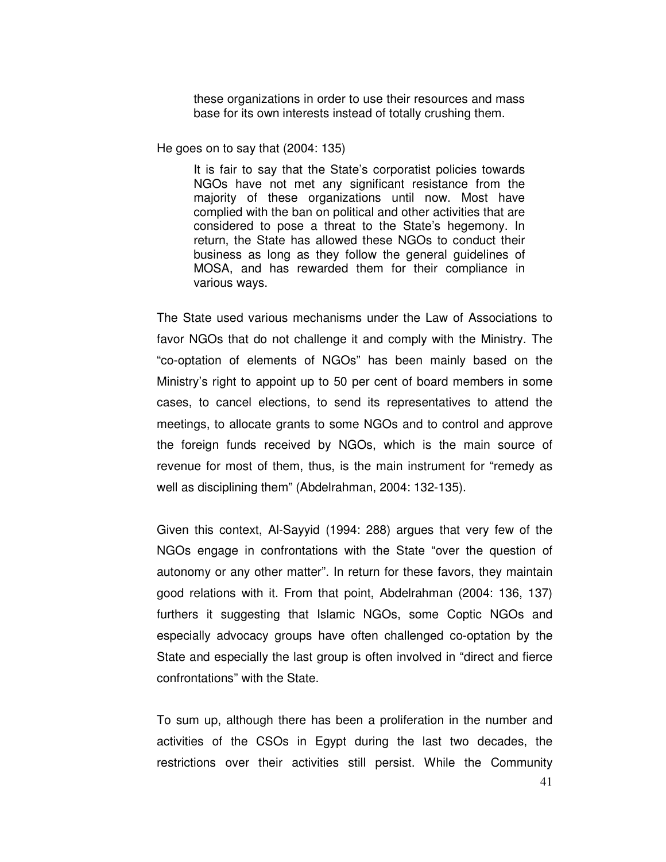these organizations in order to use their resources and mass base for its own interests instead of totally crushing them.

He goes on to say that (2004: 135)

It is fair to say that the State's corporatist policies towards NGOs have not met any significant resistance from the majority of these organizations until now. Most have complied with the ban on political and other activities that are considered to pose a threat to the State's hegemony. In return, the State has allowed these NGOs to conduct their business as long as they follow the general guidelines of MOSA, and has rewarded them for their compliance in various ways.

The State used various mechanisms under the Law of Associations to favor NGOs that do not challenge it and comply with the Ministry. The "co-optation of elements of NGOs" has been mainly based on the Ministry's right to appoint up to 50 per cent of board members in some cases, to cancel elections, to send its representatives to attend the meetings, to allocate grants to some NGOs and to control and approve the foreign funds received by NGOs, which is the main source of revenue for most of them, thus, is the main instrument for "remedy as well as disciplining them" (Abdelrahman, 2004: 132-135).

Given this context, Al-Sayyid (1994: 288) argues that very few of the NGOs engage in confrontations with the State "over the question of autonomy or any other matter". In return for these favors, they maintain good relations with it. From that point, Abdelrahman (2004: 136, 137) furthers it suggesting that Islamic NGOs, some Coptic NGOs and especially advocacy groups have often challenged co-optation by the State and especially the last group is often involved in "direct and fierce confrontations" with the State.

To sum up, although there has been a proliferation in the number and activities of the CSOs in Egypt during the last two decades, the restrictions over their activities still persist. While the Community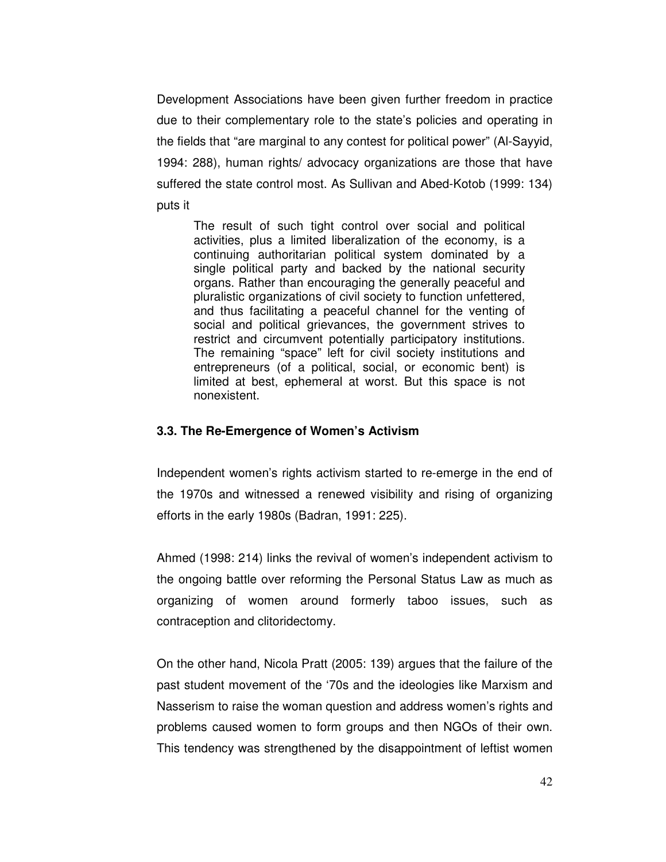Development Associations have been given further freedom in practice due to their complementary role to the state's policies and operating in the fields that "are marginal to any contest for political power" (Al-Sayyid, 1994: 288), human rights/ advocacy organizations are those that have suffered the state control most. As Sullivan and Abed-Kotob (1999: 134) puts it

The result of such tight control over social and political activities, plus a limited liberalization of the economy, is a continuing authoritarian political system dominated by a single political party and backed by the national security organs. Rather than encouraging the generally peaceful and pluralistic organizations of civil society to function unfettered, and thus facilitating a peaceful channel for the venting of social and political grievances, the government strives to restrict and circumvent potentially participatory institutions. The remaining "space" left for civil society institutions and entrepreneurs (of a political, social, or economic bent) is limited at best, ephemeral at worst. But this space is not nonexistent.

# **3.3. The Re-Emergence of Women's Activism**

Independent women's rights activism started to re-emerge in the end of the 1970s and witnessed a renewed visibility and rising of organizing efforts in the early 1980s (Badran, 1991: 225).

Ahmed (1998: 214) links the revival of women's independent activism to the ongoing battle over reforming the Personal Status Law as much as organizing of women around formerly taboo issues, such as contraception and clitoridectomy.

On the other hand, Nicola Pratt (2005: 139) argues that the failure of the past student movement of the '70s and the ideologies like Marxism and Nasserism to raise the woman question and address women's rights and problems caused women to form groups and then NGOs of their own. This tendency was strengthened by the disappointment of leftist women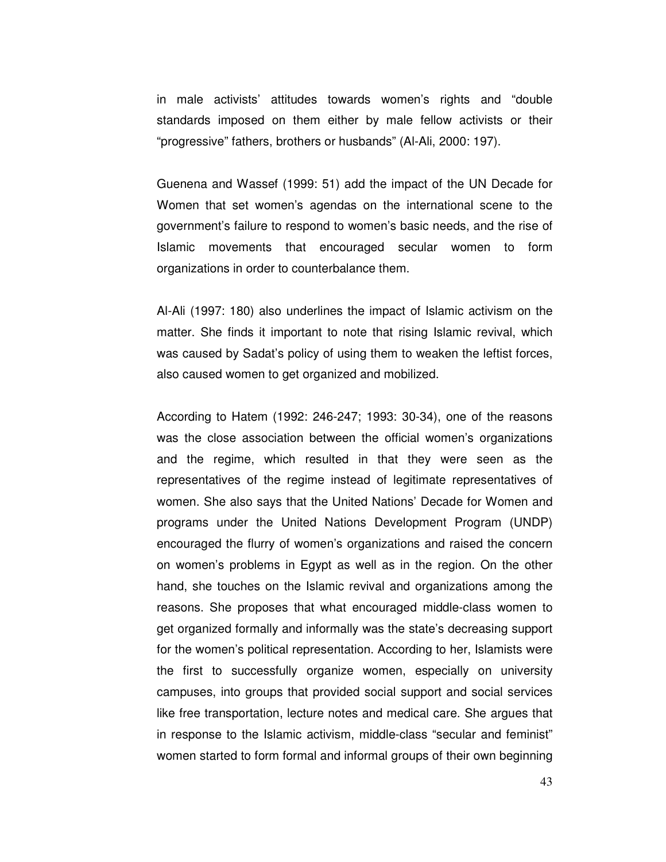in male activists' attitudes towards women's rights and "double standards imposed on them either by male fellow activists or their "progressive" fathers, brothers or husbands" (Al-Ali, 2000: 197).

Guenena and Wassef (1999: 51) add the impact of the UN Decade for Women that set women's agendas on the international scene to the government's failure to respond to women's basic needs, and the rise of Islamic movements that encouraged secular women to form organizations in order to counterbalance them.

Al-Ali (1997: 180) also underlines the impact of Islamic activism on the matter. She finds it important to note that rising Islamic revival, which was caused by Sadat's policy of using them to weaken the leftist forces, also caused women to get organized and mobilized.

According to Hatem (1992: 246-247; 1993: 30-34), one of the reasons was the close association between the official women's organizations and the regime, which resulted in that they were seen as the representatives of the regime instead of legitimate representatives of women. She also says that the United Nations' Decade for Women and programs under the United Nations Development Program (UNDP) encouraged the flurry of women's organizations and raised the concern on women's problems in Egypt as well as in the region. On the other hand, she touches on the Islamic revival and organizations among the reasons. She proposes that what encouraged middle-class women to get organized formally and informally was the state's decreasing support for the women's political representation. According to her, Islamists were the first to successfully organize women, especially on university campuses, into groups that provided social support and social services like free transportation, lecture notes and medical care. She argues that in response to the Islamic activism, middle-class "secular and feminist" women started to form formal and informal groups of their own beginning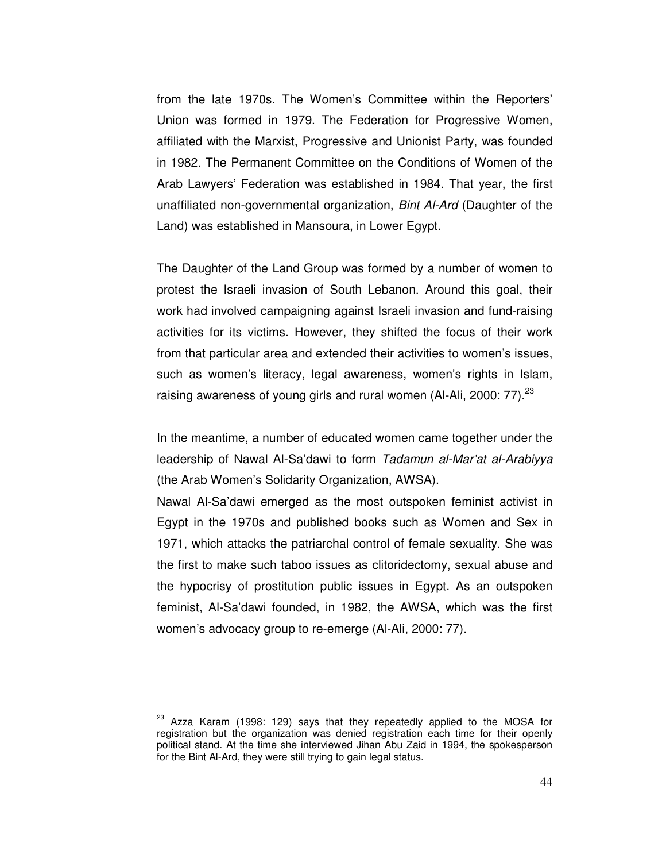from the late 1970s. The Women's Committee within the Reporters' Union was formed in 1979. The Federation for Progressive Women, affiliated with the Marxist, Progressive and Unionist Party, was founded in 1982. The Permanent Committee on the Conditions of Women of the Arab Lawyers' Federation was established in 1984. That year, the first unaffiliated non-governmental organization, Bint Al-Ard (Daughter of the Land) was established in Mansoura, in Lower Egypt.

The Daughter of the Land Group was formed by a number of women to protest the Israeli invasion of South Lebanon. Around this goal, their work had involved campaigning against Israeli invasion and fund-raising activities for its victims. However, they shifted the focus of their work from that particular area and extended their activities to women's issues, such as women's literacy, legal awareness, women's rights in Islam, raising awareness of young girls and rural women (Al-Ali, 2000:  $77$ ).<sup>23</sup>

In the meantime, a number of educated women came together under the leadership of Nawal Al-Sa'dawi to form Tadamun al-Mar'at al-Arabiyya (the Arab Women's Solidarity Organization, AWSA).

Nawal Al-Sa'dawi emerged as the most outspoken feminist activist in Egypt in the 1970s and published books such as Women and Sex in 1971, which attacks the patriarchal control of female sexuality. She was the first to make such taboo issues as clitoridectomy, sexual abuse and the hypocrisy of prostitution public issues in Egypt. As an outspoken feminist, Al-Sa'dawi founded, in 1982, the AWSA, which was the first women's advocacy group to re-emerge (Al-Ali, 2000: 77).

<sup>&</sup>lt;sup>23</sup> Azza Karam (1998: 129) says that they repeatedly applied to the MOSA for registration but the organization was denied registration each time for their openly political stand. At the time she interviewed Jihan Abu Zaid in 1994, the spokesperson for the Bint Al-Ard, they were still trying to gain legal status.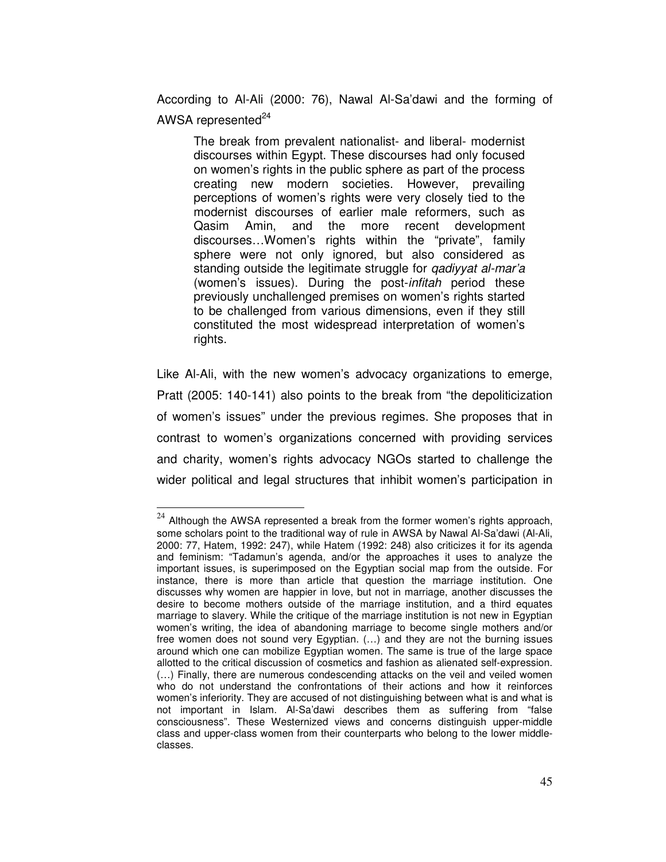According to Al-Ali (2000: 76), Nawal Al-Sa'dawi and the forming of AWSA represented $^{24}$ 

The break from prevalent nationalist- and liberal- modernist discourses within Egypt. These discourses had only focused on women's rights in the public sphere as part of the process creating new modern societies. However, prevailing perceptions of women's rights were very closely tied to the modernist discourses of earlier male reformers, such as Qasim Amin, and the more recent development discourses…Women's rights within the "private", family sphere were not only ignored, but also considered as standing outside the legitimate struggle for *gadiyyat al-mar'a* (women's issues). During the post-infitah period these previously unchallenged premises on women's rights started to be challenged from various dimensions, even if they still constituted the most widespread interpretation of women's rights.

Like Al-Ali, with the new women's advocacy organizations to emerge, Pratt (2005: 140-141) also points to the break from "the depoliticization of women's issues" under the previous regimes. She proposes that in contrast to women's organizations concerned with providing services and charity, women's rights advocacy NGOs started to challenge the wider political and legal structures that inhibit women's participation in

 $24$  Although the AWSA represented a break from the former women's rights approach, some scholars point to the traditional way of rule in AWSA by Nawal Al-Sa'dawi (Al-Ali, 2000: 77, Hatem, 1992: 247), while Hatem (1992: 248) also criticizes it for its agenda and feminism: "Tadamun's agenda, and/or the approaches it uses to analyze the important issues, is superimposed on the Egyptian social map from the outside. For instance, there is more than article that question the marriage institution. One discusses why women are happier in love, but not in marriage, another discusses the desire to become mothers outside of the marriage institution, and a third equates marriage to slavery. While the critique of the marriage institution is not new in Egyptian women's writing, the idea of abandoning marriage to become single mothers and/or free women does not sound very Egyptian. (…) and they are not the burning issues around which one can mobilize Egyptian women. The same is true of the large space allotted to the critical discussion of cosmetics and fashion as alienated self-expression. (…) Finally, there are numerous condescending attacks on the veil and veiled women who do not understand the confrontations of their actions and how it reinforces women's inferiority. They are accused of not distinguishing between what is and what is not important in Islam. Al-Sa'dawi describes them as suffering from "false consciousness". These Westernized views and concerns distinguish upper-middle class and upper-class women from their counterparts who belong to the lower middleclasses.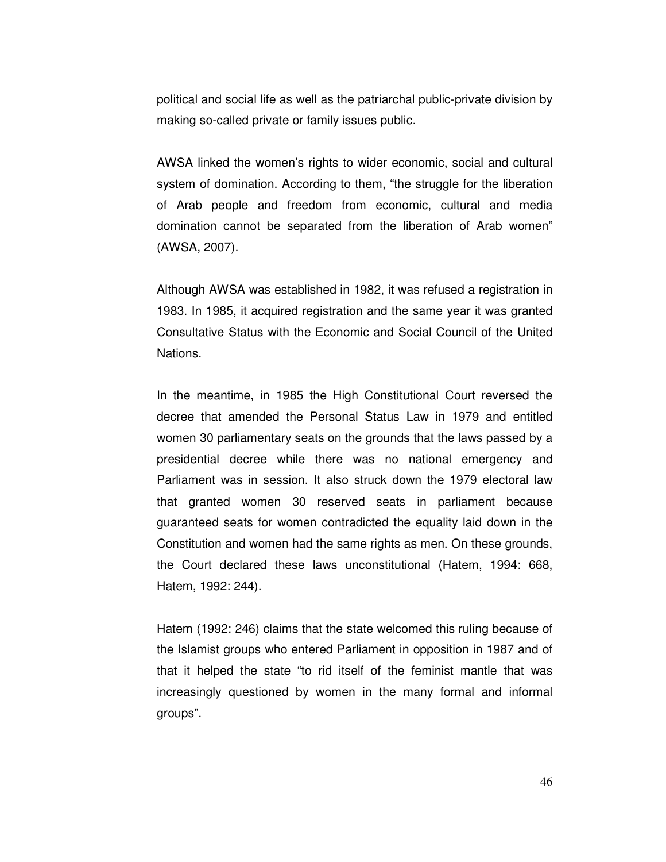political and social life as well as the patriarchal public-private division by making so-called private or family issues public.

AWSA linked the women's rights to wider economic, social and cultural system of domination. According to them, "the struggle for the liberation of Arab people and freedom from economic, cultural and media domination cannot be separated from the liberation of Arab women" (AWSA, 2007).

Although AWSA was established in 1982, it was refused a registration in 1983. In 1985, it acquired registration and the same year it was granted Consultative Status with the Economic and Social Council of the United Nations.

In the meantime, in 1985 the High Constitutional Court reversed the decree that amended the Personal Status Law in 1979 and entitled women 30 parliamentary seats on the grounds that the laws passed by a presidential decree while there was no national emergency and Parliament was in session. It also struck down the 1979 electoral law that granted women 30 reserved seats in parliament because guaranteed seats for women contradicted the equality laid down in the Constitution and women had the same rights as men. On these grounds, the Court declared these laws unconstitutional (Hatem, 1994: 668, Hatem, 1992: 244).

Hatem (1992: 246) claims that the state welcomed this ruling because of the Islamist groups who entered Parliament in opposition in 1987 and of that it helped the state "to rid itself of the feminist mantle that was increasingly questioned by women in the many formal and informal groups".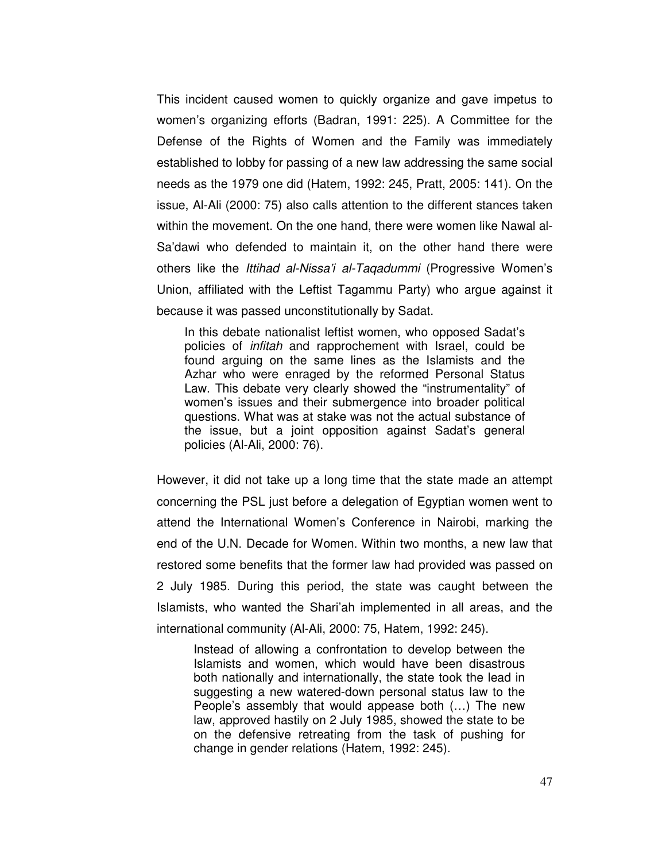This incident caused women to quickly organize and gave impetus to women's organizing efforts (Badran, 1991: 225). A Committee for the Defense of the Rights of Women and the Family was immediately established to lobby for passing of a new law addressing the same social needs as the 1979 one did (Hatem, 1992: 245, Pratt, 2005: 141). On the issue, Al-Ali (2000: 75) also calls attention to the different stances taken within the movement. On the one hand, there were women like Nawal al-Sa'dawi who defended to maintain it, on the other hand there were others like the Ittihad al-Nissa'i al-Taqadummi (Progressive Women's Union, affiliated with the Leftist Tagammu Party) who argue against it because it was passed unconstitutionally by Sadat.

In this debate nationalist leftist women, who opposed Sadat's policies of infitah and rapprochement with Israel, could be found arguing on the same lines as the Islamists and the Azhar who were enraged by the reformed Personal Status Law. This debate very clearly showed the "instrumentality" of women's issues and their submergence into broader political questions. What was at stake was not the actual substance of the issue, but a joint opposition against Sadat's general policies (Al-Ali, 2000: 76).

However, it did not take up a long time that the state made an attempt concerning the PSL just before a delegation of Egyptian women went to attend the International Women's Conference in Nairobi, marking the end of the U.N. Decade for Women. Within two months, a new law that restored some benefits that the former law had provided was passed on 2 July 1985. During this period, the state was caught between the Islamists, who wanted the Shari'ah implemented in all areas, and the international community (Al-Ali, 2000: 75, Hatem, 1992: 245).

Instead of allowing a confrontation to develop between the Islamists and women, which would have been disastrous both nationally and internationally, the state took the lead in suggesting a new watered-down personal status law to the People's assembly that would appease both (…) The new law, approved hastily on 2 July 1985, showed the state to be on the defensive retreating from the task of pushing for change in gender relations (Hatem, 1992: 245).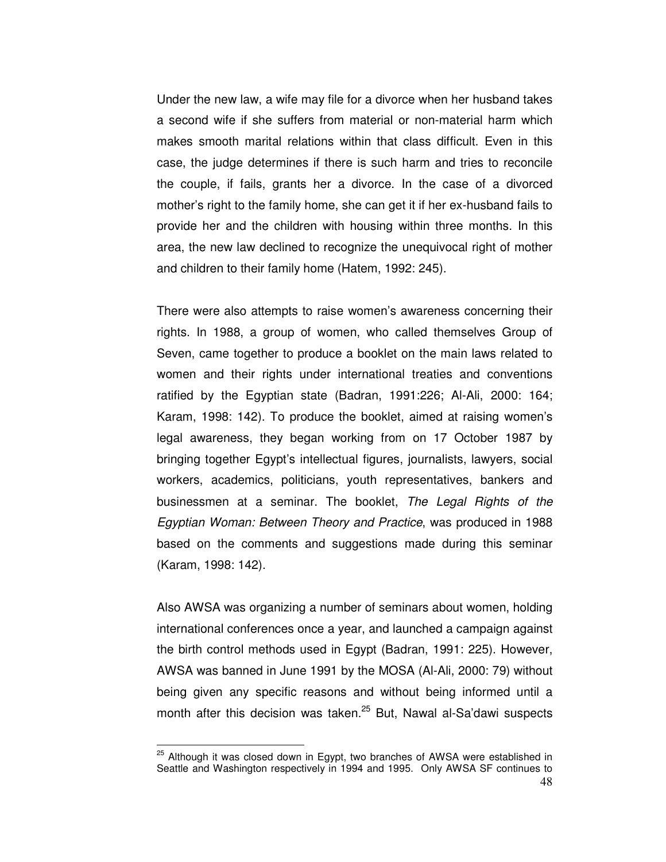Under the new law, a wife may file for a divorce when her husband takes a second wife if she suffers from material or non-material harm which makes smooth marital relations within that class difficult. Even in this case, the judge determines if there is such harm and tries to reconcile the couple, if fails, grants her a divorce. In the case of a divorced mother's right to the family home, she can get it if her ex-husband fails to provide her and the children with housing within three months. In this area, the new law declined to recognize the unequivocal right of mother and children to their family home (Hatem, 1992: 245).

There were also attempts to raise women's awareness concerning their rights. In 1988, a group of women, who called themselves Group of Seven, came together to produce a booklet on the main laws related to women and their rights under international treaties and conventions ratified by the Egyptian state (Badran, 1991:226; Al-Ali, 2000: 164; Karam, 1998: 142). To produce the booklet, aimed at raising women's legal awareness, they began working from on 17 October 1987 by bringing together Egypt's intellectual figures, journalists, lawyers, social workers, academics, politicians, youth representatives, bankers and businessmen at a seminar. The booklet, The Legal Rights of the Egyptian Woman: Between Theory and Practice, was produced in 1988 based on the comments and suggestions made during this seminar (Karam, 1998: 142).

Also AWSA was organizing a number of seminars about women, holding international conferences once a year, and launched a campaign against the birth control methods used in Egypt (Badran, 1991: 225). However, AWSA was banned in June 1991 by the MOSA (Al-Ali, 2000: 79) without being given any specific reasons and without being informed until a month after this decision was taken.<sup>25</sup> But, Nawal al-Sa'dawi suspects

<sup>48</sup>  $25$  Although it was closed down in Egypt, two branches of AWSA were established in Seattle and Washington respectively in 1994 and 1995. Only AWSA SF continues to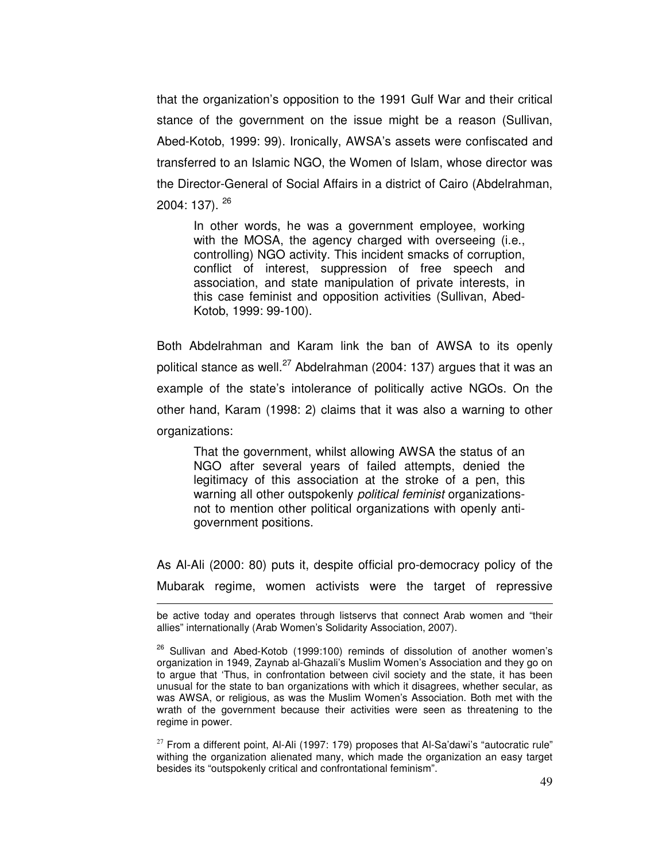that the organization's opposition to the 1991 Gulf War and their critical stance of the government on the issue might be a reason (Sullivan, Abed-Kotob, 1999: 99). Ironically, AWSA's assets were confiscated and transferred to an Islamic NGO, the Women of Islam, whose director was the Director-General of Social Affairs in a district of Cairo (Abdelrahman, 2004: 137). <sup>26</sup>

In other words, he was a government employee, working with the MOSA, the agency charged with overseeing (i.e., controlling) NGO activity. This incident smacks of corruption, conflict of interest, suppression of free speech and association, and state manipulation of private interests, in this case feminist and opposition activities (Sullivan, Abed-Kotob, 1999: 99-100).

Both Abdelrahman and Karam link the ban of AWSA to its openly political stance as well.<sup>27</sup> Abdelrahman (2004: 137) argues that it was an example of the state's intolerance of politically active NGOs. On the other hand, Karam (1998: 2) claims that it was also a warning to other organizations:

That the government, whilst allowing AWSA the status of an NGO after several years of failed attempts, denied the legitimacy of this association at the stroke of a pen, this warning all other outspokenly political feminist organizationsnot to mention other political organizations with openly antigovernment positions.

As Al-Ali (2000: 80) puts it, despite official pro-democracy policy of the Mubarak regime, women activists were the target of repressive

 $\overline{a}$ 

 $27$  From a different point, Al-Ali (1997: 179) proposes that Al-Sa'dawi's "autocratic rule" withing the organization alienated many, which made the organization an easy target besides its "outspokenly critical and confrontational feminism".

be active today and operates through listservs that connect Arab women and "their allies" internationally (Arab Women's Solidarity Association, 2007).

<sup>&</sup>lt;sup>26</sup> Sullivan and Abed-Kotob (1999:100) reminds of dissolution of another women's organization in 1949, Zaynab al-Ghazali's Muslim Women's Association and they go on to argue that 'Thus, in confrontation between civil society and the state, it has been unusual for the state to ban organizations with which it disagrees, whether secular, as was AWSA, or religious, as was the Muslim Women's Association. Both met with the wrath of the government because their activities were seen as threatening to the regime in power.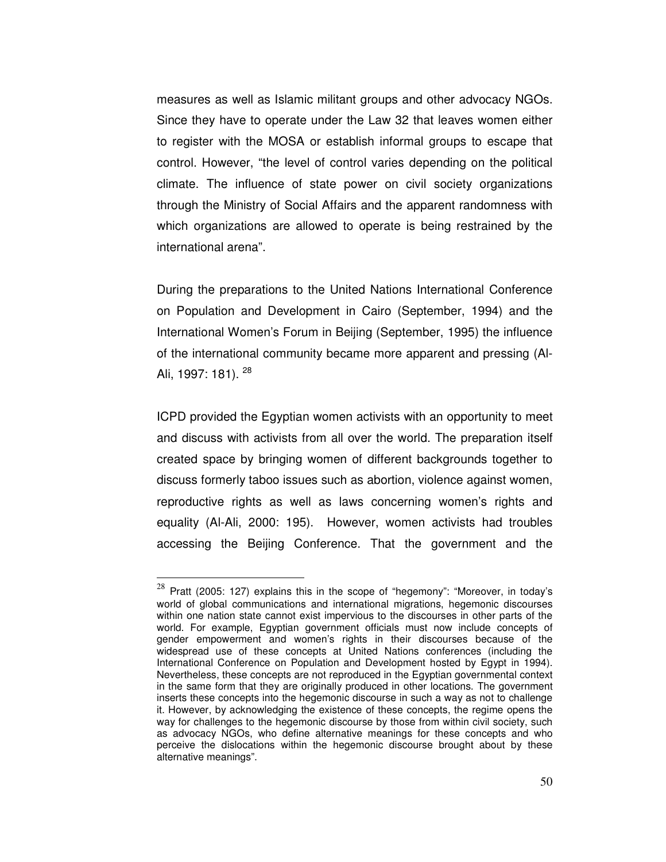measures as well as Islamic militant groups and other advocacy NGOs. Since they have to operate under the Law 32 that leaves women either to register with the MOSA or establish informal groups to escape that control. However, "the level of control varies depending on the political climate. The influence of state power on civil society organizations through the Ministry of Social Affairs and the apparent randomness with which organizations are allowed to operate is being restrained by the international arena".

During the preparations to the United Nations International Conference on Population and Development in Cairo (September, 1994) and the International Women's Forum in Beijing (September, 1995) the influence of the international community became more apparent and pressing (Al-Ali, 1997: 181). <sup>28</sup>

ICPD provided the Egyptian women activists with an opportunity to meet and discuss with activists from all over the world. The preparation itself created space by bringing women of different backgrounds together to discuss formerly taboo issues such as abortion, violence against women, reproductive rights as well as laws concerning women's rights and equality (Al-Ali, 2000: 195). However, women activists had troubles accessing the Beijing Conference. That the government and the

 $28$  Pratt (2005: 127) explains this in the scope of "hegemony": "Moreover, in today's world of global communications and international migrations, hegemonic discourses within one nation state cannot exist impervious to the discourses in other parts of the world. For example, Egyptian government officials must now include concepts of gender empowerment and women's rights in their discourses because of the widespread use of these concepts at United Nations conferences (including the International Conference on Population and Development hosted by Egypt in 1994). Nevertheless, these concepts are not reproduced in the Egyptian governmental context in the same form that they are originally produced in other locations. The government inserts these concepts into the hegemonic discourse in such a way as not to challenge it. However, by acknowledging the existence of these concepts, the regime opens the way for challenges to the hegemonic discourse by those from within civil society, such as advocacy NGOs, who define alternative meanings for these concepts and who perceive the dislocations within the hegemonic discourse brought about by these alternative meanings".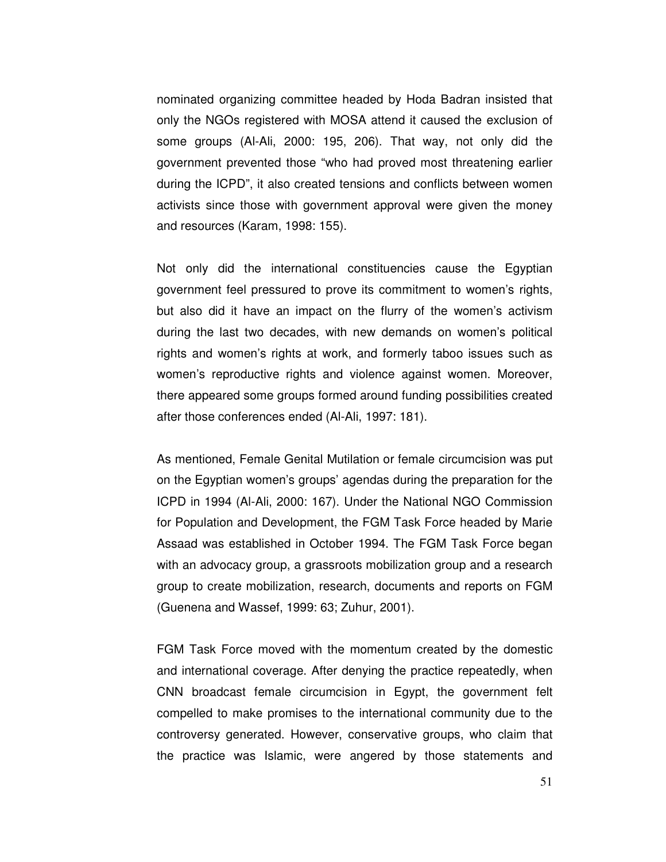nominated organizing committee headed by Hoda Badran insisted that only the NGOs registered with MOSA attend it caused the exclusion of some groups (Al-Ali, 2000: 195, 206). That way, not only did the government prevented those "who had proved most threatening earlier during the ICPD", it also created tensions and conflicts between women activists since those with government approval were given the money and resources (Karam, 1998: 155).

Not only did the international constituencies cause the Egyptian government feel pressured to prove its commitment to women's rights, but also did it have an impact on the flurry of the women's activism during the last two decades, with new demands on women's political rights and women's rights at work, and formerly taboo issues such as women's reproductive rights and violence against women. Moreover, there appeared some groups formed around funding possibilities created after those conferences ended (Al-Ali, 1997: 181).

As mentioned, Female Genital Mutilation or female circumcision was put on the Egyptian women's groups' agendas during the preparation for the ICPD in 1994 (Al-Ali, 2000: 167). Under the National NGO Commission for Population and Development, the FGM Task Force headed by Marie Assaad was established in October 1994. The FGM Task Force began with an advocacy group, a grassroots mobilization group and a research group to create mobilization, research, documents and reports on FGM (Guenena and Wassef, 1999: 63; Zuhur, 2001).

FGM Task Force moved with the momentum created by the domestic and international coverage. After denying the practice repeatedly, when CNN broadcast female circumcision in Egypt, the government felt compelled to make promises to the international community due to the controversy generated. However, conservative groups, who claim that the practice was Islamic, were angered by those statements and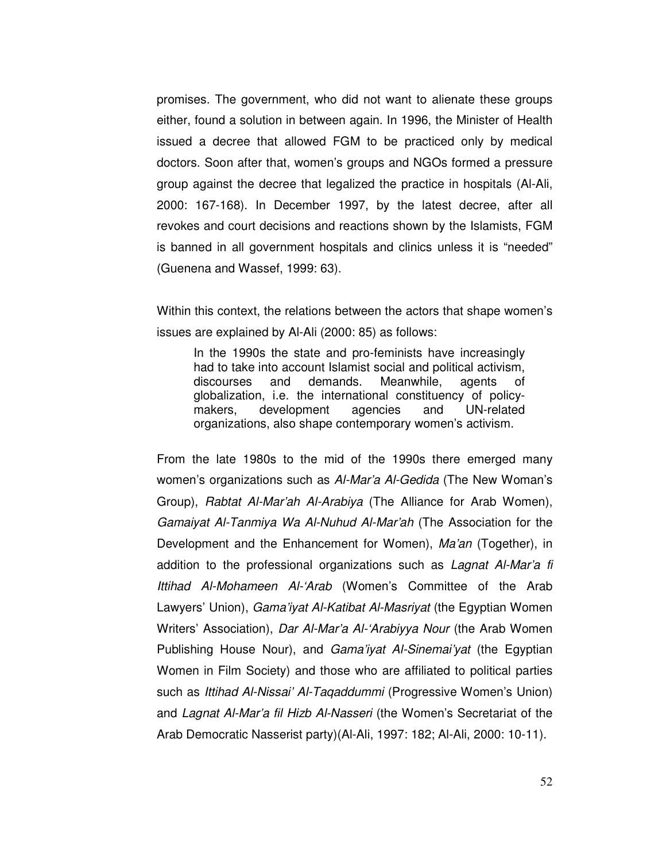promises. The government, who did not want to alienate these groups either, found a solution in between again. In 1996, the Minister of Health issued a decree that allowed FGM to be practiced only by medical doctors. Soon after that, women's groups and NGOs formed a pressure group against the decree that legalized the practice in hospitals (Al-Ali, 2000: 167-168). In December 1997, by the latest decree, after all revokes and court decisions and reactions shown by the Islamists, FGM is banned in all government hospitals and clinics unless it is "needed" (Guenena and Wassef, 1999: 63).

Within this context, the relations between the actors that shape women's issues are explained by Al-Ali (2000: 85) as follows:

In the 1990s the state and pro-feminists have increasingly had to take into account Islamist social and political activism, discourses and demands. Meanwhile, agents of globalization, i.e. the international constituency of policymakers, development agencies and UN-related organizations, also shape contemporary women's activism.

From the late 1980s to the mid of the 1990s there emerged many women's organizations such as Al-Mar'a Al-Gedida (The New Woman's Group), Rabtat Al-Mar'ah Al-Arabiya (The Alliance for Arab Women), Gamaiyat Al-Tanmiya Wa Al-Nuhud Al-Mar'ah (The Association for the Development and the Enhancement for Women), Ma'an (Together), in addition to the professional organizations such as *Lagnat Al-Mar'a fi* Ittihad Al-Mohameen Al-'Arab (Women's Committee of the Arab Lawyers' Union), Gama'iyat Al-Katibat Al-Masriyat (the Egyptian Women Writers' Association), Dar Al-Mar'a Al-'Arabiyya Nour (the Arab Women Publishing House Nour), and *Gama'iyat Al-Sinemai'yat* (the Egyptian Women in Film Society) and those who are affiliated to political parties such as Ittihad Al-Nissai' Al-Taqaddummi (Progressive Women's Union) and Lagnat Al-Mar'a fil Hizb Al-Nasseri (the Women's Secretariat of the Arab Democratic Nasserist party)(Al-Ali, 1997: 182; Al-Ali, 2000: 10-11).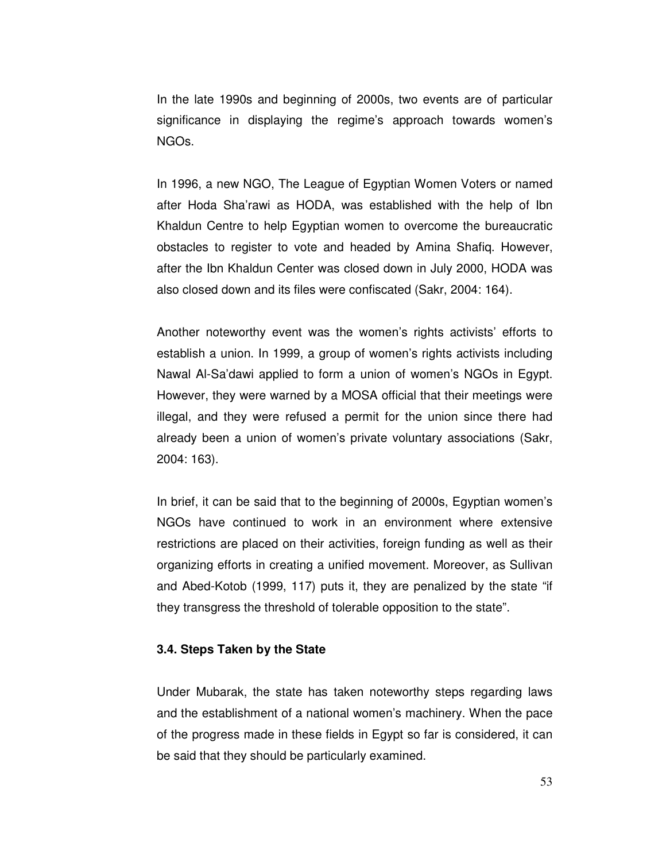In the late 1990s and beginning of 2000s, two events are of particular significance in displaying the regime's approach towards women's NGOs.

In 1996, a new NGO, The League of Egyptian Women Voters or named after Hoda Sha'rawi as HODA, was established with the help of Ibn Khaldun Centre to help Egyptian women to overcome the bureaucratic obstacles to register to vote and headed by Amina Shafiq. However, after the Ibn Khaldun Center was closed down in July 2000, HODA was also closed down and its files were confiscated (Sakr, 2004: 164).

Another noteworthy event was the women's rights activists' efforts to establish a union. In 1999, a group of women's rights activists including Nawal Al-Sa'dawi applied to form a union of women's NGOs in Egypt. However, they were warned by a MOSA official that their meetings were illegal, and they were refused a permit for the union since there had already been a union of women's private voluntary associations (Sakr, 2004: 163).

In brief, it can be said that to the beginning of 2000s, Egyptian women's NGOs have continued to work in an environment where extensive restrictions are placed on their activities, foreign funding as well as their organizing efforts in creating a unified movement. Moreover, as Sullivan and Abed-Kotob (1999, 117) puts it, they are penalized by the state "if they transgress the threshold of tolerable opposition to the state".

#### **3.4. Steps Taken by the State**

Under Mubarak, the state has taken noteworthy steps regarding laws and the establishment of a national women's machinery. When the pace of the progress made in these fields in Egypt so far is considered, it can be said that they should be particularly examined.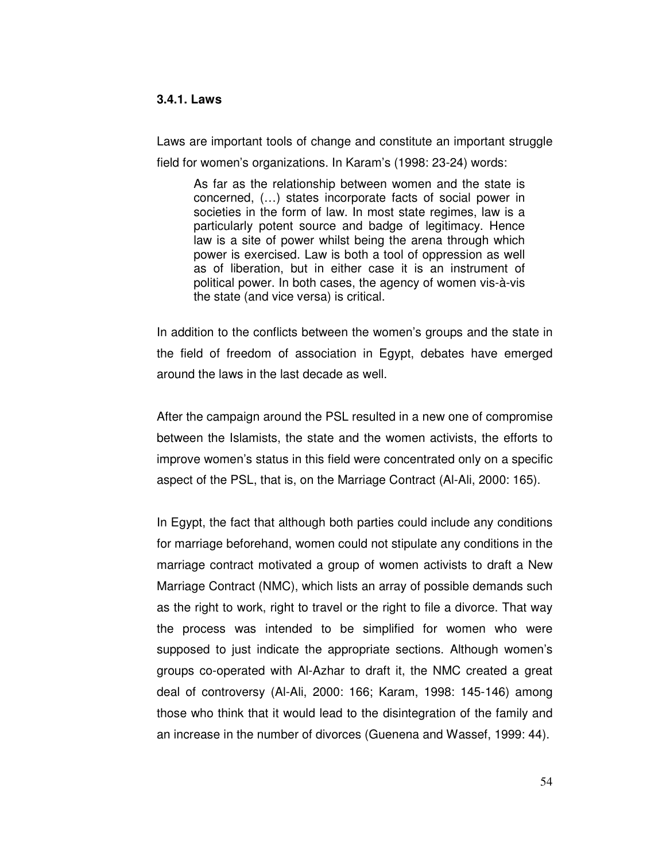### **3.4.1. Laws**

Laws are important tools of change and constitute an important struggle field for women's organizations. In Karam's (1998: 23-24) words:

As far as the relationship between women and the state is concerned, (…) states incorporate facts of social power in societies in the form of law. In most state regimes, law is a particularly potent source and badge of legitimacy. Hence law is a site of power whilst being the arena through which power is exercised. Law is both a tool of oppression as well as of liberation, but in either case it is an instrument of political power. In both cases, the agency of women vis-à-vis the state (and vice versa) is critical.

In addition to the conflicts between the women's groups and the state in the field of freedom of association in Egypt, debates have emerged around the laws in the last decade as well.

After the campaign around the PSL resulted in a new one of compromise between the Islamists, the state and the women activists, the efforts to improve women's status in this field were concentrated only on a specific aspect of the PSL, that is, on the Marriage Contract (Al-Ali, 2000: 165).

In Egypt, the fact that although both parties could include any conditions for marriage beforehand, women could not stipulate any conditions in the marriage contract motivated a group of women activists to draft a New Marriage Contract (NMC), which lists an array of possible demands such as the right to work, right to travel or the right to file a divorce. That way the process was intended to be simplified for women who were supposed to just indicate the appropriate sections. Although women's groups co-operated with Al-Azhar to draft it, the NMC created a great deal of controversy (Al-Ali, 2000: 166; Karam, 1998: 145-146) among those who think that it would lead to the disintegration of the family and an increase in the number of divorces (Guenena and Wassef, 1999: 44).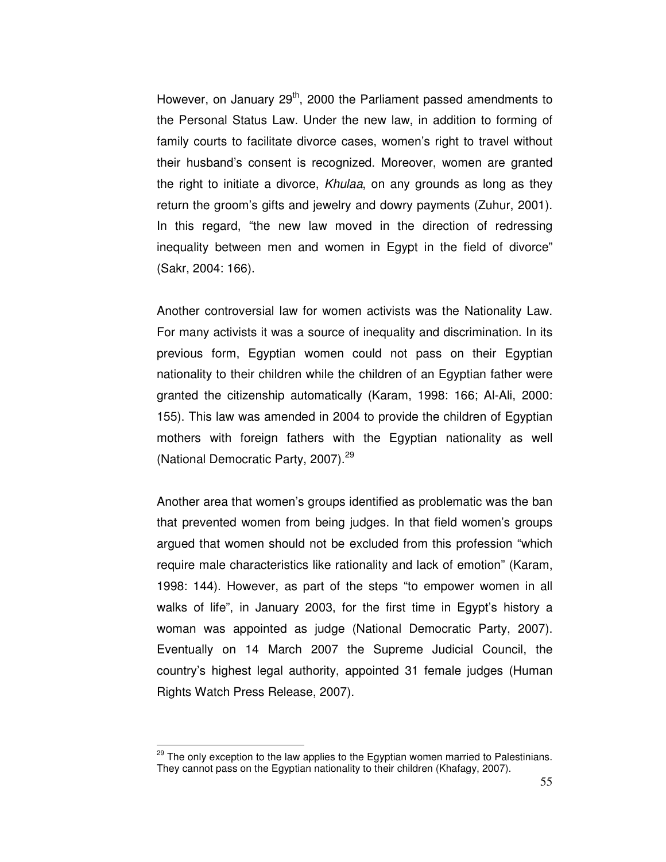However, on January 29<sup>th</sup>, 2000 the Parliament passed amendments to the Personal Status Law. Under the new law, in addition to forming of family courts to facilitate divorce cases, women's right to travel without their husband's consent is recognized. Moreover, women are granted the right to initiate a divorce, Khulaa, on any grounds as long as they return the groom's gifts and jewelry and dowry payments (Zuhur, 2001). In this regard, "the new law moved in the direction of redressing inequality between men and women in Egypt in the field of divorce" (Sakr, 2004: 166).

Another controversial law for women activists was the Nationality Law. For many activists it was a source of inequality and discrimination. In its previous form, Egyptian women could not pass on their Egyptian nationality to their children while the children of an Egyptian father were granted the citizenship automatically (Karam, 1998: 166; Al-Ali, 2000: 155). This law was amended in 2004 to provide the children of Egyptian mothers with foreign fathers with the Egyptian nationality as well (National Democratic Party, 2007).<sup>29</sup>

Another area that women's groups identified as problematic was the ban that prevented women from being judges. In that field women's groups argued that women should not be excluded from this profession "which require male characteristics like rationality and lack of emotion" (Karam, 1998: 144). However, as part of the steps "to empower women in all walks of life", in January 2003, for the first time in Egypt's history a woman was appointed as judge (National Democratic Party, 2007). Eventually on 14 March 2007 the Supreme Judicial Council, the country's highest legal authority, appointed 31 female judges (Human Rights Watch Press Release, 2007).

<sup>&</sup>lt;sup>29</sup> The only exception to the law applies to the Egyptian women married to Palestinians. They cannot pass on the Egyptian nationality to their children (Khafagy, 2007).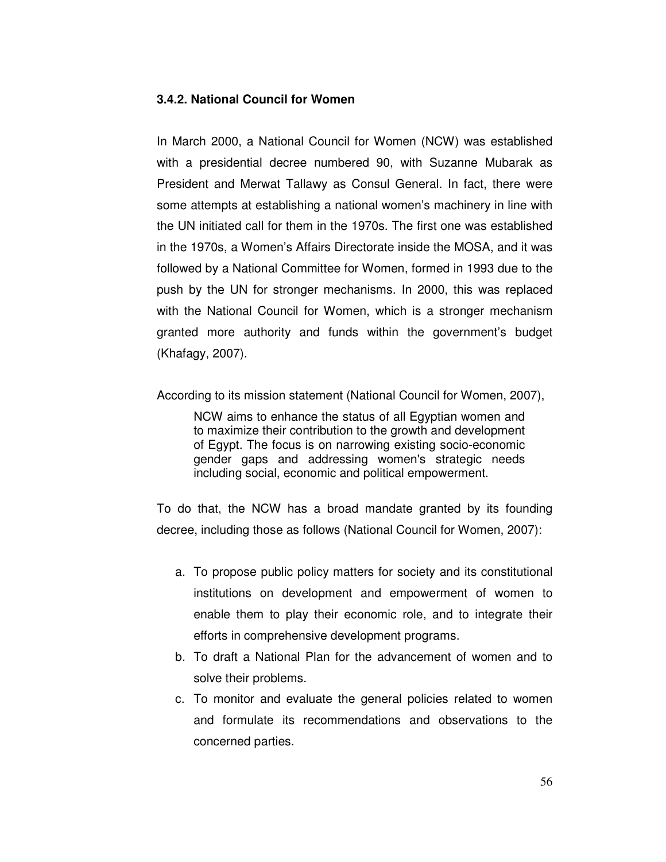# **3.4.2. National Council for Women**

In March 2000, a National Council for Women (NCW) was established with a presidential decree numbered 90, with Suzanne Mubarak as President and Merwat Tallawy as Consul General. In fact, there were some attempts at establishing a national women's machinery in line with the UN initiated call for them in the 1970s. The first one was established in the 1970s, a Women's Affairs Directorate inside the MOSA, and it was followed by a National Committee for Women, formed in 1993 due to the push by the UN for stronger mechanisms. In 2000, this was replaced with the National Council for Women, which is a stronger mechanism granted more authority and funds within the government's budget (Khafagy, 2007).

According to its mission statement (National Council for Women, 2007),

NCW aims to enhance the status of all Egyptian women and to maximize their contribution to the growth and development of Egypt. The focus is on narrowing existing socio-economic gender gaps and addressing women's strategic needs including social, economic and political empowerment.

To do that, the NCW has a broad mandate granted by its founding decree, including those as follows (National Council for Women, 2007):

- a. To propose public policy matters for society and its constitutional institutions on development and empowerment of women to enable them to play their economic role, and to integrate their efforts in comprehensive development programs.
- b. To draft a National Plan for the advancement of women and to solve their problems.
- c. To monitor and evaluate the general policies related to women and formulate its recommendations and observations to the concerned parties.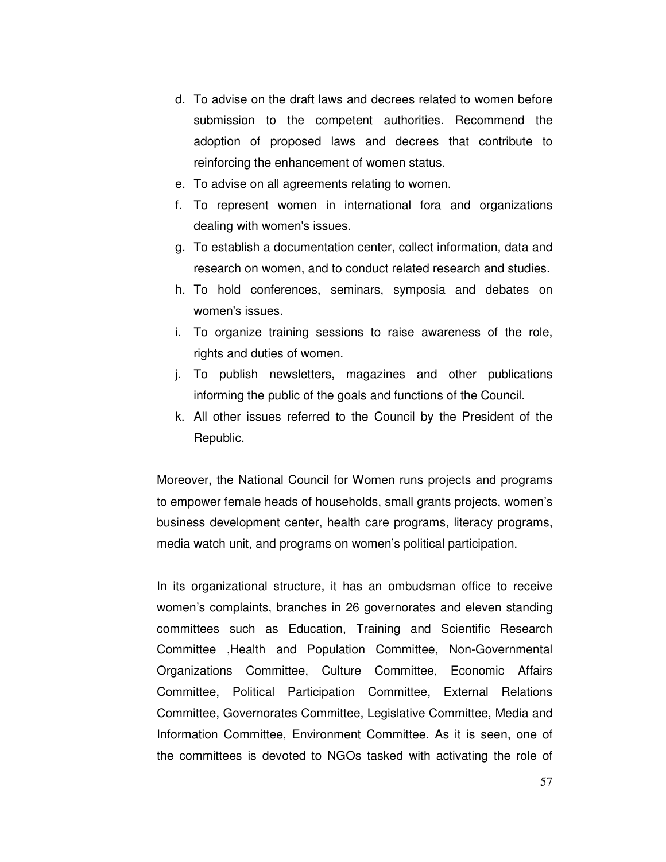- d. To advise on the draft laws and decrees related to women before submission to the competent authorities. Recommend the adoption of proposed laws and decrees that contribute to reinforcing the enhancement of women status.
- e. To advise on all agreements relating to women.
- f. To represent women in international fora and organizations dealing with women's issues.
- g. To establish a documentation center, collect information, data and research on women, and to conduct related research and studies.
- h. To hold conferences, seminars, symposia and debates on women's issues.
- i. To organize training sessions to raise awareness of the role, rights and duties of women.
- j. To publish newsletters, magazines and other publications informing the public of the goals and functions of the Council.
- k. All other issues referred to the Council by the President of the Republic.

Moreover, the National Council for Women runs projects and programs to empower female heads of households, small grants projects, women's business development center, health care programs, literacy programs, media watch unit, and programs on women's political participation.

In its organizational structure, it has an ombudsman office to receive women's complaints, branches in 26 governorates and eleven standing committees such as Education, Training and Scientific Research Committee ,Health and Population Committee, Non-Governmental Organizations Committee, Culture Committee, Economic Affairs Committee, Political Participation Committee, External Relations Committee, Governorates Committee, Legislative Committee, Media and Information Committee, Environment Committee. As it is seen, one of the committees is devoted to NGOs tasked with activating the role of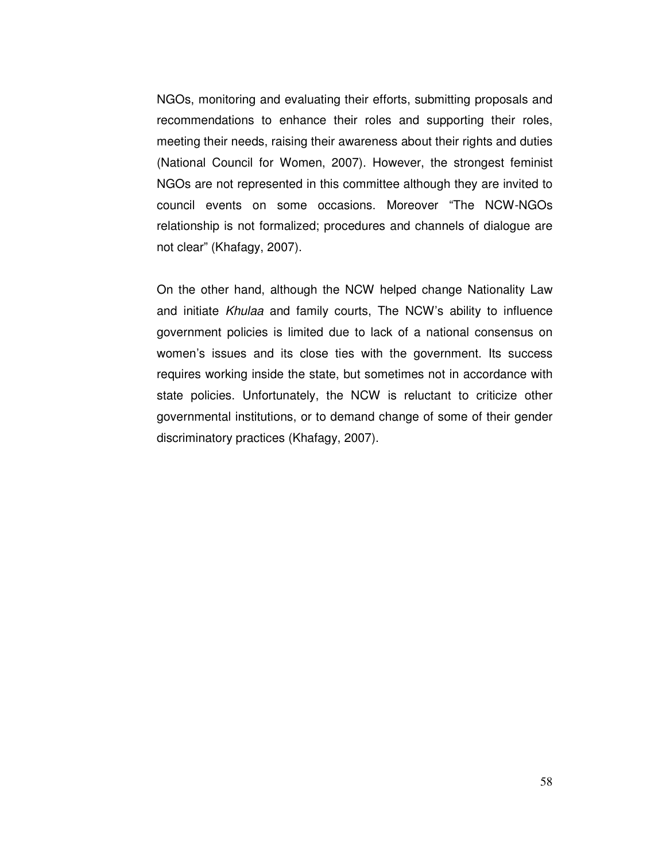NGOs, monitoring and evaluating their efforts, submitting proposals and recommendations to enhance their roles and supporting their roles, meeting their needs, raising their awareness about their rights and duties (National Council for Women, 2007). However, the strongest feminist NGOs are not represented in this committee although they are invited to council events on some occasions. Moreover "The NCW-NGOs relationship is not formalized; procedures and channels of dialogue are not clear" (Khafagy, 2007).

On the other hand, although the NCW helped change Nationality Law and initiate Khulaa and family courts, The NCW's ability to influence government policies is limited due to lack of a national consensus on women's issues and its close ties with the government. Its success requires working inside the state, but sometimes not in accordance with state policies. Unfortunately, the NCW is reluctant to criticize other governmental institutions, or to demand change of some of their gender discriminatory practices (Khafagy, 2007).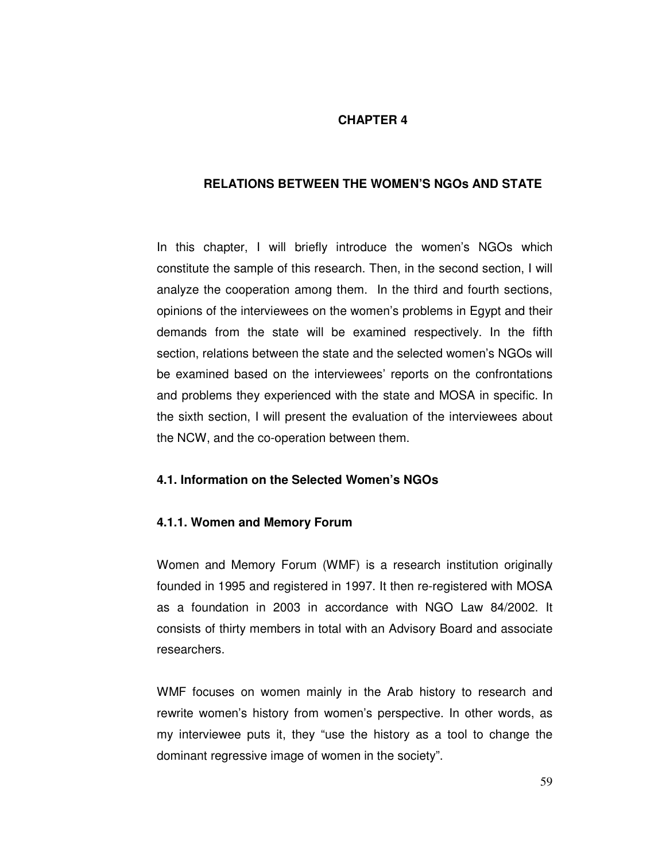# **CHAPTER 4**

# **RELATIONS BETWEEN THE WOMEN'S NGOs AND STATE**

In this chapter, I will briefly introduce the women's NGOs which constitute the sample of this research. Then, in the second section, I will analyze the cooperation among them. In the third and fourth sections, opinions of the interviewees on the women's problems in Egypt and their demands from the state will be examined respectively. In the fifth section, relations between the state and the selected women's NGOs will be examined based on the interviewees' reports on the confrontations and problems they experienced with the state and MOSA in specific. In the sixth section, I will present the evaluation of the interviewees about the NCW, and the co-operation between them.

# **4.1. Information on the Selected Women's NGOs**

### **4.1.1. Women and Memory Forum**

Women and Memory Forum (WMF) is a research institution originally founded in 1995 and registered in 1997. It then re-registered with MOSA as a foundation in 2003 in accordance with NGO Law 84/2002. It consists of thirty members in total with an Advisory Board and associate researchers.

WMF focuses on women mainly in the Arab history to research and rewrite women's history from women's perspective. In other words, as my interviewee puts it, they "use the history as a tool to change the dominant regressive image of women in the society".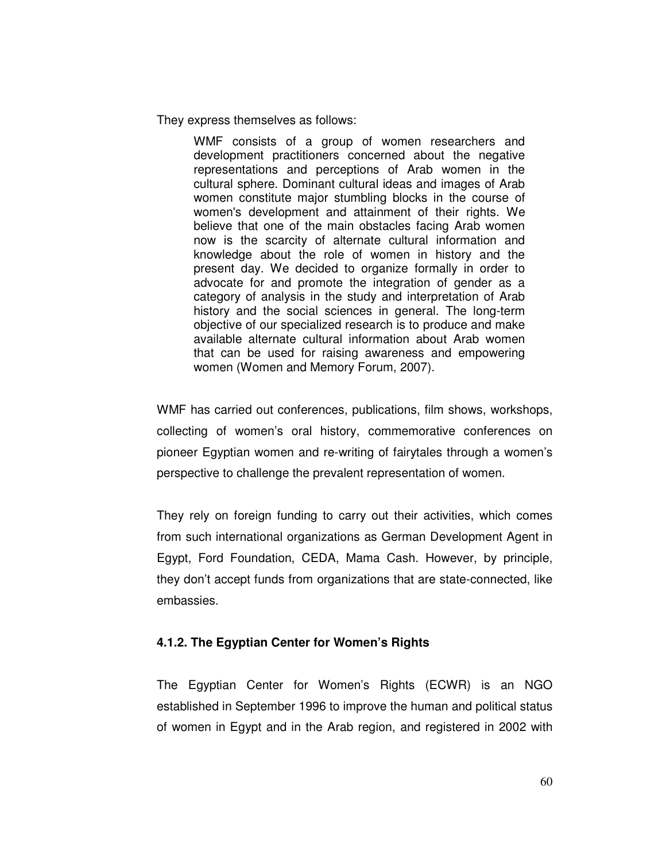They express themselves as follows:

WMF consists of a group of women researchers and development practitioners concerned about the negative representations and perceptions of Arab women in the cultural sphere. Dominant cultural ideas and images of Arab women constitute major stumbling blocks in the course of women's development and attainment of their rights. We believe that one of the main obstacles facing Arab women now is the scarcity of alternate cultural information and knowledge about the role of women in history and the present day. We decided to organize formally in order to advocate for and promote the integration of gender as a category of analysis in the study and interpretation of Arab history and the social sciences in general. The long-term objective of our specialized research is to produce and make available alternate cultural information about Arab women that can be used for raising awareness and empowering women (Women and Memory Forum, 2007).

WMF has carried out conferences, publications, film shows, workshops, collecting of women's oral history, commemorative conferences on pioneer Egyptian women and re-writing of fairytales through a women's perspective to challenge the prevalent representation of women.

They rely on foreign funding to carry out their activities, which comes from such international organizations as German Development Agent in Egypt, Ford Foundation, CEDA, Mama Cash. However, by principle, they don't accept funds from organizations that are state-connected, like embassies.

# **4.1.2. The Egyptian Center for Women's Rights**

The Egyptian Center for Women's Rights (ECWR) is an NGO established in September 1996 to improve the human and political status of women in Egypt and in the Arab region, and registered in 2002 with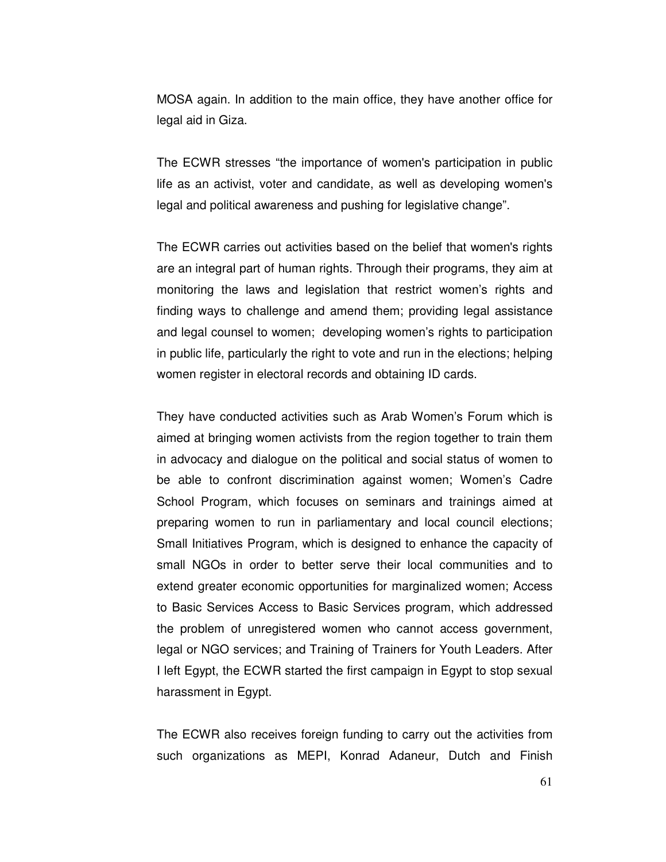MOSA again. In addition to the main office, they have another office for legal aid in Giza.

The ECWR stresses "the importance of women's participation in public life as an activist, voter and candidate, as well as developing women's legal and political awareness and pushing for legislative change".

The ECWR carries out activities based on the belief that women's rights are an integral part of human rights. Through their programs, they aim at monitoring the laws and legislation that restrict women's rights and finding ways to challenge and amend them; providing legal assistance and legal counsel to women; developing women's rights to participation in public life, particularly the right to vote and run in the elections; helping women register in electoral records and obtaining ID cards.

They have conducted activities such as Arab Women's Forum which is aimed at bringing women activists from the region together to train them in advocacy and dialogue on the political and social status of women to be able to confront discrimination against women; Women's Cadre School Program, which focuses on seminars and trainings aimed at preparing women to run in parliamentary and local council elections; Small Initiatives Program, which is designed to enhance the capacity of small NGOs in order to better serve their local communities and to extend greater economic opportunities for marginalized women; Access to Basic Services Access to Basic Services program, which addressed the problem of unregistered women who cannot access government, legal or NGO services; and Training of Trainers for Youth Leaders. After I left Egypt, the ECWR started the first campaign in Egypt to stop sexual harassment in Egypt.

The ECWR also receives foreign funding to carry out the activities from such organizations as MEPI, Konrad Adaneur, Dutch and Finish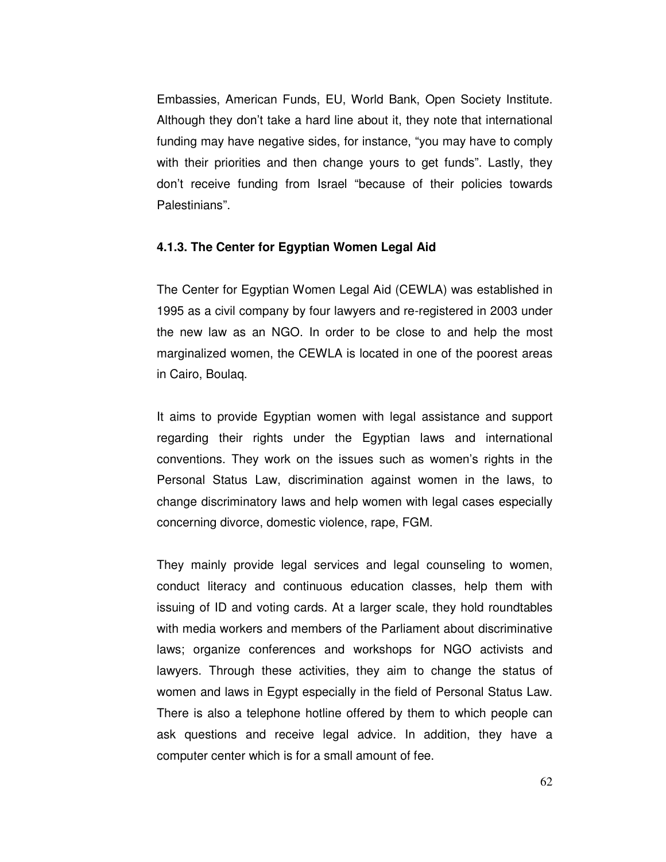Embassies, American Funds, EU, World Bank, Open Society Institute. Although they don't take a hard line about it, they note that international funding may have negative sides, for instance, "you may have to comply with their priorities and then change yours to get funds". Lastly, they don't receive funding from Israel "because of their policies towards Palestinians".

## **4.1.3. The Center for Egyptian Women Legal Aid**

The Center for Egyptian Women Legal Aid (CEWLA) was established in 1995 as a civil company by four lawyers and re-registered in 2003 under the new law as an NGO. In order to be close to and help the most marginalized women, the CEWLA is located in one of the poorest areas in Cairo, Boulaq.

It aims to provide Egyptian women with legal assistance and support regarding their rights under the Egyptian laws and international conventions. They work on the issues such as women's rights in the Personal Status Law, discrimination against women in the laws, to change discriminatory laws and help women with legal cases especially concerning divorce, domestic violence, rape, FGM.

They mainly provide legal services and legal counseling to women, conduct literacy and continuous education classes, help them with issuing of ID and voting cards. At a larger scale, they hold roundtables with media workers and members of the Parliament about discriminative laws; organize conferences and workshops for NGO activists and lawyers. Through these activities, they aim to change the status of women and laws in Egypt especially in the field of Personal Status Law. There is also a telephone hotline offered by them to which people can ask questions and receive legal advice. In addition, they have a computer center which is for a small amount of fee.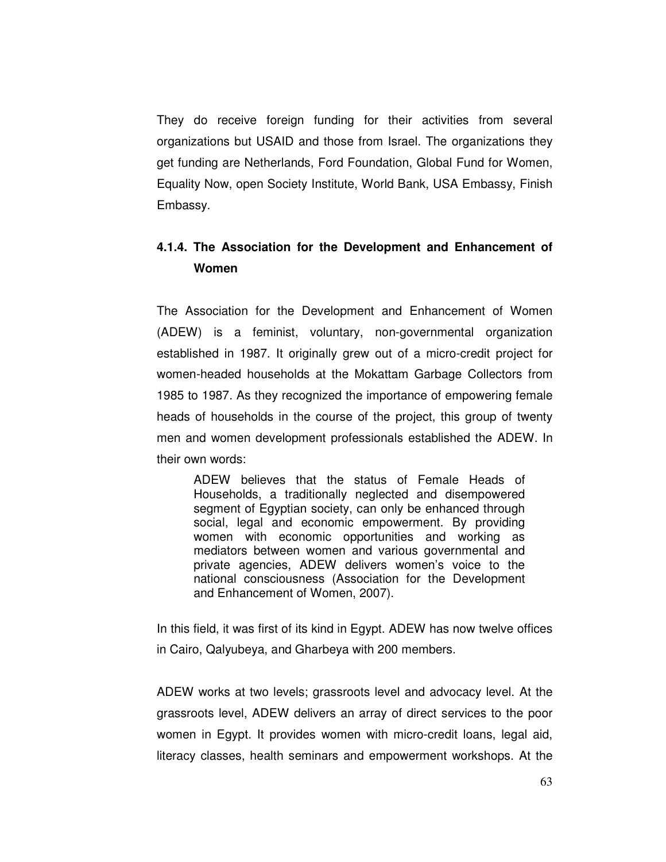They do receive foreign funding for their activities from several organizations but USAID and those from Israel. The organizations they get funding are Netherlands, Ford Foundation, Global Fund for Women, Equality Now, open Society Institute, World Bank, USA Embassy, Finish Embassy.

# **4.1.4. The Association for the Development and Enhancement of Women**

The Association for the Development and Enhancement of Women (ADEW) is a feminist, voluntary, non-governmental organization established in 1987. It originally grew out of a micro-credit project for women-headed households at the Mokattam Garbage Collectors from 1985 to 1987. As they recognized the importance of empowering female heads of households in the course of the project, this group of twenty men and women development professionals established the ADEW. In their own words:

ADEW believes that the status of Female Heads of Households, a traditionally neglected and disempowered segment of Egyptian society, can only be enhanced through social, legal and economic empowerment. By providing women with economic opportunities and working as mediators between women and various governmental and private agencies, ADEW delivers women's voice to the national consciousness (Association for the Development and Enhancement of Women, 2007).

In this field, it was first of its kind in Egypt. ADEW has now twelve offices in Cairo, Qalyubeya, and Gharbeya with 200 members.

ADEW works at two levels; grassroots level and advocacy level. At the grassroots level, ADEW delivers an array of direct services to the poor women in Egypt. It provides women with micro-credit loans, legal aid, literacy classes, health seminars and empowerment workshops. At the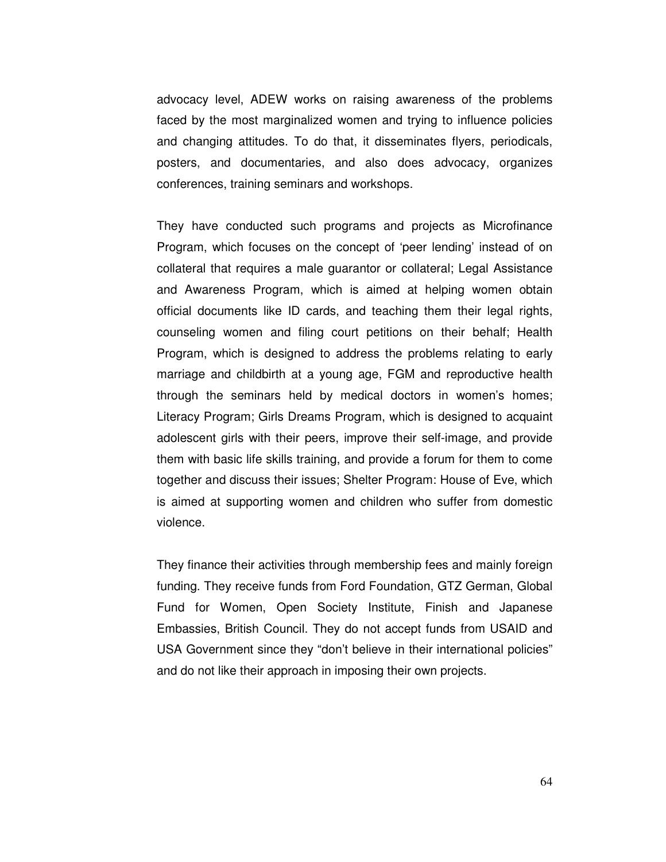advocacy level, ADEW works on raising awareness of the problems faced by the most marginalized women and trying to influence policies and changing attitudes. To do that, it disseminates flyers, periodicals, posters, and documentaries, and also does advocacy, organizes conferences, training seminars and workshops.

They have conducted such programs and projects as Microfinance Program, which focuses on the concept of 'peer lending' instead of on collateral that requires a male guarantor or collateral; Legal Assistance and Awareness Program, which is aimed at helping women obtain official documents like ID cards, and teaching them their legal rights, counseling women and filing court petitions on their behalf; Health Program, which is designed to address the problems relating to early marriage and childbirth at a young age, FGM and reproductive health through the seminars held by medical doctors in women's homes; Literacy Program; Girls Dreams Program, which is designed to acquaint adolescent girls with their peers, improve their self-image, and provide them with basic life skills training, and provide a forum for them to come together and discuss their issues; Shelter Program: House of Eve, which is aimed at supporting women and children who suffer from domestic violence.

They finance their activities through membership fees and mainly foreign funding. They receive funds from Ford Foundation, GTZ German, Global Fund for Women, Open Society Institute, Finish and Japanese Embassies, British Council. They do not accept funds from USAID and USA Government since they "don't believe in their international policies" and do not like their approach in imposing their own projects.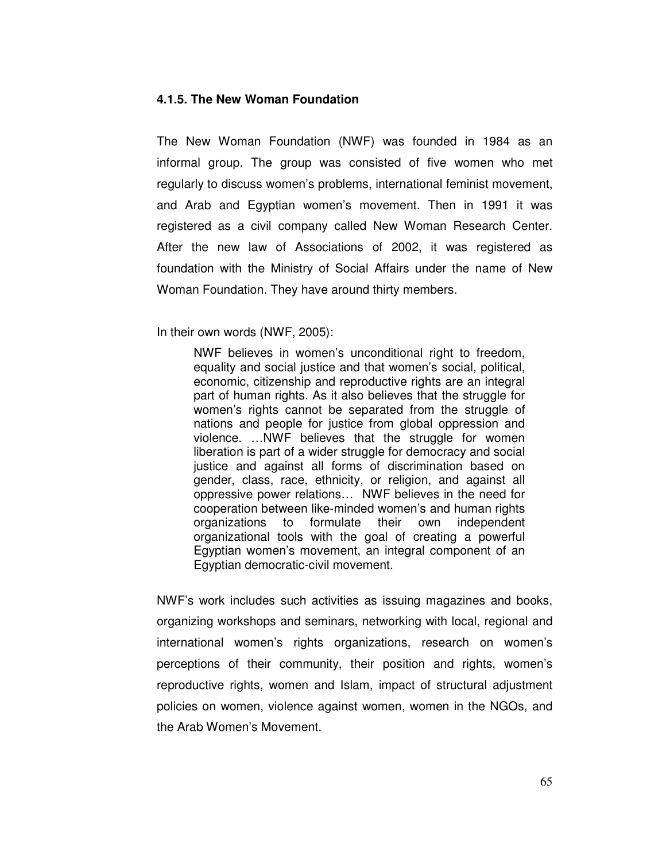#### **4.1.5. The New Woman Foundation**

The New Woman Foundation (NWF) was founded in 1984 as an informal group. The group was consisted of five women who met regularly to discuss women's problems, international feminist movement, and Arab and Egyptian women's movement. Then in 1991 it was registered as a civil company called New Woman Research Center. After the new law of Associations of 2002, it was registered as foundation with the Ministry of Social Affairs under the name of New Woman Foundation. They have around thirty members.

In their own words (NWF, 2005):

NWF believes in women's unconditional right to freedom, equality and social justice and that women's social, political, economic, citizenship and reproductive rights are an integral part of human rights. As it also believes that the struggle for women's rights cannot be separated from the struggle of nations and people for justice from global oppression and violence. …NWF believes that the struggle for women liberation is part of a wider struggle for democracy and social justice and against all forms of discrimination based on gender, class, race, ethnicity, or religion, and against all oppressive power relations… NWF believes in the need for cooperation between like-minded women's and human rights organizations to formulate their own independent organizational tools with the goal of creating a powerful Egyptian women's movement, an integral component of an Egyptian democratic-civil movement.

NWF's work includes such activities as issuing magazines and books, organizing workshops and seminars, networking with local, regional and international women's rights organizations, research on women's perceptions of their community, their position and rights, women's reproductive rights, women and Islam, impact of structural adjustment policies on women, violence against women, women in the NGOs, and the Arab Women's Movement.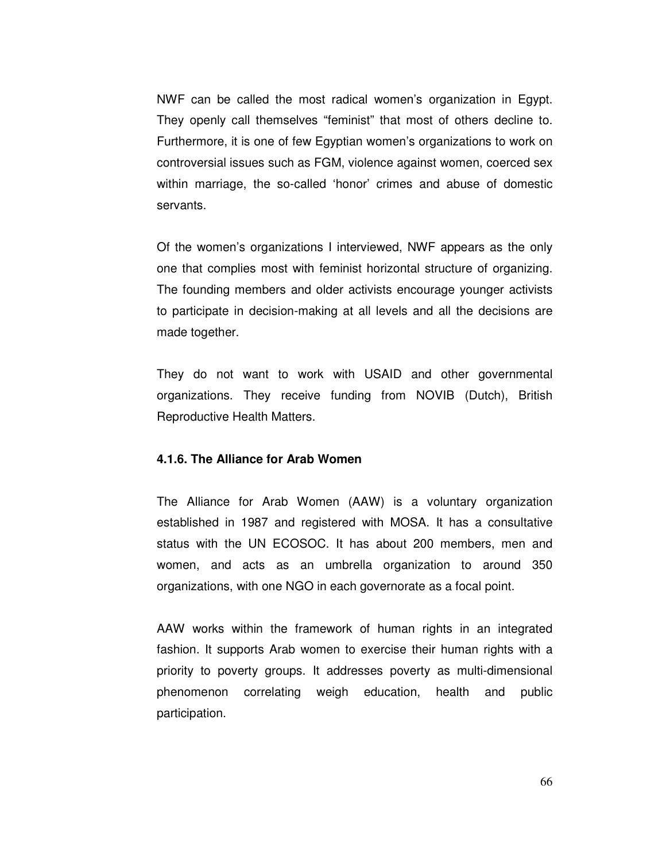NWF can be called the most radical women's organization in Egypt. They openly call themselves "feminist" that most of others decline to. Furthermore, it is one of few Egyptian women's organizations to work on controversial issues such as FGM, violence against women, coerced sex within marriage, the so-called 'honor' crimes and abuse of domestic servants.

Of the women's organizations I interviewed, NWF appears as the only one that complies most with feminist horizontal structure of organizing. The founding members and older activists encourage younger activists to participate in decision-making at all levels and all the decisions are made together.

They do not want to work with USAID and other governmental organizations. They receive funding from NOVIB (Dutch), British Reproductive Health Matters.

#### **4.1.6. The Alliance for Arab Women**

The Alliance for Arab Women (AAW) is a voluntary organization established in 1987 and registered with MOSA. It has a consultative status with the UN ECOSOC. It has about 200 members, men and women, and acts as an umbrella organization to around 350 organizations, with one NGO in each governorate as a focal point.

AAW works within the framework of human rights in an integrated fashion. It supports Arab women to exercise their human rights with a priority to poverty groups. It addresses poverty as multi-dimensional phenomenon correlating weigh education, health and public participation.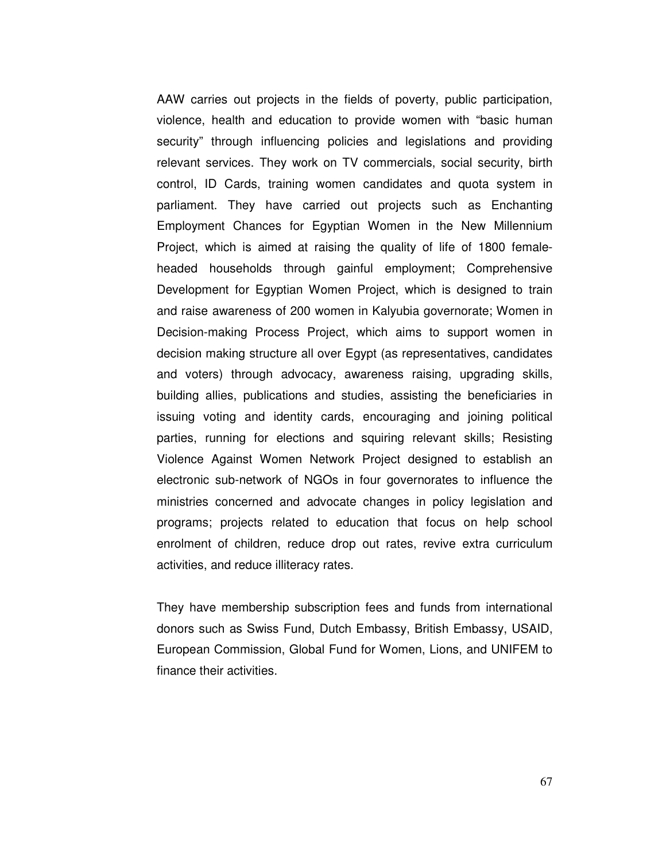AAW carries out projects in the fields of poverty, public participation, violence, health and education to provide women with "basic human security" through influencing policies and legislations and providing relevant services. They work on TV commercials, social security, birth control, ID Cards, training women candidates and quota system in parliament. They have carried out projects such as Enchanting Employment Chances for Egyptian Women in the New Millennium Project, which is aimed at raising the quality of life of 1800 femaleheaded households through gainful employment; Comprehensive Development for Egyptian Women Project, which is designed to train and raise awareness of 200 women in Kalyubia governorate; Women in Decision-making Process Project, which aims to support women in decision making structure all over Egypt (as representatives, candidates and voters) through advocacy, awareness raising, upgrading skills, building allies, publications and studies, assisting the beneficiaries in issuing voting and identity cards, encouraging and joining political parties, running for elections and squiring relevant skills; Resisting Violence Against Women Network Project designed to establish an electronic sub-network of NGOs in four governorates to influence the ministries concerned and advocate changes in policy legislation and programs; projects related to education that focus on help school enrolment of children, reduce drop out rates, revive extra curriculum activities, and reduce illiteracy rates.

They have membership subscription fees and funds from international donors such as Swiss Fund, Dutch Embassy, British Embassy, USAID, European Commission, Global Fund for Women, Lions, and UNIFEM to finance their activities.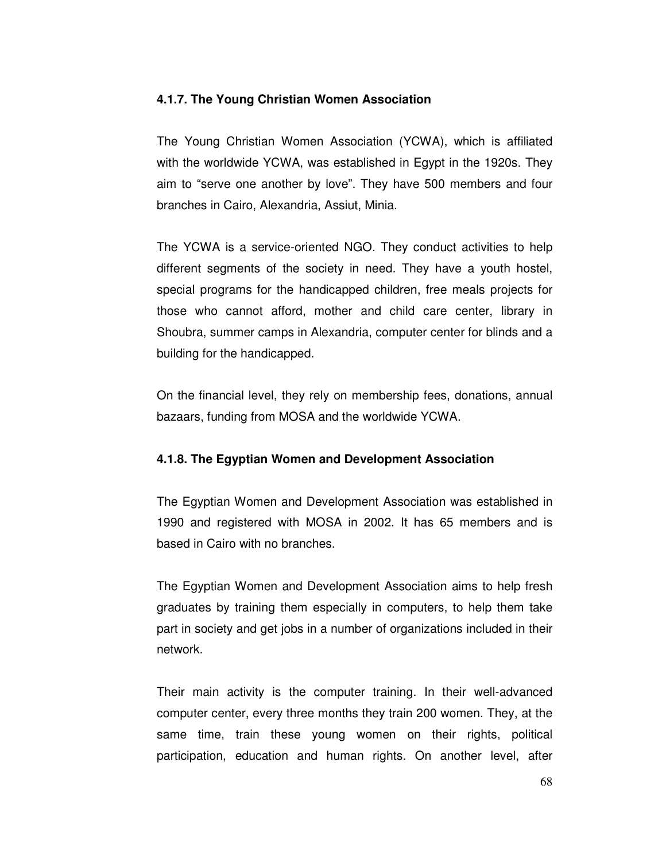## **4.1.7. The Young Christian Women Association**

The Young Christian Women Association (YCWA), which is affiliated with the worldwide YCWA, was established in Egypt in the 1920s. They aim to "serve one another by love". They have 500 members and four branches in Cairo, Alexandria, Assiut, Minia.

The YCWA is a service-oriented NGO. They conduct activities to help different segments of the society in need. They have a youth hostel, special programs for the handicapped children, free meals projects for those who cannot afford, mother and child care center, library in Shoubra, summer camps in Alexandria, computer center for blinds and a building for the handicapped.

On the financial level, they rely on membership fees, donations, annual bazaars, funding from MOSA and the worldwide YCWA.

## **4.1.8. The Egyptian Women and Development Association**

The Egyptian Women and Development Association was established in 1990 and registered with MOSA in 2002. It has 65 members and is based in Cairo with no branches.

The Egyptian Women and Development Association aims to help fresh graduates by training them especially in computers, to help them take part in society and get jobs in a number of organizations included in their network.

Their main activity is the computer training. In their well-advanced computer center, every three months they train 200 women. They, at the same time, train these young women on their rights, political participation, education and human rights. On another level, after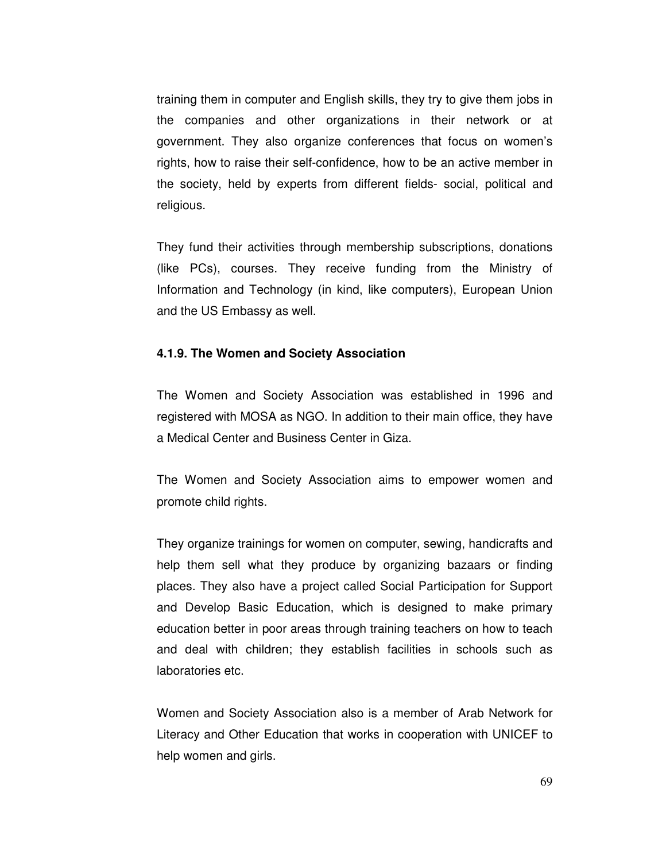training them in computer and English skills, they try to give them jobs in the companies and other organizations in their network or at government. They also organize conferences that focus on women's rights, how to raise their self-confidence, how to be an active member in the society, held by experts from different fields- social, political and religious.

They fund their activities through membership subscriptions, donations (like PCs), courses. They receive funding from the Ministry of Information and Technology (in kind, like computers), European Union and the US Embassy as well.

# **4.1.9. The Women and Society Association**

The Women and Society Association was established in 1996 and registered with MOSA as NGO. In addition to their main office, they have a Medical Center and Business Center in Giza.

The Women and Society Association aims to empower women and promote child rights.

They organize trainings for women on computer, sewing, handicrafts and help them sell what they produce by organizing bazaars or finding places. They also have a project called Social Participation for Support and Develop Basic Education, which is designed to make primary education better in poor areas through training teachers on how to teach and deal with children; they establish facilities in schools such as laboratories etc.

Women and Society Association also is a member of Arab Network for Literacy and Other Education that works in cooperation with UNICEF to help women and girls.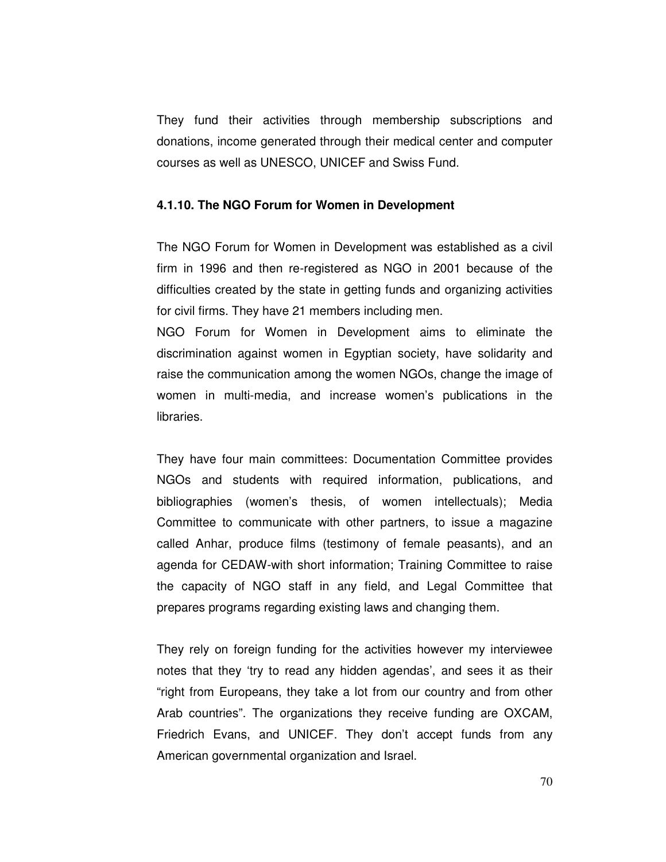They fund their activities through membership subscriptions and donations, income generated through their medical center and computer courses as well as UNESCO, UNICEF and Swiss Fund.

#### **4.1.10. The NGO Forum for Women in Development**

The NGO Forum for Women in Development was established as a civil firm in 1996 and then re-registered as NGO in 2001 because of the difficulties created by the state in getting funds and organizing activities for civil firms. They have 21 members including men.

NGO Forum for Women in Development aims to eliminate the discrimination against women in Egyptian society, have solidarity and raise the communication among the women NGOs, change the image of women in multi-media, and increase women's publications in the libraries.

They have four main committees: Documentation Committee provides NGOs and students with required information, publications, and bibliographies (women's thesis, of women intellectuals); Media Committee to communicate with other partners, to issue a magazine called Anhar, produce films (testimony of female peasants), and an agenda for CEDAW-with short information; Training Committee to raise the capacity of NGO staff in any field, and Legal Committee that prepares programs regarding existing laws and changing them.

They rely on foreign funding for the activities however my interviewee notes that they 'try to read any hidden agendas', and sees it as their "right from Europeans, they take a lot from our country and from other Arab countries". The organizations they receive funding are OXCAM, Friedrich Evans, and UNICEF. They don't accept funds from any American governmental organization and Israel.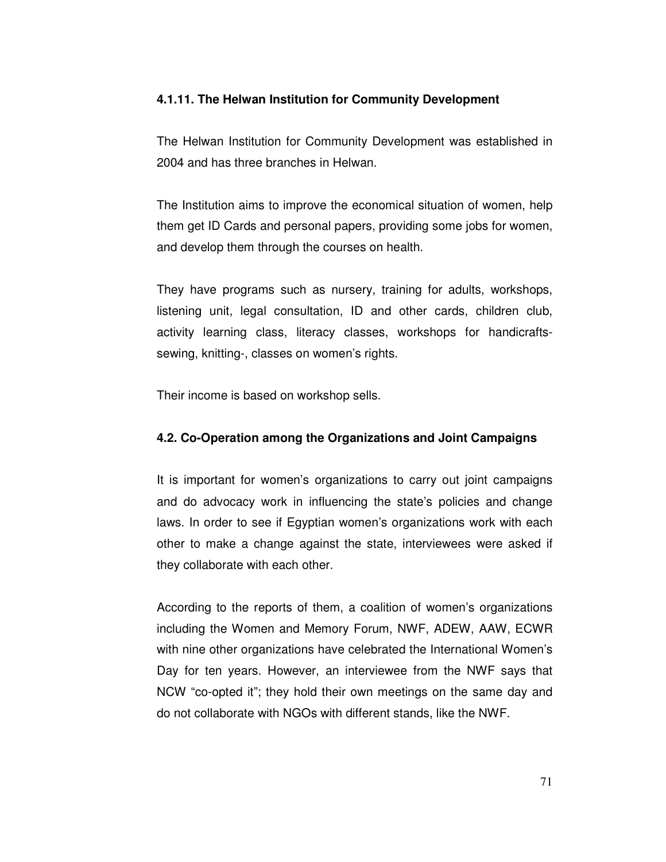## **4.1.11. The Helwan Institution for Community Development**

The Helwan Institution for Community Development was established in 2004 and has three branches in Helwan.

The Institution aims to improve the economical situation of women, help them get ID Cards and personal papers, providing some jobs for women, and develop them through the courses on health.

They have programs such as nursery, training for adults, workshops, listening unit, legal consultation, ID and other cards, children club, activity learning class, literacy classes, workshops for handicraftssewing, knitting-, classes on women's rights.

Their income is based on workshop sells.

# **4.2. Co-Operation among the Organizations and Joint Campaigns**

It is important for women's organizations to carry out joint campaigns and do advocacy work in influencing the state's policies and change laws. In order to see if Egyptian women's organizations work with each other to make a change against the state, interviewees were asked if they collaborate with each other.

According to the reports of them, a coalition of women's organizations including the Women and Memory Forum, NWF, ADEW, AAW, ECWR with nine other organizations have celebrated the International Women's Day for ten years. However, an interviewee from the NWF says that NCW "co-opted it"; they hold their own meetings on the same day and do not collaborate with NGOs with different stands, like the NWF.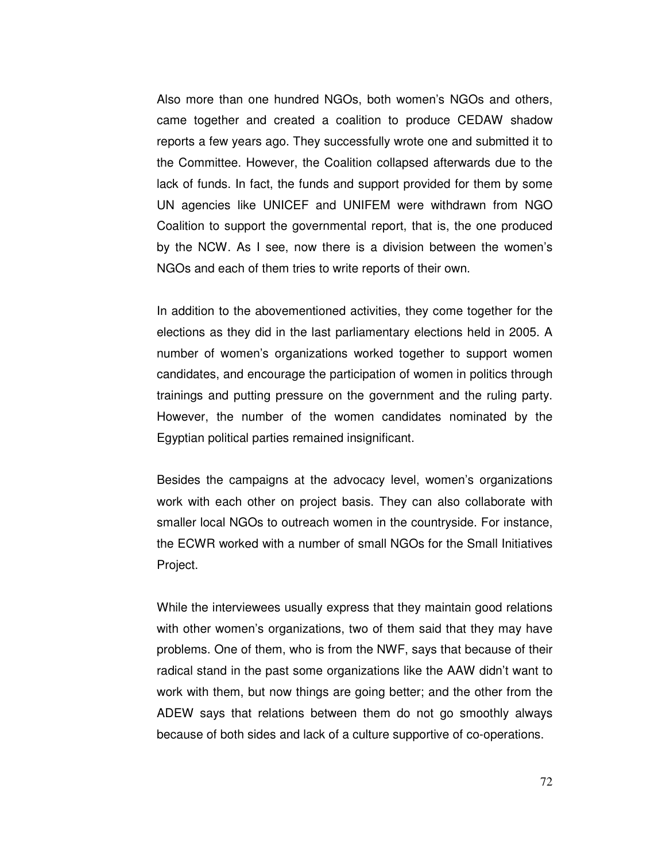Also more than one hundred NGOs, both women's NGOs and others, came together and created a coalition to produce CEDAW shadow reports a few years ago. They successfully wrote one and submitted it to the Committee. However, the Coalition collapsed afterwards due to the lack of funds. In fact, the funds and support provided for them by some UN agencies like UNICEF and UNIFEM were withdrawn from NGO Coalition to support the governmental report, that is, the one produced by the NCW. As I see, now there is a division between the women's NGOs and each of them tries to write reports of their own.

In addition to the abovementioned activities, they come together for the elections as they did in the last parliamentary elections held in 2005. A number of women's organizations worked together to support women candidates, and encourage the participation of women in politics through trainings and putting pressure on the government and the ruling party. However, the number of the women candidates nominated by the Egyptian political parties remained insignificant.

Besides the campaigns at the advocacy level, women's organizations work with each other on project basis. They can also collaborate with smaller local NGOs to outreach women in the countryside. For instance, the ECWR worked with a number of small NGOs for the Small Initiatives Project.

While the interviewees usually express that they maintain good relations with other women's organizations, two of them said that they may have problems. One of them, who is from the NWF, says that because of their radical stand in the past some organizations like the AAW didn't want to work with them, but now things are going better; and the other from the ADEW says that relations between them do not go smoothly always because of both sides and lack of a culture supportive of co-operations.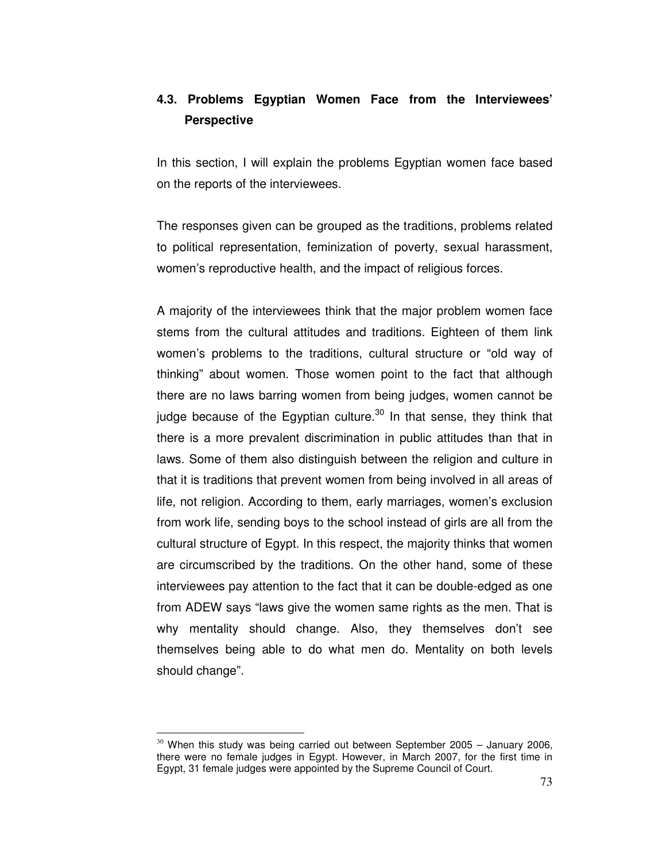# **4.3. Problems Egyptian Women Face from the Interviewees' Perspective**

In this section, I will explain the problems Egyptian women face based on the reports of the interviewees.

The responses given can be grouped as the traditions, problems related to political representation, feminization of poverty, sexual harassment, women's reproductive health, and the impact of religious forces.

A majority of the interviewees think that the major problem women face stems from the cultural attitudes and traditions. Eighteen of them link women's problems to the traditions, cultural structure or "old way of thinking" about women. Those women point to the fact that although there are no laws barring women from being judges, women cannot be judge because of the Egyptian culture.<sup>30</sup> In that sense, they think that there is a more prevalent discrimination in public attitudes than that in laws. Some of them also distinguish between the religion and culture in that it is traditions that prevent women from being involved in all areas of life, not religion. According to them, early marriages, women's exclusion from work life, sending boys to the school instead of girls are all from the cultural structure of Egypt. In this respect, the majority thinks that women are circumscribed by the traditions. On the other hand, some of these interviewees pay attention to the fact that it can be double-edged as one from ADEW says "laws give the women same rights as the men. That is why mentality should change. Also, they themselves don't see themselves being able to do what men do. Mentality on both levels should change".

 $\overline{a}$ 

 $30$  When this study was being carried out between September 2005 - January 2006, there were no female judges in Egypt. However, in March 2007, for the first time in Egypt, 31 female judges were appointed by the Supreme Council of Court.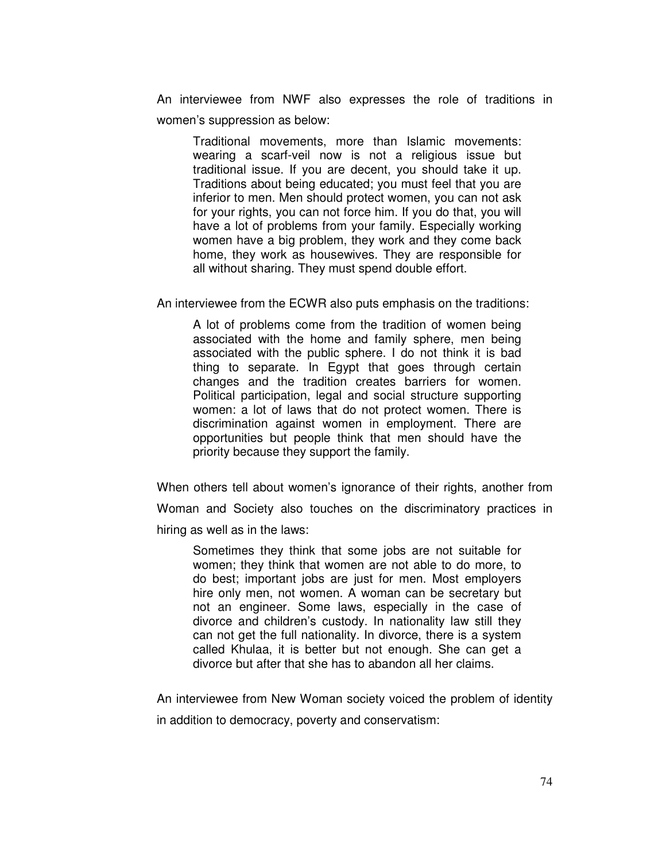An interviewee from NWF also expresses the role of traditions in women's suppression as below:

Traditional movements, more than Islamic movements: wearing a scarf-veil now is not a religious issue but traditional issue. If you are decent, you should take it up. Traditions about being educated; you must feel that you are inferior to men. Men should protect women, you can not ask for your rights, you can not force him. If you do that, you will have a lot of problems from your family. Especially working women have a big problem, they work and they come back home, they work as housewives. They are responsible for all without sharing. They must spend double effort.

An interviewee from the ECWR also puts emphasis on the traditions:

A lot of problems come from the tradition of women being associated with the home and family sphere, men being associated with the public sphere. I do not think it is bad thing to separate. In Egypt that goes through certain changes and the tradition creates barriers for women. Political participation, legal and social structure supporting women: a lot of laws that do not protect women. There is discrimination against women in employment. There are opportunities but people think that men should have the priority because they support the family.

When others tell about women's ignorance of their rights, another from Woman and Society also touches on the discriminatory practices in hiring as well as in the laws:

Sometimes they think that some jobs are not suitable for women; they think that women are not able to do more, to do best; important jobs are just for men. Most employers hire only men, not women. A woman can be secretary but not an engineer. Some laws, especially in the case of divorce and children's custody. In nationality law still they can not get the full nationality. In divorce, there is a system called Khulaa, it is better but not enough. She can get a divorce but after that she has to abandon all her claims.

An interviewee from New Woman society voiced the problem of identity in addition to democracy, poverty and conservatism: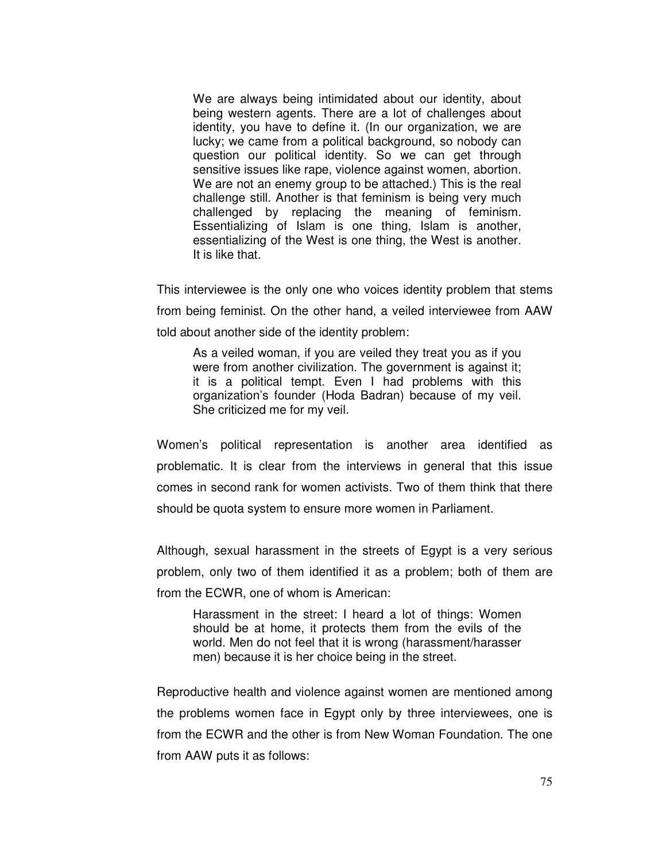We are always being intimidated about our identity, about being western agents. There are a lot of challenges about identity, you have to define it. (In our organization, we are lucky; we came from a political background, so nobody can question our political identity. So we can get through sensitive issues like rape, violence against women, abortion. We are not an enemy group to be attached.) This is the real challenge still. Another is that feminism is being very much challenged by replacing the meaning of feminism. Essentializing of Islam is one thing, Islam is another, essentializing of the West is one thing, the West is another. It is like that.

This interviewee is the only one who voices identity problem that stems from being feminist. On the other hand, a veiled interviewee from AAW told about another side of the identity problem:

As a veiled woman, if you are veiled they treat you as if you were from another civilization. The government is against it; it is a political tempt. Even I had problems with this organization's founder (Hoda Badran) because of my veil. She criticized me for my veil.

Women's political representation is another area identified as problematic. It is clear from the interviews in general that this issue comes in second rank for women activists. Two of them think that there should be quota system to ensure more women in Parliament.

Although, sexual harassment in the streets of Egypt is a very serious problem, only two of them identified it as a problem; both of them are from the ECWR, one of whom is American:

Harassment in the street: I heard a lot of things: Women should be at home, it protects them from the evils of the world. Men do not feel that it is wrong (harassment/harasser men) because it is her choice being in the street.

Reproductive health and violence against women are mentioned among the problems women face in Egypt only by three interviewees, one is from the ECWR and the other is from New Woman Foundation. The one from AAW puts it as follows: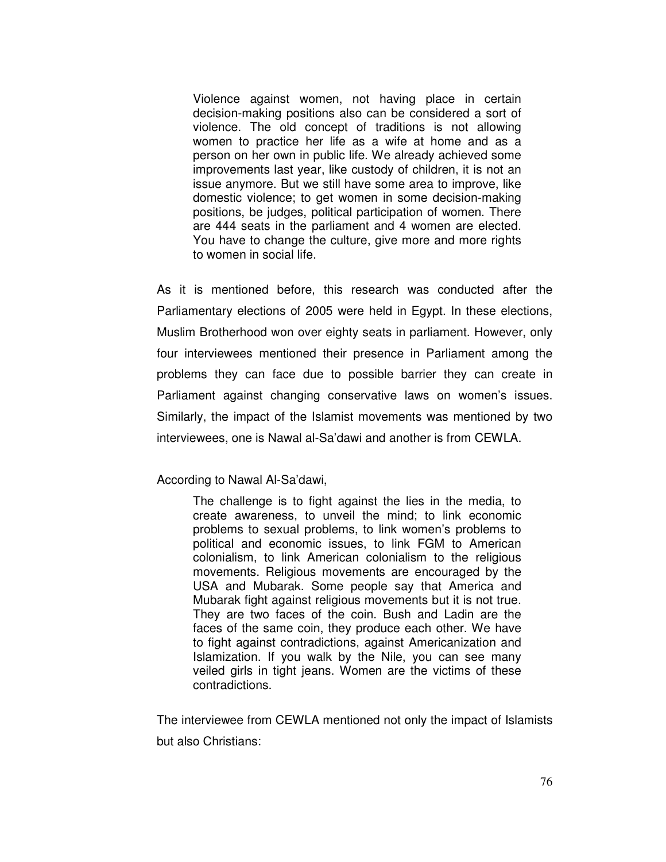Violence against women, not having place in certain decision-making positions also can be considered a sort of violence. The old concept of traditions is not allowing women to practice her life as a wife at home and as a person on her own in public life. We already achieved some improvements last year, like custody of children, it is not an issue anymore. But we still have some area to improve, like domestic violence; to get women in some decision-making positions, be judges, political participation of women. There are 444 seats in the parliament and 4 women are elected. You have to change the culture, give more and more rights to women in social life.

As it is mentioned before, this research was conducted after the Parliamentary elections of 2005 were held in Egypt. In these elections, Muslim Brotherhood won over eighty seats in parliament. However, only four interviewees mentioned their presence in Parliament among the problems they can face due to possible barrier they can create in Parliament against changing conservative laws on women's issues. Similarly, the impact of the Islamist movements was mentioned by two interviewees, one is Nawal al-Sa'dawi and another is from CEWLA.

### According to Nawal Al-Sa'dawi,

The challenge is to fight against the lies in the media, to create awareness, to unveil the mind; to link economic problems to sexual problems, to link women's problems to political and economic issues, to link FGM to American colonialism, to link American colonialism to the religious movements. Religious movements are encouraged by the USA and Mubarak. Some people say that America and Mubarak fight against religious movements but it is not true. They are two faces of the coin. Bush and Ladin are the faces of the same coin, they produce each other. We have to fight against contradictions, against Americanization and Islamization. If you walk by the Nile, you can see many veiled girls in tight jeans. Women are the victims of these contradictions.

The interviewee from CEWLA mentioned not only the impact of Islamists but also Christians: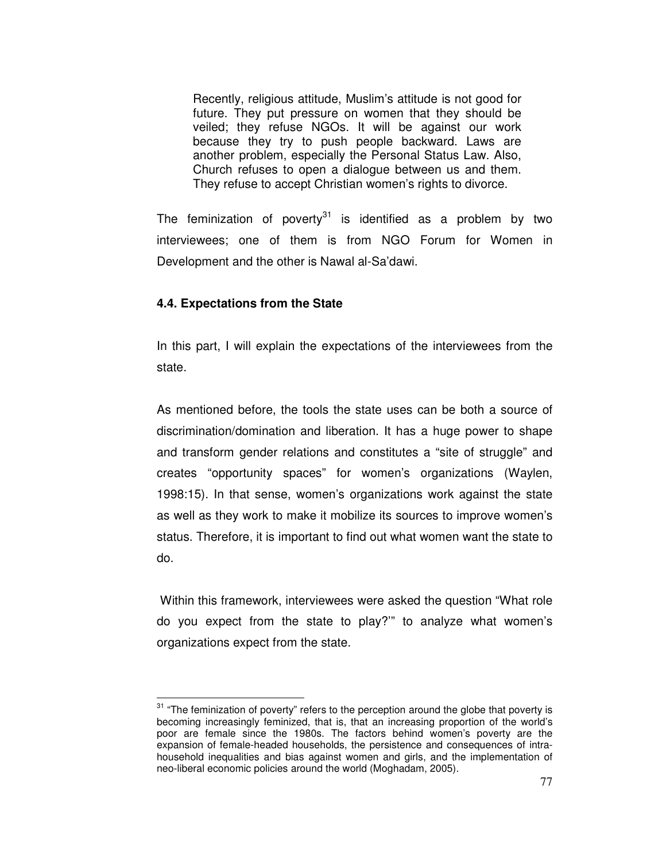Recently, religious attitude, Muslim's attitude is not good for future. They put pressure on women that they should be veiled; they refuse NGOs. It will be against our work because they try to push people backward. Laws are another problem, especially the Personal Status Law. Also, Church refuses to open a dialogue between us and them. They refuse to accept Christian women's rights to divorce.

The feminization of poverty<sup>31</sup> is identified as a problem by two interviewees; one of them is from NGO Forum for Women in Development and the other is Nawal al-Sa'dawi.

# **4.4. Expectations from the State**

 $\overline{a}$ 

In this part, I will explain the expectations of the interviewees from the state.

As mentioned before, the tools the state uses can be both a source of discrimination/domination and liberation. It has a huge power to shape and transform gender relations and constitutes a "site of struggle" and creates "opportunity spaces" for women's organizations (Waylen, 1998:15). In that sense, women's organizations work against the state as well as they work to make it mobilize its sources to improve women's status. Therefore, it is important to find out what women want the state to do.

 Within this framework, interviewees were asked the question "What role do you expect from the state to play?'" to analyze what women's organizations expect from the state.

<sup>&</sup>lt;sup>31</sup> "The feminization of poverty" refers to the perception around the globe that poverty is becoming increasingly feminized, that is, that an increasing proportion of the world's poor are female since the 1980s. The factors behind women's poverty are the expansion of female-headed households, the persistence and consequences of intrahousehold inequalities and bias against women and girls, and the implementation of neo-liberal economic policies around the world (Moghadam, 2005).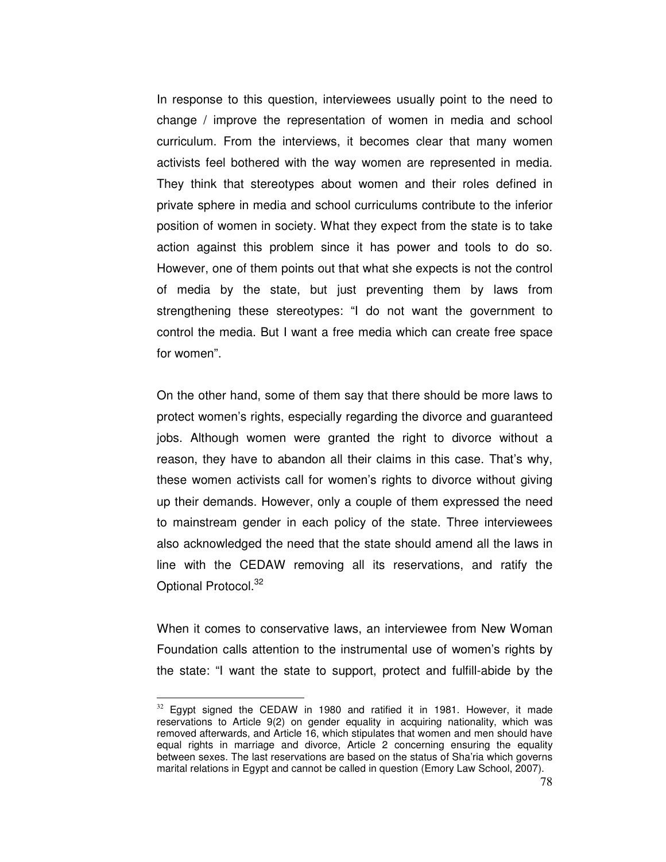In response to this question, interviewees usually point to the need to change / improve the representation of women in media and school curriculum. From the interviews, it becomes clear that many women activists feel bothered with the way women are represented in media. They think that stereotypes about women and their roles defined in private sphere in media and school curriculums contribute to the inferior position of women in society. What they expect from the state is to take action against this problem since it has power and tools to do so. However, one of them points out that what she expects is not the control of media by the state, but just preventing them by laws from strengthening these stereotypes: "I do not want the government to control the media. But I want a free media which can create free space for women".

On the other hand, some of them say that there should be more laws to protect women's rights, especially regarding the divorce and guaranteed jobs. Although women were granted the right to divorce without a reason, they have to abandon all their claims in this case. That's why, these women activists call for women's rights to divorce without giving up their demands. However, only a couple of them expressed the need to mainstream gender in each policy of the state. Three interviewees also acknowledged the need that the state should amend all the laws in line with the CEDAW removing all its reservations, and ratify the Optional Protocol.<sup>32</sup>

When it comes to conservative laws, an interviewee from New Woman Foundation calls attention to the instrumental use of women's rights by the state: "I want the state to support, protect and fulfill-abide by the

 $\overline{a}$ 

 $32$  Egypt signed the CEDAW in 1980 and ratified it in 1981. However, it made reservations to Article 9(2) on gender equality in acquiring nationality, which was removed afterwards, and Article 16, which stipulates that women and men should have equal rights in marriage and divorce, Article 2 concerning ensuring the equality between sexes. The last reservations are based on the status of Sha'ria which governs marital relations in Egypt and cannot be called in question (Emory Law School, 2007).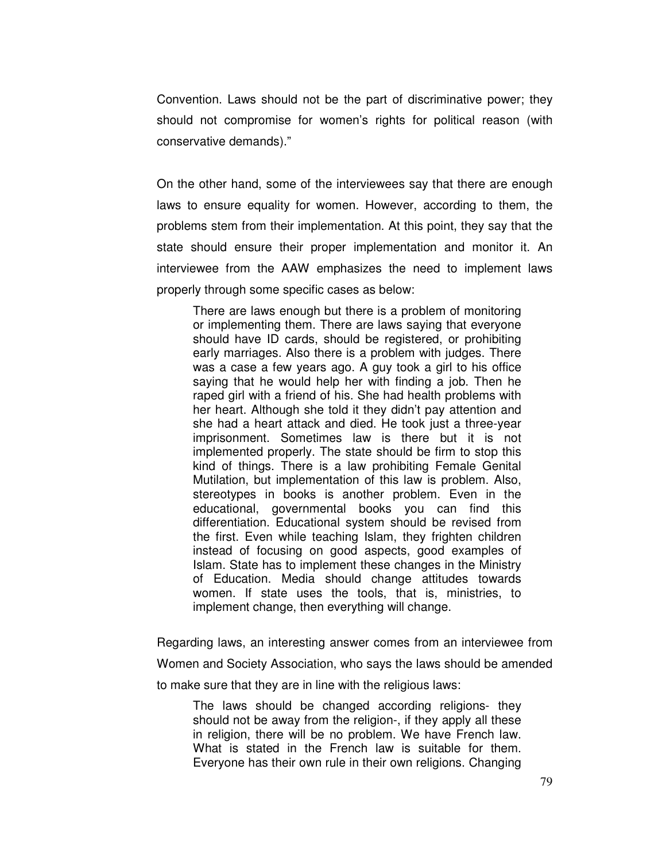Convention. Laws should not be the part of discriminative power; they should not compromise for women's rights for political reason (with conservative demands)."

On the other hand, some of the interviewees say that there are enough laws to ensure equality for women. However, according to them, the problems stem from their implementation. At this point, they say that the state should ensure their proper implementation and monitor it. An interviewee from the AAW emphasizes the need to implement laws properly through some specific cases as below:

There are laws enough but there is a problem of monitoring or implementing them. There are laws saying that everyone should have ID cards, should be registered, or prohibiting early marriages. Also there is a problem with judges. There was a case a few years ago. A guy took a girl to his office saying that he would help her with finding a job. Then he raped girl with a friend of his. She had health problems with her heart. Although she told it they didn't pay attention and she had a heart attack and died. He took just a three-year imprisonment. Sometimes law is there but it is not implemented properly. The state should be firm to stop this kind of things. There is a law prohibiting Female Genital Mutilation, but implementation of this law is problem. Also, stereotypes in books is another problem. Even in the educational, governmental books you can find this differentiation. Educational system should be revised from the first. Even while teaching Islam, they frighten children instead of focusing on good aspects, good examples of Islam. State has to implement these changes in the Ministry of Education. Media should change attitudes towards women. If state uses the tools, that is, ministries, to implement change, then everything will change.

Regarding laws, an interesting answer comes from an interviewee from Women and Society Association, who says the laws should be amended to make sure that they are in line with the religious laws:

The laws should be changed according religions- they should not be away from the religion-, if they apply all these in religion, there will be no problem. We have French law. What is stated in the French law is suitable for them. Everyone has their own rule in their own religions. Changing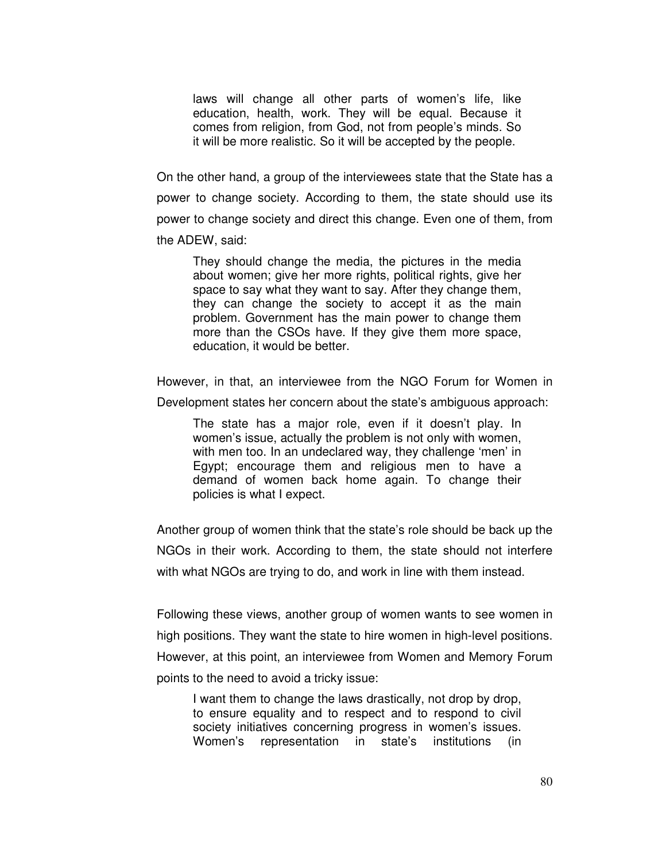laws will change all other parts of women's life, like education, health, work. They will be equal. Because it comes from religion, from God, not from people's minds. So it will be more realistic. So it will be accepted by the people.

On the other hand, a group of the interviewees state that the State has a power to change society. According to them, the state should use its power to change society and direct this change. Even one of them, from the ADEW, said:

They should change the media, the pictures in the media about women; give her more rights, political rights, give her space to say what they want to say. After they change them, they can change the society to accept it as the main problem. Government has the main power to change them more than the CSOs have. If they give them more space, education, it would be better.

However, in that, an interviewee from the NGO Forum for Women in Development states her concern about the state's ambiguous approach:

The state has a major role, even if it doesn't play. In women's issue, actually the problem is not only with women, with men too. In an undeclared way, they challenge 'men' in Egypt; encourage them and religious men to have a demand of women back home again. To change their policies is what I expect.

Another group of women think that the state's role should be back up the NGOs in their work. According to them, the state should not interfere with what NGOs are trying to do, and work in line with them instead.

Following these views, another group of women wants to see women in high positions. They want the state to hire women in high-level positions. However, at this point, an interviewee from Women and Memory Forum points to the need to avoid a tricky issue:

I want them to change the laws drastically, not drop by drop, to ensure equality and to respect and to respond to civil society initiatives concerning progress in women's issues. Women's representation in state's institutions (in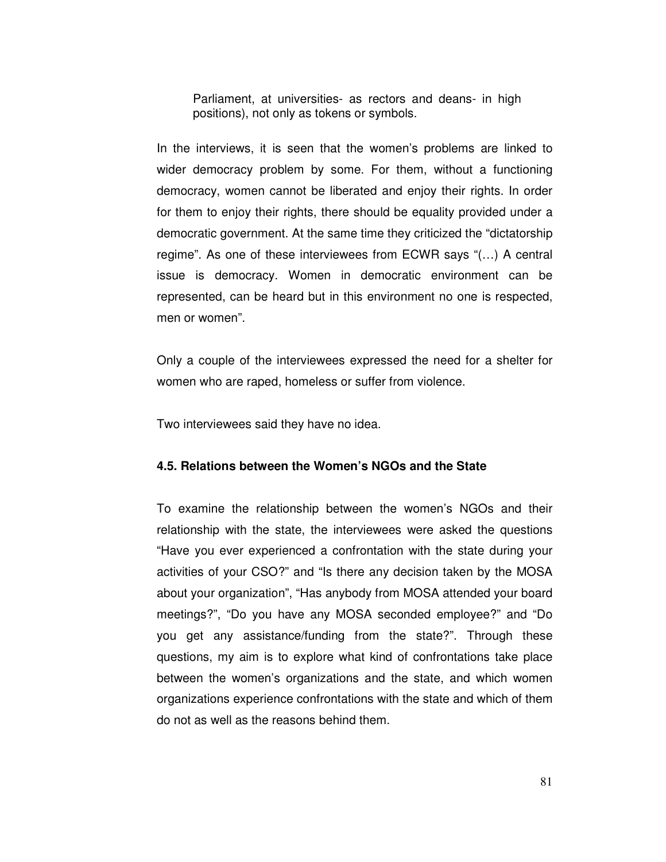Parliament, at universities- as rectors and deans- in high positions), not only as tokens or symbols.

In the interviews, it is seen that the women's problems are linked to wider democracy problem by some. For them, without a functioning democracy, women cannot be liberated and enjoy their rights. In order for them to enjoy their rights, there should be equality provided under a democratic government. At the same time they criticized the "dictatorship regime". As one of these interviewees from ECWR says "(…) A central issue is democracy. Women in democratic environment can be represented, can be heard but in this environment no one is respected, men or women".

Only a couple of the interviewees expressed the need for a shelter for women who are raped, homeless or suffer from violence.

Two interviewees said they have no idea.

#### **4.5. Relations between the Women's NGOs and the State**

To examine the relationship between the women's NGOs and their relationship with the state, the interviewees were asked the questions "Have you ever experienced a confrontation with the state during your activities of your CSO?" and "Is there any decision taken by the MOSA about your organization", "Has anybody from MOSA attended your board meetings?", "Do you have any MOSA seconded employee?" and "Do you get any assistance/funding from the state?". Through these questions, my aim is to explore what kind of confrontations take place between the women's organizations and the state, and which women organizations experience confrontations with the state and which of them do not as well as the reasons behind them.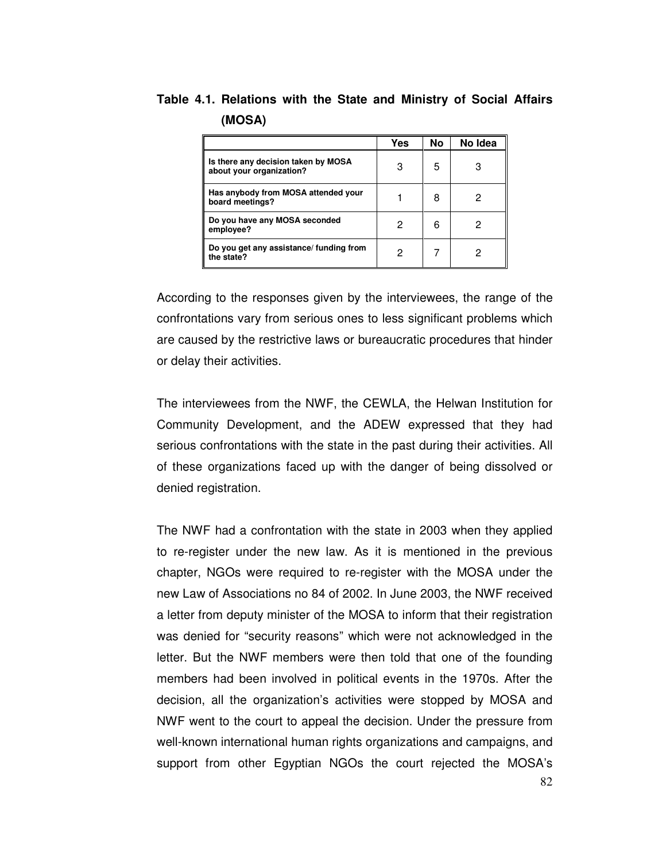**Table 4.1. Relations with the State and Ministry of Social Affairs (MOSA)** 

|                                                                 | Yes | No | No Idea |
|-----------------------------------------------------------------|-----|----|---------|
| Is there any decision taken by MOSA<br>about your organization? | 3   | 5  |         |
| Has anybody from MOSA attended your<br>board meetings?          |     | 8  | 2       |
| Do you have any MOSA seconded<br>employee?                      | 2   | 6  |         |
| Do you get any assistance/ funding from<br>the state?           | 2   |    |         |

According to the responses given by the interviewees, the range of the confrontations vary from serious ones to less significant problems which are caused by the restrictive laws or bureaucratic procedures that hinder or delay their activities.

The interviewees from the NWF, the CEWLA, the Helwan Institution for Community Development, and the ADEW expressed that they had serious confrontations with the state in the past during their activities. All of these organizations faced up with the danger of being dissolved or denied registration.

The NWF had a confrontation with the state in 2003 when they applied to re-register under the new law. As it is mentioned in the previous chapter, NGOs were required to re-register with the MOSA under the new Law of Associations no 84 of 2002. In June 2003, the NWF received a letter from deputy minister of the MOSA to inform that their registration was denied for "security reasons" which were not acknowledged in the letter. But the NWF members were then told that one of the founding members had been involved in political events in the 1970s. After the decision, all the organization's activities were stopped by MOSA and NWF went to the court to appeal the decision. Under the pressure from well-known international human rights organizations and campaigns, and support from other Egyptian NGOs the court rejected the MOSA's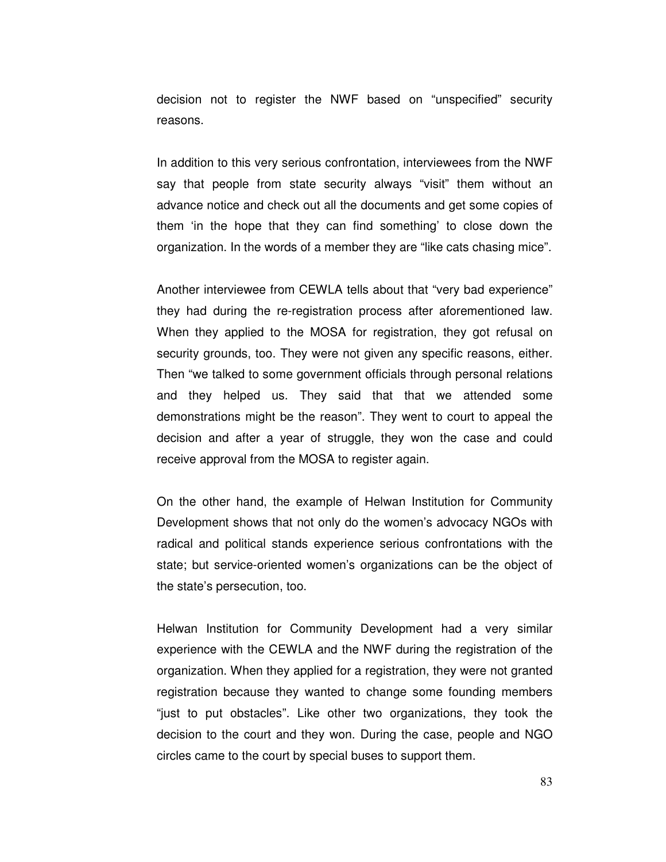decision not to register the NWF based on "unspecified" security reasons.

In addition to this very serious confrontation, interviewees from the NWF say that people from state security always "visit" them without an advance notice and check out all the documents and get some copies of them 'in the hope that they can find something' to close down the organization. In the words of a member they are "like cats chasing mice".

Another interviewee from CEWLA tells about that "very bad experience" they had during the re-registration process after aforementioned law. When they applied to the MOSA for registration, they got refusal on security grounds, too. They were not given any specific reasons, either. Then "we talked to some government officials through personal relations and they helped us. They said that that we attended some demonstrations might be the reason". They went to court to appeal the decision and after a year of struggle, they won the case and could receive approval from the MOSA to register again.

On the other hand, the example of Helwan Institution for Community Development shows that not only do the women's advocacy NGOs with radical and political stands experience serious confrontations with the state; but service-oriented women's organizations can be the object of the state's persecution, too.

Helwan Institution for Community Development had a very similar experience with the CEWLA and the NWF during the registration of the organization. When they applied for a registration, they were not granted registration because they wanted to change some founding members "just to put obstacles". Like other two organizations, they took the decision to the court and they won. During the case, people and NGO circles came to the court by special buses to support them.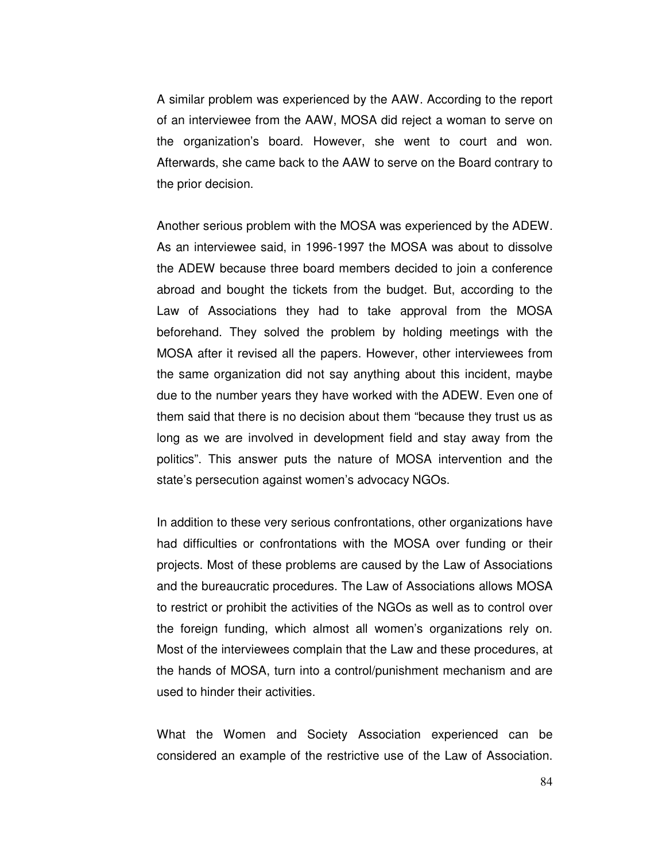A similar problem was experienced by the AAW. According to the report of an interviewee from the AAW, MOSA did reject a woman to serve on the organization's board. However, she went to court and won. Afterwards, she came back to the AAW to serve on the Board contrary to the prior decision.

Another serious problem with the MOSA was experienced by the ADEW. As an interviewee said, in 1996-1997 the MOSA was about to dissolve the ADEW because three board members decided to join a conference abroad and bought the tickets from the budget. But, according to the Law of Associations they had to take approval from the MOSA beforehand. They solved the problem by holding meetings with the MOSA after it revised all the papers. However, other interviewees from the same organization did not say anything about this incident, maybe due to the number years they have worked with the ADEW. Even one of them said that there is no decision about them "because they trust us as long as we are involved in development field and stay away from the politics". This answer puts the nature of MOSA intervention and the state's persecution against women's advocacy NGOs.

In addition to these very serious confrontations, other organizations have had difficulties or confrontations with the MOSA over funding or their projects. Most of these problems are caused by the Law of Associations and the bureaucratic procedures. The Law of Associations allows MOSA to restrict or prohibit the activities of the NGOs as well as to control over the foreign funding, which almost all women's organizations rely on. Most of the interviewees complain that the Law and these procedures, at the hands of MOSA, turn into a control/punishment mechanism and are used to hinder their activities.

What the Women and Society Association experienced can be considered an example of the restrictive use of the Law of Association.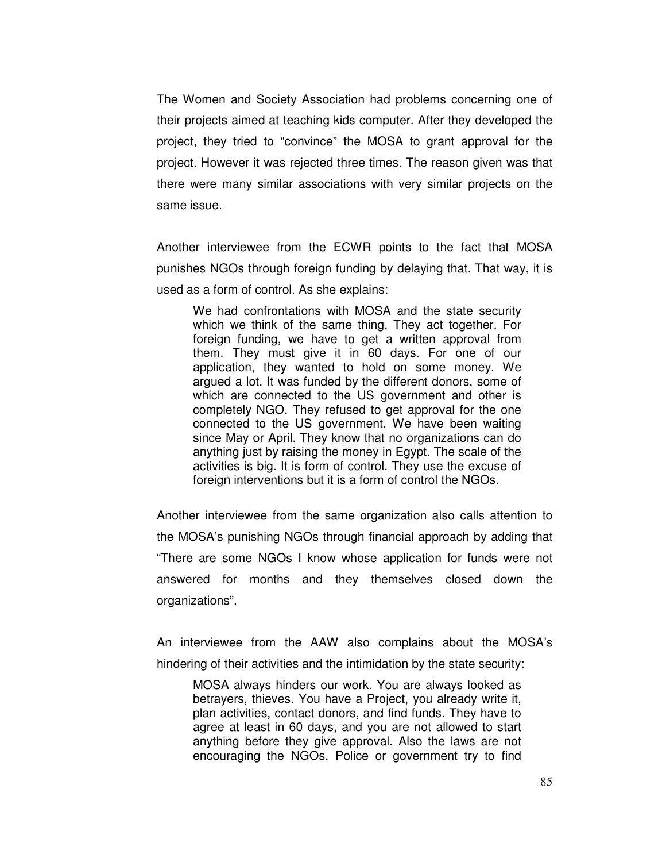The Women and Society Association had problems concerning one of their projects aimed at teaching kids computer. After they developed the project, they tried to "convince" the MOSA to grant approval for the project. However it was rejected three times. The reason given was that there were many similar associations with very similar projects on the same issue.

Another interviewee from the ECWR points to the fact that MOSA punishes NGOs through foreign funding by delaying that. That way, it is used as a form of control. As she explains:

We had confrontations with MOSA and the state security which we think of the same thing. They act together. For foreign funding, we have to get a written approval from them. They must give it in 60 days. For one of our application, they wanted to hold on some money. We argued a lot. It was funded by the different donors, some of which are connected to the US government and other is completely NGO. They refused to get approval for the one connected to the US government. We have been waiting since May or April. They know that no organizations can do anything just by raising the money in Egypt. The scale of the activities is big. It is form of control. They use the excuse of foreign interventions but it is a form of control the NGOs.

Another interviewee from the same organization also calls attention to the MOSA's punishing NGOs through financial approach by adding that "There are some NGOs I know whose application for funds were not answered for months and they themselves closed down the organizations".

An interviewee from the AAW also complains about the MOSA's hindering of their activities and the intimidation by the state security:

MOSA always hinders our work. You are always looked as betrayers, thieves. You have a Project, you already write it, plan activities, contact donors, and find funds. They have to agree at least in 60 days, and you are not allowed to start anything before they give approval. Also the laws are not encouraging the NGOs. Police or government try to find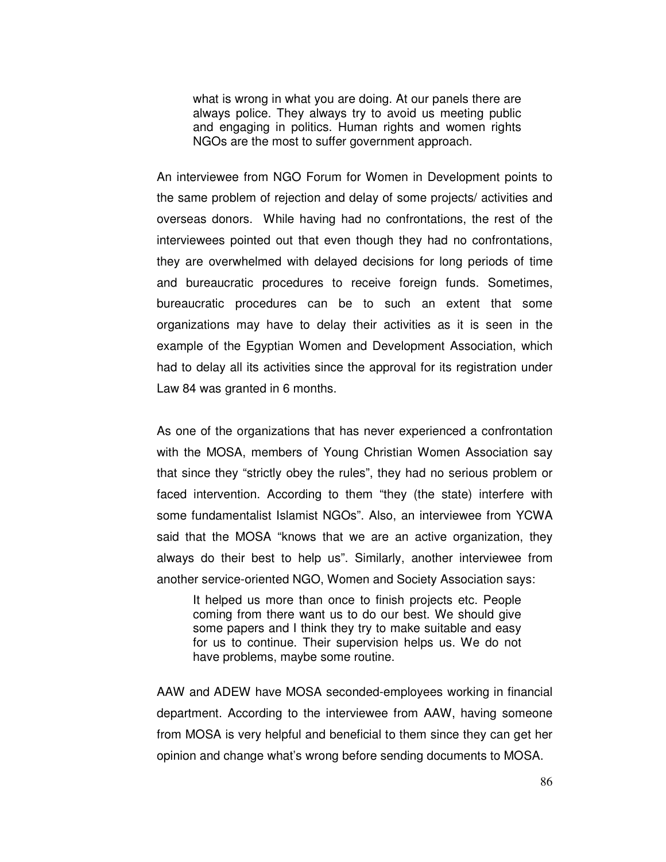what is wrong in what you are doing. At our panels there are always police. They always try to avoid us meeting public and engaging in politics. Human rights and women rights NGOs are the most to suffer government approach.

An interviewee from NGO Forum for Women in Development points to the same problem of rejection and delay of some projects/ activities and overseas donors. While having had no confrontations, the rest of the interviewees pointed out that even though they had no confrontations, they are overwhelmed with delayed decisions for long periods of time and bureaucratic procedures to receive foreign funds. Sometimes, bureaucratic procedures can be to such an extent that some organizations may have to delay their activities as it is seen in the example of the Egyptian Women and Development Association, which had to delay all its activities since the approval for its registration under Law 84 was granted in 6 months.

As one of the organizations that has never experienced a confrontation with the MOSA, members of Young Christian Women Association say that since they "strictly obey the rules", they had no serious problem or faced intervention. According to them "they (the state) interfere with some fundamentalist Islamist NGOs". Also, an interviewee from YCWA said that the MOSA "knows that we are an active organization, they always do their best to help us". Similarly, another interviewee from another service-oriented NGO, Women and Society Association says:

It helped us more than once to finish projects etc. People coming from there want us to do our best. We should give some papers and I think they try to make suitable and easy for us to continue. Their supervision helps us. We do not have problems, maybe some routine.

AAW and ADEW have MOSA seconded-employees working in financial department. According to the interviewee from AAW, having someone from MOSA is very helpful and beneficial to them since they can get her opinion and change what's wrong before sending documents to MOSA.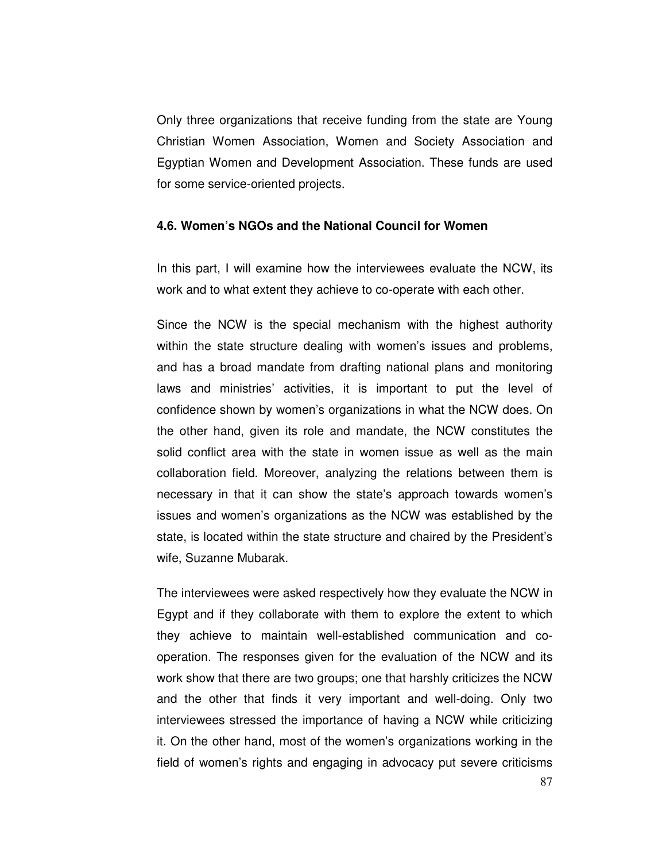Only three organizations that receive funding from the state are Young Christian Women Association, Women and Society Association and Egyptian Women and Development Association. These funds are used for some service-oriented projects.

### **4.6. Women's NGOs and the National Council for Women**

In this part, I will examine how the interviewees evaluate the NCW, its work and to what extent they achieve to co-operate with each other.

Since the NCW is the special mechanism with the highest authority within the state structure dealing with women's issues and problems, and has a broad mandate from drafting national plans and monitoring laws and ministries' activities, it is important to put the level of confidence shown by women's organizations in what the NCW does. On the other hand, given its role and mandate, the NCW constitutes the solid conflict area with the state in women issue as well as the main collaboration field. Moreover, analyzing the relations between them is necessary in that it can show the state's approach towards women's issues and women's organizations as the NCW was established by the state, is located within the state structure and chaired by the President's wife, Suzanne Mubarak.

The interviewees were asked respectively how they evaluate the NCW in Egypt and if they collaborate with them to explore the extent to which they achieve to maintain well-established communication and cooperation. The responses given for the evaluation of the NCW and its work show that there are two groups; one that harshly criticizes the NCW and the other that finds it very important and well-doing. Only two interviewees stressed the importance of having a NCW while criticizing it. On the other hand, most of the women's organizations working in the field of women's rights and engaging in advocacy put severe criticisms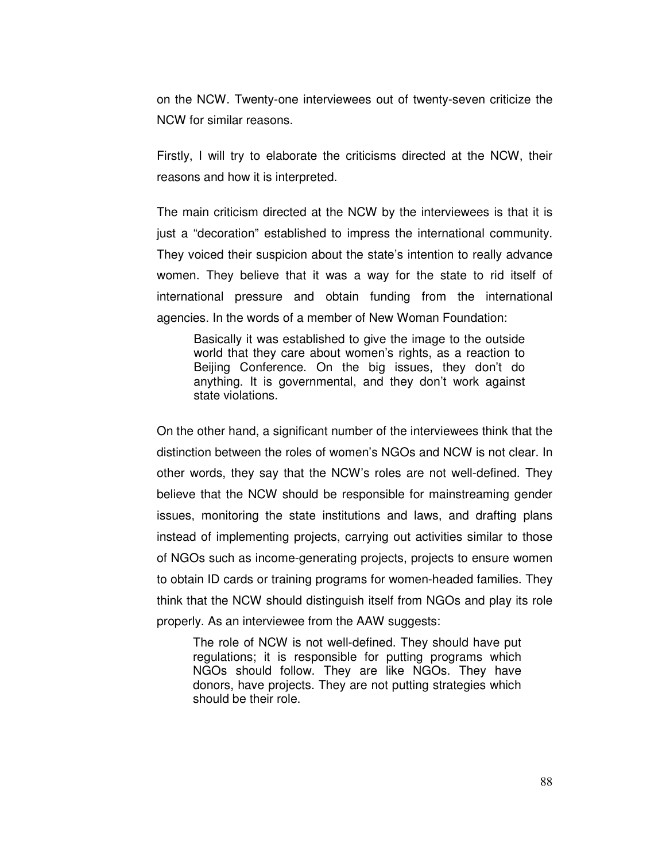on the NCW. Twenty-one interviewees out of twenty-seven criticize the NCW for similar reasons.

Firstly, I will try to elaborate the criticisms directed at the NCW, their reasons and how it is interpreted.

The main criticism directed at the NCW by the interviewees is that it is just a "decoration" established to impress the international community. They voiced their suspicion about the state's intention to really advance women. They believe that it was a way for the state to rid itself of international pressure and obtain funding from the international agencies. In the words of a member of New Woman Foundation:

Basically it was established to give the image to the outside world that they care about women's rights, as a reaction to Beijing Conference. On the big issues, they don't do anything. It is governmental, and they don't work against state violations.

On the other hand, a significant number of the interviewees think that the distinction between the roles of women's NGOs and NCW is not clear. In other words, they say that the NCW's roles are not well-defined. They believe that the NCW should be responsible for mainstreaming gender issues, monitoring the state institutions and laws, and drafting plans instead of implementing projects, carrying out activities similar to those of NGOs such as income-generating projects, projects to ensure women to obtain ID cards or training programs for women-headed families. They think that the NCW should distinguish itself from NGOs and play its role properly. As an interviewee from the AAW suggests:

The role of NCW is not well-defined. They should have put regulations; it is responsible for putting programs which NGOs should follow. They are like NGOs. They have donors, have projects. They are not putting strategies which should be their role.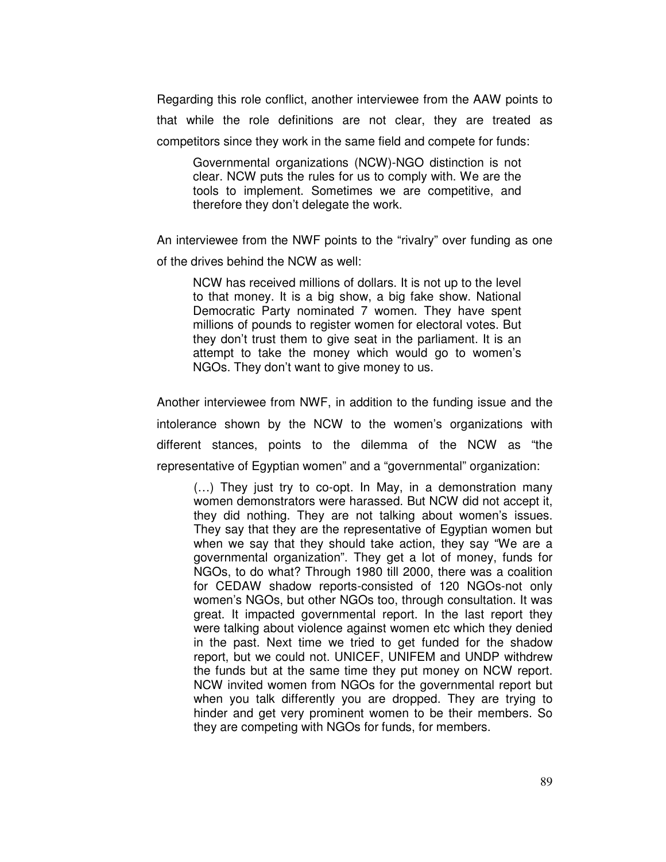Regarding this role conflict, another interviewee from the AAW points to that while the role definitions are not clear, they are treated as competitors since they work in the same field and compete for funds:

Governmental organizations (NCW)-NGO distinction is not clear. NCW puts the rules for us to comply with. We are the tools to implement. Sometimes we are competitive, and therefore they don't delegate the work.

An interviewee from the NWF points to the "rivalry" over funding as one of the drives behind the NCW as well:

NCW has received millions of dollars. It is not up to the level to that money. It is a big show, a big fake show. National Democratic Party nominated 7 women. They have spent millions of pounds to register women for electoral votes. But they don't trust them to give seat in the parliament. It is an attempt to take the money which would go to women's NGOs. They don't want to give money to us.

Another interviewee from NWF, in addition to the funding issue and the intolerance shown by the NCW to the women's organizations with different stances, points to the dilemma of the NCW as "the representative of Egyptian women" and a "governmental" organization:

(…) They just try to co-opt. In May, in a demonstration many women demonstrators were harassed. But NCW did not accept it, they did nothing. They are not talking about women's issues. They say that they are the representative of Egyptian women but when we say that they should take action, they say "We are a governmental organization". They get a lot of money, funds for NGOs, to do what? Through 1980 till 2000, there was a coalition for CEDAW shadow reports-consisted of 120 NGOs-not only women's NGOs, but other NGOs too, through consultation. It was great. It impacted governmental report. In the last report they were talking about violence against women etc which they denied in the past. Next time we tried to get funded for the shadow report, but we could not. UNICEF, UNIFEM and UNDP withdrew the funds but at the same time they put money on NCW report. NCW invited women from NGOs for the governmental report but when you talk differently you are dropped. They are trying to hinder and get very prominent women to be their members. So they are competing with NGOs for funds, for members.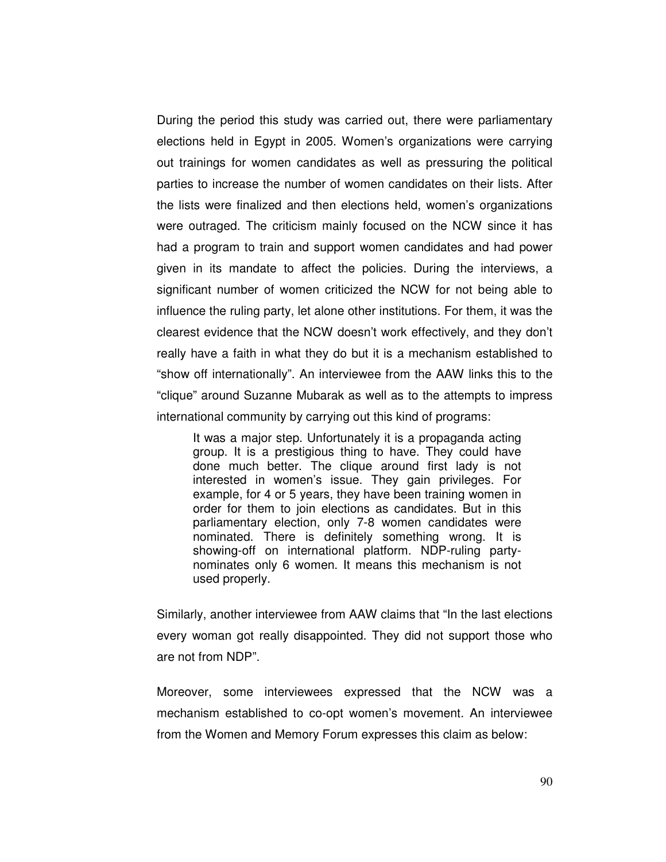During the period this study was carried out, there were parliamentary elections held in Egypt in 2005. Women's organizations were carrying out trainings for women candidates as well as pressuring the political parties to increase the number of women candidates on their lists. After the lists were finalized and then elections held, women's organizations were outraged. The criticism mainly focused on the NCW since it has had a program to train and support women candidates and had power given in its mandate to affect the policies. During the interviews, a significant number of women criticized the NCW for not being able to influence the ruling party, let alone other institutions. For them, it was the clearest evidence that the NCW doesn't work effectively, and they don't really have a faith in what they do but it is a mechanism established to "show off internationally". An interviewee from the AAW links this to the "clique" around Suzanne Mubarak as well as to the attempts to impress international community by carrying out this kind of programs:

It was a major step. Unfortunately it is a propaganda acting group. It is a prestigious thing to have. They could have done much better. The clique around first lady is not interested in women's issue. They gain privileges. For example, for 4 or 5 years, they have been training women in order for them to join elections as candidates. But in this parliamentary election, only 7-8 women candidates were nominated. There is definitely something wrong. It is showing-off on international platform. NDP-ruling partynominates only 6 women. It means this mechanism is not used properly.

Similarly, another interviewee from AAW claims that "In the last elections every woman got really disappointed. They did not support those who are not from NDP".

Moreover, some interviewees expressed that the NCW was a mechanism established to co-opt women's movement. An interviewee from the Women and Memory Forum expresses this claim as below: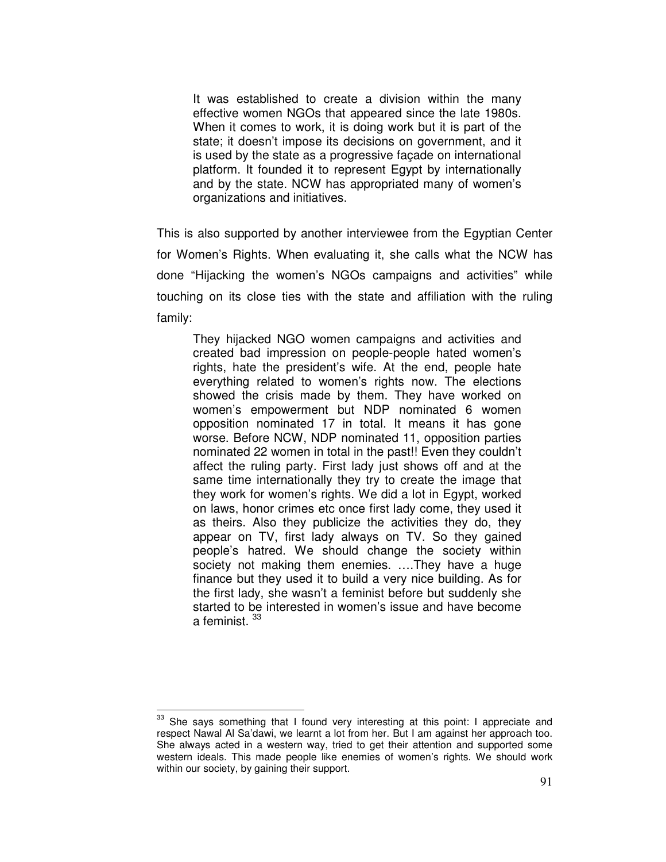It was established to create a division within the many effective women NGOs that appeared since the late 1980s. When it comes to work, it is doing work but it is part of the state; it doesn't impose its decisions on government, and it is used by the state as a progressive façade on international platform. It founded it to represent Egypt by internationally and by the state. NCW has appropriated many of women's organizations and initiatives.

This is also supported by another interviewee from the Egyptian Center for Women's Rights. When evaluating it, she calls what the NCW has done "Hijacking the women's NGOs campaigns and activities" while touching on its close ties with the state and affiliation with the ruling family:

They hijacked NGO women campaigns and activities and created bad impression on people-people hated women's rights, hate the president's wife. At the end, people hate everything related to women's rights now. The elections showed the crisis made by them. They have worked on women's empowerment but NDP nominated 6 women opposition nominated 17 in total. It means it has gone worse. Before NCW, NDP nominated 11, opposition parties nominated 22 women in total in the past!! Even they couldn't affect the ruling party. First lady just shows off and at the same time internationally they try to create the image that they work for women's rights. We did a lot in Egypt, worked on laws, honor crimes etc once first lady come, they used it as theirs. Also they publicize the activities they do, they appear on TV, first lady always on TV. So they gained people's hatred. We should change the society within society not making them enemies. ….They have a huge finance but they used it to build a very nice building. As for the first lady, she wasn't a feminist before but suddenly she started to be interested in women's issue and have become a feminist.<sup>33</sup>

 $\overline{a}$ 

<sup>&</sup>lt;sup>33</sup> She says something that I found very interesting at this point: I appreciate and respect Nawal Al Sa'dawi, we learnt a lot from her. But I am against her approach too. She always acted in a western way, tried to get their attention and supported some western ideals. This made people like enemies of women's rights. We should work within our society, by gaining their support.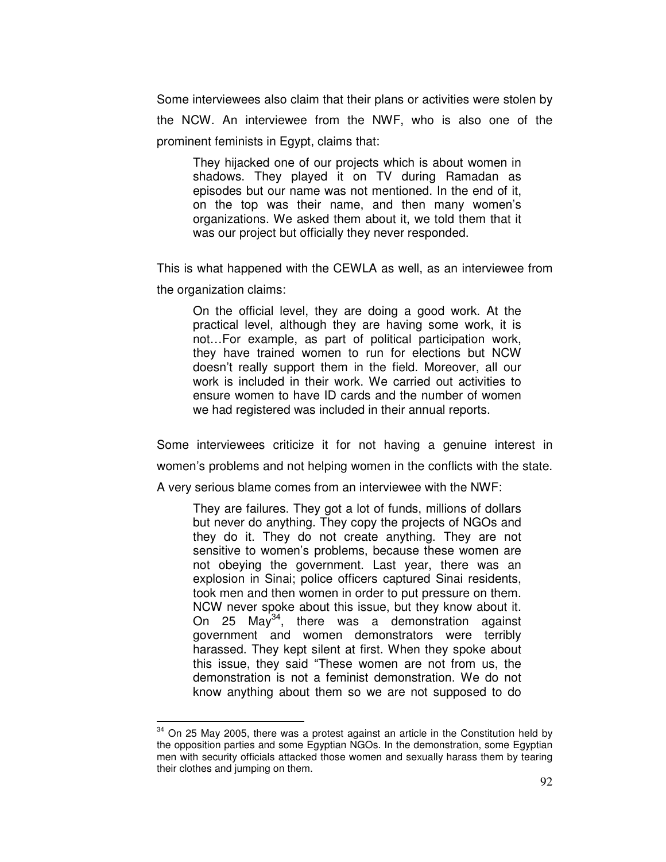Some interviewees also claim that their plans or activities were stolen by the NCW. An interviewee from the NWF, who is also one of the prominent feminists in Egypt, claims that:

They hijacked one of our projects which is about women in shadows. They played it on TV during Ramadan as episodes but our name was not mentioned. In the end of it, on the top was their name, and then many women's organizations. We asked them about it, we told them that it was our project but officially they never responded.

This is what happened with the CEWLA as well, as an interviewee from

the organization claims:

 $\overline{a}$ 

On the official level, they are doing a good work. At the practical level, although they are having some work, it is not…For example, as part of political participation work, they have trained women to run for elections but NCW doesn't really support them in the field. Moreover, all our work is included in their work. We carried out activities to ensure women to have ID cards and the number of women we had registered was included in their annual reports.

Some interviewees criticize it for not having a genuine interest in women's problems and not helping women in the conflicts with the state. A very serious blame comes from an interviewee with the NWF:

They are failures. They got a lot of funds, millions of dollars but never do anything. They copy the projects of NGOs and they do it. They do not create anything. They are not sensitive to women's problems, because these women are not obeying the government. Last year, there was an explosion in Sinai; police officers captured Sinai residents, took men and then women in order to put pressure on them. NCW never spoke about this issue, but they know about it. On 25 May<sup>34</sup>, there was a demonstration against government and women demonstrators were terribly harassed. They kept silent at first. When they spoke about this issue, they said "These women are not from us, the demonstration is not a feminist demonstration. We do not know anything about them so we are not supposed to do

 $34$  On 25 May 2005, there was a protest against an article in the Constitution held by the opposition parties and some Egyptian NGOs. In the demonstration, some Egyptian men with security officials attacked those women and sexually harass them by tearing their clothes and jumping on them.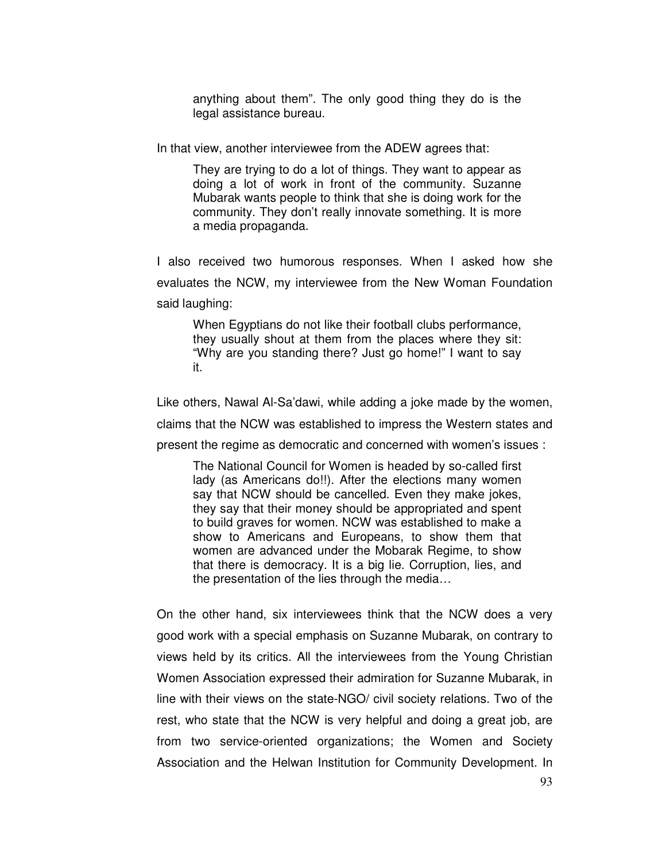anything about them". The only good thing they do is the legal assistance bureau.

In that view, another interviewee from the ADEW agrees that:

They are trying to do a lot of things. They want to appear as doing a lot of work in front of the community. Suzanne Mubarak wants people to think that she is doing work for the community. They don't really innovate something. It is more a media propaganda.

I also received two humorous responses. When I asked how she evaluates the NCW, my interviewee from the New Woman Foundation said laughing:

When Egyptians do not like their football clubs performance, they usually shout at them from the places where they sit: "Why are you standing there? Just go home!" I want to say it.

Like others, Nawal Al-Sa'dawi, while adding a joke made by the women, claims that the NCW was established to impress the Western states and present the regime as democratic and concerned with women's issues :

The National Council for Women is headed by so-called first lady (as Americans do!!). After the elections many women say that NCW should be cancelled. Even they make jokes, they say that their money should be appropriated and spent to build graves for women. NCW was established to make a show to Americans and Europeans, to show them that women are advanced under the Mobarak Regime, to show that there is democracy. It is a big lie. Corruption, lies, and the presentation of the lies through the media…

On the other hand, six interviewees think that the NCW does a very good work with a special emphasis on Suzanne Mubarak, on contrary to views held by its critics. All the interviewees from the Young Christian Women Association expressed their admiration for Suzanne Mubarak, in line with their views on the state-NGO/ civil society relations. Two of the rest, who state that the NCW is very helpful and doing a great job, are from two service-oriented organizations; the Women and Society Association and the Helwan Institution for Community Development. In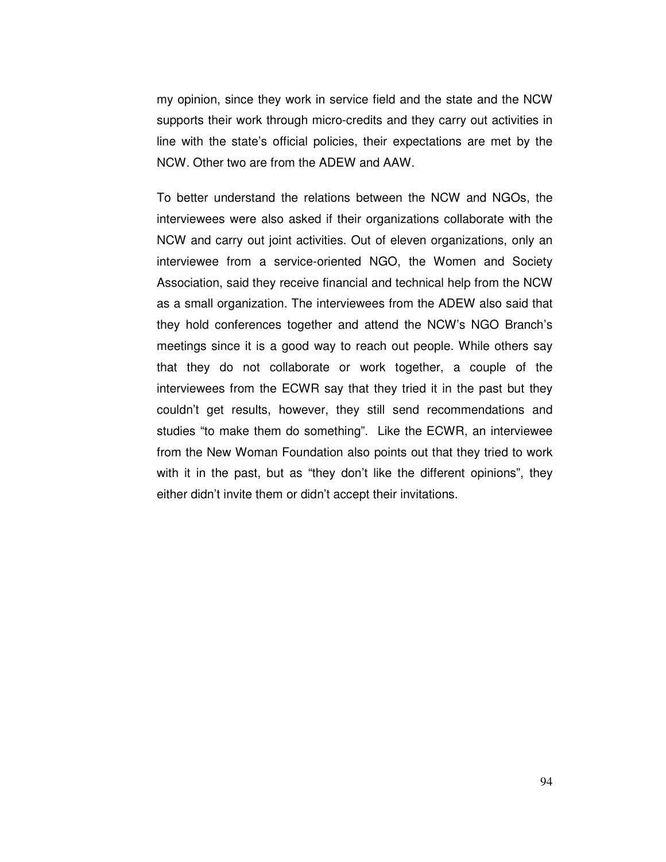my opinion, since they work in service field and the state and the NCW supports their work through micro-credits and they carry out activities in line with the state's official policies, their expectations are met by the NCW. Other two are from the ADEW and AAW.

To better understand the relations between the NCW and NGOs, the interviewees were also asked if their organizations collaborate with the NCW and carry out joint activities. Out of eleven organizations, only an interviewee from a service-oriented NGO, the Women and Society Association, said they receive financial and technical help from the NCW as a small organization. The interviewees from the ADEW also said that they hold conferences together and attend the NCW's NGO Branch's meetings since it is a good way to reach out people. While others say that they do not collaborate or work together, a couple of the interviewees from the ECWR say that they tried it in the past but they couldn't get results, however, they still send recommendations and studies "to make them do something". Like the ECWR, an interviewee from the New Woman Foundation also points out that they tried to work with it in the past, but as "they don't like the different opinions", they either didn't invite them or didn't accept their invitations.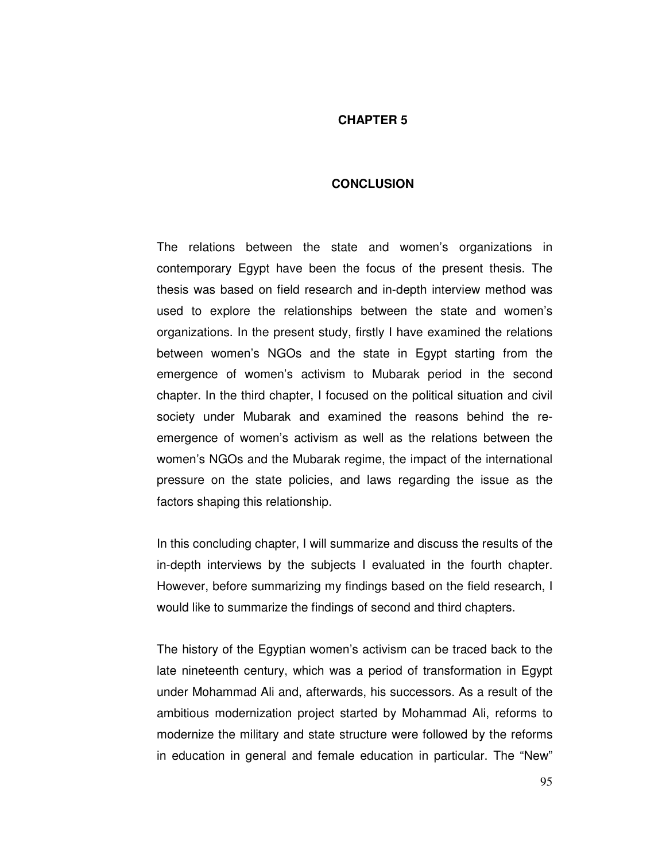## **CHAPTER 5**

#### **CONCLUSION**

The relations between the state and women's organizations in contemporary Egypt have been the focus of the present thesis. The thesis was based on field research and in-depth interview method was used to explore the relationships between the state and women's organizations. In the present study, firstly I have examined the relations between women's NGOs and the state in Egypt starting from the emergence of women's activism to Mubarak period in the second chapter. In the third chapter, I focused on the political situation and civil society under Mubarak and examined the reasons behind the reemergence of women's activism as well as the relations between the women's NGOs and the Mubarak regime, the impact of the international pressure on the state policies, and laws regarding the issue as the factors shaping this relationship.

In this concluding chapter, I will summarize and discuss the results of the in-depth interviews by the subjects I evaluated in the fourth chapter. However, before summarizing my findings based on the field research, I would like to summarize the findings of second and third chapters.

The history of the Egyptian women's activism can be traced back to the late nineteenth century, which was a period of transformation in Egypt under Mohammad Ali and, afterwards, his successors. As a result of the ambitious modernization project started by Mohammad Ali, reforms to modernize the military and state structure were followed by the reforms in education in general and female education in particular. The "New"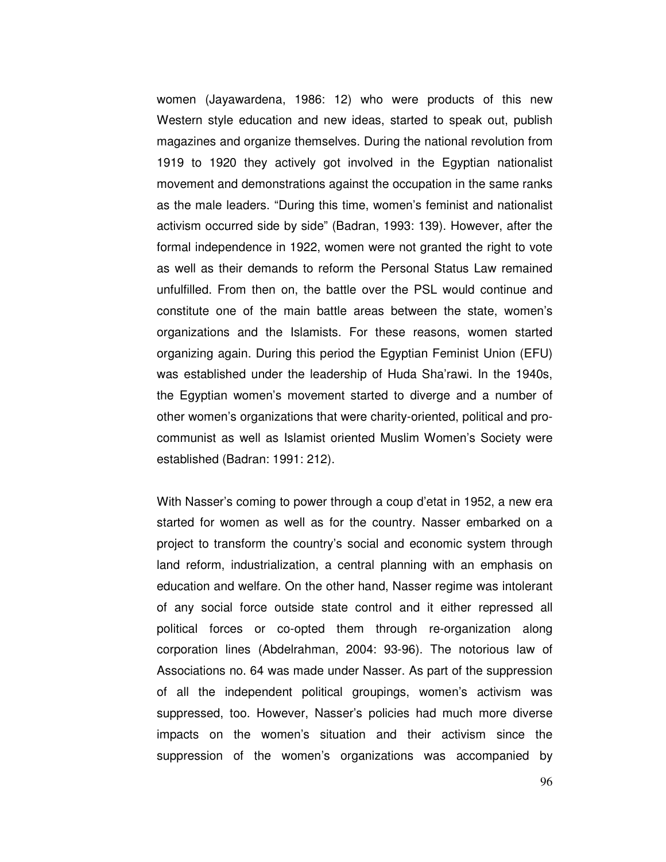women (Jayawardena, 1986: 12) who were products of this new Western style education and new ideas, started to speak out, publish magazines and organize themselves. During the national revolution from 1919 to 1920 they actively got involved in the Egyptian nationalist movement and demonstrations against the occupation in the same ranks as the male leaders. "During this time, women's feminist and nationalist activism occurred side by side" (Badran, 1993: 139). However, after the formal independence in 1922, women were not granted the right to vote as well as their demands to reform the Personal Status Law remained unfulfilled. From then on, the battle over the PSL would continue and constitute one of the main battle areas between the state, women's organizations and the Islamists. For these reasons, women started organizing again. During this period the Egyptian Feminist Union (EFU) was established under the leadership of Huda Sha'rawi. In the 1940s, the Egyptian women's movement started to diverge and a number of other women's organizations that were charity-oriented, political and procommunist as well as Islamist oriented Muslim Women's Society were established (Badran: 1991: 212).

With Nasser's coming to power through a coup d'etat in 1952, a new era started for women as well as for the country. Nasser embarked on a project to transform the country's social and economic system through land reform, industrialization, a central planning with an emphasis on education and welfare. On the other hand, Nasser regime was intolerant of any social force outside state control and it either repressed all political forces or co-opted them through re-organization along corporation lines (Abdelrahman, 2004: 93-96). The notorious law of Associations no. 64 was made under Nasser. As part of the suppression of all the independent political groupings, women's activism was suppressed, too. However, Nasser's policies had much more diverse impacts on the women's situation and their activism since the suppression of the women's organizations was accompanied by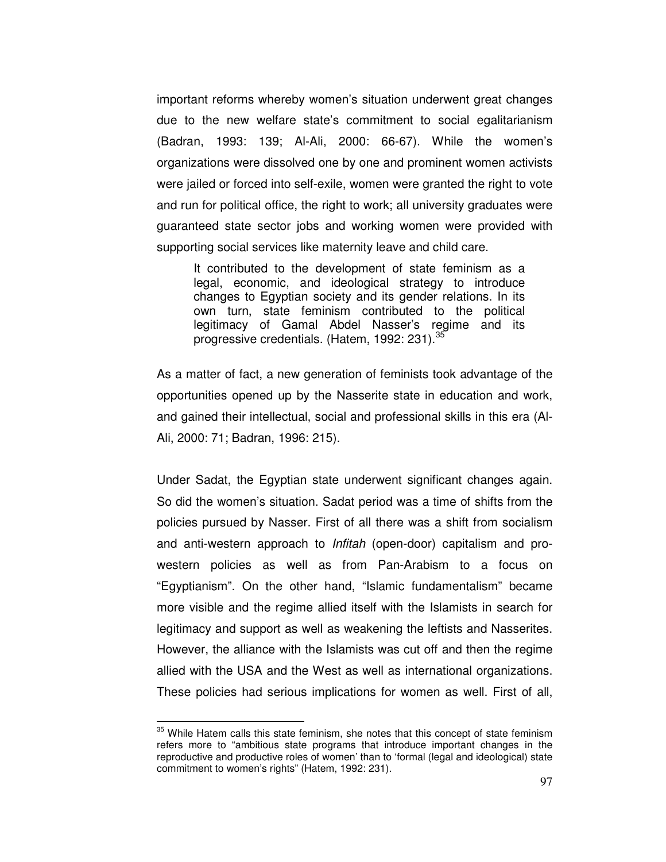important reforms whereby women's situation underwent great changes due to the new welfare state's commitment to social egalitarianism (Badran, 1993: 139; Al-Ali, 2000: 66-67). While the women's organizations were dissolved one by one and prominent women activists were jailed or forced into self-exile, women were granted the right to vote and run for political office, the right to work; all university graduates were guaranteed state sector jobs and working women were provided with supporting social services like maternity leave and child care.

It contributed to the development of state feminism as a legal, economic, and ideological strategy to introduce changes to Egyptian society and its gender relations. In its own turn, state feminism contributed to the political legitimacy of Gamal Abdel Nasser's regime and its progressive credentials. (Hatem, 1992: 231).<sup>35</sup>

As a matter of fact, a new generation of feminists took advantage of the opportunities opened up by the Nasserite state in education and work, and gained their intellectual, social and professional skills in this era (Al-Ali, 2000: 71; Badran, 1996: 215).

Under Sadat, the Egyptian state underwent significant changes again. So did the women's situation. Sadat period was a time of shifts from the policies pursued by Nasser. First of all there was a shift from socialism and anti-western approach to Infitah (open-door) capitalism and prowestern policies as well as from Pan-Arabism to a focus on "Egyptianism". On the other hand, "Islamic fundamentalism" became more visible and the regime allied itself with the Islamists in search for legitimacy and support as well as weakening the leftists and Nasserites. However, the alliance with the Islamists was cut off and then the regime allied with the USA and the West as well as international organizations. These policies had serious implications for women as well. First of all,

 $\overline{a}$ 

 $35$  While Hatem calls this state feminism, she notes that this concept of state feminism refers more to "ambitious state programs that introduce important changes in the reproductive and productive roles of women' than to 'formal (legal and ideological) state commitment to women's rights" (Hatem, 1992: 231).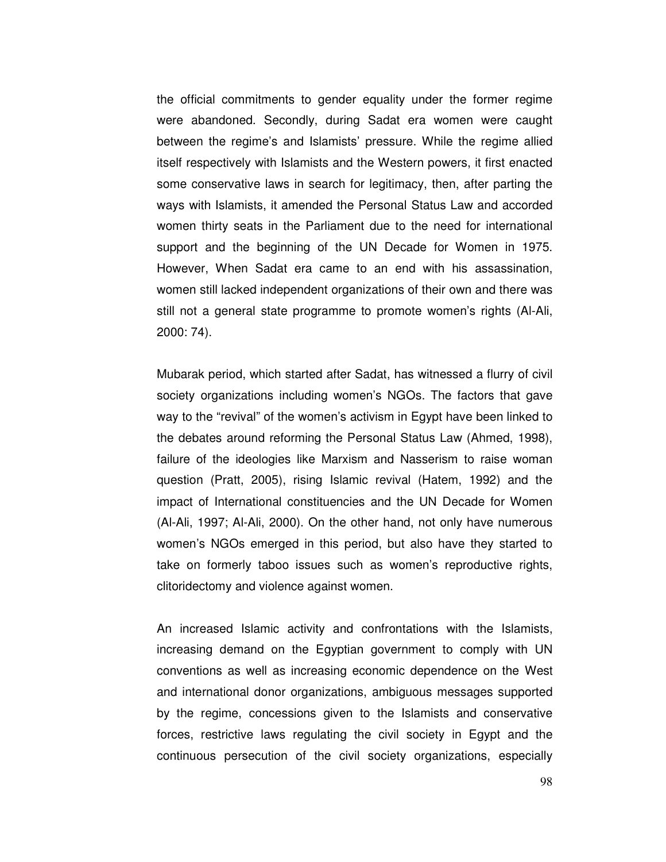the official commitments to gender equality under the former regime were abandoned. Secondly, during Sadat era women were caught between the regime's and Islamists' pressure. While the regime allied itself respectively with Islamists and the Western powers, it first enacted some conservative laws in search for legitimacy, then, after parting the ways with Islamists, it amended the Personal Status Law and accorded women thirty seats in the Parliament due to the need for international support and the beginning of the UN Decade for Women in 1975. However, When Sadat era came to an end with his assassination, women still lacked independent organizations of their own and there was still not a general state programme to promote women's rights (Al-Ali, 2000: 74).

Mubarak period, which started after Sadat, has witnessed a flurry of civil society organizations including women's NGOs. The factors that gave way to the "revival" of the women's activism in Egypt have been linked to the debates around reforming the Personal Status Law (Ahmed, 1998), failure of the ideologies like Marxism and Nasserism to raise woman question (Pratt, 2005), rising Islamic revival (Hatem, 1992) and the impact of International constituencies and the UN Decade for Women (Al-Ali, 1997; Al-Ali, 2000). On the other hand, not only have numerous women's NGOs emerged in this period, but also have they started to take on formerly taboo issues such as women's reproductive rights, clitoridectomy and violence against women.

An increased Islamic activity and confrontations with the Islamists, increasing demand on the Egyptian government to comply with UN conventions as well as increasing economic dependence on the West and international donor organizations, ambiguous messages supported by the regime, concessions given to the Islamists and conservative forces, restrictive laws regulating the civil society in Egypt and the continuous persecution of the civil society organizations, especially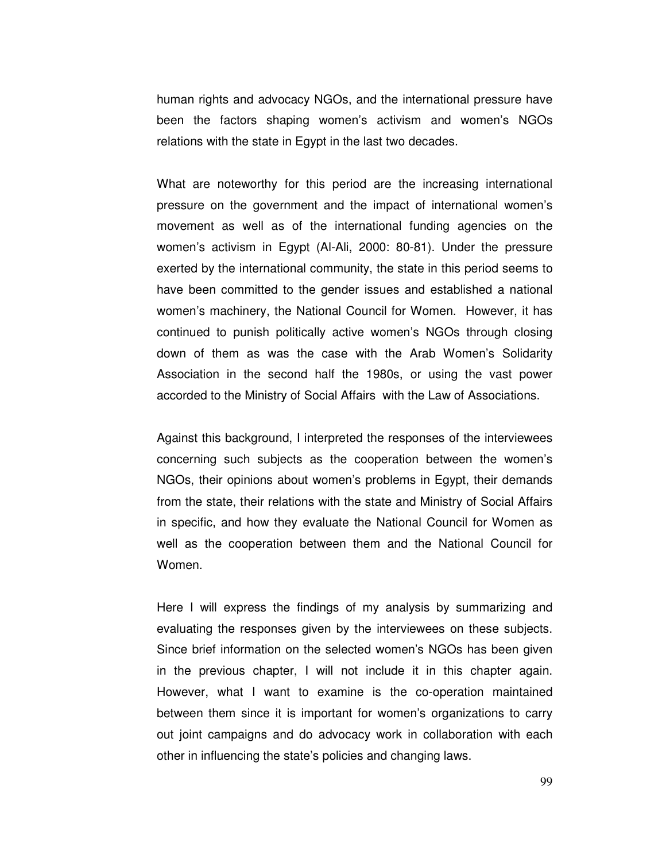human rights and advocacy NGOs, and the international pressure have been the factors shaping women's activism and women's NGOs relations with the state in Egypt in the last two decades.

What are noteworthy for this period are the increasing international pressure on the government and the impact of international women's movement as well as of the international funding agencies on the women's activism in Egypt (Al-Ali, 2000: 80-81). Under the pressure exerted by the international community, the state in this period seems to have been committed to the gender issues and established a national women's machinery, the National Council for Women. However, it has continued to punish politically active women's NGOs through closing down of them as was the case with the Arab Women's Solidarity Association in the second half the 1980s, or using the vast power accorded to the Ministry of Social Affairs with the Law of Associations.

Against this background, I interpreted the responses of the interviewees concerning such subjects as the cooperation between the women's NGOs, their opinions about women's problems in Egypt, their demands from the state, their relations with the state and Ministry of Social Affairs in specific, and how they evaluate the National Council for Women as well as the cooperation between them and the National Council for Women.

Here I will express the findings of my analysis by summarizing and evaluating the responses given by the interviewees on these subjects. Since brief information on the selected women's NGOs has been given in the previous chapter, I will not include it in this chapter again. However, what I want to examine is the co-operation maintained between them since it is important for women's organizations to carry out joint campaigns and do advocacy work in collaboration with each other in influencing the state's policies and changing laws.

99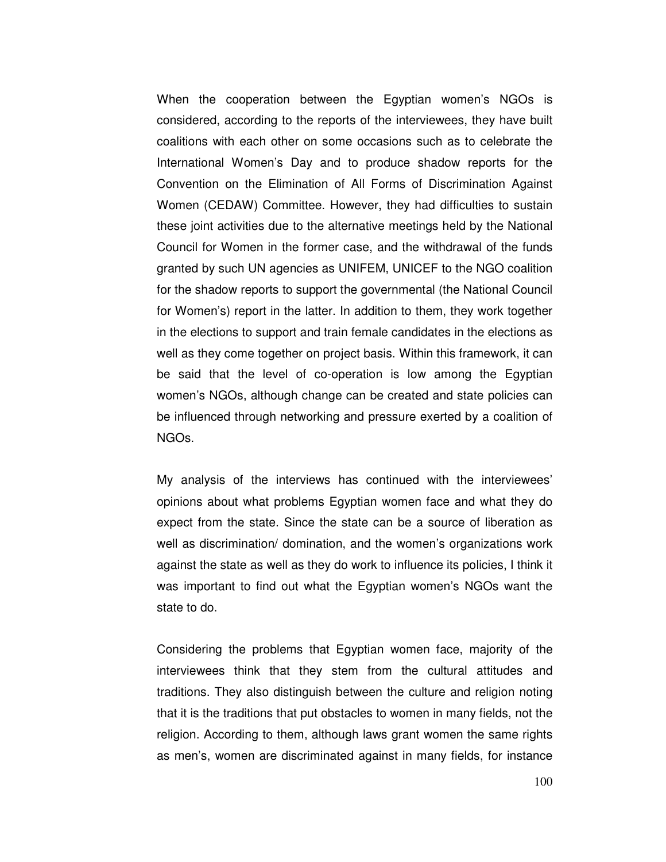When the cooperation between the Egyptian women's NGOs is considered, according to the reports of the interviewees, they have built coalitions with each other on some occasions such as to celebrate the International Women's Day and to produce shadow reports for the Convention on the Elimination of All Forms of Discrimination Against Women (CEDAW) Committee. However, they had difficulties to sustain these joint activities due to the alternative meetings held by the National Council for Women in the former case, and the withdrawal of the funds granted by such UN agencies as UNIFEM, UNICEF to the NGO coalition for the shadow reports to support the governmental (the National Council for Women's) report in the latter. In addition to them, they work together in the elections to support and train female candidates in the elections as well as they come together on project basis. Within this framework, it can be said that the level of co-operation is low among the Egyptian women's NGOs, although change can be created and state policies can be influenced through networking and pressure exerted by a coalition of NGOs.

My analysis of the interviews has continued with the interviewees' opinions about what problems Egyptian women face and what they do expect from the state. Since the state can be a source of liberation as well as discrimination/ domination, and the women's organizations work against the state as well as they do work to influence its policies, I think it was important to find out what the Egyptian women's NGOs want the state to do.

Considering the problems that Egyptian women face, majority of the interviewees think that they stem from the cultural attitudes and traditions. They also distinguish between the culture and religion noting that it is the traditions that put obstacles to women in many fields, not the religion. According to them, although laws grant women the same rights as men's, women are discriminated against in many fields, for instance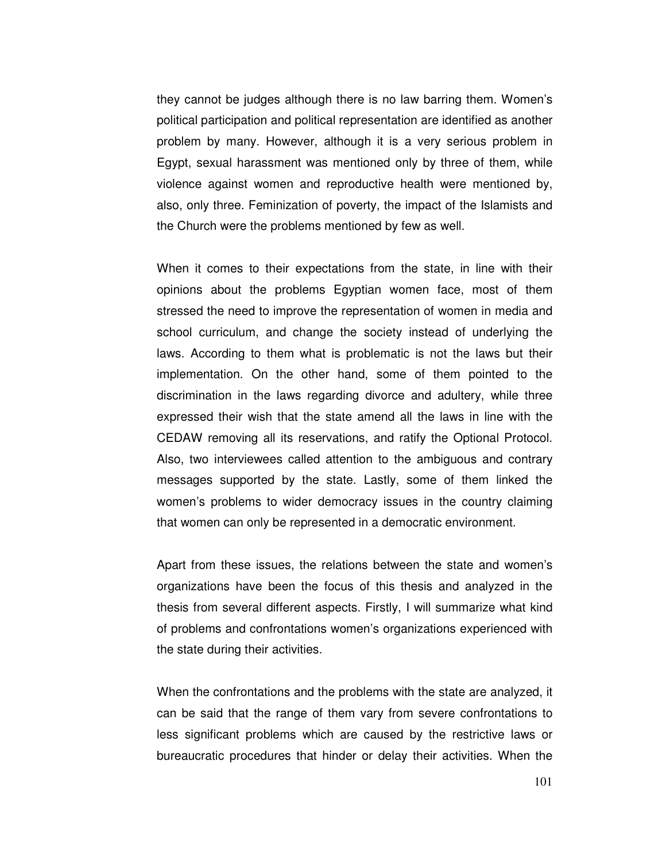they cannot be judges although there is no law barring them. Women's political participation and political representation are identified as another problem by many. However, although it is a very serious problem in Egypt, sexual harassment was mentioned only by three of them, while violence against women and reproductive health were mentioned by, also, only three. Feminization of poverty, the impact of the Islamists and the Church were the problems mentioned by few as well.

When it comes to their expectations from the state, in line with their opinions about the problems Egyptian women face, most of them stressed the need to improve the representation of women in media and school curriculum, and change the society instead of underlying the laws. According to them what is problematic is not the laws but their implementation. On the other hand, some of them pointed to the discrimination in the laws regarding divorce and adultery, while three expressed their wish that the state amend all the laws in line with the CEDAW removing all its reservations, and ratify the Optional Protocol. Also, two interviewees called attention to the ambiguous and contrary messages supported by the state. Lastly, some of them linked the women's problems to wider democracy issues in the country claiming that women can only be represented in a democratic environment.

Apart from these issues, the relations between the state and women's organizations have been the focus of this thesis and analyzed in the thesis from several different aspects. Firstly, I will summarize what kind of problems and confrontations women's organizations experienced with the state during their activities.

When the confrontations and the problems with the state are analyzed, it can be said that the range of them vary from severe confrontations to less significant problems which are caused by the restrictive laws or bureaucratic procedures that hinder or delay their activities. When the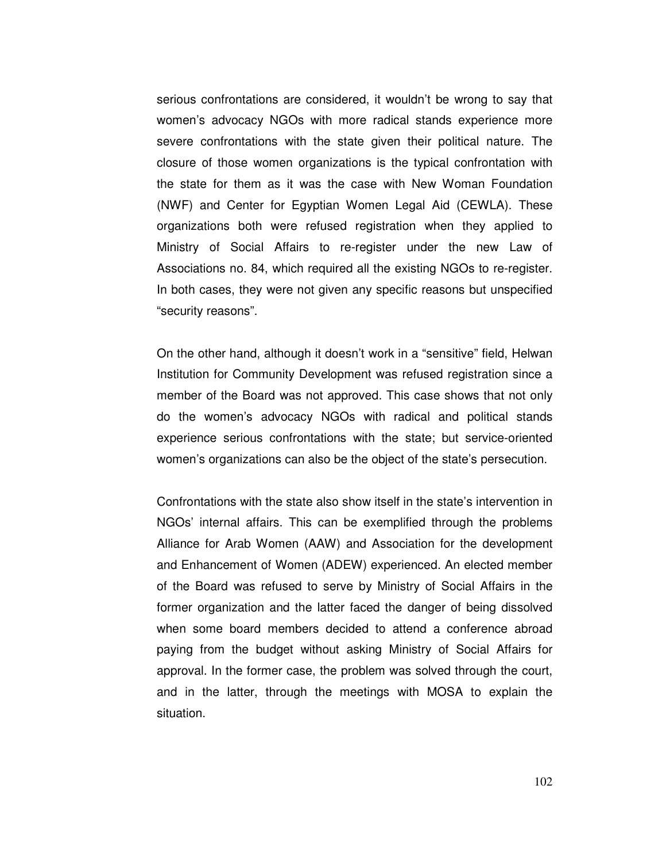serious confrontations are considered, it wouldn't be wrong to say that women's advocacy NGOs with more radical stands experience more severe confrontations with the state given their political nature. The closure of those women organizations is the typical confrontation with the state for them as it was the case with New Woman Foundation (NWF) and Center for Egyptian Women Legal Aid (CEWLA). These organizations both were refused registration when they applied to Ministry of Social Affairs to re-register under the new Law of Associations no. 84, which required all the existing NGOs to re-register. In both cases, they were not given any specific reasons but unspecified "security reasons".

On the other hand, although it doesn't work in a "sensitive" field, Helwan Institution for Community Development was refused registration since a member of the Board was not approved. This case shows that not only do the women's advocacy NGOs with radical and political stands experience serious confrontations with the state; but service-oriented women's organizations can also be the object of the state's persecution.

Confrontations with the state also show itself in the state's intervention in NGOs' internal affairs. This can be exemplified through the problems Alliance for Arab Women (AAW) and Association for the development and Enhancement of Women (ADEW) experienced. An elected member of the Board was refused to serve by Ministry of Social Affairs in the former organization and the latter faced the danger of being dissolved when some board members decided to attend a conference abroad paying from the budget without asking Ministry of Social Affairs for approval. In the former case, the problem was solved through the court, and in the latter, through the meetings with MOSA to explain the situation.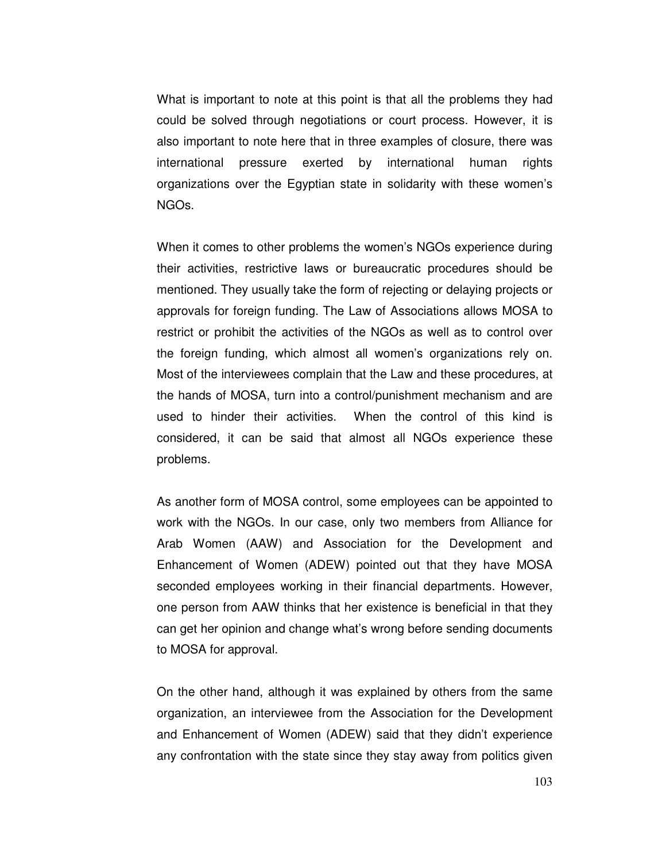What is important to note at this point is that all the problems they had could be solved through negotiations or court process. However, it is also important to note here that in three examples of closure, there was international pressure exerted by international human rights organizations over the Egyptian state in solidarity with these women's NGOs.

When it comes to other problems the women's NGOs experience during their activities, restrictive laws or bureaucratic procedures should be mentioned. They usually take the form of rejecting or delaying projects or approvals for foreign funding. The Law of Associations allows MOSA to restrict or prohibit the activities of the NGOs as well as to control over the foreign funding, which almost all women's organizations rely on. Most of the interviewees complain that the Law and these procedures, at the hands of MOSA, turn into a control/punishment mechanism and are used to hinder their activities. When the control of this kind is considered, it can be said that almost all NGOs experience these problems.

As another form of MOSA control, some employees can be appointed to work with the NGOs. In our case, only two members from Alliance for Arab Women (AAW) and Association for the Development and Enhancement of Women (ADEW) pointed out that they have MOSA seconded employees working in their financial departments. However, one person from AAW thinks that her existence is beneficial in that they can get her opinion and change what's wrong before sending documents to MOSA for approval.

On the other hand, although it was explained by others from the same organization, an interviewee from the Association for the Development and Enhancement of Women (ADEW) said that they didn't experience any confrontation with the state since they stay away from politics given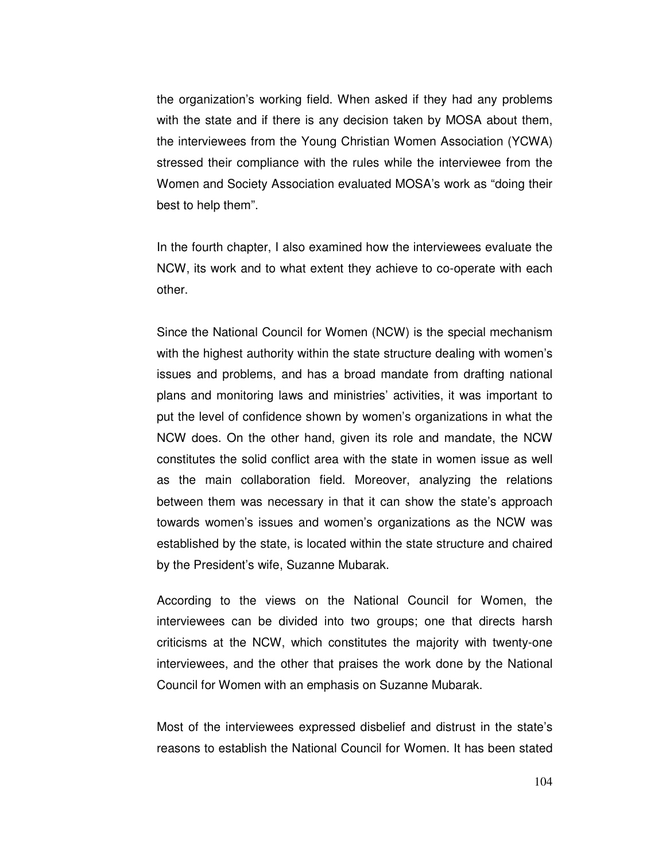the organization's working field. When asked if they had any problems with the state and if there is any decision taken by MOSA about them, the interviewees from the Young Christian Women Association (YCWA) stressed their compliance with the rules while the interviewee from the Women and Society Association evaluated MOSA's work as "doing their best to help them".

In the fourth chapter, I also examined how the interviewees evaluate the NCW, its work and to what extent they achieve to co-operate with each other.

Since the National Council for Women (NCW) is the special mechanism with the highest authority within the state structure dealing with women's issues and problems, and has a broad mandate from drafting national plans and monitoring laws and ministries' activities, it was important to put the level of confidence shown by women's organizations in what the NCW does. On the other hand, given its role and mandate, the NCW constitutes the solid conflict area with the state in women issue as well as the main collaboration field. Moreover, analyzing the relations between them was necessary in that it can show the state's approach towards women's issues and women's organizations as the NCW was established by the state, is located within the state structure and chaired by the President's wife, Suzanne Mubarak.

According to the views on the National Council for Women, the interviewees can be divided into two groups; one that directs harsh criticisms at the NCW, which constitutes the majority with twenty-one interviewees, and the other that praises the work done by the National Council for Women with an emphasis on Suzanne Mubarak.

Most of the interviewees expressed disbelief and distrust in the state's reasons to establish the National Council for Women. It has been stated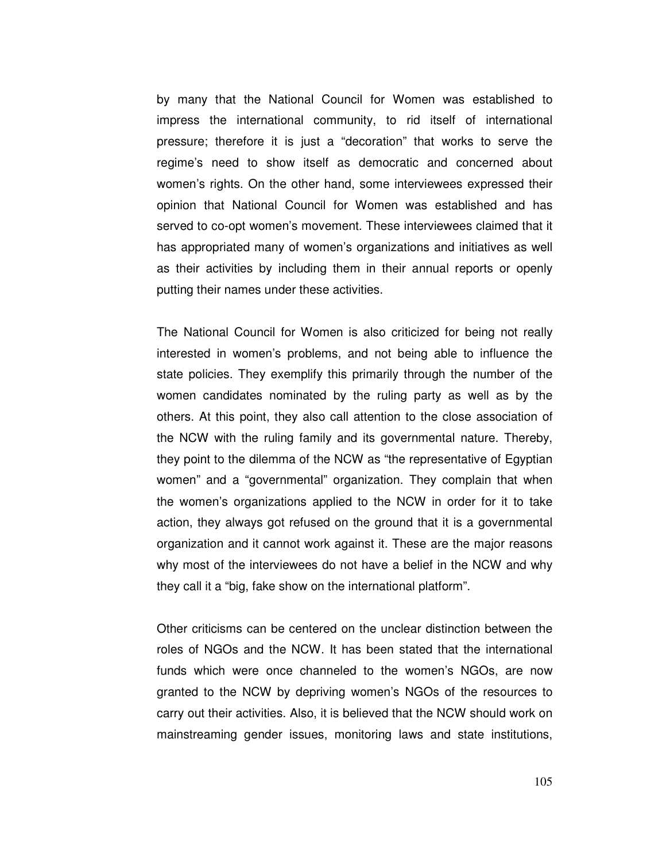by many that the National Council for Women was established to impress the international community, to rid itself of international pressure; therefore it is just a "decoration" that works to serve the regime's need to show itself as democratic and concerned about women's rights. On the other hand, some interviewees expressed their opinion that National Council for Women was established and has served to co-opt women's movement. These interviewees claimed that it has appropriated many of women's organizations and initiatives as well as their activities by including them in their annual reports or openly putting their names under these activities.

The National Council for Women is also criticized for being not really interested in women's problems, and not being able to influence the state policies. They exemplify this primarily through the number of the women candidates nominated by the ruling party as well as by the others. At this point, they also call attention to the close association of the NCW with the ruling family and its governmental nature. Thereby, they point to the dilemma of the NCW as "the representative of Egyptian women" and a "governmental" organization. They complain that when the women's organizations applied to the NCW in order for it to take action, they always got refused on the ground that it is a governmental organization and it cannot work against it. These are the major reasons why most of the interviewees do not have a belief in the NCW and why they call it a "big, fake show on the international platform".

Other criticisms can be centered on the unclear distinction between the roles of NGOs and the NCW. It has been stated that the international funds which were once channeled to the women's NGOs, are now granted to the NCW by depriving women's NGOs of the resources to carry out their activities. Also, it is believed that the NCW should work on mainstreaming gender issues, monitoring laws and state institutions,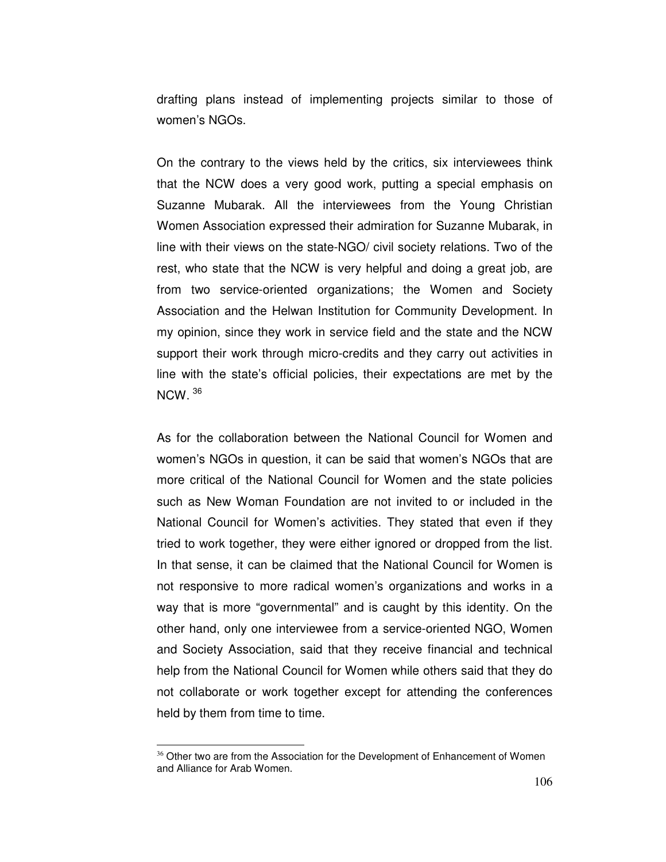drafting plans instead of implementing projects similar to those of women's NGOs.

On the contrary to the views held by the critics, six interviewees think that the NCW does a very good work, putting a special emphasis on Suzanne Mubarak. All the interviewees from the Young Christian Women Association expressed their admiration for Suzanne Mubarak, in line with their views on the state-NGO/ civil society relations. Two of the rest, who state that the NCW is very helpful and doing a great job, are from two service-oriented organizations; the Women and Society Association and the Helwan Institution for Community Development. In my opinion, since they work in service field and the state and the NCW support their work through micro-credits and they carry out activities in line with the state's official policies, their expectations are met by the NCW.  $36$ 

As for the collaboration between the National Council for Women and women's NGOs in question, it can be said that women's NGOs that are more critical of the National Council for Women and the state policies such as New Woman Foundation are not invited to or included in the National Council for Women's activities. They stated that even if they tried to work together, they were either ignored or dropped from the list. In that sense, it can be claimed that the National Council for Women is not responsive to more radical women's organizations and works in a way that is more "governmental" and is caught by this identity. On the other hand, only one interviewee from a service-oriented NGO, Women and Society Association, said that they receive financial and technical help from the National Council for Women while others said that they do not collaborate or work together except for attending the conferences held by them from time to time.

 $\overline{a}$ 

<sup>&</sup>lt;sup>36</sup> Other two are from the Association for the Development of Enhancement of Women and Alliance for Arab Women.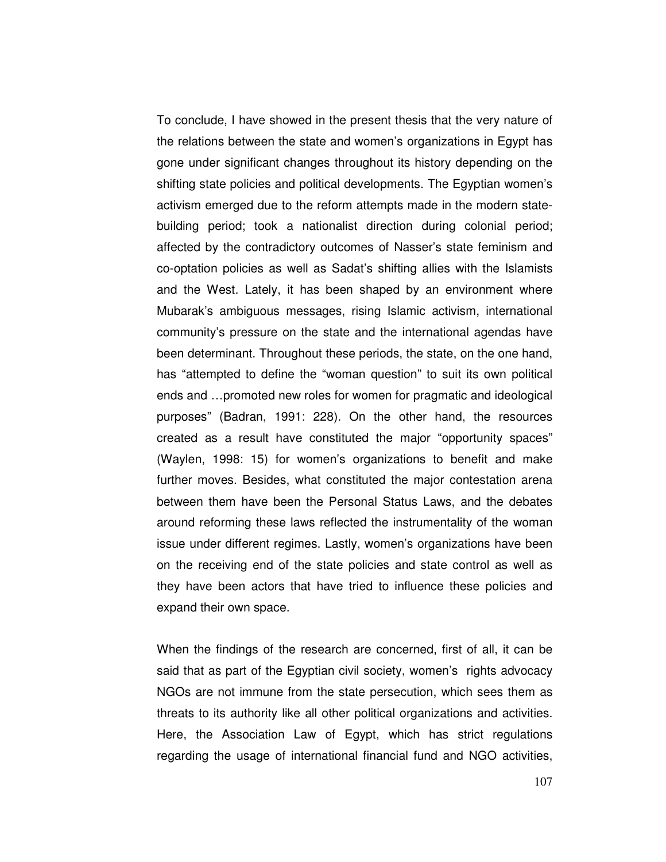To conclude, I have showed in the present thesis that the very nature of the relations between the state and women's organizations in Egypt has gone under significant changes throughout its history depending on the shifting state policies and political developments. The Egyptian women's activism emerged due to the reform attempts made in the modern statebuilding period; took a nationalist direction during colonial period; affected by the contradictory outcomes of Nasser's state feminism and co-optation policies as well as Sadat's shifting allies with the Islamists and the West. Lately, it has been shaped by an environment where Mubarak's ambiguous messages, rising Islamic activism, international community's pressure on the state and the international agendas have been determinant. Throughout these periods, the state, on the one hand, has "attempted to define the "woman question" to suit its own political ends and …promoted new roles for women for pragmatic and ideological purposes" (Badran, 1991: 228). On the other hand, the resources created as a result have constituted the major "opportunity spaces" (Waylen, 1998: 15) for women's organizations to benefit and make further moves. Besides, what constituted the major contestation arena between them have been the Personal Status Laws, and the debates around reforming these laws reflected the instrumentality of the woman issue under different regimes. Lastly, women's organizations have been on the receiving end of the state policies and state control as well as they have been actors that have tried to influence these policies and expand their own space.

When the findings of the research are concerned, first of all, it can be said that as part of the Egyptian civil society, women's rights advocacy NGOs are not immune from the state persecution, which sees them as threats to its authority like all other political organizations and activities. Here, the Association Law of Egypt, which has strict regulations regarding the usage of international financial fund and NGO activities,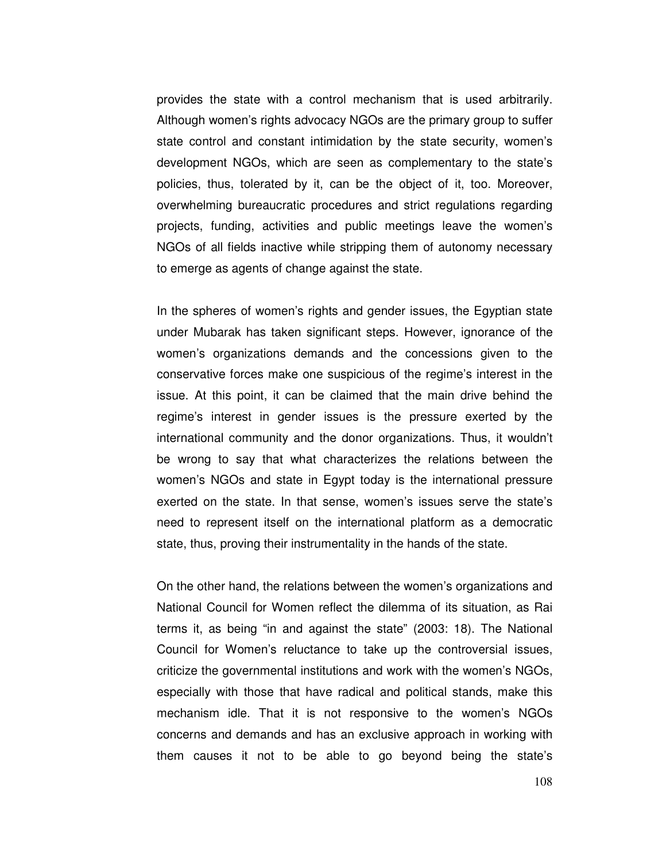provides the state with a control mechanism that is used arbitrarily. Although women's rights advocacy NGOs are the primary group to suffer state control and constant intimidation by the state security, women's development NGOs, which are seen as complementary to the state's policies, thus, tolerated by it, can be the object of it, too. Moreover, overwhelming bureaucratic procedures and strict regulations regarding projects, funding, activities and public meetings leave the women's NGOs of all fields inactive while stripping them of autonomy necessary to emerge as agents of change against the state.

In the spheres of women's rights and gender issues, the Egyptian state under Mubarak has taken significant steps. However, ignorance of the women's organizations demands and the concessions given to the conservative forces make one suspicious of the regime's interest in the issue. At this point, it can be claimed that the main drive behind the regime's interest in gender issues is the pressure exerted by the international community and the donor organizations. Thus, it wouldn't be wrong to say that what characterizes the relations between the women's NGOs and state in Egypt today is the international pressure exerted on the state. In that sense, women's issues serve the state's need to represent itself on the international platform as a democratic state, thus, proving their instrumentality in the hands of the state.

On the other hand, the relations between the women's organizations and National Council for Women reflect the dilemma of its situation, as Rai terms it, as being "in and against the state" (2003: 18). The National Council for Women's reluctance to take up the controversial issues, criticize the governmental institutions and work with the women's NGOs, especially with those that have radical and political stands, make this mechanism idle. That it is not responsive to the women's NGOs concerns and demands and has an exclusive approach in working with them causes it not to be able to go beyond being the state's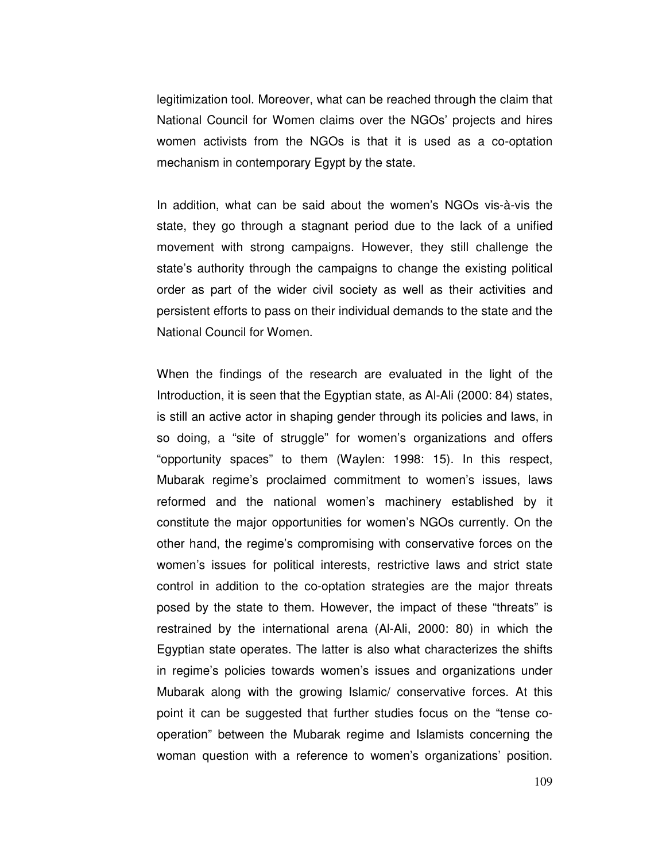legitimization tool. Moreover, what can be reached through the claim that National Council for Women claims over the NGOs' projects and hires women activists from the NGOs is that it is used as a co-optation mechanism in contemporary Egypt by the state.

In addition, what can be said about the women's NGOs vis-à-vis the state, they go through a stagnant period due to the lack of a unified movement with strong campaigns. However, they still challenge the state's authority through the campaigns to change the existing political order as part of the wider civil society as well as their activities and persistent efforts to pass on their individual demands to the state and the National Council for Women.

When the findings of the research are evaluated in the light of the Introduction, it is seen that the Egyptian state, as Al-Ali (2000: 84) states, is still an active actor in shaping gender through its policies and laws, in so doing, a "site of struggle" for women's organizations and offers "opportunity spaces" to them (Waylen: 1998: 15). In this respect, Mubarak regime's proclaimed commitment to women's issues, laws reformed and the national women's machinery established by it constitute the major opportunities for women's NGOs currently. On the other hand, the regime's compromising with conservative forces on the women's issues for political interests, restrictive laws and strict state control in addition to the co-optation strategies are the major threats posed by the state to them. However, the impact of these "threats" is restrained by the international arena (Al-Ali, 2000: 80) in which the Egyptian state operates. The latter is also what characterizes the shifts in regime's policies towards women's issues and organizations under Mubarak along with the growing Islamic/ conservative forces. At this point it can be suggested that further studies focus on the "tense cooperation" between the Mubarak regime and Islamists concerning the woman question with a reference to women's organizations' position.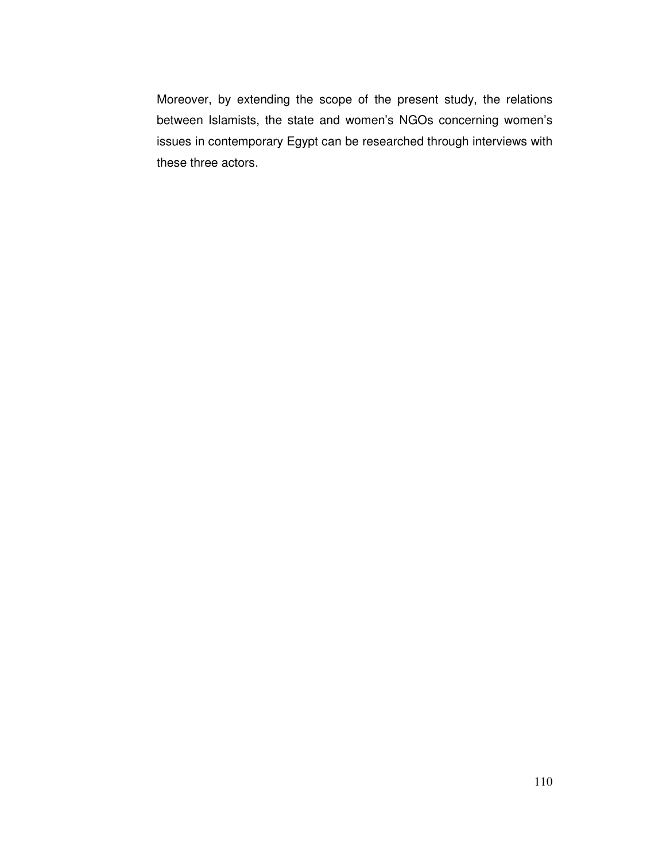Moreover, by extending the scope of the present study, the relations between Islamists, the state and women's NGOs concerning women's issues in contemporary Egypt can be researched through interviews with these three actors.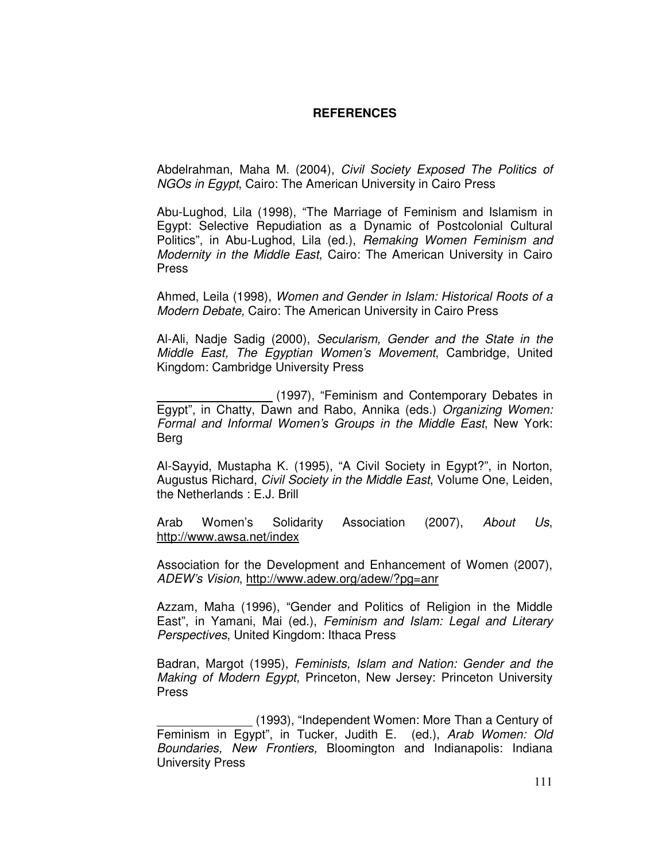#### **REFERENCES**

Abdelrahman, Maha M. (2004), Civil Society Exposed The Politics of NGOs in Egypt, Cairo: The American University in Cairo Press

Abu-Lughod, Lila (1998), "The Marriage of Feminism and Islamism in Egypt: Selective Repudiation as a Dynamic of Postcolonial Cultural Politics", in Abu-Lughod, Lila (ed.), Remaking Women Feminism and Modernity in the Middle East, Cairo: The American University in Cairo Press

Ahmed, Leila (1998), Women and Gender in Islam: Historical Roots of a Modern Debate, Cairo: The American University in Cairo Press

Al-Ali, Nadje Sadig (2000), Secularism, Gender and the State in the Middle East, The Egyptian Women's Movement, Cambridge, United Kingdom: Cambridge University Press

 (1997), "Feminism and Contemporary Debates in Egypt", in Chatty, Dawn and Rabo, Annika (eds.) Organizing Women: Formal and Informal Women's Groups in the Middle East, New York: Berg

Al-Sayyid, Mustapha K. (1995), "A Civil Society in Egypt?", in Norton, Augustus Richard, Civil Society in the Middle East, Volume One, Leiden, the Netherlands : E.J. Brill

Arab Women's Solidarity Association (2007), About Us, http://www.awsa.net/index

Association for the Development and Enhancement of Women (2007), ADEW's Vision, http://www.adew.org/adew/?pg=anr

Azzam, Maha (1996), "Gender and Politics of Religion in the Middle East", in Yamani, Mai (ed.), Feminism and Islam: Legal and Literary Perspectives, United Kingdom: Ithaca Press

Badran, Margot (1995), Feminists, Islam and Nation: Gender and the Making of Modern Egypt, Princeton, New Jersey: Princeton University Press

 (1993), "Independent Women: More Than a Century of Feminism in Egypt", in Tucker, Judith E. (ed.), Arab Women: Old Boundaries, New Frontiers, Bloomington and Indianapolis: Indiana University Press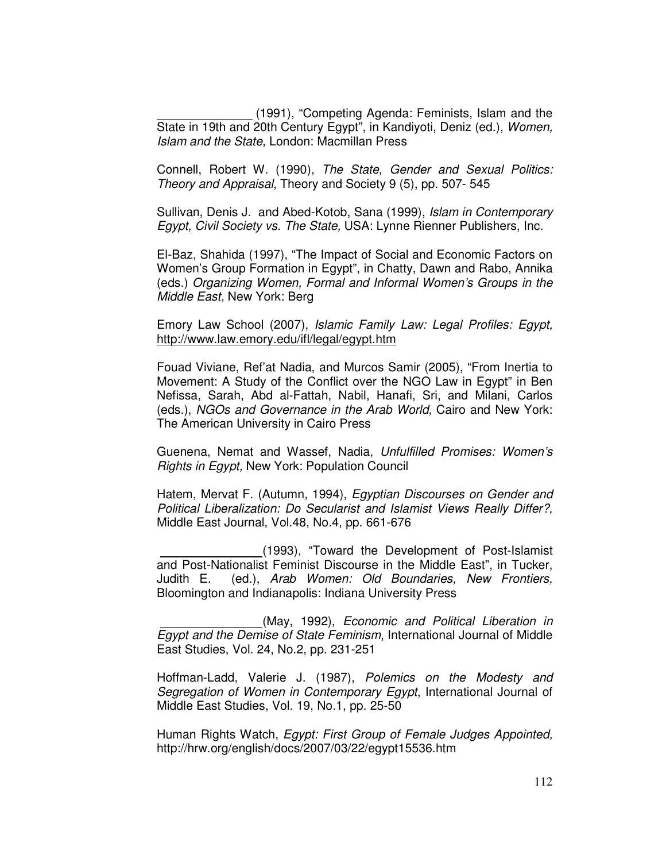(1991), "Competing Agenda: Feminists, Islam and the State in 19th and 20th Century Egypt", in Kandiyoti, Deniz (ed.), Women, Islam and the State, London: Macmillan Press

Connell, Robert W. (1990), The State, Gender and Sexual Politics: Theory and Appraisal, Theory and Society 9 (5), pp. 507- 545

Sullivan, Denis J. and Abed-Kotob, Sana (1999), Islam in Contemporary Egypt, Civil Society vs. The State, USA: Lynne Rienner Publishers, Inc.

El-Baz, Shahida (1997), "The Impact of Social and Economic Factors on Women's Group Formation in Egypt", in Chatty, Dawn and Rabo, Annika (eds.) Organizing Women, Formal and Informal Women's Groups in the Middle East, New York: Berg

Emory Law School (2007), Islamic Family Law: Legal Profiles: Egypt, http://www.law.emory.edu/ifl/legal/egypt.htm

Fouad Viviane, Ref'at Nadia, and Murcos Samir (2005), "From Inertia to Movement: A Study of the Conflict over the NGO Law in Egypt" in Ben Nefissa, Sarah, Abd al-Fattah, Nabil, Hanafi, Sri, and Milani, Carlos (eds.), NGOs and Governance in the Arab World, Cairo and New York: The American University in Cairo Press

Guenena, Nemat and Wassef, Nadia, Unfulfilled Promises: Women's Rights in Egypt, New York: Population Council

Hatem, Mervat F. (Autumn, 1994), Egyptian Discourses on Gender and Political Liberalization: Do Secularist and Islamist Views Really Differ?, Middle East Journal, Vol.48, No.4, pp. 661-676

 (1993), "Toward the Development of Post-Islamist and Post-Nationalist Feminist Discourse in the Middle East", in Tucker, Judith E. (ed.), Arab Women: Old Boundaries, New Frontiers, Bloomington and Indianapolis: Indiana University Press

 (May, 1992), Economic and Political Liberation in Egypt and the Demise of State Feminism, International Journal of Middle East Studies, Vol. 24, No.2, pp. 231-251

Hoffman-Ladd, Valerie J. (1987), Polemics on the Modesty and Segregation of Women in Contemporary Egypt, International Journal of Middle East Studies, Vol. 19, No.1, pp. 25-50

Human Rights Watch, Egypt: First Group of Female Judges Appointed, http://hrw.org/english/docs/2007/03/22/egypt15536.htm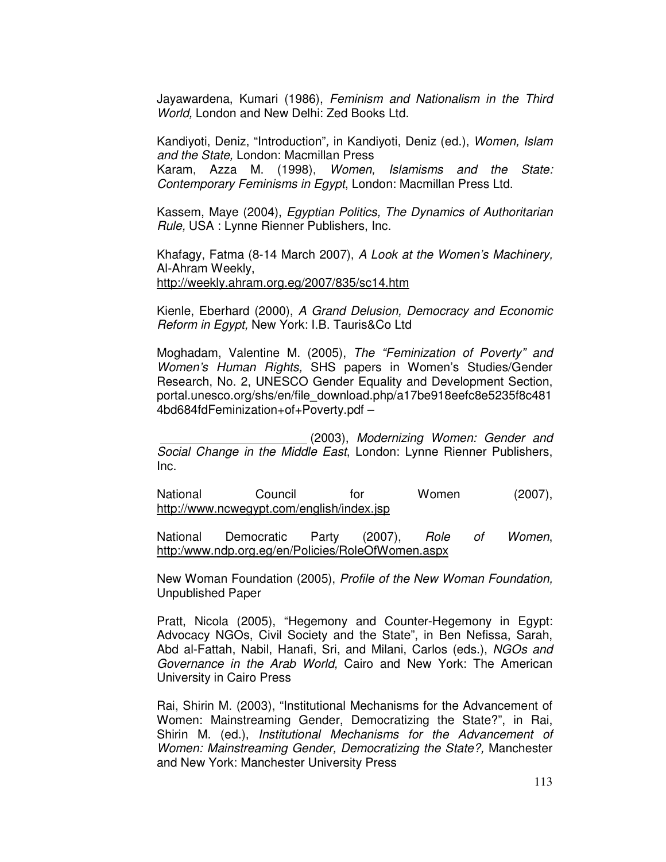Jayawardena, Kumari (1986), Feminism and Nationalism in the Third World, London and New Delhi: Zed Books Ltd.

Kandiyoti, Deniz, "Introduction", in Kandiyoti, Deniz (ed.), Women, Islam and the State, London: Macmillan Press Karam, Azza M. (1998), Women, Islamisms and the State: Contemporary Feminisms in Egypt, London: Macmillan Press Ltd.

Kassem, Maye (2004), Egyptian Politics, The Dynamics of Authoritarian Rule, USA : Lynne Rienner Publishers, Inc.

Khafagy, Fatma (8-14 March 2007), A Look at the Women's Machinery, Al-Ahram Weekly, http://weekly.ahram.org.eg/2007/835/sc14.htm

Kienle, Eberhard (2000), A Grand Delusion, Democracy and Economic Reform in Egypt, New York: I.B. Tauris&Co Ltd

Moghadam, Valentine M. (2005), The "Feminization of Poverty" and Women's Human Rights, SHS papers in Women's Studies/Gender Research, No. 2, UNESCO Gender Equality and Development Section, portal.unesco.org/shs/en/file\_download.php/a17be918eefc8e5235f8c481 4bd684fdFeminization+of+Poverty.pdf –

 (2003), Modernizing Women: Gender and Social Change in the Middle East, London: Lynne Rienner Publishers, Inc.

National Council for Women (2007), http://www.ncwegypt.com/english/index.jsp

National Democratic Party (2007), Role of Women, http:/www.ndp.org.eg/en/Policies/RoleOfWomen.aspx

New Woman Foundation (2005), Profile of the New Woman Foundation, Unpublished Paper

Pratt, Nicola (2005), "Hegemony and Counter-Hegemony in Egypt: Advocacy NGOs, Civil Society and the State", in Ben Nefissa, Sarah, Abd al-Fattah, Nabil, Hanafi, Sri, and Milani, Carlos (eds.), NGOs and Governance in the Arab World, Cairo and New York: The American University in Cairo Press

Rai, Shirin M. (2003), "Institutional Mechanisms for the Advancement of Women: Mainstreaming Gender, Democratizing the State?", in Rai, Shirin M. (ed.), Institutional Mechanisms for the Advancement of Women: Mainstreaming Gender, Democratizing the State?, Manchester and New York: Manchester University Press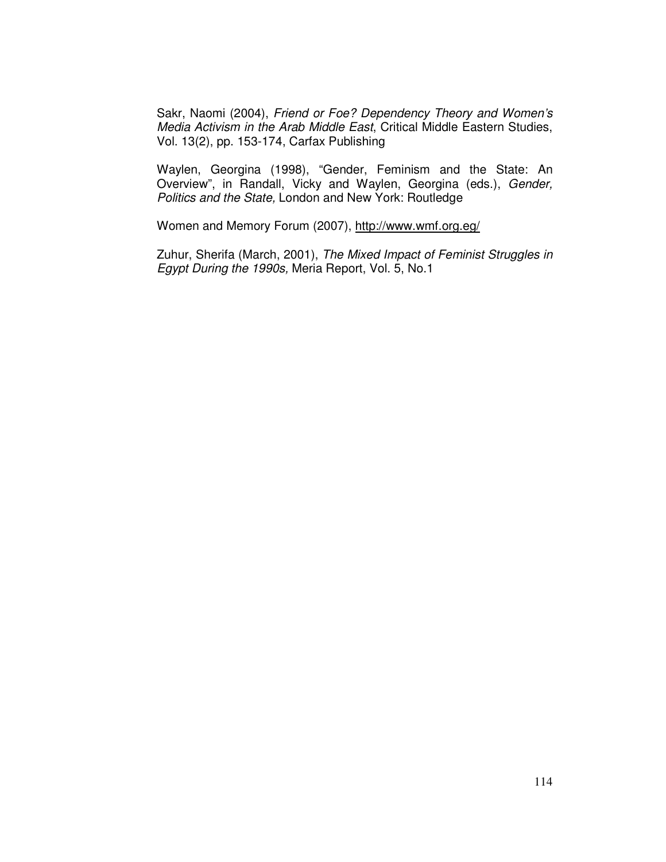Sakr, Naomi (2004), Friend or Foe? Dependency Theory and Women's Media Activism in the Arab Middle East, Critical Middle Eastern Studies, Vol. 13(2), pp. 153-174, Carfax Publishing

Waylen, Georgina (1998), "Gender, Feminism and the State: An Overview", in Randall, Vicky and Waylen, Georgina (eds.), Gender, Politics and the State, London and New York: Routledge

Women and Memory Forum (2007), http://www.wmf.org.eg/

Zuhur, Sherifa (March, 2001), The Mixed Impact of Feminist Struggles in Egypt During the 1990s, Meria Report, Vol. 5, No.1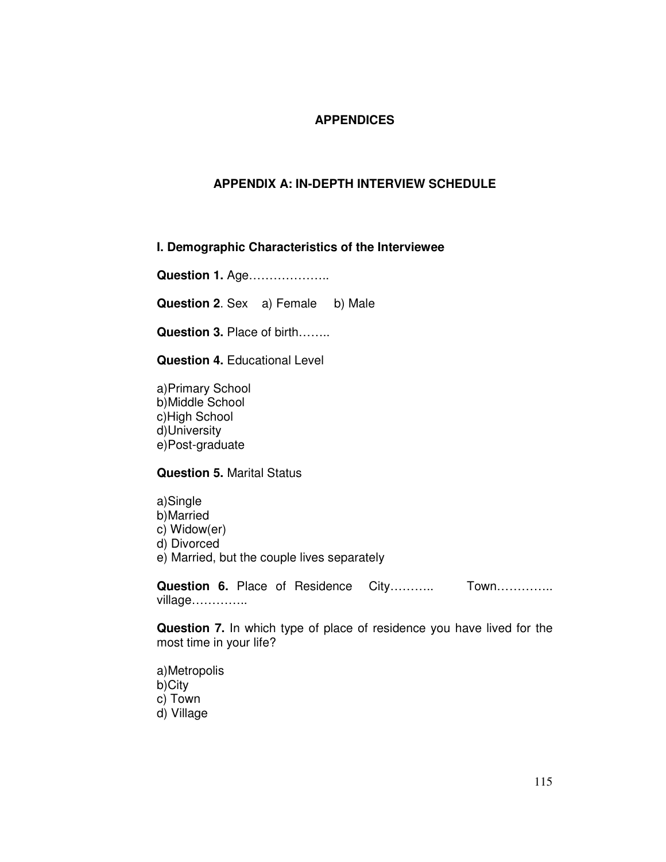## **APPENDICES**

## **APPENDIX A: IN-DEPTH INTERVIEW SCHEDULE**

### **I. Demographic Characteristics of the Interviewee**

**Question 1.** Age………………..

**Question 2.** Sex a) Female b) Male

**Question 3.** Place of birth……..

**Question 4.** Educational Level

a)Primary School b)Middle School c)High School d)University e)Post-graduate

#### **Question 5.** Marital Status

a)Single b)Married c) Widow(er) d) Divorced e) Married, but the couple lives separately

Question 6. Place of Residence City……….... Town…………... village…………..

**Question 7.** In which type of place of residence you have lived for the most time in your life?

a)Metropolis b)City c) Town d) Village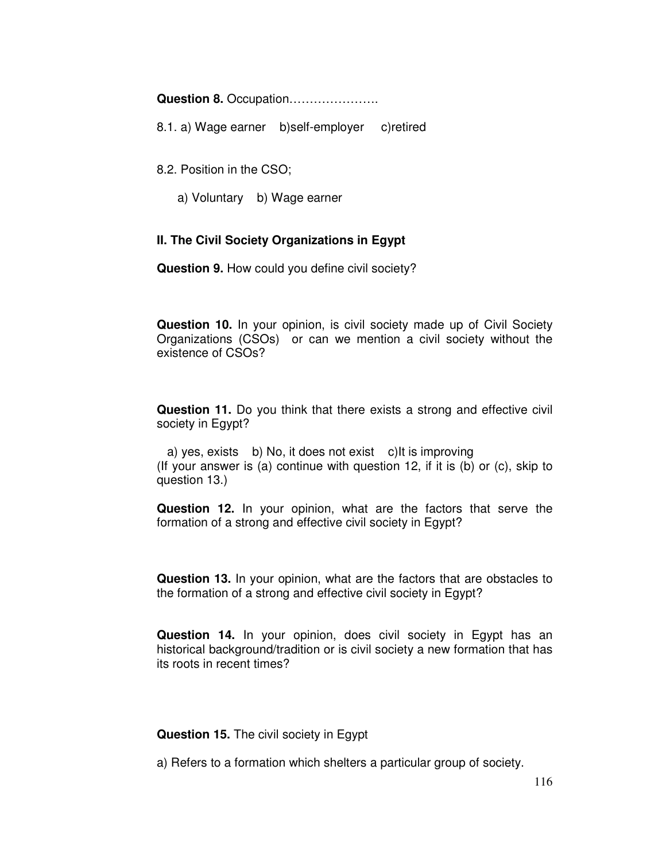**Question 8.** Occupation………………….

8.1. a) Wage earner b)self-employer c)retired

8.2. Position in the CSO;

a) Voluntary b) Wage earner

### **II. The Civil Society Organizations in Egypt**

**Question 9.** How could you define civil society?

**Question 10.** In your opinion, is civil society made up of Civil Society Organizations (CSOs) or can we mention a civil society without the existence of CSOs?

**Question 11.** Do you think that there exists a strong and effective civil society in Egypt?

 a) yes, exists b) No, it does not exist c)It is improving (If your answer is (a) continue with question 12, if it is (b) or (c), skip to question 13.)

**Question 12.** In your opinion, what are the factors that serve the formation of a strong and effective civil society in Egypt?

**Question 13.** In your opinion, what are the factors that are obstacles to the formation of a strong and effective civil society in Egypt?

**Question 14.** In your opinion, does civil society in Egypt has an historical background/tradition or is civil society a new formation that has its roots in recent times?

**Question 15.** The civil society in Egypt

a) Refers to a formation which shelters a particular group of society.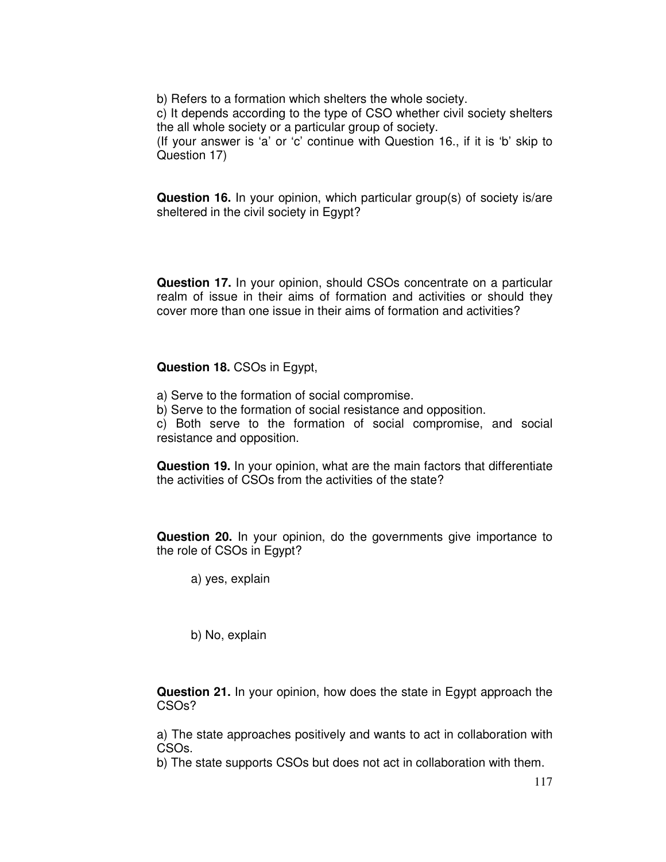b) Refers to a formation which shelters the whole society.

c) It depends according to the type of CSO whether civil society shelters the all whole society or a particular group of society.

(If your answer is 'a' or 'c' continue with Question 16., if it is 'b' skip to Question 17)

**Question 16.** In your opinion, which particular group(s) of society is/are sheltered in the civil society in Egypt?

**Question 17.** In your opinion, should CSOs concentrate on a particular realm of issue in their aims of formation and activities or should they cover more than one issue in their aims of formation and activities?

**Question 18.** CSOs in Egypt,

- a) Serve to the formation of social compromise.
- b) Serve to the formation of social resistance and opposition.

c) Both serve to the formation of social compromise, and social resistance and opposition.

**Question 19.** In your opinion, what are the main factors that differentiate the activities of CSOs from the activities of the state?

**Question 20.** In your opinion, do the governments give importance to the role of CSOs in Egypt?

a) yes, explain

b) No, explain

**Question 21.** In your opinion, how does the state in Egypt approach the CSOs?

a) The state approaches positively and wants to act in collaboration with CSOs.

b) The state supports CSOs but does not act in collaboration with them.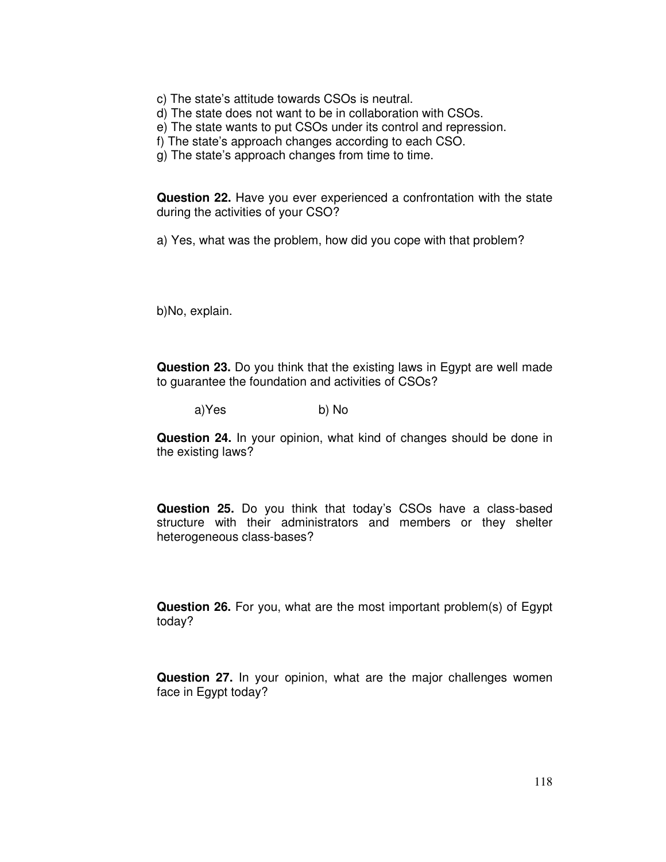- c) The state's attitude towards CSOs is neutral.
- d) The state does not want to be in collaboration with CSOs.
- e) The state wants to put CSOs under its control and repression.
- f) The state's approach changes according to each CSO.
- g) The state's approach changes from time to time.

**Question 22.** Have you ever experienced a confrontation with the state during the activities of your CSO?

a) Yes, what was the problem, how did you cope with that problem?

b)No, explain.

**Question 23.** Do you think that the existing laws in Egypt are well made to guarantee the foundation and activities of CSOs?

a) Yes b) No

**Question 24.** In your opinion, what kind of changes should be done in the existing laws?

**Question 25.** Do you think that today's CSOs have a class-based structure with their administrators and members or they shelter heterogeneous class-bases?

**Question 26.** For you, what are the most important problem(s) of Egypt today?

**Question 27.** In your opinion, what are the major challenges women face in Egypt today?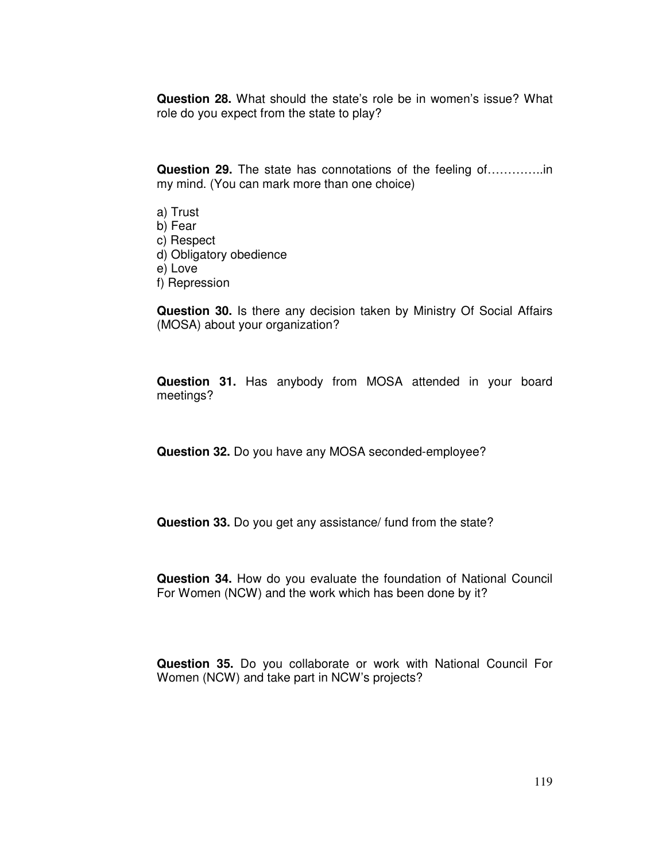**Question 28.** What should the state's role be in women's issue? What role do you expect from the state to play?

**Question 29.** The state has connotations of the feeling of…………..in my mind. (You can mark more than one choice)

a) Trust b) Fear c) Respect d) Obligatory obedience e) Love f) Repression

**Question 30.** Is there any decision taken by Ministry Of Social Affairs (MOSA) about your organization?

**Question 31.** Has anybody from MOSA attended in your board meetings?

**Question 32.** Do you have any MOSA seconded-employee?

**Question 33.** Do you get any assistance/ fund from the state?

**Question 34.** How do you evaluate the foundation of National Council For Women (NCW) and the work which has been done by it?

**Question 35.** Do you collaborate or work with National Council For Women (NCW) and take part in NCW's projects?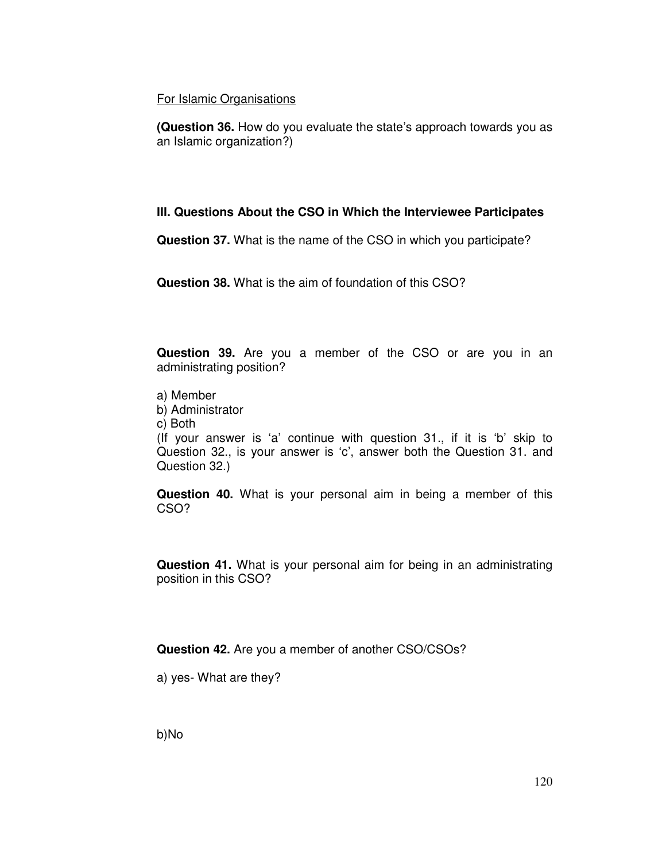### For Islamic Organisations

**(Question 36.** How do you evaluate the state's approach towards you as an Islamic organization?)

## **III. Questions About the CSO in Which the Interviewee Participates**

**Question 37.** What is the name of the CSO in which you participate?

**Question 38.** What is the aim of foundation of this CSO?

**Question 39.** Are you a member of the CSO or are you in an administrating position?

- a) Member
- b) Administrator
- c) Both

(If your answer is 'a' continue with question 31., if it is 'b' skip to Question 32., is your answer is 'c', answer both the Question 31. and Question 32.)

**Question 40.** What is your personal aim in being a member of this CSO?

**Question 41.** What is your personal aim for being in an administrating position in this CSO?

**Question 42.** Are you a member of another CSO/CSOs?

a) yes- What are they?

b)No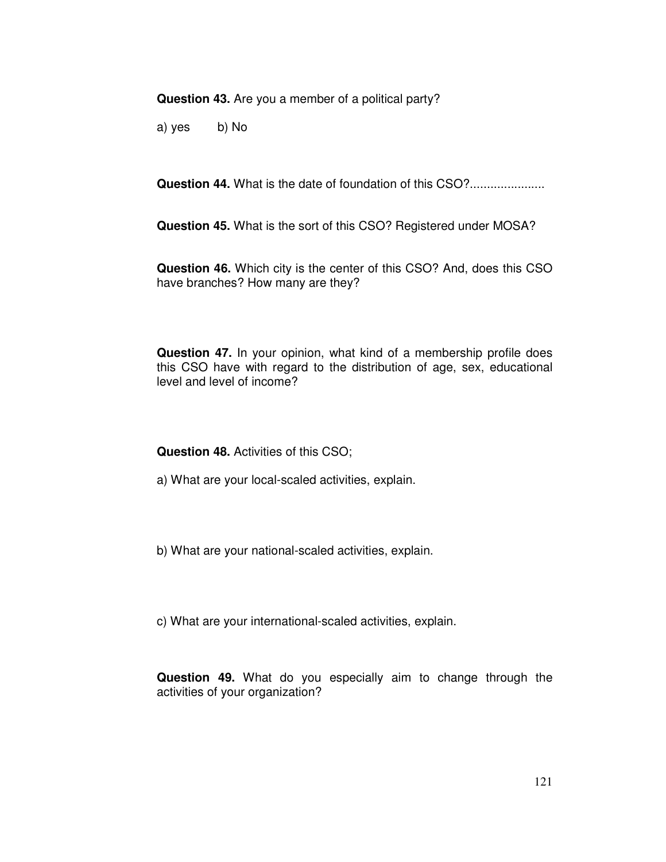**Question 43.** Are you a member of a political party?

a) yes b) No

**Question 44.** What is the date of foundation of this CSO?......................

**Question 45.** What is the sort of this CSO? Registered under MOSA?

**Question 46.** Which city is the center of this CSO? And, does this CSO have branches? How many are they?

**Question 47.** In your opinion, what kind of a membership profile does this CSO have with regard to the distribution of age, sex, educational level and level of income?

**Question 48.** Activities of this CSO;

- a) What are your local-scaled activities, explain.
- b) What are your national-scaled activities, explain.

c) What are your international-scaled activities, explain.

**Question 49.** What do you especially aim to change through the activities of your organization?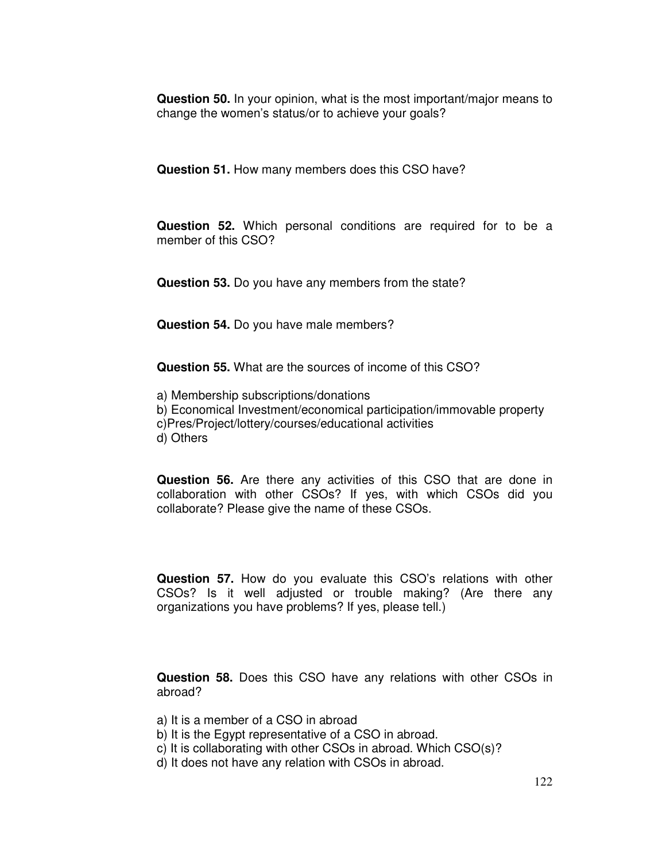**Question 50.** In your opinion, what is the most important/major means to change the women's status/or to achieve your goals?

**Question 51.** How many members does this CSO have?

**Question 52.** Which personal conditions are required for to be a member of this CSO?

**Question 53.** Do you have any members from the state?

**Question 54.** Do you have male members?

**Question 55.** What are the sources of income of this CSO?

- a) Membership subscriptions/donations
- b) Economical Investment/economical participation/immovable property
- c)Pres/Project/lottery/courses/educational activities
- d) Others

**Question 56.** Are there any activities of this CSO that are done in collaboration with other CSOs? If yes, with which CSOs did you collaborate? Please give the name of these CSOs.

**Question 57.** How do you evaluate this CSO's relations with other CSOs? Is it well adjusted or trouble making? (Are there any organizations you have problems? If yes, please tell.)

**Question 58.** Does this CSO have any relations with other CSOs in abroad?

- a) It is a member of a CSO in abroad
- b) It is the Egypt representative of a CSO in abroad.
- c) It is collaborating with other CSOs in abroad. Which CSO(s)?
- d) It does not have any relation with CSOs in abroad.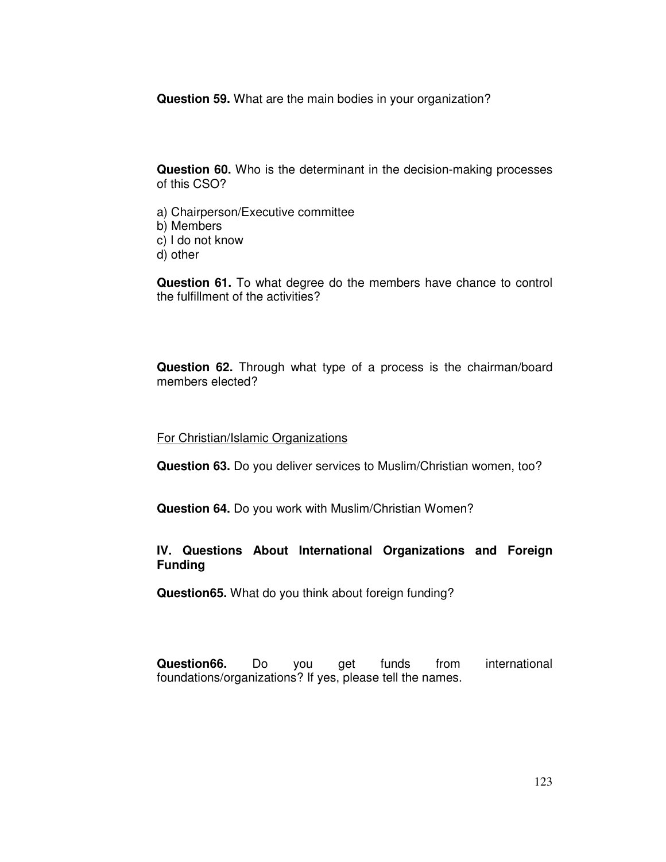**Question 59.** What are the main bodies in your organization?

**Question 60.** Who is the determinant in the decision-making processes of this CSO?

a) Chairperson/Executive committee b) Members c) I do not know d) other

**Question 61.** To what degree do the members have chance to control the fulfillment of the activities?

**Question 62.** Through what type of a process is the chairman/board members elected?

For Christian/Islamic Organizations

**Question 63.** Do you deliver services to Muslim/Christian women, too?

**Question 64.** Do you work with Muslim/Christian Women?

### **IV. Questions About International Organizations and Foreign Funding**

**Question65.** What do you think about foreign funding?

**Question66.** Do you get funds from international foundations/organizations? If yes, please tell the names.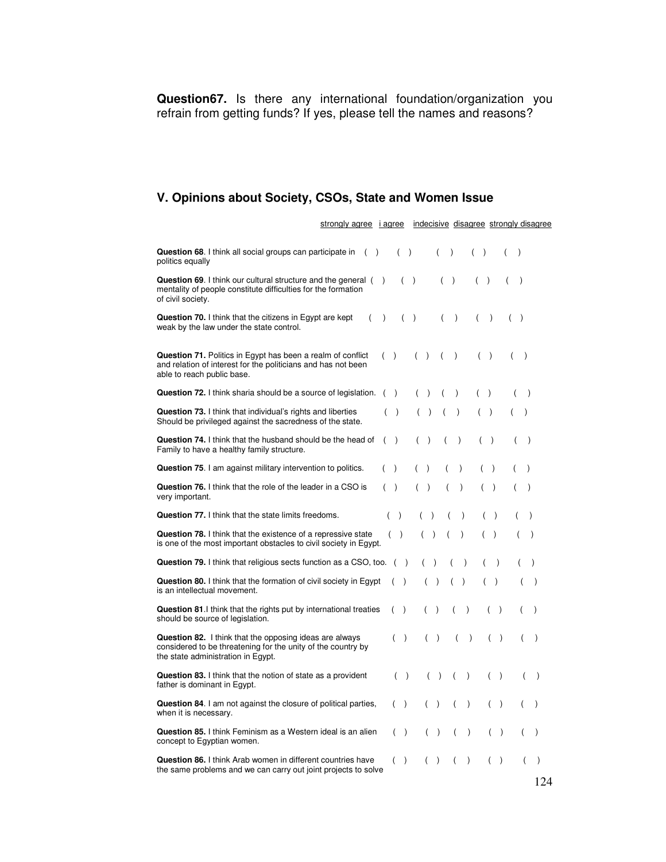**Question67.** Is there any international foundation/organization you refrain from getting funds? If yes, please tell the names and reasons?

# **V. Opinions about Society, CSOs, State and Women Issue**

|                                                                                                                                                                | strongly agree i agree |               |                                   |                |                    |                                   |                                 |                  |                    |                                   |                  |                             | indecisive disagree strongly disagree |
|----------------------------------------------------------------------------------------------------------------------------------------------------------------|------------------------|---------------|-----------------------------------|----------------|--------------------|-----------------------------------|---------------------------------|------------------|--------------------|-----------------------------------|------------------|-----------------------------|---------------------------------------|
| Question 68. I think all social groups can participate in<br>politics equally                                                                                  | $\left($               | $\rightarrow$ |                                   | ( )            |                    | $\overline{(\ }$                  | $\lambda$                       |                  | $($ )              |                                   | $\overline{(\ }$ | $\mathcal{E}$               |                                       |
| <b>Question 69.</b> I think our cultural structure and the general $($ )<br>mentality of people constitute difficulties for the formation<br>of civil society. |                        |               |                                   | $($ )          |                    |                                   | $\overline{ }$<br>$\rightarrow$ |                  | (<br>$\rightarrow$ |                                   |                  | $\lambda$                   |                                       |
| <b>Question 70.</b> I think that the citizens in Egypt are kept<br>weak by the law under the state control.                                                    | (                      | $\lambda$     |                                   | $\overline{(}$ | $\lambda$          |                                   | (                               | $\lambda$        | $\overline{ }$     | $\lambda$                         | (                | $\lambda$                   |                                       |
| Question 71. Politics in Egypt has been a realm of conflict<br>and relation of interest for the politicians and has not been<br>able to reach public base.     |                        |               | $($ )                             |                | (<br>$\rightarrow$ |                                   | $\overline{ }$                  | $\lambda$        | (                  | $\lambda$                         |                  | $\lambda$                   |                                       |
| <b>Question 72.</b> I think sharia should be a source of legislation.                                                                                          |                        | $\left($      | $\lambda$                         |                | (                  |                                   |                                 | $\mathcal{E}$    |                    | $\lambda$                         |                  | $\lambda$                   |                                       |
| Question 73. I think that individual's rights and liberties<br>Should be privileged against the sacredness of the state.                                       |                        | (             | $\lambda$                         |                | (                  | $\lambda$                         |                                 | $\mathcal{E}$    |                    | $\rightarrow$                     |                  | $\lambda$                   |                                       |
| Question 74. I think that the husband should be the head of<br>Family to have a healthy family structure.                                                      |                        | $\left($      | $\rightarrow$                     |                | (                  | $\lambda$                         |                                 | $\lambda$        | (                  | $\rightarrow$                     |                  | $\overline{(}$<br>$\lambda$ |                                       |
| <b>Question 75.</b> I am against military intervention to politics.                                                                                            |                        | (             | $\lambda$                         |                | (                  | $\lambda$                         |                                 | $\lambda$        | $\overline{(\ }$   | $\lambda$                         |                  | $\mathcal{E}$               |                                       |
| Question 76. I think that the role of the leader in a CSO is<br>very important.                                                                                |                        |               | $($ )                             |                | $\overline{(\ }$   | $\lambda$                         |                                 | $\lambda$        | (                  | $\lambda$                         |                  | $\lambda$                   |                                       |
| Question 77. I think that the state limits freedoms.                                                                                                           |                        |               | $\rightarrow$<br>$\overline{(\ }$ |                | (                  | $\lambda$                         | $\overline{(\ }$                | $\lambda$        | $\overline{(}$     | $\rightarrow$                     |                  |                             | $\lambda$                             |
| Question 78. I think that the existence of a repressive state<br>is one of the most important obstacles to civil society in Egypt.                             |                        |               | $($ )                             |                | (                  | $\lambda$                         |                                 | $\mathcal{L}$    | (                  | $\lambda$                         |                  |                             | $\mathcal{E}$                         |
| Question 79. I think that religious sects function as a CSO, too.                                                                                              |                        |               | ( )                               |                |                    |                                   |                                 | $\lambda$        |                    | $\lambda$                         |                  |                             | $\lambda$                             |
| Question 80. I think that the formation of civil society in Egypt<br>is an intellectual movement.                                                              |                        |               | (                                 | $\rightarrow$  |                    | $\lambda$                         | (                               | $\lambda$        | (                  | $\lambda$                         |                  |                             | $\mathcal{E}$                         |
| Question 81.1 think that the rights put by international treaties<br>should be source of legislation.                                                          |                        |               | (                                 | $\rightarrow$  |                    | $\lambda$                         |                                 | $\mathcal{E}$    |                    | $($ )                             |                  |                             | $\lambda$                             |
| Question 82. I think that the opposing ideas are always<br>considered to be threatening for the unity of the country by<br>the state administration in Egypt.  |                        |               | $($ )                             |                |                    | $\overline{(\ }$<br>$\rightarrow$ |                                 | $\overline{(\ }$ | $\lambda$          | $\overline{(\ }$<br>$\rightarrow$ |                  | (                           | $\mathcal{E}$                         |
| <b>Question 83.</b> I think that the notion of state as a provident<br>father is dominant in Egypt.                                                            |                        |               | $\left($                          | $\rightarrow$  |                    | $\overline{(}$<br>$\lambda$       |                                 | $\lambda$<br>(   |                    | $($ )                             |                  | (                           | $\lambda$                             |
| Question 84. I am not against the closure of political parties,<br>when it is necessary.                                                                       |                        |               | $($ )                             |                |                    | $\overline{(\ }$<br>$\lambda$     |                                 | $\lambda$<br>(   |                    | (                                 | $\rightarrow$    |                             | $\mathcal{E}$                         |
| Question 85. I think Feminism as a Western ideal is an alien<br>concept to Egyptian women.                                                                     |                        |               | (                                 | $\rightarrow$  |                    | $\lambda$<br>(                    |                                 | $\lambda$        |                    |                                   | $\rightarrow$    |                             | $\lambda$                             |
| <b>Question 86.</b> I think Arab women in different countries have<br>the same problems and we can carry out joint projects to solve                           |                        |               | (                                 | $\lambda$      |                    | $\mathcal{E}$                     |                                 | $\lambda$        |                    | (                                 | $\lambda$        | (                           | $\mathcal{E}$<br>124                  |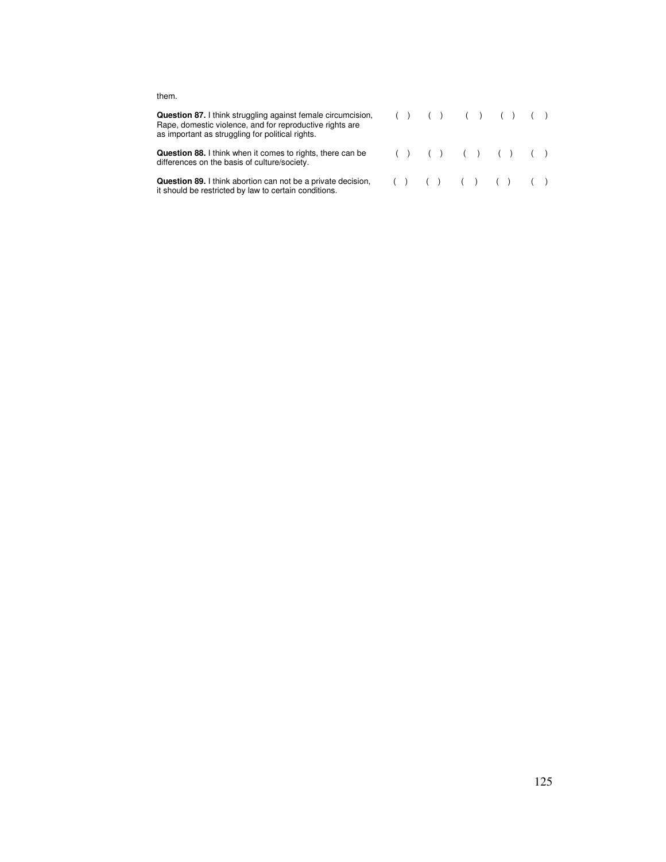#### them.

| <b>Question 87.</b> I think struggling against female circumcision,<br>Rape, domestic violence, and for reproductive rights are<br>as important as struggling for political rights. |                                 |  |  | ( ) ( ) ( ) ( ) ( ) ( ) ( ) |  |  |  |
|-------------------------------------------------------------------------------------------------------------------------------------------------------------------------------------|---------------------------------|--|--|-----------------------------|--|--|--|
| Question 88. I think when it comes to rights, there can be<br>differences on the basis of culture/society.                                                                          | ( ) ( ) ( ) ( ) ( ) ( ) ( )     |  |  |                             |  |  |  |
| <b>Question 89.</b> I think abortion can not be a private decision,<br>it should be restricted by law to certain conditions.                                                        | ( ) ( ) ( ) ( ) ( ) ( ) ( ) ( ) |  |  |                             |  |  |  |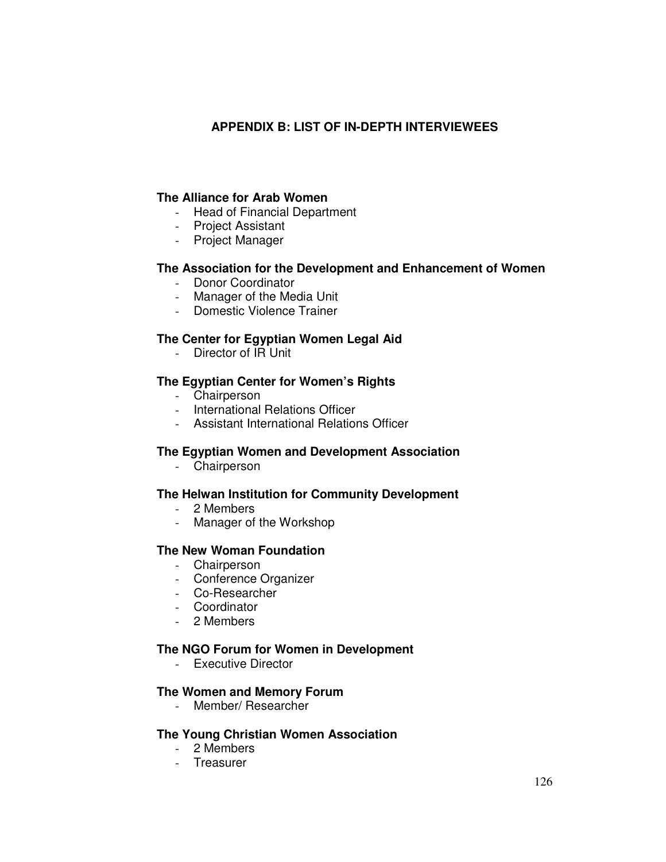## **APPENDIX B: LIST OF IN-DEPTH INTERVIEWEES**

### **The Alliance for Arab Women**

- Head of Financial Department
- Project Assistant
- Project Manager

## **The Association for the Development and Enhancement of Women**

- Donor Coordinator
- Manager of the Media Unit
- Domestic Violence Trainer

### **The Center for Egyptian Women Legal Aid**

- Director of IR Unit

### **The Egyptian Center for Women's Rights**

- Chairperson
- International Relations Officer
- Assistant International Relations Officer

### **The Egyptian Women and Development Association**

- Chairperson

### **The Helwan Institution for Community Development**

- 2 Members
- Manager of the Workshop

### **The New Woman Foundation**

- Chairperson
- Conference Organizer
- Co-Researcher
- Coordinator
- 2 Members

#### **The NGO Forum for Women in Development**

- Executive Director

### **The Women and Memory Forum**

- Member/ Researcher

#### **The Young Christian Women Association**

- 2 Members
- Treasurer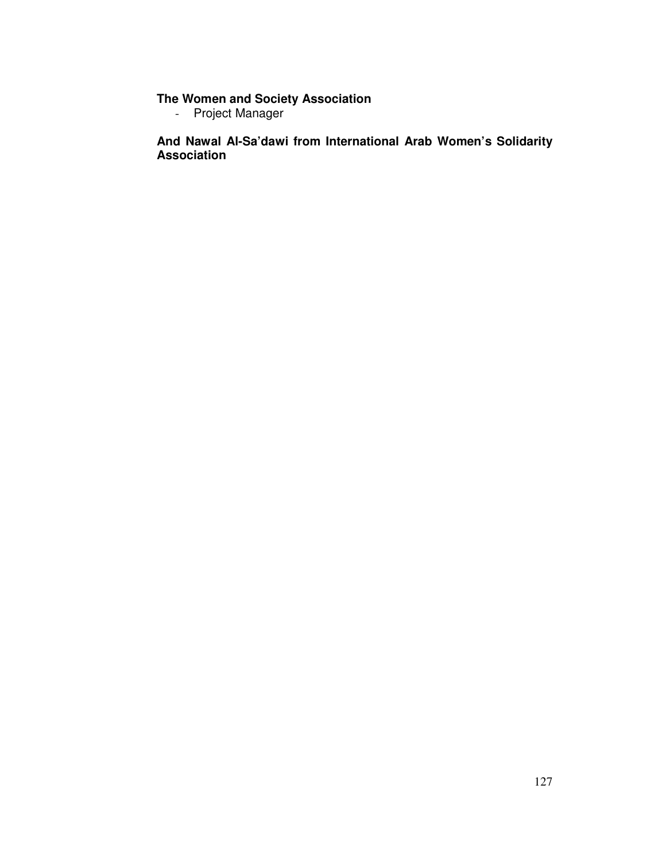#### **The Women and Society Association**

- Project Manager

**And Nawal Al-Sa'dawi from International Arab Women's Solidarity Association**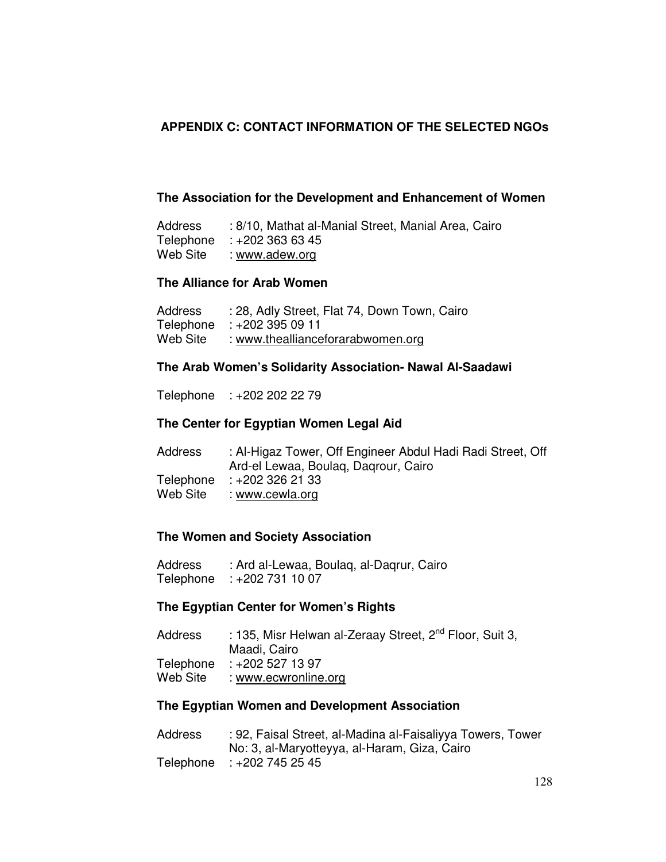## **APPENDIX C: CONTACT INFORMATION OF THE SELECTED NGOs**

### **The Association for the Development and Enhancement of Women**

Address : 8/10, Mathat al-Manial Street, Manial Area, Cairo Telephone : +202 363 63 45 Web Site : www.adew.org

#### **The Alliance for Arab Women**

| Address   | : 28, Adly Street, Flat 74, Down Town, Cairo |
|-----------|----------------------------------------------|
| Telephone | 11 09 395 ± 19 ÷ 202 ÷ ∶                     |
| Web Site  | : www.theallianceforarabwomen.org            |

### **The Arab Women's Solidarity Association- Nawal Al-Saadawi**

Telephone : +202 202 22 79

### **The Center for Egyptian Women Legal Aid**

| Address  | : Al-Higaz Tower, Off Engineer Abdul Hadi Radi Street, Off |
|----------|------------------------------------------------------------|
|          | Ard-el Lewaa, Boulag, Dagrour, Cairo                       |
|          | Telephone : +202 326 21 33                                 |
| Web Site | : www.cewla.org                                            |

#### **The Women and Society Association**

Address : Ard al-Lewaa, Boulaq, al-Daqrur, Cairo Telephone : +202 731 10 07

#### **The Egyptian Center for Women's Rights**

| Address  | : 135, Misr Helwan al-Zeraay Street, 2 <sup>nd</sup> Floor, Suit 3, |
|----------|---------------------------------------------------------------------|
|          | Maadi, Cairo                                                        |
|          | Telephone : +202 527 13 97                                          |
| Web Site | : www.ecwronline.org                                                |

## **The Egyptian Women and Development Association**

| <b>Address</b> | : 92, Faisal Street, al-Madina al-Faisaliyya Towers, Tower |
|----------------|------------------------------------------------------------|
|                | No: 3, al-Maryotteyya, al-Haram, Giza, Cairo               |
|                | Telephone : +202 745 25 45                                 |